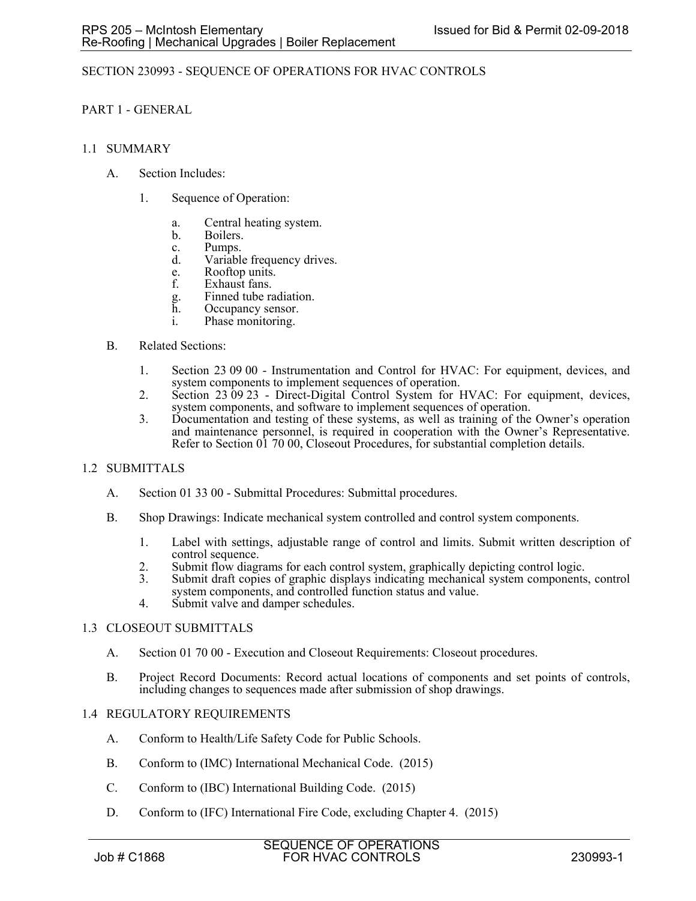## SECTION 230993 - SEQUENCE OF OPERATIONS FOR HVAC CONTROLS

## PART 1 - GENERAL

### 1.1 SUMMARY

- A. Section Includes:
	- 1. Sequence of Operation:
		- a. Central heating system.
		- b. Boilers.
		- c. Pumps.
		- d. Variable frequency drives.
		- e. Rooftop units.<br>f. Exhaust fans.
		- Exhaust fans.
		- g. Finned tube radiation.
		- h. Occupancy sensor. i. Phase monitoring.

### B. Related Sections:

- 1. Section 23 09 00 Instrumentation and Control for HVAC: For equipment, devices, and system components to implement sequences of operation.
- 2. Section 23 09 23 Direct-Digital Control System for HVAC: For equipment, devices, system components, and software to implement sequences of operation.
- 3. Documentation and testing of these systems, as well as training of the Owner's operation and maintenance personnel, is required in cooperation with the Owner's Representative. Refer to Section 01 70 00, Closeout Procedures, for substantial completion details.

## 1.2 SUBMITTALS

- A. Section 01 33 00 Submittal Procedures: Submittal procedures.
- B. Shop Drawings: Indicate mechanical system controlled and control system components.
	- 1. Label with settings, adjustable range of control and limits. Submit written description of control sequence.
	- 2. Submit flow diagrams for each control system, graphically depicting control logic.
	- 3. Submit draft copies of graphic displays indicating mechanical system components, control system components, and controlled function status and value.
	- 4. Submit valve and damper schedules.

## 1.3 CLOSEOUT SUBMITTALS

- A. Section 01 70 00 Execution and Closeout Requirements: Closeout procedures.
- B. Project Record Documents: Record actual locations of components and set points of controls, including changes to sequences made after submission of shop drawings.

#### 1.4 REGULATORY REQUIREMENTS

- A. Conform to Health/Life Safety Code for Public Schools.
- B. Conform to (IMC) International Mechanical Code. (2015)
- C. Conform to (IBC) International Building Code. (2015)
- D. Conform to (IFC) International Fire Code, excluding Chapter 4. (2015)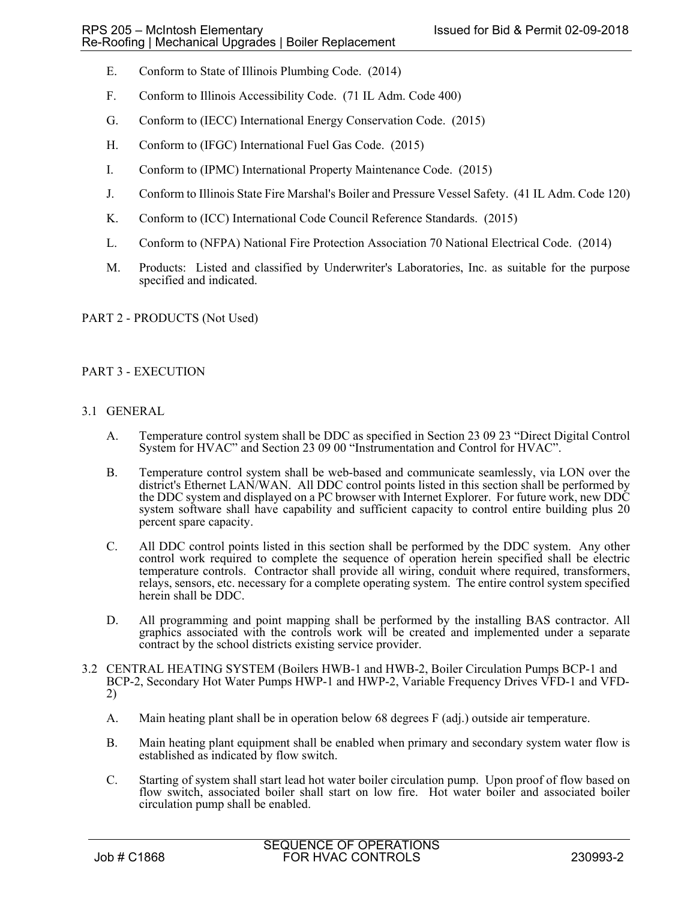- E. Conform to State of Illinois Plumbing Code. (2014)
- F. Conform to Illinois Accessibility Code. (71 IL Adm. Code 400)
- G. Conform to (IECC) International Energy Conservation Code. (2015)
- H. Conform to (IFGC) International Fuel Gas Code. (2015)
- I. Conform to (IPMC) International Property Maintenance Code. (2015)
- J. Conform to Illinois State Fire Marshal's Boiler and Pressure Vessel Safety. (41 IL Adm. Code 120)
- K. Conform to (ICC) International Code Council Reference Standards. (2015)
- L. Conform to (NFPA) National Fire Protection Association 70 National Electrical Code. (2014)
- M. Products: Listed and classified by Underwriter's Laboratories, Inc. as suitable for the purpose specified and indicated.

## PART 2 - PRODUCTS (Not Used)

# PART 3 - EXECUTION

## 3.1 GENERAL

- A. Temperature control system shall be DDC as specified in Section 23 09 23 "Direct Digital Control System for HVAC" and Section 23 09 00 "Instrumentation and Control for HVAC".
- B. Temperature control system shall be web-based and communicate seamlessly, via LON over the district's Ethernet LAN/WAN. All DDC control points listed in this section shall be performed by the DDC system and displayed on a PC browser with Internet Explorer. For future work, new DDC system software shall have capability and sufficient capacity to control entire building plus 20 percent spare capacity.
- C. All DDC control points listed in this section shall be performed by the DDC system. Any other control work required to complete the sequence of operation herein specified shall be electric temperature controls. Contractor shall provide all wiring, conduit where required, transformers, relays, sensors, etc. necessary for a complete operating system. The entire control system specified herein shall be DDC.
- D. All programming and point mapping shall be performed by the installing BAS contractor. All graphics associated with the controls work will be created and implemented under a separate contract by the school districts existing service provider.
- 3.2 CENTRAL HEATING SYSTEM (Boilers HWB-1 and HWB-2, Boiler Circulation Pumps BCP-1 and BCP-2, Secondary Hot Water Pumps HWP-1 and HWP-2, Variable Frequency Drives VFD-1 and VFD-2)
	- A. Main heating plant shall be in operation below 68 degrees F (adj.) outside air temperature.
	- B. Main heating plant equipment shall be enabled when primary and secondary system water flow is established as indicated by flow switch.
	- C. Starting of system shall start lead hot water boiler circulation pump. Upon proof of flow based on flow switch, associated boiler shall start on low fire. Hot water boiler and associated boiler circulation pump shall be enabled.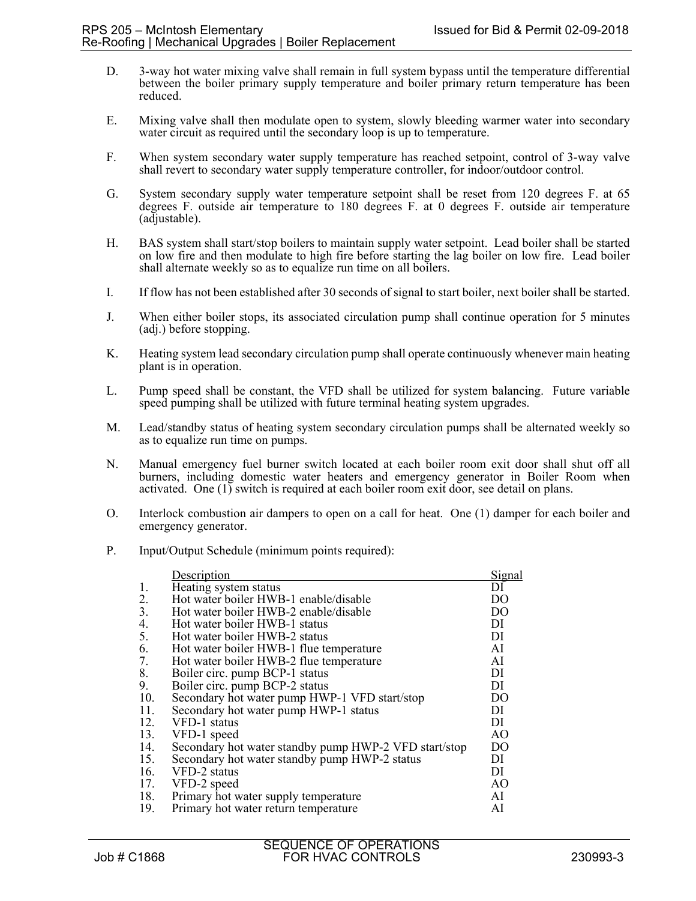- D. 3-way hot water mixing valve shall remain in full system bypass until the temperature differential between the boiler primary supply temperature and boiler primary return temperature has been reduced.
- E. Mixing valve shall then modulate open to system, slowly bleeding warmer water into secondary water circuit as required until the secondary loop is up to temperature.
- F. When system secondary water supply temperature has reached setpoint, control of 3-way valve shall revert to secondary water supply temperature controller, for indoor/outdoor control.
- G. System secondary supply water temperature setpoint shall be reset from 120 degrees F. at 65 degrees F. outside air temperature to 180 degrees F. at 0 degrees F. outside air temperature (adjustable).
- H. BAS system shall start/stop boilers to maintain supply water setpoint. Lead boiler shall be started on low fire and then modulate to high fire before starting the lag boiler on low fire. Lead boiler shall alternate weekly so as to equalize run time on all boilers.
- I. If flow has not been established after 30 seconds of signal to start boiler, next boiler shall be started.
- J. When either boiler stops, its associated circulation pump shall continue operation for 5 minutes (adj.) before stopping.
- K. Heating system lead secondary circulation pump shall operate continuously whenever main heating plant is in operation.
- L. Pump speed shall be constant, the VFD shall be utilized for system balancing. Future variable speed pumping shall be utilized with future terminal heating system upgrades.
- M. Lead/standby status of heating system secondary circulation pumps shall be alternated weekly so as to equalize run time on pumps.
- N. Manual emergency fuel burner switch located at each boiler room exit door shall shut off all burners, including domestic water heaters and emergency generator in Boiler Room when activated. One (1) switch is required at each boiler room exit door, see detail on plans.
- O. Interlock combustion air dampers to open on a call for heat. One (1) damper for each boiler and emergency generator.
- P. Input/Output Schedule (minimum points required):

|     | Description                                           | Signal         |
|-----|-------------------------------------------------------|----------------|
| 1.  | Heating system status                                 | DI             |
| 2.  | Hot water boiler HWB-1 enable/disable                 | DO             |
| 3.  | Hot water boiler HWB-2 enable/disable                 | D <sub>O</sub> |
| 4.  | Hot water boiler HWB-1 status                         | DI             |
| 5.  | Hot water boiler HWB-2 status                         | DI             |
| 6.  | Hot water boiler HWB-1 flue temperature               | AI             |
| 7.  | Hot water boiler HWB-2 flue temperature               | AI             |
| 8.  | Boiler circ. pump BCP-1 status                        | DI             |
| 9.  | Boiler circ. pump BCP-2 status                        | DI             |
| 10. | Secondary hot water pump HWP-1 VFD start/stop         | D <sub>O</sub> |
| 11. | Secondary hot water pump HWP-1 status                 | DI             |
| 12. | VFD-1 status                                          | DI             |
| 13. | VFD-1 speed                                           | AO             |
| 14. | Secondary hot water standby pump HWP-2 VFD start/stop | D <sub>O</sub> |
| 15. | Secondary hot water standby pump HWP-2 status         | DI             |
| 16. | VFD-2 status                                          | DI             |
| 17. | VFD-2 speed                                           | AO             |
| 18. | Primary hot water supply temperature                  | AI             |
| 19. | Primary hot water return temperature                  | AI             |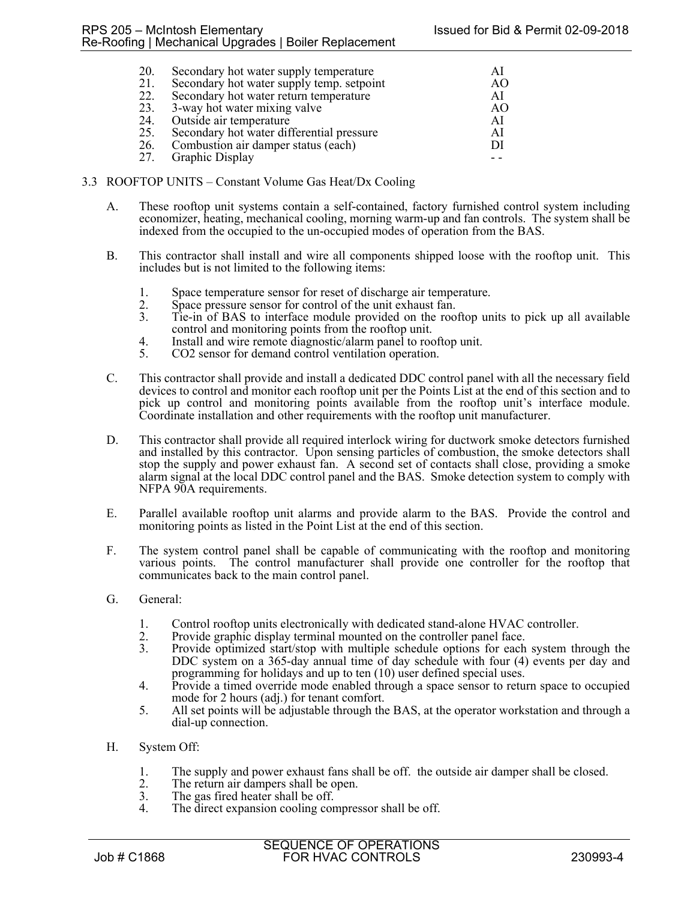| 20. | Secondary hot water supply temperature    |    |
|-----|-------------------------------------------|----|
| 21. | Secondary hot water supply temp. setpoint | AO |
| 22. | Secondary hot water return temperature    | AI |
| 23. | 3-way hot water mixing valve              | AO |
| 24. | Outside air temperature                   | AI |
| 25. | Secondary hot water differential pressure | AI |
|     | 26. Combustion air damper status (each)   | DI |
|     | 27. Graphic Display                       |    |
|     |                                           |    |

- 3.3 ROOFTOP UNITS Constant Volume Gas Heat/Dx Cooling
	- A. These rooftop unit systems contain a self-contained, factory furnished control system including economizer, heating, mechanical cooling, morning warm-up and fan controls. The system shall be indexed from the occupied to the un-occupied modes of operation from the BAS.
	- B. This contractor shall install and wire all components shipped loose with the rooftop unit. This includes but is not limited to the following items:
		- 1. Space temperature sensor for reset of discharge air temperature.<br>
		2. Space pressure sensor for control of the unit exhaust fan.<br>
		3. Tie-in of BAS to interface module provided on the rooftop unit
		-
		- Tie-in of BAS to interface module provided on the rooftop units to pick up all available control and monitoring points from the rooftop unit.
		- 4. Install and wire remote diagnostic/alarm panel to rooftop unit.
		- 5. CO2 sensor for demand control ventilation operation.
	- C. This contractor shall provide and install a dedicated DDC control panel with all the necessary field devices to control and monitor each rooftop unit per the Points List at the end of this section and to pick up control and monitoring points available from the rooftop unit's interface module. Coordinate installation and other requirements with the rooftop unit manufacturer.
	- D. This contractor shall provide all required interlock wiring for ductwork smoke detectors furnished and installed by this contractor. Upon sensing particles of combustion, the smoke detectors shall stop the supply and power exhaust fan. A second set of contacts shall close, providing a smoke alarm signal at the local DDC control panel and the BAS. Smoke detection system to comply with NFPA 90A requirements.
	- E. Parallel available rooftop unit alarms and provide alarm to the BAS. Provide the control and monitoring points as listed in the Point List at the end of this section.
	- F. The system control panel shall be capable of communicating with the rooftop and monitoring various points. The control manufacturer shall provide one controller for the rooftop that communicates back to the main control panel.
	- G. General:
		- 1. Control rooftop units electronically with dedicated stand-alone HVAC controller.<br>2. Provide graphic display terminal mounted on the controller panel face.
		- 2. Provide graphic display terminal mounted on the controller panel face.<br>2. Provide ontimized start/stop with multiple schedule options for each
		- 3. Provide optimized start/stop with multiple schedule options for each system through the DDC system on a 365-day annual time of day schedule with four (4) events per day and programming for holidays and up to ten (10) user defined special uses.
		- 4. Provide a timed override mode enabled through a space sensor to return space to occupied mode for 2 hours (adj.) for tenant comfort.
		- 5. All set points will be adjustable through the BAS, at the operator workstation and through a dial-up connection.
	- H. System Off:
		- 1. The supply and power exhaust fans shall be off. the outside air damper shall be closed.
		- 2. The return air dampers shall be open.<br>3. The gas fired heater shall be off.
		- 3. The gas fired heater shall be off.<br>4. The direct expansion cooling con
		- The direct expansion cooling compressor shall be off.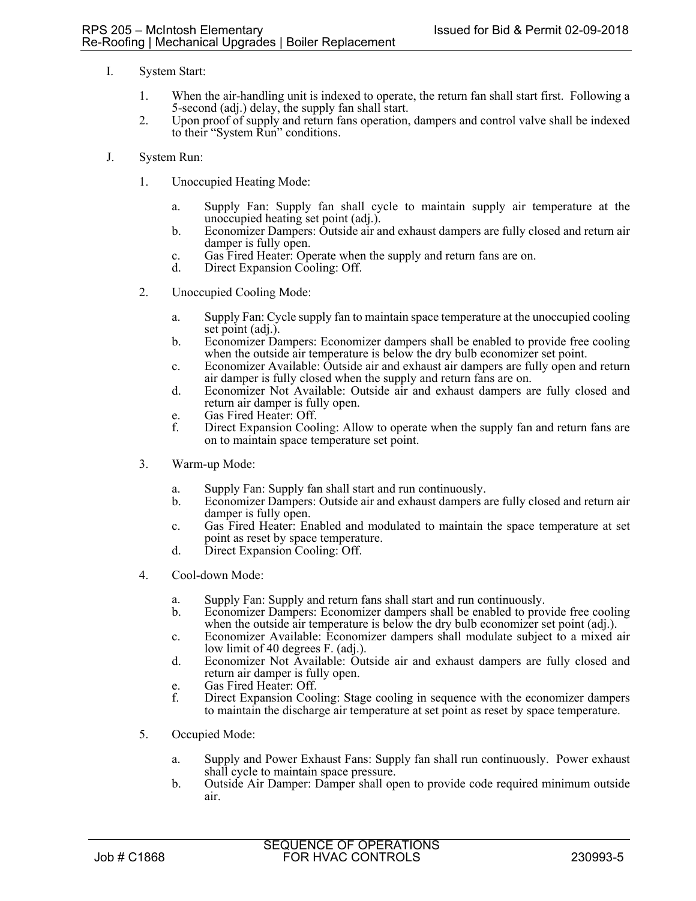- I. System Start:
	- 1. When the air-handling unit is indexed to operate, the return fan shall start first. Following a 5-second (adj.) delay, the supply fan shall start.
	- 2. Upon proof of supply and return fans operation, dampers and control valve shall be indexed to their "System Run" conditions.
- J. System Run:
	- 1. Unoccupied Heating Mode:
		- a. Supply Fan: Supply fan shall cycle to maintain supply air temperature at the unoccupied heating set point (adj.).
		- b. Economizer Dampers: Outside air and exhaust dampers are fully closed and return air damper is fully open.
		- c. Gas Fired Heater: Operate when the supply and return fans are on.
		- Direct Expansion Cooling: Off.
	- 2. Unoccupied Cooling Mode:
		- a. Supply Fan: Cycle supply fan to maintain space temperature at the unoccupied cooling set point (adj.).
		- b. Economizer Dampers: Economizer dampers shall be enabled to provide free cooling when the outside air temperature is below the dry bulb economizer set point.
		- c. Economizer Available: Outside air and exhaust air dampers are fully open and return air damper is fully closed when the supply and return fans are on.
		- d. Economizer Not Available: Outside air and exhaust dampers are fully closed and return air damper is fully open.
		- e. Gas Fired Heater: Off.
		- f. Direct Expansion Cooling: Allow to operate when the supply fan and return fans are on to maintain space temperature set point.
	- 3. Warm-up Mode:
		- a. Supply Fan: Supply fan shall start and run continuously.
		- b. Economizer Dampers: Outside air and exhaust dampers are fully closed and return air damper is fully open.
		- c. Gas Fired Heater: Enabled and modulated to maintain the space temperature at set point as reset by space temperature.
		- d. Direct Expansion Cooling: Off.
	- 4. Cool-down Mode:
		- a. Supply Fan: Supply and return fans shall start and run continuously.
		- b. Economizer Dampers: Economizer dampers shall be enabled to provide free cooling when the outside air temperature is below the dry bulb economizer set point (adj.).
		- c. Economizer Available: Economizer dampers shall modulate subject to a mixed air low limit of 40 degrees F. (adj.).
		- d. Economizer Not Available: Outside air and exhaust dampers are fully closed and return air damper is fully open.
		- e. Gas Fired Heater: Off.
		- f. Direct Expansion Cooling: Stage cooling in sequence with the economizer dampers to maintain the discharge air temperature at set point as reset by space temperature.
	- 5. Occupied Mode:
		- a. Supply and Power Exhaust Fans: Supply fan shall run continuously. Power exhaust shall cycle to maintain space pressure.
		- b. Outside Air Damper: Damper shall open to provide code required minimum outside air.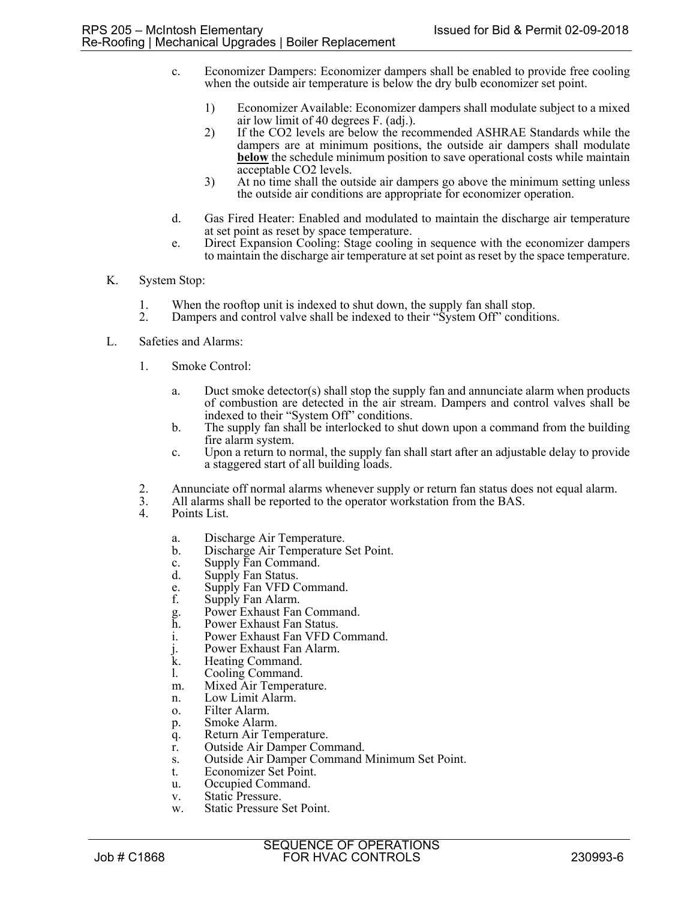- c. Economizer Dampers: Economizer dampers shall be enabled to provide free cooling when the outside air temperature is below the dry bulb economizer set point.
	- 1) Economizer Available: Economizer dampers shall modulate subject to a mixed air low limit of 40 degrees F. (adj.).
	- 2) If the CO2 levels are below the recommended ASHRAE Standards while the dampers are at minimum positions, the outside air dampers shall modulate **below** the schedule minimum position to save operational costs while maintain acceptable CO2 levels.
	- 3) At no time shall the outside air dampers go above the minimum setting unless the outside air conditions are appropriate for economizer operation.
- d. Gas Fired Heater: Enabled and modulated to maintain the discharge air temperature at set point as reset by space temperature.
- e. Direct Expansion Cooling: Stage cooling in sequence with the economizer dampers to maintain the discharge air temperature at set point as reset by the space temperature.
- K. System Stop:
	- 1. When the rooftop unit is indexed to shut down, the supply fan shall stop.<br>2. Dampers and control valve shall be indexed to their "System Off" condit
	- Dampers and control valve shall be indexed to their "System Off" conditions.
- L. Safeties and Alarms:
	- 1. Smoke Control:
		- a. Duct smoke detector(s) shall stop the supply fan and annunciate alarm when products of combustion are detected in the air stream. Dampers and control valves shall be indexed to their "System Off" conditions.
		- b. The supply fan shall be interlocked to shut down upon a command from the building fire alarm system.
		- c. Upon a return to normal, the supply fan shall start after an adjustable delay to provide a staggered start of all building loads.
	- 2. Annunciate off normal alarms whenever supply or return fan status does not equal alarm.<br>3. All alarms shall be reported to the operator workstation from the BAS.
	- 3. All alarms shall be reported to the operator workstation from the BAS.
	- Points List.
		- a. Discharge Air Temperature.
		- b. Discharge Air Temperature Set Point.
		- c. Supply Fan Command.
		- d. Supply Fan Status.
		- e. Supply Fan VFD Command.
		- f. Supply Fan Alarm.
		- g. Power Exhaust Fan Command.
		- h. Power Exhaust Fan Status.<br>
		i. Power Exhaust Fan VFD C
		- Power Exhaust Fan VFD Command.
		- j. Power Exhaust Fan Alarm.
		- k. Heating Command.
		- l. Cooling Command.
		- m. Mixed Air Temperature.
		- n. Low Limit Alarm.
		- o. Filter Alarm.
		- p. Smoke Alarm.
		- q. Return Air Temperature.
		- r. Outside Air Damper Command.
		- s. Outside Air Damper Command Minimum Set Point.
		- t. Economizer Set Point.
		- u. Occupied Command.
		- v. Static Pressure.
		- w. Static Pressure Set Point.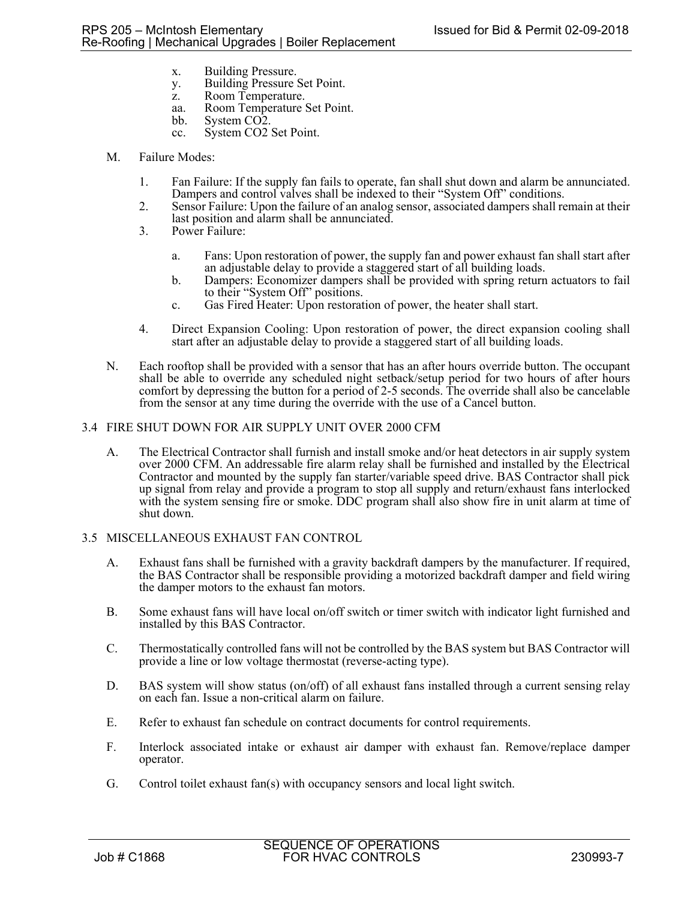- x. Building Pressure.
- y. Building Pressure Set Point.
- z. Room Temperature.
- aa. Room Temperature Set Point.
- bb. System CO2.
- cc. System CO2 Set Point.
- M. Failure Modes:
	- 1. Fan Failure: If the supply fan fails to operate, fan shall shut down and alarm be annunciated. Dampers and control valves shall be indexed to their "System Off" conditions.
	- 2. Sensor Failure: Upon the failure of an analog sensor, associated dampers shall remain at their last position and alarm shall be annunciated.
	- 3. Power Failure:
		- a. Fans: Upon restoration of power, the supply fan and power exhaust fan shall start after an adjustable delay to provide a staggered start of all building loads.
		- b. Dampers: Economizer dampers shall be provided with spring return actuators to fail to their "System Off" positions.
		- c. Gas Fired Heater: Upon restoration of power, the heater shall start.
	- 4. Direct Expansion Cooling: Upon restoration of power, the direct expansion cooling shall start after an adjustable delay to provide a staggered start of all building loads.
- N. Each rooftop shall be provided with a sensor that has an after hours override button. The occupant shall be able to override any scheduled night setback/setup period for two hours of after hours comfort by depressing the button for a period of 2-5 seconds. The override shall also be cancelable from the sensor at any time during the override with the use of a Cancel button.

### 3.4 FIRE SHUT DOWN FOR AIR SUPPLY UNIT OVER 2000 CFM

A. The Electrical Contractor shall furnish and install smoke and/or heat detectors in air supply system over 2000 CFM. An addressable fire alarm relay shall be furnished and installed by the Electrical Contractor and mounted by the supply fan starter/variable speed drive. BAS Contractor shall pick up signal from relay and provide a program to stop all supply and return/exhaust fans interlocked with the system sensing fire or smoke. DDC program shall also show fire in unit alarm at time of shut down.

## 3.5 MISCELLANEOUS EXHAUST FAN CONTROL

- A. Exhaust fans shall be furnished with a gravity backdraft dampers by the manufacturer. If required, the BAS Contractor shall be responsible providing a motorized backdraft damper and field wiring the damper motors to the exhaust fan motors.
- B. Some exhaust fans will have local on/off switch or timer switch with indicator light furnished and installed by this BAS Contractor.
- C. Thermostatically controlled fans will not be controlled by the BAS system but BAS Contractor will provide a line or low voltage thermostat (reverse-acting type).
- D. BAS system will show status (on/off) of all exhaust fans installed through a current sensing relay on each fan. Issue a non-critical alarm on failure.
- E. Refer to exhaust fan schedule on contract documents for control requirements.
- F. Interlock associated intake or exhaust air damper with exhaust fan. Remove/replace damper operator.
- G. Control toilet exhaust fan(s) with occupancy sensors and local light switch.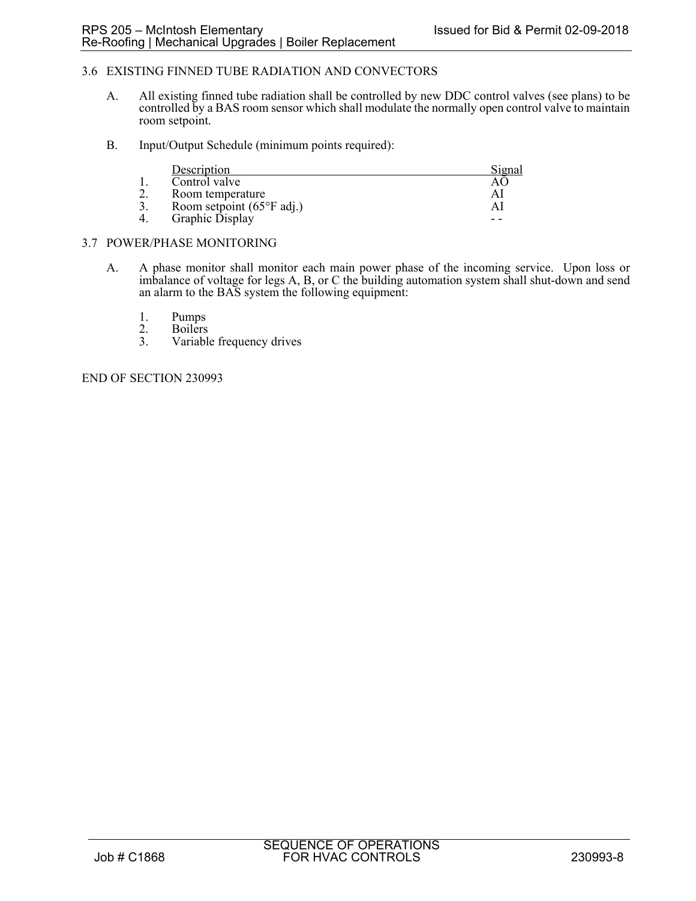## 3.6 EXISTING FINNED TUBE RADIATION AND CONVECTORS

- A. All existing finned tube radiation shall be controlled by new DDC control valves (see plans) to be controlled by a BAS room sensor which shall modulate the normally open control valve to maintain room setpoint.
- B. Input/Output Schedule (minimum points required):

|          | Description                                | Signal |
|----------|--------------------------------------------|--------|
|          | Control valve                              |        |
| <u>.</u> | Room temperature                           | Al     |
|          | Room setpoint $(65^{\circ}F \text{ adj.})$ | Al     |
|          | Graphic Display                            |        |

### 3.7 POWER/PHASE MONITORING

- A. A phase monitor shall monitor each main power phase of the incoming service. Upon loss or imbalance of voltage for legs A, B, or C the building automation system shall shut-down and send an alarm to the BAS system the following equipment:
	-
	- 1. Pumps<br>
	2. Boilers<br>
	3. Variable **Boilers**
	- Variable frequency drives

END OF SECTION 230993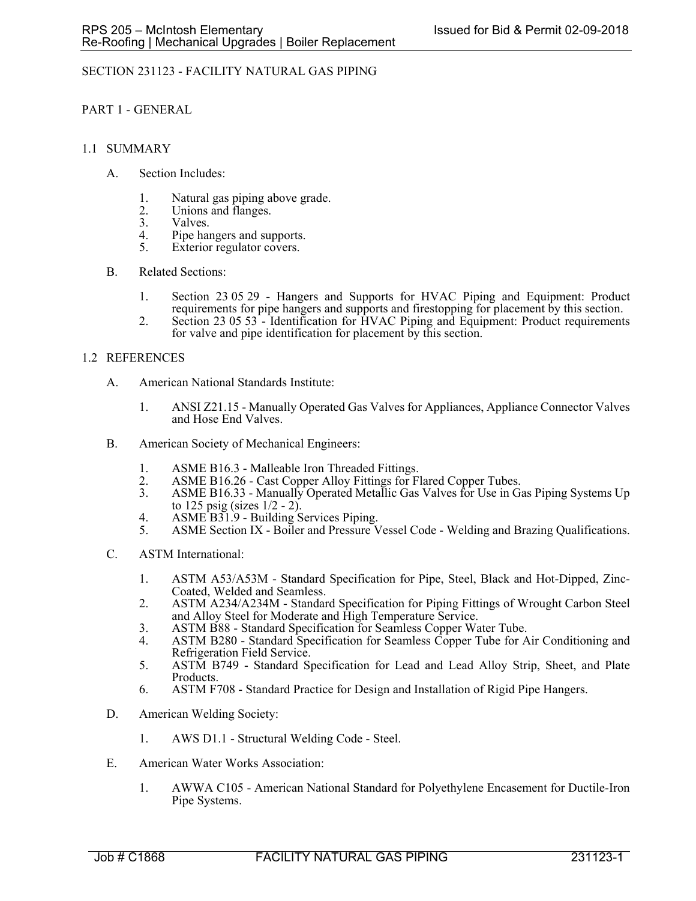# SECTION 231123 - FACILITY NATURAL GAS PIPING

PART 1 - GENERAL

### 1.1 SUMMARY

- A. Section Includes:
	- 1. Natural gas piping above grade.
	- 2. Unions and flanges.<br>3. Valves.
	- Valves.
	- 4. Pipe hangers and supports.<br>5. Exterior regulator covers.
	- Exterior regulator covers.
- B. Related Sections:
	- 1. Section 23 05 29 Hangers and Supports for HVAC Piping and Equipment: Product requirements for pipe hangers and supports and firestopping for placement by this section.
	- 2. Section 23 05 53 Identification for HVAC Piping and Equipment: Product requirements for valve and pipe identification for placement by this section.

### 1.2 REFERENCES

- A. American National Standards Institute:
	- 1. ANSI Z21.15 Manually Operated Gas Valves for Appliances, Appliance Connector Valves and Hose End Valves.
- B. American Society of Mechanical Engineers:
	- 1. ASME B16.3 Malleable Iron Threaded Fittings.
	- 2. ASME B16.26 Cast Copper Alloy Fittings for Flared Copper Tubes.<br>3. ASME B16.33 Manually Operated Metallic Gas Valves for Use in Gas
	- ASME B16.33 Manually Operated Metallic Gas Valves for Use in Gas Piping Systems Up to 125 psig (sizes 1/2 - 2).
	- 4. ASME B31.9 Building Services Piping.
	- 5. ASME Section IX Boiler and Pressure Vessel Code Welding and Brazing Qualifications.
- C. ASTM International:
	- 1. ASTM A53/A53M Standard Specification for Pipe, Steel, Black and Hot-Dipped, Zinc-Coated, Welded and Seamless.
	- 2. ASTM A234/A234M Standard Specification for Piping Fittings of Wrought Carbon Steel and Alloy Steel for Moderate and High Temperature Service.
	- 3. ASTM B88 Standard Specification for Seamless Copper Water Tube.
	- 4. ASTM B280 Standard Specification for Seamless Copper Tube for Air Conditioning and Refrigeration Field Service.
	- 5. ASTM B749 Standard Specification for Lead and Lead Alloy Strip, Sheet, and Plate Products.
	- 6. ASTM F708 Standard Practice for Design and Installation of Rigid Pipe Hangers.
- D. American Welding Society:
	- 1. AWS D1.1 Structural Welding Code Steel.
- E. American Water Works Association:
	- 1. AWWA C105 American National Standard for Polyethylene Encasement for Ductile-Iron Pipe Systems.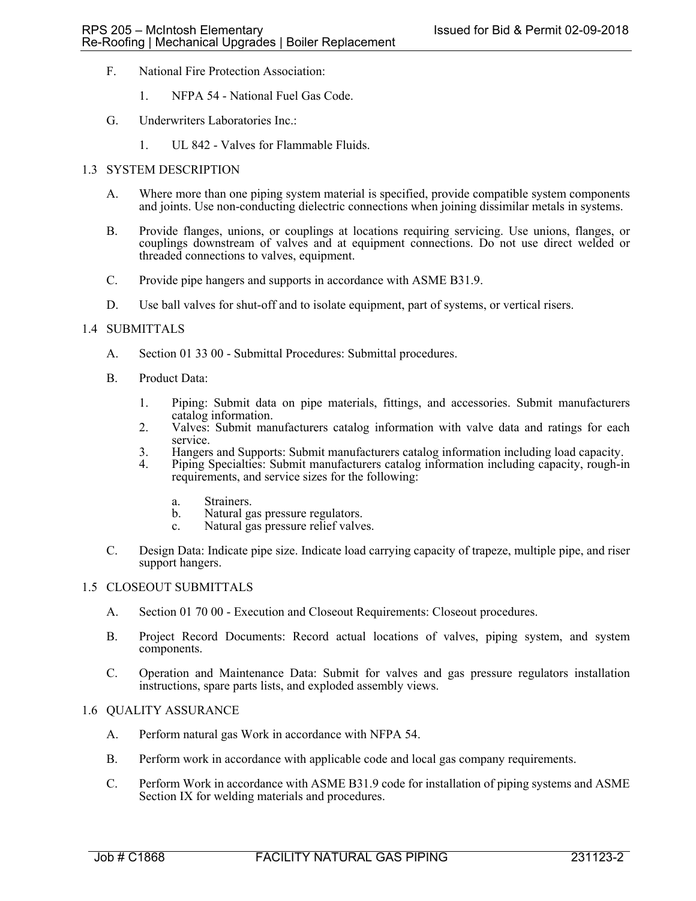- F. National Fire Protection Association:
	- 1. NFPA 54 National Fuel Gas Code.
- G. Underwriters Laboratories Inc.:
	- 1. UL 842 Valves for Flammable Fluids.

### 1.3 SYSTEM DESCRIPTION

- A. Where more than one piping system material is specified, provide compatible system components and joints. Use non-conducting dielectric connections when joining dissimilar metals in systems.
- B. Provide flanges, unions, or couplings at locations requiring servicing. Use unions, flanges, or couplings downstream of valves and at equipment connections. Do not use direct welded or threaded connections to valves, equipment.
- C. Provide pipe hangers and supports in accordance with ASME B31.9.
- D. Use ball valves for shut-off and to isolate equipment, part of systems, or vertical risers.

### 1.4 SUBMITTALS

- A. Section 01 33 00 Submittal Procedures: Submittal procedures.
- B. Product Data:
	- 1. Piping: Submit data on pipe materials, fittings, and accessories. Submit manufacturers catalog information.
	- 2. Valves: Submit manufacturers catalog information with valve data and ratings for each service.
	- 3. Hangers and Supports: Submit manufacturers catalog information including load capacity.
	- 4. Piping Specialties: Submit manufacturers catalog information including capacity, rough-in requirements, and service sizes for the following:
		- a. Strainers.
		- b. Natural gas pressure regulators.
		- c. Natural gas pressure relief valves.
- C. Design Data: Indicate pipe size. Indicate load carrying capacity of trapeze, multiple pipe, and riser support hangers.

#### 1.5 CLOSEOUT SUBMITTALS

- A. Section 01 70 00 Execution and Closeout Requirements: Closeout procedures.
- B. Project Record Documents: Record actual locations of valves, piping system, and system components.
- C. Operation and Maintenance Data: Submit for valves and gas pressure regulators installation instructions, spare parts lists, and exploded assembly views.

## 1.6 QUALITY ASSURANCE

- A. Perform natural gas Work in accordance with NFPA 54.
- B. Perform work in accordance with applicable code and local gas company requirements.
- C. Perform Work in accordance with ASME B31.9 code for installation of piping systems and ASME Section IX for welding materials and procedures.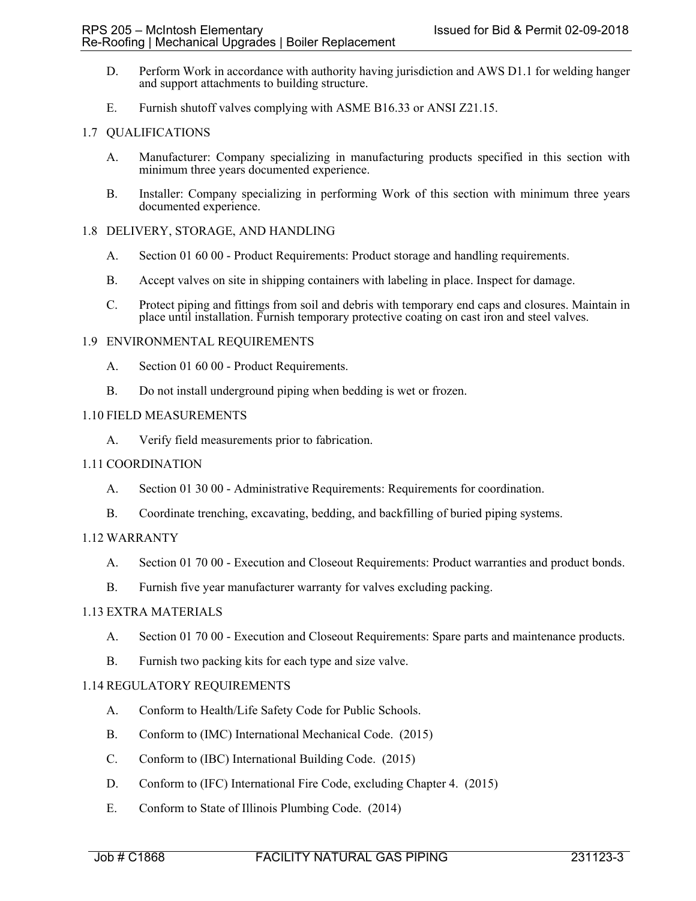- D. Perform Work in accordance with authority having jurisdiction and AWS D1.1 for welding hanger and support attachments to building structure.
- E. Furnish shutoff valves complying with ASME B16.33 or ANSI Z21.15.

### 1.7 QUALIFICATIONS

- A. Manufacturer: Company specializing in manufacturing products specified in this section with minimum three years documented experience.
- B. Installer: Company specializing in performing Work of this section with minimum three years documented experience.

### 1.8 DELIVERY, STORAGE, AND HANDLING

- A. Section 01 60 00 Product Requirements: Product storage and handling requirements.
- B. Accept valves on site in shipping containers with labeling in place. Inspect for damage.
- C. Protect piping and fittings from soil and debris with temporary end caps and closures. Maintain in place until installation. Furnish temporary protective coating on cast iron and steel valves.

### 1.9 ENVIRONMENTAL REQUIREMENTS

- A. Section 01 60 00 Product Requirements.
- B. Do not install underground piping when bedding is wet or frozen.

### 1.10 FIELD MEASUREMENTS

A. Verify field measurements prior to fabrication.

## 1.11 COORDINATION

- A. Section 01 30 00 Administrative Requirements: Requirements for coordination.
- B. Coordinate trenching, excavating, bedding, and backfilling of buried piping systems.

## 1.12 WARRANTY

- A. Section 01 70 00 Execution and Closeout Requirements: Product warranties and product bonds.
- B. Furnish five year manufacturer warranty for valves excluding packing.

### 1.13 EXTRA MATERIALS

- A. Section 01 70 00 Execution and Closeout Requirements: Spare parts and maintenance products.
- B. Furnish two packing kits for each type and size valve.

## 1.14 REGULATORY REQUIREMENTS

- A. Conform to Health/Life Safety Code for Public Schools.
- B. Conform to (IMC) International Mechanical Code. (2015)
- C. Conform to (IBC) International Building Code. (2015)
- D. Conform to (IFC) International Fire Code, excluding Chapter 4. (2015)
- E. Conform to State of Illinois Plumbing Code. (2014)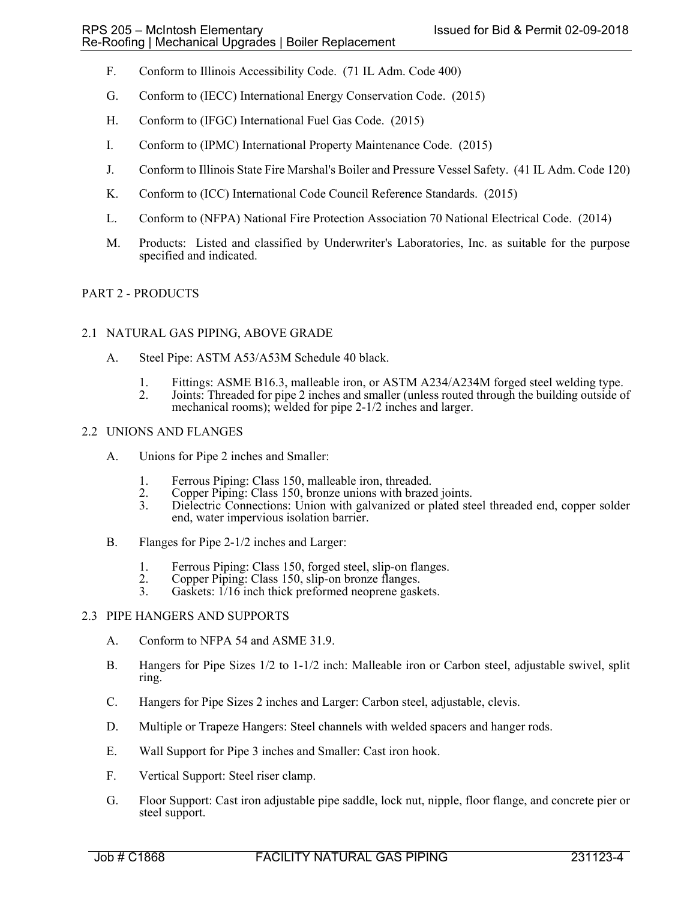- F. Conform to Illinois Accessibility Code. (71 IL Adm. Code 400)
- G. Conform to (IECC) International Energy Conservation Code. (2015)
- H. Conform to (IFGC) International Fuel Gas Code. (2015)
- I. Conform to (IPMC) International Property Maintenance Code. (2015)
- J. Conform to Illinois State Fire Marshal's Boiler and Pressure Vessel Safety. (41 IL Adm. Code 120)
- K. Conform to (ICC) International Code Council Reference Standards. (2015)
- L. Conform to (NFPA) National Fire Protection Association 70 National Electrical Code. (2014)
- M. Products: Listed and classified by Underwriter's Laboratories, Inc. as suitable for the purpose specified and indicated.

## PART 2 - PRODUCTS

#### 2.1 NATURAL GAS PIPING, ABOVE GRADE

- A. Steel Pipe: ASTM A53/A53M Schedule 40 black.
	- 1. Fittings: ASME B16.3, malleable iron, or ASTM A234/A234M forged steel welding type.
	- 2. Joints: Threaded for pipe 2 inches and smaller (unless routed through the building outside of mechanical rooms); welded for pipe 2-1/2 inches and larger.

### 2.2 UNIONS AND FLANGES

- A. Unions for Pipe 2 inches and Smaller:
	-
	- 1. Ferrous Piping: Class 150, malleable iron, threaded.<br>2. Copper Piping: Class 150, bronze unions with brazed 2. Copper Piping: Class 150, bronze unions with brazed joints.<br>3. Dielectric Connections: Union with galvanized or plated ste
	- Dielectric Connections: Union with galvanized or plated steel threaded end, copper solder end, water impervious isolation barrier.
- B. Flanges for Pipe 2-1/2 inches and Larger:
	- 1. Ferrous Piping: Class 150, forged steel, slip-on flanges.
	- 2. Copper Piping: Class 150, slip-on bronze flanges.<br>3. Gaskets: 1/16 inch thick preformed neoprene gask
	- Gaskets:  $1/16$  inch thick preformed neoprene gaskets.

## 2.3 PIPE HANGERS AND SUPPORTS

- A. Conform to NFPA 54 and ASME 31.9.
- B. Hangers for Pipe Sizes 1/2 to 1-1/2 inch: Malleable iron or Carbon steel, adjustable swivel, split ring.
- C. Hangers for Pipe Sizes 2 inches and Larger: Carbon steel, adjustable, clevis.
- D. Multiple or Trapeze Hangers: Steel channels with welded spacers and hanger rods.
- E. Wall Support for Pipe 3 inches and Smaller: Cast iron hook.
- F. Vertical Support: Steel riser clamp.
- G. Floor Support: Cast iron adjustable pipe saddle, lock nut, nipple, floor flange, and concrete pier or steel support.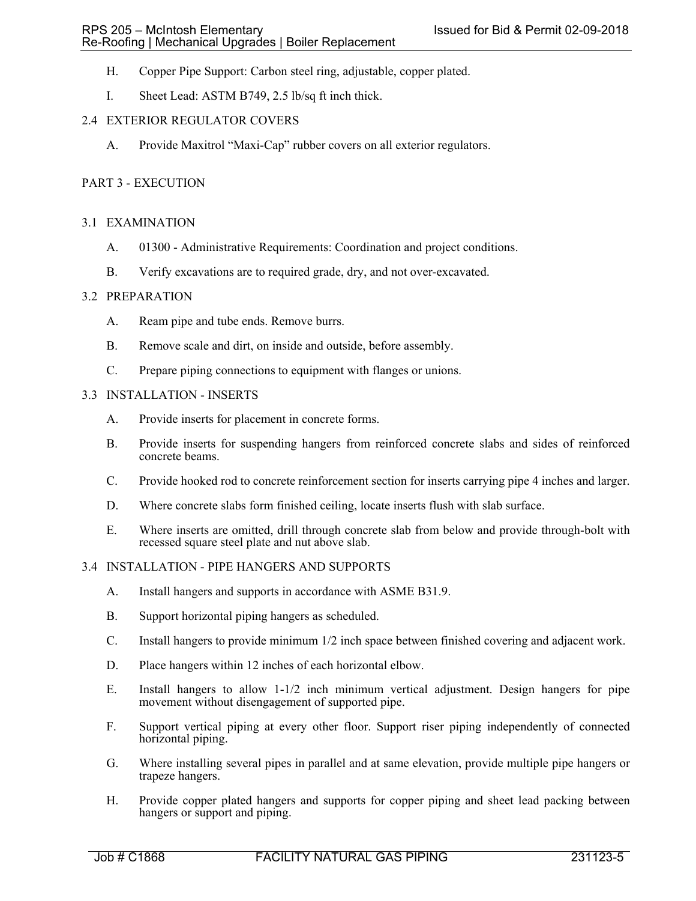- H. Copper Pipe Support: Carbon steel ring, adjustable, copper plated.
- I. Sheet Lead: ASTM B749, 2.5 lb/sq ft inch thick.

## 2.4 EXTERIOR REGULATOR COVERS

A. Provide Maxitrol "Maxi-Cap" rubber covers on all exterior regulators.

### PART 3 - EXECUTION

### 3.1 EXAMINATION

- A. 01300 Administrative Requirements: Coordination and project conditions.
- B. Verify excavations are to required grade, dry, and not over-excavated.

#### 3.2 PREPARATION

- A. Ream pipe and tube ends. Remove burrs.
- B. Remove scale and dirt, on inside and outside, before assembly.
- C. Prepare piping connections to equipment with flanges or unions.

## 3.3 INSTALLATION - INSERTS

- A. Provide inserts for placement in concrete forms.
- B. Provide inserts for suspending hangers from reinforced concrete slabs and sides of reinforced concrete beams.
- C. Provide hooked rod to concrete reinforcement section for inserts carrying pipe 4 inches and larger.
- D. Where concrete slabs form finished ceiling, locate inserts flush with slab surface.
- E. Where inserts are omitted, drill through concrete slab from below and provide through-bolt with recessed square steel plate and nut above slab.

### 3.4 INSTALLATION - PIPE HANGERS AND SUPPORTS

- A. Install hangers and supports in accordance with ASME B31.9.
- B. Support horizontal piping hangers as scheduled.
- C. Install hangers to provide minimum 1/2 inch space between finished covering and adjacent work.
- D. Place hangers within 12 inches of each horizontal elbow.
- E. Install hangers to allow 1-1/2 inch minimum vertical adjustment. Design hangers for pipe movement without disengagement of supported pipe.
- F. Support vertical piping at every other floor. Support riser piping independently of connected horizontal piping.
- G. Where installing several pipes in parallel and at same elevation, provide multiple pipe hangers or trapeze hangers.
- H. Provide copper plated hangers and supports for copper piping and sheet lead packing between hangers or support and piping.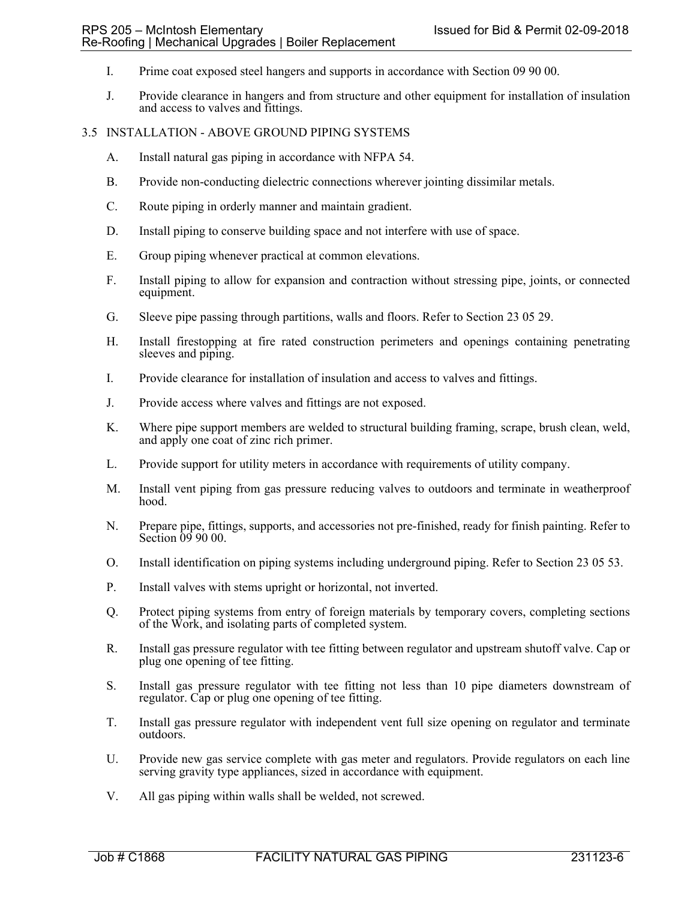- I. Prime coat exposed steel hangers and supports in accordance with Section 09 90 00.
- J. Provide clearance in hangers and from structure and other equipment for installation of insulation and access to valves and fittings.

# 3.5 INSTALLATION - ABOVE GROUND PIPING SYSTEMS

- A. Install natural gas piping in accordance with NFPA 54.
- B. Provide non-conducting dielectric connections wherever jointing dissimilar metals.
- C. Route piping in orderly manner and maintain gradient.
- D. Install piping to conserve building space and not interfere with use of space.
- E. Group piping whenever practical at common elevations.
- F. Install piping to allow for expansion and contraction without stressing pipe, joints, or connected equipment.
- G. Sleeve pipe passing through partitions, walls and floors. Refer to Section 23 05 29.
- H. Install firestopping at fire rated construction perimeters and openings containing penetrating sleeves and piping.
- I. Provide clearance for installation of insulation and access to valves and fittings.
- J. Provide access where valves and fittings are not exposed.
- K. Where pipe support members are welded to structural building framing, scrape, brush clean, weld, and apply one coat of zinc rich primer.
- L. Provide support for utility meters in accordance with requirements of utility company.
- M. Install vent piping from gas pressure reducing valves to outdoors and terminate in weatherproof hood.
- N. Prepare pipe, fittings, supports, and accessories not pre-finished, ready for finish painting. Refer to Section  $\dot{0}99000$ .
- O. Install identification on piping systems including underground piping. Refer to Section 23 05 53.
- P. Install valves with stems upright or horizontal, not inverted.
- Q. Protect piping systems from entry of foreign materials by temporary covers, completing sections of the Work, and isolating parts of completed system.
- R. Install gas pressure regulator with tee fitting between regulator and upstream shutoff valve. Cap or plug one opening of tee fitting.
- S. Install gas pressure regulator with tee fitting not less than 10 pipe diameters downstream of regulator. Cap or plug one opening of tee fitting.
- T. Install gas pressure regulator with independent vent full size opening on regulator and terminate outdoors.
- U. Provide new gas service complete with gas meter and regulators. Provide regulators on each line serving gravity type appliances, sized in accordance with equipment.
- V. All gas piping within walls shall be welded, not screwed.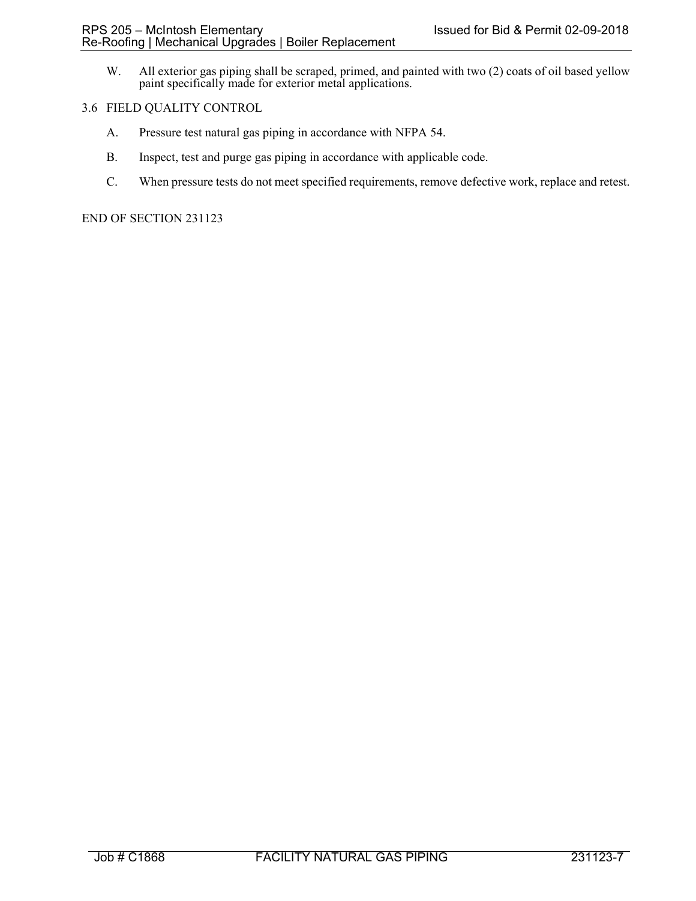W. All exterior gas piping shall be scraped, primed, and painted with two (2) coats of oil based yellow paint specifically made for exterior metal applications.

### 3.6 FIELD QUALITY CONTROL

- A. Pressure test natural gas piping in accordance with NFPA 54.
- B. Inspect, test and purge gas piping in accordance with applicable code.
- C. When pressure tests do not meet specified requirements, remove defective work, replace and retest.

END OF SECTION 231123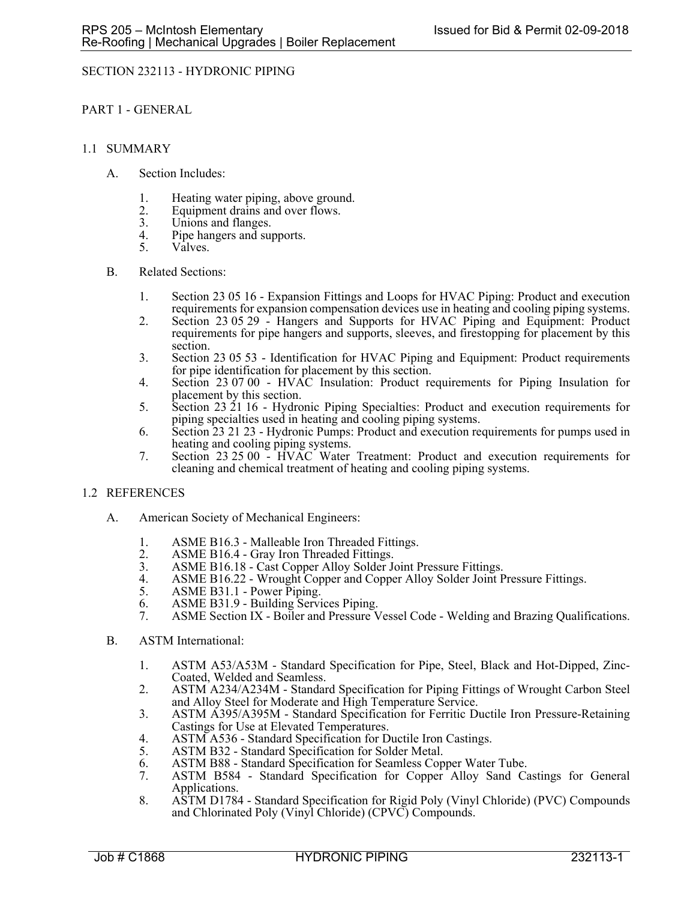## SECTION 232113 - HYDRONIC PIPING

PART 1 - GENERAL

### 1.1 SUMMARY

- A. Section Includes:
	- 1. Heating water piping, above ground.
	- 2. Equipment drains and over flows.<br>3. Unions and flanges.
	- 3. Unions and flanges.<br>4. Pine hangers and suit
	- 4. Pipe hangers and supports.<br>5. Valves.
	- Valves.

### B. Related Sections:

- 1. Section 23 05 16 Expansion Fittings and Loops for HVAC Piping: Product and execution requirements for expansion compensation devices use in heating and cooling piping systems.
- 2. Section 23 05 29 Hangers and Supports for HVAC Piping and Equipment: Product requirements for pipe hangers and supports, sleeves, and firestopping for placement by this section.
- 3. Section 23 05 53 Identification for HVAC Piping and Equipment: Product requirements for pipe identification for placement by this section.
- 4. Section 23 07 00 HVAC Insulation: Product requirements for Piping Insulation for placement by this section.
- 5. Section 23 21 16 Hydronic Piping Specialties: Product and execution requirements for piping specialties used in heating and cooling piping systems.
- 6. Section 23 21 23 Hydronic Pumps: Product and execution requirements for pumps used in heating and cooling piping systems.
- 7. Section 23 25 00 HVAC Water Treatment: Product and execution requirements for cleaning and chemical treatment of heating and cooling piping systems.

#### 1.2 REFERENCES

- A. American Society of Mechanical Engineers:
	- 1. ASME B16.3 Malleable Iron Threaded Fittings.
	- 2. ASME B16.4 Gray Iron Threaded Fittings.<br>3. ASME B16.18 Cast Copper Alloy Solder J
	- ASME B16.18 Cast Copper Alloy Solder Joint Pressure Fittings.
	- 4. ASME B16.22 Wrought Copper and Copper Alloy Solder Joint Pressure Fittings.
	- 5. ASME B31.1 Power Piping.
	- 6. ASME B31.9 Building Services Piping.
	- ASME Section IX Boiler and Pressure Vessel Code Welding and Brazing Qualifications.
- B. ASTM International:
	- 1. ASTM A53/A53M Standard Specification for Pipe, Steel, Black and Hot-Dipped, Zinc-Coated, Welded and Seamless.
	- 2. ASTM A234/A234M Standard Specification for Piping Fittings of Wrought Carbon Steel and Alloy Steel for Moderate and High Temperature Service.
	- 3. ASTM A395/A395M Standard Specification for Ferritic Ductile Iron Pressure-Retaining Castings for Use at Elevated Temperatures.
	- 4. ASTM A536 Standard Specification for Ductile Iron Castings.<br>5. ASTM B32 Standard Specification for Solder Metal.
	- ASTM B32 Standard Specification for Solder Metal.
	- 6. ASTM B88 Standard Specification for Seamless Copper Water Tube.
	- ASTM B584 Standard Specification for Copper Alloy Sand Castings for General Applications.
	- 8. ASTM D1784 Standard Specification for Rigid Poly (Vinyl Chloride) (PVC) Compounds and Chlorinated Poly (Vinyl Chloride) (CPVC) Compounds.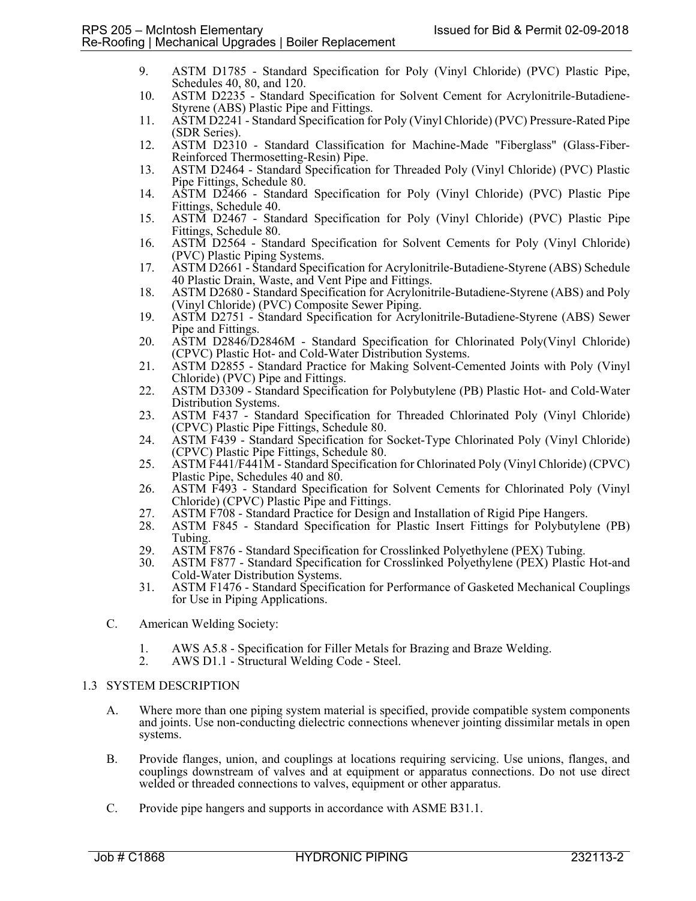- 9. ASTM D1785 Standard Specification for Poly (Vinyl Chloride) (PVC) Plastic Pipe, Schedules 40, 80, and 120.
- 10. ASTM D2235 Standard Specification for Solvent Cement for Acrylonitrile-Butadiene-Styrene (ABS) Plastic Pipe and Fittings.
- 11. ASTM D2241 Standard Specification for Poly (Vinyl Chloride) (PVC) Pressure-Rated Pipe (SDR Series).
- 12. ASTM D2310 Standard Classification for Machine-Made "Fiberglass" (Glass-Fiber-Reinforced Thermosetting-Resin) Pipe.
- 13. ASTM D2464 Standard Specification for Threaded Poly (Vinyl Chloride) (PVC) Plastic Pipe Fittings, Schedule 80.
- 14. ASTM D2466 Standard Specification for Poly (Vinyl Chloride) (PVC) Plastic Pipe Fittings, Schedule 40.
- 15. ASTM D2467 Standard Specification for Poly (Vinyl Chloride) (PVC) Plastic Pipe Fittings, Schedule 80.
- 16. ASTM D2564 Standard Specification for Solvent Cements for Poly (Vinyl Chloride) (PVC) Plastic Piping Systems.
- 17. ASTM D2661 Standard Specification for Acrylonitrile-Butadiene-Styrene (ABS) Schedule 40 Plastic Drain, Waste, and Vent Pipe and Fittings.
- 18. ASTM D2680 Standard Specification for Acrylonitrile-Butadiene-Styrene (ABS) and Poly (Vinyl Chloride) (PVC) Composite Sewer Piping.
- 19. ASTM D2751 Standard Specification for Acrylonitrile-Butadiene-Styrene (ABS) Sewer Pipe and Fittings.
- 20. ASTM D2846/D2846M Standard Specification for Chlorinated Poly(Vinyl Chloride) (CPVC) Plastic Hot- and Cold-Water Distribution Systems.
- 21. ASTM D2855 Standard Practice for Making Solvent-Cemented Joints with Poly (Vinyl Chloride) (PVC) Pipe and Fittings.
- 22. ASTM D3309 Standard Specification for Polybutylene (PB) Plastic Hot- and Cold-Water Distribution Systems.
- 23. ASTM F437 Standard Specification for Threaded Chlorinated Poly (Vinyl Chloride) (CPVC) Plastic Pipe Fittings, Schedule 80.
- 24. ASTM F439 Standard Specification for Socket-Type Chlorinated Poly (Vinyl Chloride) (CPVC) Plastic Pipe Fittings, Schedule 80.
- 25. ASTM F441/F441M Standard Specification for Chlorinated Poly (Vinyl Chloride) (CPVC) Plastic Pipe, Schedules 40 and 80.
- 26. ASTM F493 Standard Specification for Solvent Cements for Chlorinated Poly (Vinyl Chloride) (CPVC) Plastic Pipe and Fittings.
- 27. ASTM F708 Standard Practice for Design and Installation of Rigid Pipe Hangers.<br>28. ASTM F845 Standard Specification for Plastic Insert Fittings for Polybutyler
- 28. ASTM F845 Standard Specification for Plastic Insert Fittings for Polybutylene (PB) Tubing.
- 29. ASTM F876 Standard Specification for Crosslinked Polyethylene (PEX) Tubing.<br>30. ASTM F877 Standard Specification for Crosslinked Polyethylene (PEX) Plastic
- 30. ASTM F877 Standard Specification for Crosslinked Polyethylene (PEX) Plastic Hot-and Cold-Water Distribution Systems.
- 31. ASTM F1476 Standard Specification for Performance of Gasketed Mechanical Couplings for Use in Piping Applications.
- C. American Welding Society:
	- 1. AWS A5.8 Specification for Filler Metals for Brazing and Braze Welding.
	- 2. AWS D1.1 Structural Welding Code Steel.

## 1.3 SYSTEM DESCRIPTION

- A. Where more than one piping system material is specified, provide compatible system components and joints. Use non-conducting dielectric connections whenever jointing dissimilar metals in open systems.
- B. Provide flanges, union, and couplings at locations requiring servicing. Use unions, flanges, and couplings downstream of valves and at equipment or apparatus connections. Do not use direct welded or threaded connections to valves, equipment or other apparatus.
- C. Provide pipe hangers and supports in accordance with ASME B31.1.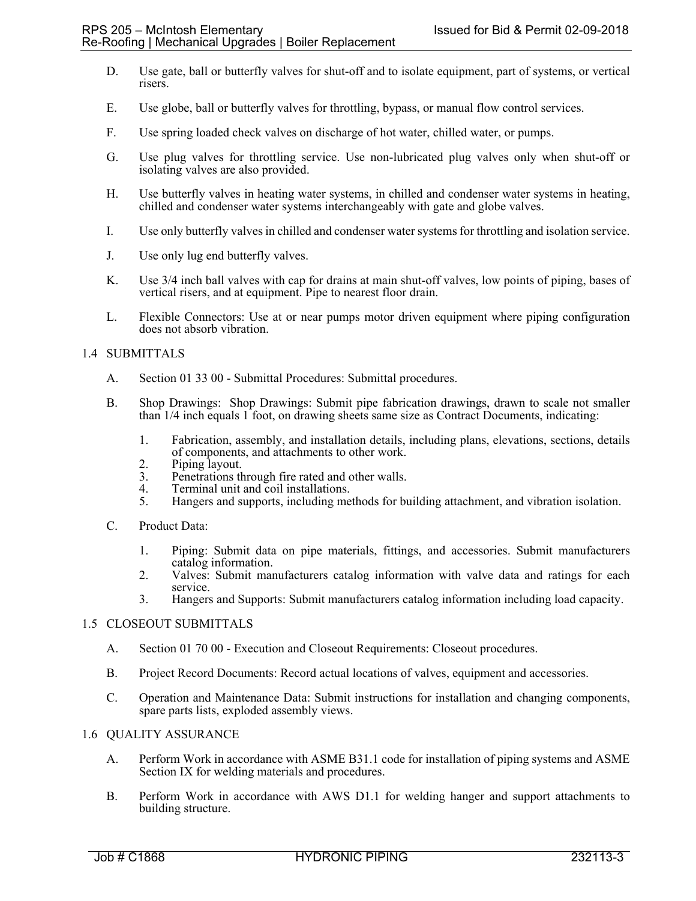- D. Use gate, ball or butterfly valves for shut-off and to isolate equipment, part of systems, or vertical risers.
- E. Use globe, ball or butterfly valves for throttling, bypass, or manual flow control services.
- F. Use spring loaded check valves on discharge of hot water, chilled water, or pumps.
- G. Use plug valves for throttling service. Use non-lubricated plug valves only when shut-off or isolating valves are also provided.
- H. Use butterfly valves in heating water systems, in chilled and condenser water systems in heating, chilled and condenser water systems interchangeably with gate and globe valves.
- I. Use only butterfly valves in chilled and condenser water systems for throttling and isolation service.
- J. Use only lug end butterfly valves.
- K. Use 3/4 inch ball valves with cap for drains at main shut-off valves, low points of piping, bases of vertical risers, and at equipment. Pipe to nearest floor drain.
- L. Flexible Connectors: Use at or near pumps motor driven equipment where piping configuration does not absorb vibration.

### 1.4 SUBMITTALS

- A. Section 01 33 00 Submittal Procedures: Submittal procedures.
- B. Shop Drawings: Shop Drawings: Submit pipe fabrication drawings, drawn to scale not smaller than 1/4 inch equals 1 foot, on drawing sheets same size as Contract Documents, indicating:
	- 1. Fabrication, assembly, and installation details, including plans, elevations, sections, details of components, and attachments to other work.
	- 2. Piping layout.
	- 3. Penetrations through fire rated and other walls.
	- 4. Terminal unit and coil installations.<br>5. Hangers and supports, including me
	- 5. Hangers and supports, including methods for building attachment, and vibration isolation.
- C. Product Data:
	- 1. Piping: Submit data on pipe materials, fittings, and accessories. Submit manufacturers catalog information.
	- 2. Valves: Submit manufacturers catalog information with valve data and ratings for each service.
	- 3. Hangers and Supports: Submit manufacturers catalog information including load capacity.

#### 1.5 CLOSEOUT SUBMITTALS

- A. Section 01 70 00 Execution and Closeout Requirements: Closeout procedures.
- B. Project Record Documents: Record actual locations of valves, equipment and accessories.
- C. Operation and Maintenance Data: Submit instructions for installation and changing components, spare parts lists, exploded assembly views.

# 1.6 QUALITY ASSURANCE

- A. Perform Work in accordance with ASME B31.1 code for installation of piping systems and ASME Section IX for welding materials and procedures.
- B. Perform Work in accordance with AWS D1.1 for welding hanger and support attachments to building structure.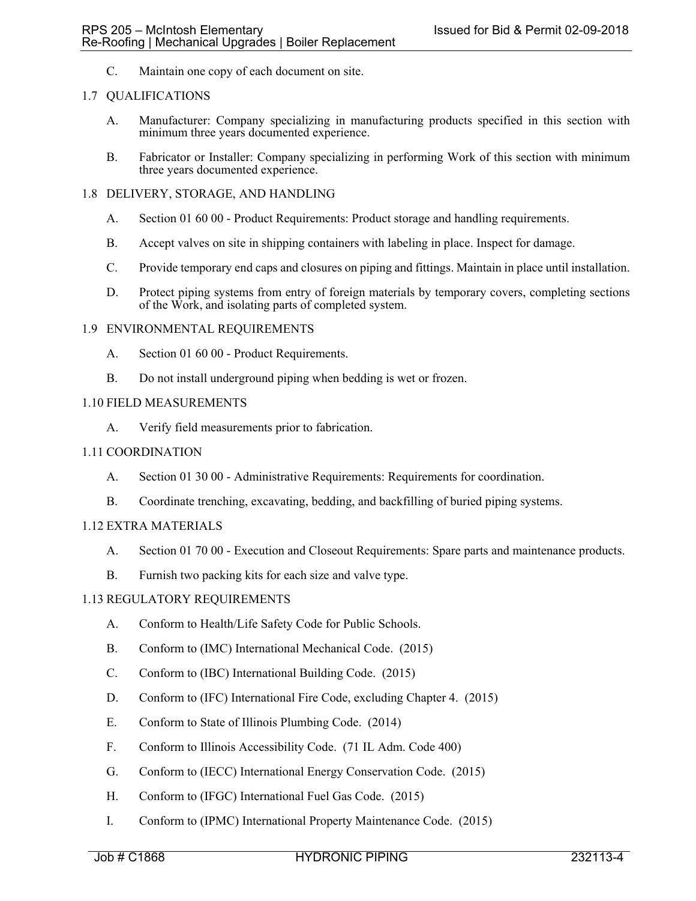C. Maintain one copy of each document on site.

## 1.7 QUALIFICATIONS

- A. Manufacturer: Company specializing in manufacturing products specified in this section with minimum three years documented experience.
- B. Fabricator or Installer: Company specializing in performing Work of this section with minimum three years documented experience.

### 1.8 DELIVERY, STORAGE, AND HANDLING

- A. Section 01 60 00 Product Requirements: Product storage and handling requirements.
- B. Accept valves on site in shipping containers with labeling in place. Inspect for damage.
- C. Provide temporary end caps and closures on piping and fittings. Maintain in place until installation.
- D. Protect piping systems from entry of foreign materials by temporary covers, completing sections of the Work, and isolating parts of completed system.

### 1.9 ENVIRONMENTAL REQUIREMENTS

- A. Section 01 60 00 Product Requirements.
- B. Do not install underground piping when bedding is wet or frozen.

### 1.10 FIELD MEASUREMENTS

A. Verify field measurements prior to fabrication.

### 1.11 COORDINATION

- A. Section 01 30 00 Administrative Requirements: Requirements for coordination.
- B. Coordinate trenching, excavating, bedding, and backfilling of buried piping systems.

## 1.12 EXTRA MATERIALS

- A. Section 01 70 00 Execution and Closeout Requirements: Spare parts and maintenance products.
- B. Furnish two packing kits for each size and valve type.

#### 1.13 REGULATORY REQUIREMENTS

- A. Conform to Health/Life Safety Code for Public Schools.
- B. Conform to (IMC) International Mechanical Code. (2015)
- C. Conform to (IBC) International Building Code. (2015)
- D. Conform to (IFC) International Fire Code, excluding Chapter 4. (2015)
- E. Conform to State of Illinois Plumbing Code. (2014)
- F. Conform to Illinois Accessibility Code. (71 IL Adm. Code 400)
- G. Conform to (IECC) International Energy Conservation Code. (2015)
- H. Conform to (IFGC) International Fuel Gas Code. (2015)
- I. Conform to (IPMC) International Property Maintenance Code. (2015)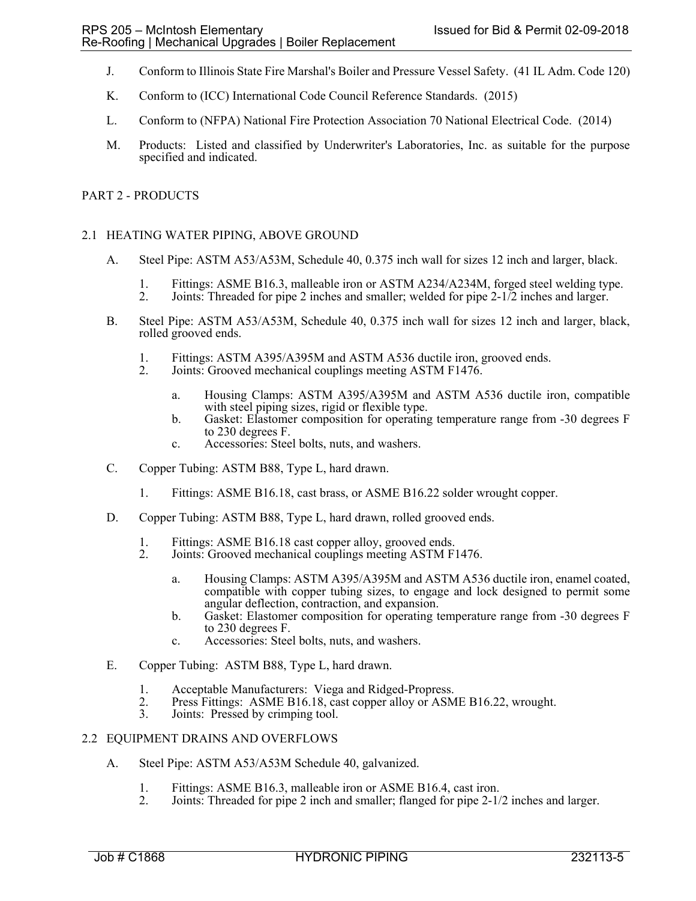- J. Conform to Illinois State Fire Marshal's Boiler and Pressure Vessel Safety. (41 IL Adm. Code 120)
- K. Conform to (ICC) International Code Council Reference Standards. (2015)
- L. Conform to (NFPA) National Fire Protection Association 70 National Electrical Code. (2014)
- M. Products: Listed and classified by Underwriter's Laboratories, Inc. as suitable for the purpose specified and indicated.

### PART 2 - PRODUCTS

### 2.1 HEATING WATER PIPING, ABOVE GROUND

- A. Steel Pipe: ASTM A53/A53M, Schedule 40, 0.375 inch wall for sizes 12 inch and larger, black.
	- 1. Fittings: ASME B16.3, malleable iron or ASTM A234/A234M, forged steel welding type.
	- 2. Joints: Threaded for pipe 2 inches and smaller; welded for pipe 2-1/2 inches and larger.
- B. Steel Pipe: ASTM A53/A53M, Schedule 40, 0.375 inch wall for sizes 12 inch and larger, black, rolled grooved ends.
	- 1. Fittings: ASTM A395/A395M and ASTM A536 ductile iron, grooved ends.<br>2. Joints: Grooved mechanical couplings meeting ASTM F1476.
	- Joints: Grooved mechanical couplings meeting ASTM F1476.
		- a. Housing Clamps: ASTM A395/A395M and ASTM A536 ductile iron, compatible with steel piping sizes, rigid or flexible type.
		- b. Gasket: Elastomer composition for operating temperature range from -30 degrees F to 230 degrees F.
		- c. Accessories: Steel bolts, nuts, and washers.
- C. Copper Tubing: ASTM B88, Type L, hard drawn.
	- 1. Fittings: ASME B16.18, cast brass, or ASME B16.22 solder wrought copper.
- D. Copper Tubing: ASTM B88, Type L, hard drawn, rolled grooved ends.
	- 1. Fittings: ASME B16.18 cast copper alloy, grooved ends.<br>2. Joints: Grooved mechanical couplings meeting ASTM F
	- Joints: Grooved mechanical couplings meeting ASTM F1476.
		- a. Housing Clamps: ASTM A395/A395M and ASTM A536 ductile iron, enamel coated, compatible with copper tubing sizes, to engage and lock designed to permit some angular deflection, contraction, and expansion.
		- b. Gasket: Elastomer composition for operating temperature range from -30 degrees F to 230 degrees F.
		- c. Accessories: Steel bolts, nuts, and washers.
- E. Copper Tubing: ASTM B88, Type L, hard drawn.
	- 1. Acceptable Manufacturers: Viega and Ridged-Propress.<br>2. Press Fittings: ASME B16.18, cast copper alloy or ASM
	- 2. Press Fittings: ASME B16.18, cast copper alloy or ASME B16.22, wrought.<br>3. Joints: Pressed by crimping tool.
	- Joints: Pressed by crimping tool.

#### 2.2 EQUIPMENT DRAINS AND OVERFLOWS

- A. Steel Pipe: ASTM A53/A53M Schedule 40, galvanized.
	- 1. Fittings: ASME B16.3, malleable iron or ASME B16.4, cast iron.<br>2. Joints: Threaded for pipe 2 inch and smaller; flanged for pipe 2-1/
	- 2. Joints: Threaded for pipe 2 inch and smaller; flanged for pipe 2-1/2 inches and larger.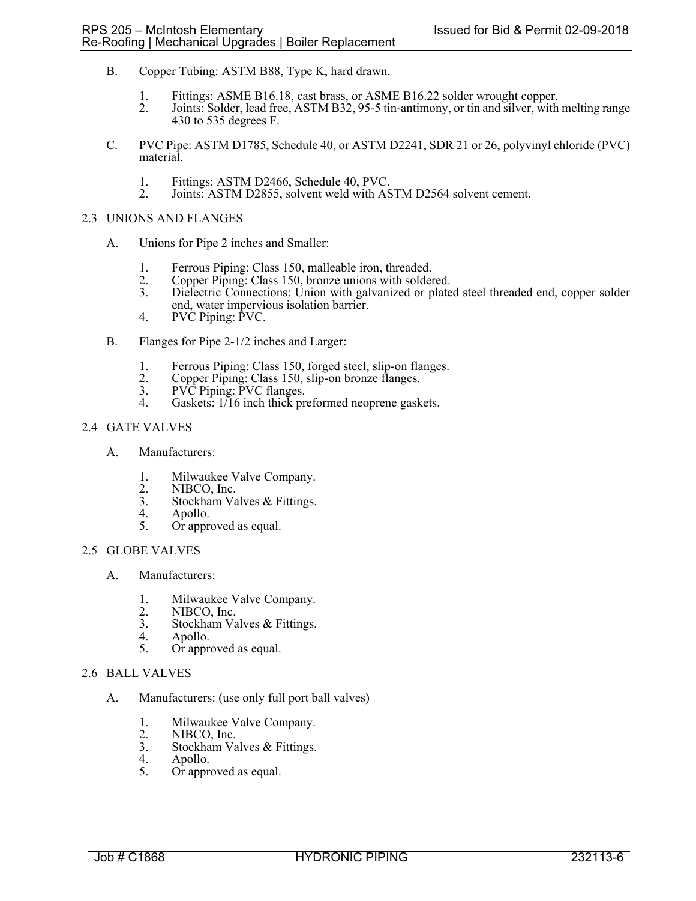- B. Copper Tubing: ASTM B88, Type K, hard drawn.
	- 1. Fittings: ASME B16.18, cast brass, or ASME B16.22 solder wrought copper.
	- 2. Joints: Solder, lead free, ASTM B32, 95-5 tin-antimony, or tin and silver, with melting range 430 to 535 degrees F.
- C. PVC Pipe: ASTM D1785, Schedule 40, or ASTM D2241, SDR 21 or 26, polyvinyl chloride (PVC) material.
	- 1. Fittings: ASTM D2466, Schedule 40, PVC.<br>2. Joints: ASTM D2855, solvent weld with AS
	- Joints: ASTM D2855, solvent weld with ASTM D2564 solvent cement.

### 2.3 UNIONS AND FLANGES

- A. Unions for Pipe 2 inches and Smaller:
	- 1. Ferrous Piping: Class 150, malleable iron, threaded.<br>2. Copper Piping: Class 150, bronze unions with solder
	- 2. Copper Piping: Class 150, bronze unions with soldered.
	- 3. Dielectric Connections: Union with galvanized or plated steel threaded end, copper solder end, water impervious isolation barrier.
	- 4. PVC Piping: PVC.
- B. Flanges for Pipe 2-1/2 inches and Larger:
	- 1. Ferrous Piping: Class 150, forged steel, slip-on flanges.<br>2. Copper Piping: Class 150, slip-on bronze flanges.
	- 2. Copper Piping: Class 150, slip-on bronze flanges.
	- 3. PVC Piping: PVC flanges.
	- 4. Gaskets: 1/16 inch thick preformed neoprene gaskets.

# 2.4 GATE VALVES

- A. Manufacturers:
	- 1. Milwaukee Valve Company.<br>2. NIBCO, Inc.
	- 2. NIBCO, Inc.<br>3. Stockham Va
	- 3. Stockham Valves & Fittings.<br>4. Apollo.
	- 4. Apollo.<br>5. Or appre
	- Or approved as equal.

# 2.5 GLOBE VALVES

- A. Manufacturers:
	- 1. Milwaukee Valve Company.<br>2. NIBCO, Inc.
	- 2. NIBCO, Inc.<br>3. Stockham Va
	- 3. Stockham Valves & Fittings.<br>4. Apollo. 4. Apollo.
- 5. Or approved as equal.

## 2.6 BALL VALVES

- A. Manufacturers: (use only full port ball valves)
	- 1. Milwaukee Valve Company.
	- 2. NIBCO, Inc.<br>3. Stockham Va
	- Stockham Valves & Fittings.
	- 4. Apollo.<br>5. Or appre
	- Or approved as equal.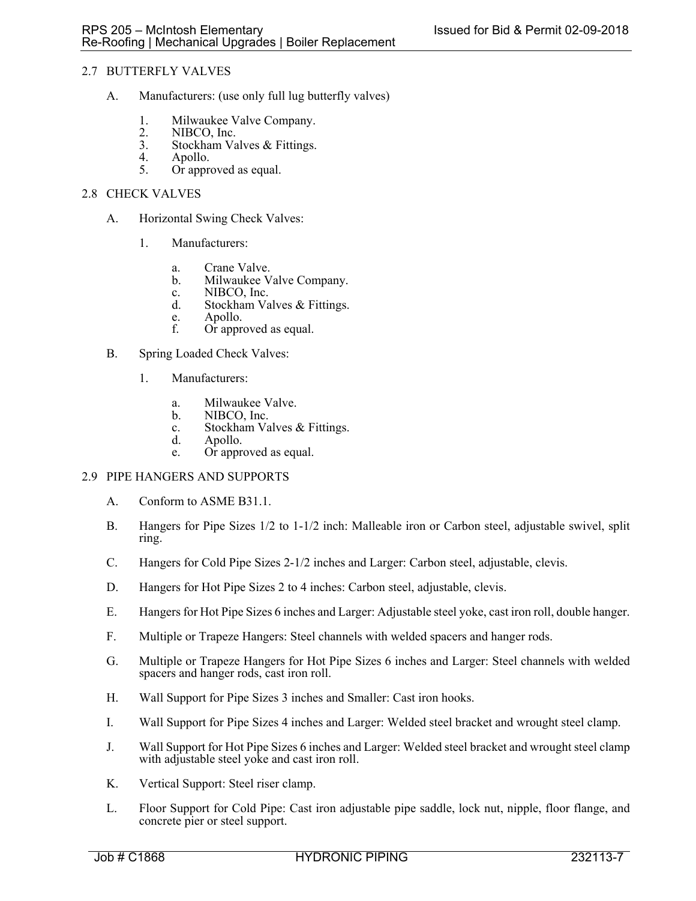# 2.7 BUTTERFLY VALVES

- A. Manufacturers: (use only full lug butterfly valves)
	- 1. Milwaukee Valve Company.<br>2. NIBCO. Inc.
	- 2. NIBCO, Inc.<br>3. Stockham Va
	- 3. Stockham Valves & Fittings.<br>4. Apollo.
	- 4. Apollo.<br>5. Or appre
	- Or approved as equal.

### 2.8 CHECK VALVES

- A. Horizontal Swing Check Valves:
	- 1. Manufacturers:
		- a. Crane Valve.<br>b. Milwaukee V
		- Milwaukee Valve Company.
		- c. NIBCO, Inc.
		- d. Stockham Valves & Fittings.
		- e. Apollo.<br>f. Or appro
		- Or approved as equal.
- B. Spring Loaded Check Valves:
	- 1. Manufacturers:
		- a. Milwaukee Valve.
		- b. NIBCO, Inc.
		- c. Stockham Valves & Fittings.<br>d. Apollo.
		- Apollo.
		- e. Or approved as equal.

## 2.9 PIPE HANGERS AND SUPPORTS

- A. Conform to ASME B31.1.
- B. Hangers for Pipe Sizes 1/2 to 1-1/2 inch: Malleable iron or Carbon steel, adjustable swivel, split ring.
- C. Hangers for Cold Pipe Sizes 2-1/2 inches and Larger: Carbon steel, adjustable, clevis.
- D. Hangers for Hot Pipe Sizes 2 to 4 inches: Carbon steel, adjustable, clevis.
- E. Hangers for Hot Pipe Sizes 6 inches and Larger: Adjustable steel yoke, cast iron roll, double hanger.
- F. Multiple or Trapeze Hangers: Steel channels with welded spacers and hanger rods.
- G. Multiple or Trapeze Hangers for Hot Pipe Sizes 6 inches and Larger: Steel channels with welded spacers and hanger rods, cast iron roll.
- H. Wall Support for Pipe Sizes 3 inches and Smaller: Cast iron hooks.
- I. Wall Support for Pipe Sizes 4 inches and Larger: Welded steel bracket and wrought steel clamp.
- J. Wall Support for Hot Pipe Sizes 6 inches and Larger: Welded steel bracket and wrought steel clamp with adjustable steel yoke and cast iron roll.
- K. Vertical Support: Steel riser clamp.
- L. Floor Support for Cold Pipe: Cast iron adjustable pipe saddle, lock nut, nipple, floor flange, and concrete pier or steel support.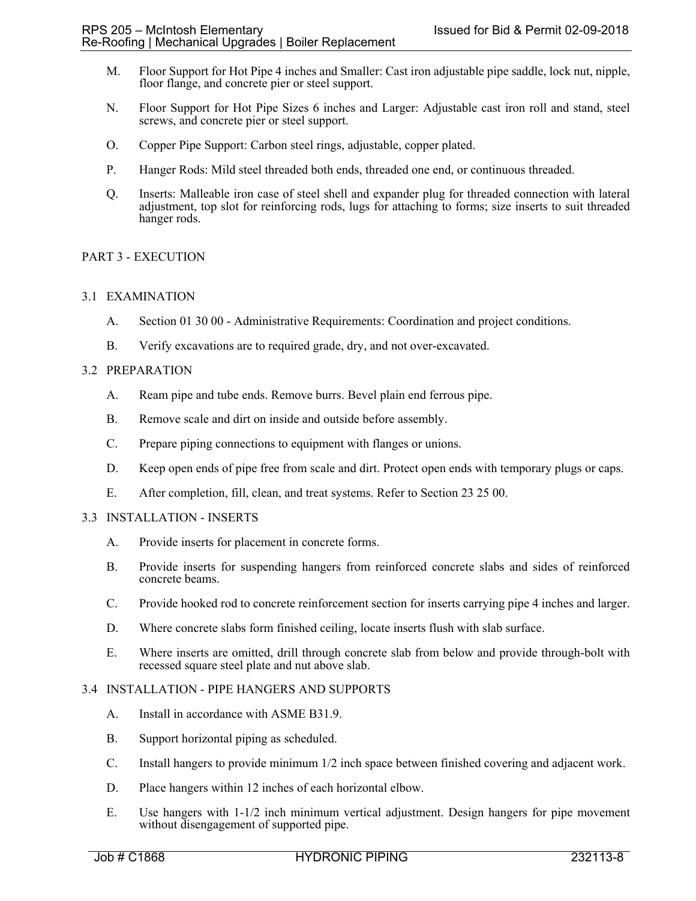- M. Floor Support for Hot Pipe 4 inches and Smaller: Cast iron adjustable pipe saddle, lock nut, nipple, floor flange, and concrete pier or steel support.
- N. Floor Support for Hot Pipe Sizes 6 inches and Larger: Adjustable cast iron roll and stand, steel screws, and concrete pier or steel support.
- O. Copper Pipe Support: Carbon steel rings, adjustable, copper plated.
- P. Hanger Rods: Mild steel threaded both ends, threaded one end, or continuous threaded.
- Q. Inserts: Malleable iron case of steel shell and expander plug for threaded connection with lateral adjustment, top slot for reinforcing rods, lugs for attaching to forms; size inserts to suit threaded hanger rods.

# PART 3 - EXECUTION

## 3.1 EXAMINATION

- A. Section 01 30 00 Administrative Requirements: Coordination and project conditions.
- B. Verify excavations are to required grade, dry, and not over-excavated.

### 3.2 PREPARATION

- A. Ream pipe and tube ends. Remove burrs. Bevel plain end ferrous pipe.
- B. Remove scale and dirt on inside and outside before assembly.
- C. Prepare piping connections to equipment with flanges or unions.
- D. Keep open ends of pipe free from scale and dirt. Protect open ends with temporary plugs or caps.
- E. After completion, fill, clean, and treat systems. Refer to Section 23 25 00.

#### 3.3 INSTALLATION - INSERTS

- A. Provide inserts for placement in concrete forms.
- B. Provide inserts for suspending hangers from reinforced concrete slabs and sides of reinforced concrete beams.
- C. Provide hooked rod to concrete reinforcement section for inserts carrying pipe 4 inches and larger.
- D. Where concrete slabs form finished ceiling, locate inserts flush with slab surface.
- E. Where inserts are omitted, drill through concrete slab from below and provide through-bolt with recessed square steel plate and nut above slab.

## 3.4 INSTALLATION - PIPE HANGERS AND SUPPORTS

- A. Install in accordance with ASME B31.9.
- B. Support horizontal piping as scheduled.
- C. Install hangers to provide minimum 1/2 inch space between finished covering and adjacent work.
- D. Place hangers within 12 inches of each horizontal elbow.
- E. Use hangers with 1-1/2 inch minimum vertical adjustment. Design hangers for pipe movement without disengagement of supported pipe.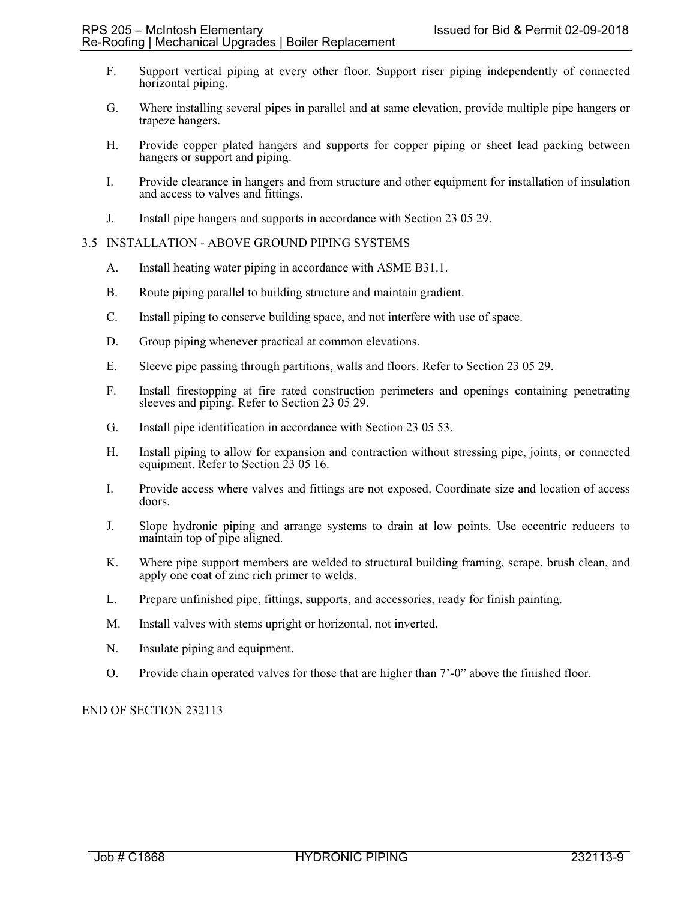- F. Support vertical piping at every other floor. Support riser piping independently of connected horizontal piping.
- G. Where installing several pipes in parallel and at same elevation, provide multiple pipe hangers or trapeze hangers.
- H. Provide copper plated hangers and supports for copper piping or sheet lead packing between hangers or support and piping.
- I. Provide clearance in hangers and from structure and other equipment for installation of insulation and access to valves and fittings.
- J. Install pipe hangers and supports in accordance with Section 23 05 29.

### 3.5 INSTALLATION - ABOVE GROUND PIPING SYSTEMS

- A. Install heating water piping in accordance with ASME B31.1.
- B. Route piping parallel to building structure and maintain gradient.
- C. Install piping to conserve building space, and not interfere with use of space.
- D. Group piping whenever practical at common elevations.
- E. Sleeve pipe passing through partitions, walls and floors. Refer to Section 23 05 29.
- F. Install firestopping at fire rated construction perimeters and openings containing penetrating sleeves and piping. Refer to Section 23 05 29.
- G. Install pipe identification in accordance with Section 23 05 53.
- H. Install piping to allow for expansion and contraction without stressing pipe, joints, or connected equipment. Refer to Section 23 05 16.
- I. Provide access where valves and fittings are not exposed. Coordinate size and location of access doors.
- J. Slope hydronic piping and arrange systems to drain at low points. Use eccentric reducers to maintain top of pipe aligned.
- K. Where pipe support members are welded to structural building framing, scrape, brush clean, and apply one coat of zinc rich primer to welds.
- L. Prepare unfinished pipe, fittings, supports, and accessories, ready for finish painting.
- M. Install valves with stems upright or horizontal, not inverted.
- N. Insulate piping and equipment.
- O. Provide chain operated valves for those that are higher than 7'-0" above the finished floor.

# END OF SECTION 232113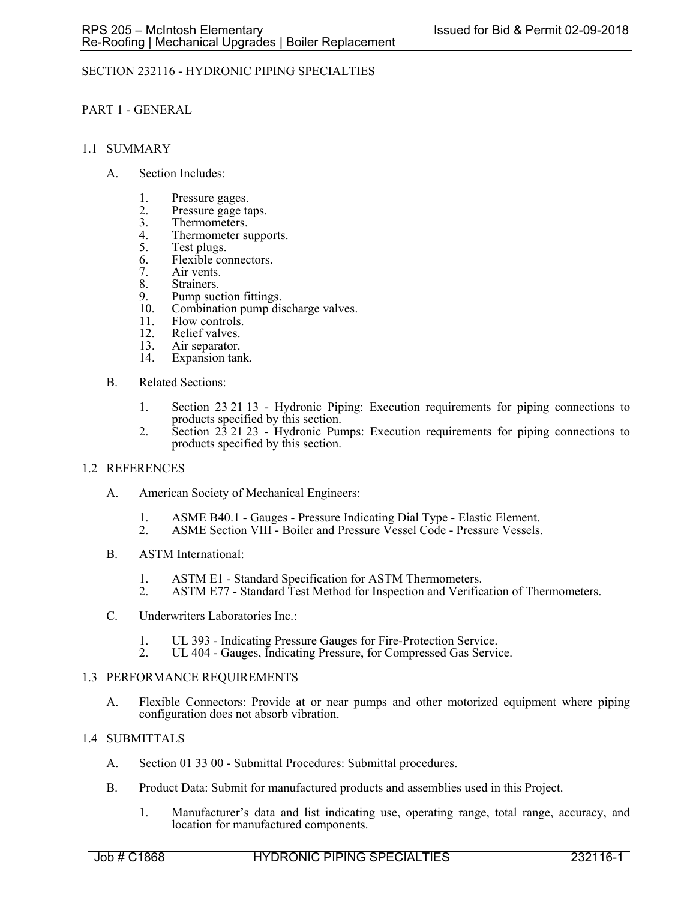# SECTION 232116 - HYDRONIC PIPING SPECIALTIES

### PART 1 - GENERAL

#### 1.1 SUMMARY

- A. Section Includes:
	- 1. Pressure gages.
	- 2. Pressure gage taps.<br>3. Thermometers.
	- 3. Thermometers.<br>4. Thermometer si
	- 4. Thermometer supports.<br>5. Test plugs.
	- Test plugs.
	- 6. Flexible connectors.
	- 7. Air vents.
	- 8. Strainers.<br>9. Pump suc
	- 9. Pump suction fittings.<br>10. Combination pump dis
	- Combination pump discharge valves.
	- 11. Flow controls.
	- 12. Relief valves.<br>13. Air separator.
	- 13. Air separator.<br>14. Expansion tan
	- Expansion tank.
- B. Related Sections:
	- 1. Section 23 21 13 Hydronic Piping: Execution requirements for piping connections to products specified by this section.
	- 2. Section 23 21 23 Hydronic Pumps: Execution requirements for piping connections to products specified by this section.

## 1.2 REFERENCES

- A. American Society of Mechanical Engineers:
	- 1. ASME B40.1 Gauges Pressure Indicating Dial Type Elastic Element.
	- 2. ASME Section VIII Boiler and Pressure Vessel Code Pressure Vessels.
- B. ASTM International:
	- 1. ASTM E1 Standard Specification for ASTM Thermometers.
	- 2. ASTM E77 Standard Test Method for Inspection and Verification of Thermometers.
- C. Underwriters Laboratories Inc.:
	-
	- 1. UL 393 Indicating Pressure Gauges for Fire-Protection Service. 2. UL 404 Gauges, Indicating Pressure, for Compressed Gas Service.

#### 1.3 PERFORMANCE REQUIREMENTS

A. Flexible Connectors: Provide at or near pumps and other motorized equipment where piping configuration does not absorb vibration.

## 1.4 SUBMITTALS

- A. Section 01 33 00 Submittal Procedures: Submittal procedures.
- B. Product Data: Submit for manufactured products and assemblies used in this Project.
	- 1. Manufacturer's data and list indicating use, operating range, total range, accuracy, and location for manufactured components.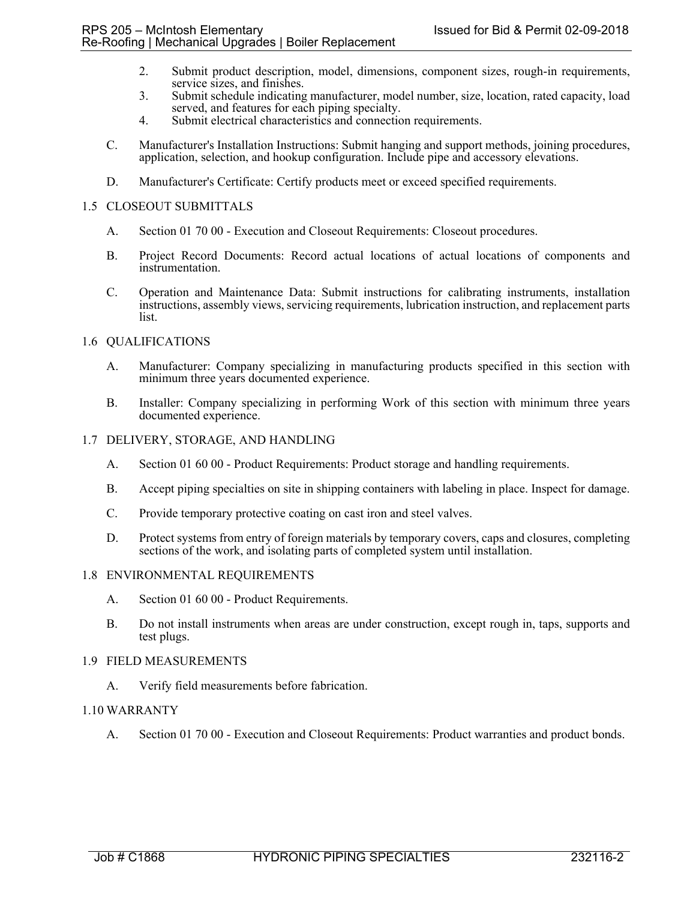- 2. Submit product description, model, dimensions, component sizes, rough-in requirements, service sizes, and finishes.
- 3. Submit schedule indicating manufacturer, model number, size, location, rated capacity, load served, and features for each piping specialty.
- 4. Submit electrical characteristics and connection requirements.
- C. Manufacturer's Installation Instructions: Submit hanging and support methods, joining procedures, application, selection, and hookup configuration. Include pipe and accessory elevations.
- D. Manufacturer's Certificate: Certify products meet or exceed specified requirements.

## 1.5 CLOSEOUT SUBMITTALS

- A. Section 01 70 00 Execution and Closeout Requirements: Closeout procedures.
- B. Project Record Documents: Record actual locations of actual locations of components and instrumentation.
- C. Operation and Maintenance Data: Submit instructions for calibrating instruments, installation instructions, assembly views, servicing requirements, lubrication instruction, and replacement parts list.

# 1.6 QUALIFICATIONS

- A. Manufacturer: Company specializing in manufacturing products specified in this section with minimum three years documented experience.
- B. Installer: Company specializing in performing Work of this section with minimum three years documented experience.

## 1.7 DELIVERY, STORAGE, AND HANDLING

- A. Section 01 60 00 Product Requirements: Product storage and handling requirements.
- B. Accept piping specialties on site in shipping containers with labeling in place. Inspect for damage.
- C. Provide temporary protective coating on cast iron and steel valves.
- D. Protect systems from entry of foreign materials by temporary covers, caps and closures, completing sections of the work, and isolating parts of completed system until installation.

## 1.8 ENVIRONMENTAL REQUIREMENTS

- A. Section 01 60 00 Product Requirements.
- B. Do not install instruments when areas are under construction, except rough in, taps, supports and test plugs.

#### 1.9 FIELD MEASUREMENTS

A. Verify field measurements before fabrication.

## 1.10 WARRANTY

A. Section 01 70 00 - Execution and Closeout Requirements: Product warranties and product bonds.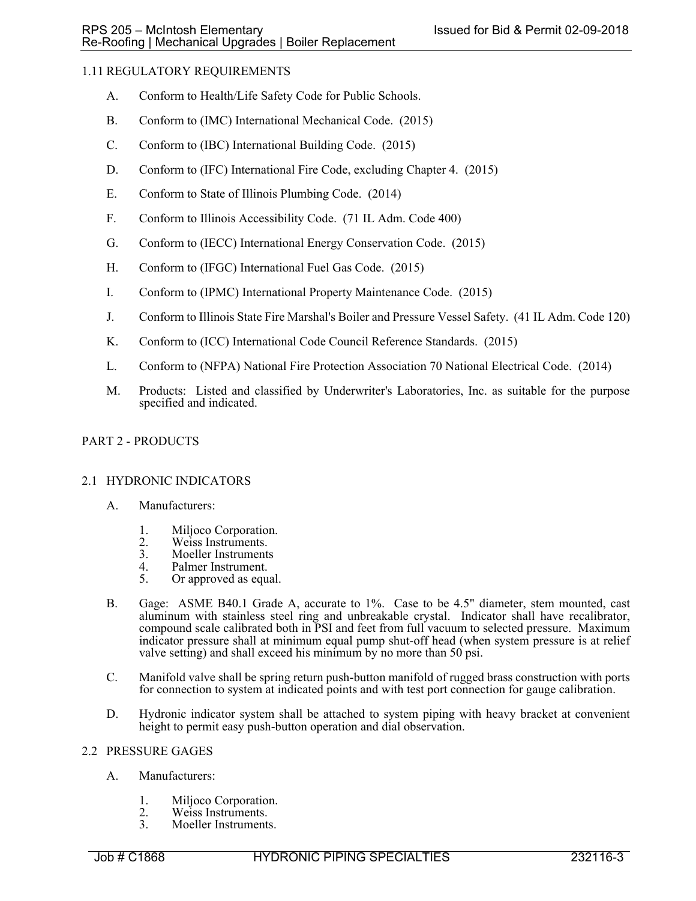# 1.11 REGULATORY REQUIREMENTS

- A. Conform to Health/Life Safety Code for Public Schools.
- B. Conform to (IMC) International Mechanical Code. (2015)
- C. Conform to (IBC) International Building Code. (2015)
- D. Conform to (IFC) International Fire Code, excluding Chapter 4. (2015)
- E. Conform to State of Illinois Plumbing Code. (2014)
- F. Conform to Illinois Accessibility Code. (71 IL Adm. Code 400)
- G. Conform to (IECC) International Energy Conservation Code. (2015)
- H. Conform to (IFGC) International Fuel Gas Code. (2015)
- I. Conform to (IPMC) International Property Maintenance Code. (2015)
- J. Conform to Illinois State Fire Marshal's Boiler and Pressure Vessel Safety. (41 IL Adm. Code 120)
- K. Conform to (ICC) International Code Council Reference Standards. (2015)
- L. Conform to (NFPA) National Fire Protection Association 70 National Electrical Code. (2014)
- M. Products: Listed and classified by Underwriter's Laboratories, Inc. as suitable for the purpose specified and indicated.

# PART 2 - PRODUCTS

## 2.1 HYDRONIC INDICATORS

- A. Manufacturers:
	- 1. Miljoco Corporation.
	- 2. Weiss Instruments.
	- 3. Moeller Instruments<br>4. Palmer Instrument.
	- Palmer Instrument.
	- 5. Or approved as equal.
- B. Gage: ASME B40.1 Grade A, accurate to 1%. Case to be 4.5" diameter, stem mounted, cast aluminum with stainless steel ring and unbreakable crystal. Indicator shall have recalibrator, compound scale calibrated both in PSI and feet from full vacuum to selected pressure. Maximum indicator pressure shall at minimum equal pump shut-off head (when system pressure is at relief valve setting) and shall exceed his minimum by no more than  $50$  psi.
- C. Manifold valve shall be spring return push-button manifold of rugged brass construction with ports for connection to system at indicated points and with test port connection for gauge calibration.
- D. Hydronic indicator system shall be attached to system piping with heavy bracket at convenient height to permit easy push-button operation and dial observation.

## 2.2 PRESSURE GAGES

- A. Manufacturers:
	- 1. Miljoco Corporation.<br>2. Weiss Instruments.
	- Weiss Instruments.
	- 3. Moeller Instruments.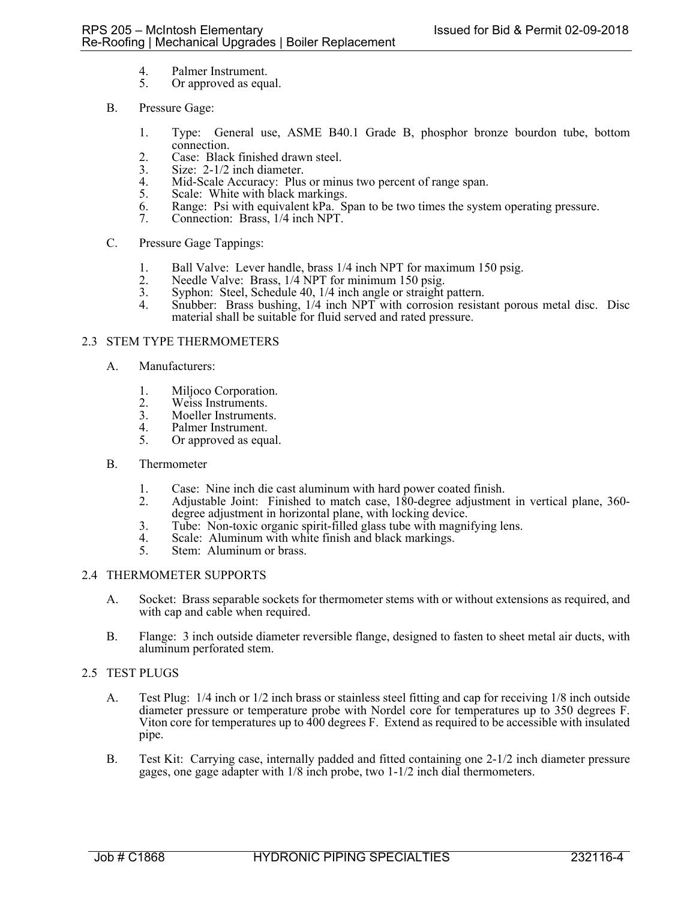- 
- 4. Palmer Instrument.<br>5. Or approved as equ Or approved as equal.
- B. Pressure Gage:
	- 1. Type: General use, ASME B40.1 Grade B, phosphor bronze bourdon tube, bottom connection.
	- 2. Case: Black finished drawn steel.
	- 3. Size: 2-1/2 inch diameter.<br>4. Mid-Scale Accuracy: Plus
	- 4. Mid-Scale Accuracy: Plus or minus two percent of range span.<br>5. Scale: White with black markings.
	- Scale: White with black markings.
	- 6. Range: Psi with equivalent kPa. Span to be two times the system operating pressure.
	- 7. Connection: Brass, 1/4 inch NPT.

# C. Pressure Gage Tappings:

- 1. Ball Valve: Lever handle, brass 1/4 inch NPT for maximum 150 psig.<br>2. Needle Valve: Brass, 1/4 NPT for minimum 150 psig.
- Needle Valve: Brass, 1/4 NPT for minimum 150 psig.
- 
- 3. Syphon: Steel, Schedule 40, 1/4 inch angle or straight pattern. 4. Snubber: Brass bushing, 1/4 inch NPT with corrosion resistant porous metal disc. Disc material shall be suitable for fluid served and rated pressure.

# 2.3 STEM TYPE THERMOMETERS

- A. Manufacturers:
	- 1. Miljoco Corporation.<br>2. Weiss Instruments.
	- Weiss Instruments.
	- 3. Moeller Instruments.<br>4. Palmer Instrument.
	- 4. Palmer Instrument.<br>5. Or approved as equal
	- Or approved as equal.

## B. Thermometer

- 1. Case: Nine inch die cast aluminum with hard power coated finish.
- 2. Adjustable Joint: Finished to match case, 180-degree adjustment in vertical plane, 360 degree adjustment in horizontal plane, with locking device.
- 3. Tube: Non-toxic organic spirit-filled glass tube with magnifying lens.
- 4. Scale: Aluminum with white finish and black markings.<br>5. Stem: Aluminum or brass.
- Stem: Aluminum or brass.

## 2.4 THERMOMETER SUPPORTS

- A. Socket: Brass separable sockets for thermometer stems with or without extensions as required, and with cap and cable when required.
- B. Flange: 3 inch outside diameter reversible flange, designed to fasten to sheet metal air ducts, with aluminum perforated stem.

# 2.5 TEST PLUGS

- A. Test Plug: 1/4 inch or 1/2 inch brass or stainless steel fitting and cap for receiving 1/8 inch outside diameter pressure or temperature probe with Nordel core for temperatures up to 350 degrees F. Viton core for temperatures up to 400 degrees F. Extend as required to be accessible with insulated pipe.
- B. Test Kit: Carrying case, internally padded and fitted containing one 2-1/2 inch diameter pressure gages, one gage adapter with 1/8 inch probe, two 1-1/2 inch dial thermometers.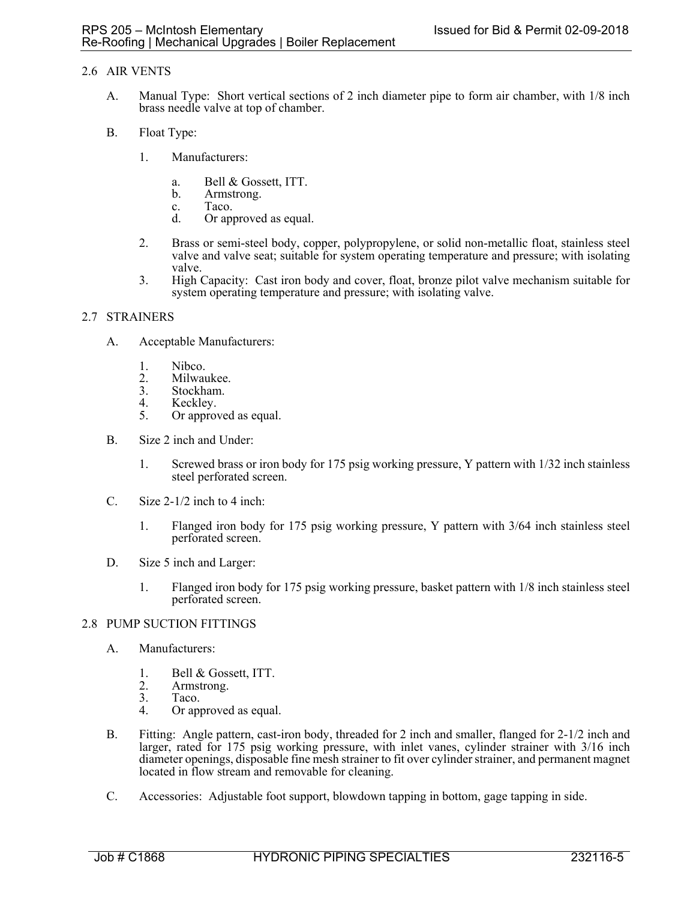# 2.6 AIR VENTS

- A. Manual Type: Short vertical sections of 2 inch diameter pipe to form air chamber, with 1/8 inch brass needle valve at top of chamber.
- B. Float Type:
	- 1. Manufacturers:
		- a. Bell & Gossett, ITT.
		- b. Armstrong.
		- c. Taco.
		- d. Or approved as equal.
	- 2. Brass or semi-steel body, copper, polypropylene, or solid non-metallic float, stainless steel valve and valve seat; suitable for system operating temperature and pressure; with isolating valve.
	- 3. High Capacity: Cast iron body and cover, float, bronze pilot valve mechanism suitable for system operating temperature and pressure; with isolating valve.

## 2.7 STRAINERS

- A. Acceptable Manufacturers:
	- 1. Nibco.<br>2. Milway
	- 2. Milwaukee.<br>3. Stockham.
	- 3. Stockham.<br>4. Keckley.
	- Keckley.
	- 5. Or approved as equal.
- B. Size 2 inch and Under:
	- 1. Screwed brass or iron body for 175 psig working pressure, Y pattern with 1/32 inch stainless steel perforated screen.
- C. Size 2-1/2 inch to 4 inch:
	- 1. Flanged iron body for 175 psig working pressure, Y pattern with 3/64 inch stainless steel perforated screen.
- D. Size 5 inch and Larger:
	- 1. Flanged iron body for 175 psig working pressure, basket pattern with 1/8 inch stainless steel perforated screen.

#### 2.8 PUMP SUCTION FITTINGS

- A. Manufacturers:
	- 1. Bell & Gossett, ITT.
	- 2. Armstrong.<br>3. Taco.
	- 3. Taco.<br>4. Orani
	- Or approved as equal.
- B. Fitting: Angle pattern, cast-iron body, threaded for 2 inch and smaller, flanged for 2-1/2 inch and larger, rated for 175 psig working pressure, with inlet vanes, cylinder strainer with 3/16 inch diameter openings, disposable fine mesh strainer to fit over cylinder strainer, and permanent magnet located in flow stream and removable for cleaning.
- C. Accessories: Adjustable foot support, blowdown tapping in bottom, gage tapping in side.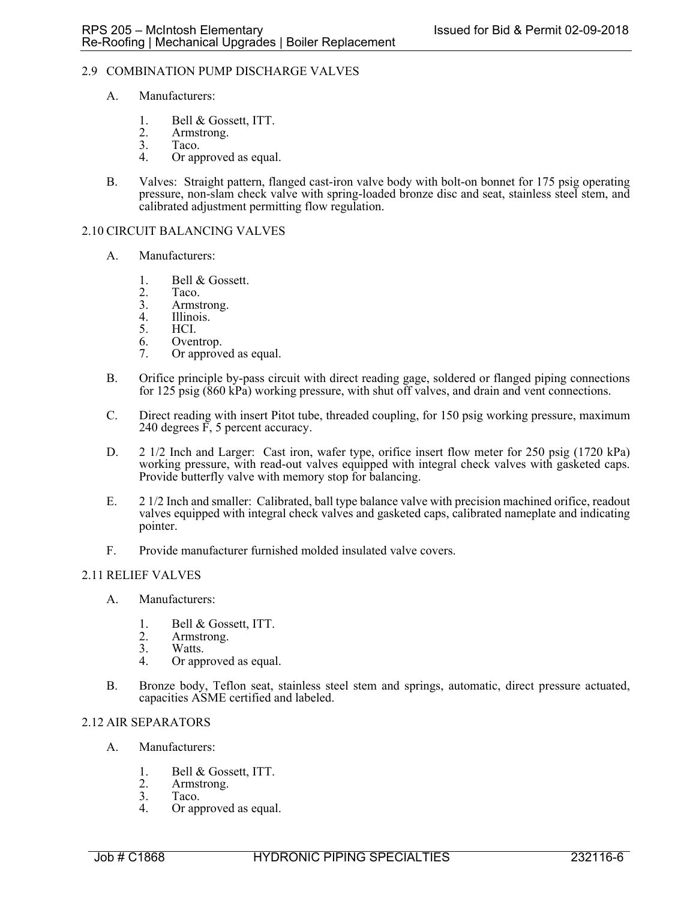### 2.9 COMBINATION PUMP DISCHARGE VALVES

- A. Manufacturers:
	- 1. Bell & Gossett, ITT.<br>2. Armstrong.
	- 2. Armstrong.<br>3. Taco.
	- 3. Taco.<br>4. Orani
	- Or approved as equal.
- B. Valves: Straight pattern, flanged cast-iron valve body with bolt-on bonnet for 175 psig operating pressure, non-slam check valve with spring-loaded bronze disc and seat, stainless steel stem, and calibrated adjustment permitting flow regulation.

#### 2.10 CIRCUIT BALANCING VALVES

- A. Manufacturers:
	- 1. Bell & Gossett.
	- 2. Taco.<br>3. Armst
	- 3. Armstrong.<br>4. Illinois.
	- 4. Illinois.<br>5. HCI.
	- 5. HCI.
	- 6. Oventrop.
	- 7. Or approved as equal.
- B. Orifice principle by-pass circuit with direct reading gage, soldered or flanged piping connections for 125 psig (860 kPa) working pressure, with shut off valves, and drain and vent connections.
- C. Direct reading with insert Pitot tube, threaded coupling, for 150 psig working pressure, maximum 240 degrees F, 5 percent accuracy.
- D. 2 1/2 Inch and Larger: Cast iron, wafer type, orifice insert flow meter for 250 psig (1720 kPa) working pressure, with read-out valves equipped with integral check valves with gasketed caps. Provide butterfly valve with memory stop for balancing.
- E. 2 1/2 Inch and smaller: Calibrated, ball type balance valve with precision machined orifice, readout valves equipped with integral check valves and gasketed caps, calibrated nameplate and indicating pointer.
- F. Provide manufacturer furnished molded insulated valve covers.

## 2.11 RELIEF VALVES

- A. Manufacturers:
	- 1. Bell & Gossett, ITT.<br>2. Armstrong.
	- 2. Armstrong.<br>3. Watts.
	- Watts.
	- 4. Or approved as equal.
- B. Bronze body, Teflon seat, stainless steel stem and springs, automatic, direct pressure actuated, capacities ASME certified and labeled.

## 2.12 AIR SEPARATORS

- A. Manufacturers:
	- 1. Bell & Gossett, ITT.
	- 2. Armstrong.<br>3. Taco.
	- 3. Taco.<br>4. Or apr
	- Or approved as equal.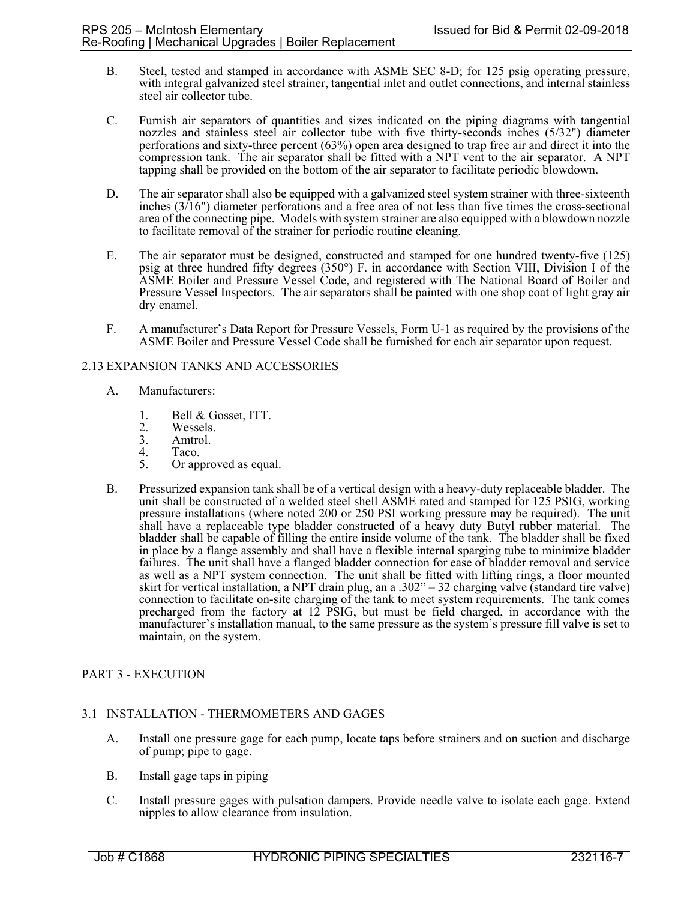- B. Steel, tested and stamped in accordance with ASME SEC 8-D; for 125 psig operating pressure, with integral galvanized steel strainer, tangential inlet and outlet connections, and internal stainless steel air collector tube.
- C. Furnish air separators of quantities and sizes indicated on the piping diagrams with tangential nozzles and stainless steel air collector tube with five thirty-seconds inches (5/32") diameter perforations and sixty-three percent (63%) open area designed to trap free air and direct it into the compression tank. The air separator shall be fitted with a NPT vent to the air separator. A NPT tapping shall be provided on the bottom of the air separator to facilitate periodic blowdown.
- D. The air separator shall also be equipped with a galvanized steel system strainer with three-sixteenth inches (3/16") diameter perforations and a free area of not less than five times the cross-sectional area of the connecting pipe. Models with system strainer are also equipped with a blowdown nozzle to facilitate removal of the strainer for periodic routine cleaning.
- E. The air separator must be designed, constructed and stamped for one hundred twenty-five (125) psig at three hundred fifty degrees (350°) F. in accordance with Section VIII, Division I of the ASME Boiler and Pressure Vessel Code, and registered with The National Board of Boiler and Pressure Vessel Inspectors. The air separators shall be painted with one shop coat of light gray air dry enamel.
- F. A manufacturer's Data Report for Pressure Vessels, Form U-1 as required by the provisions of the ASME Boiler and Pressure Vessel Code shall be furnished for each air separator upon request.

## 2.13 EXPANSION TANKS AND ACCESSORIES

- A. Manufacturers:
	- 1. Bell & Gosset, ITT.<br>2. Wessels.
	- 2. Wessels.<br>3. Amtrol.
	- 3. Amtrol.<br>4. Taco.
	- 4. Taco.<br>5. Or ap
	- Or approved as equal.
- B. Pressurized expansion tank shall be of a vertical design with a heavy-duty replaceable bladder. The unit shall be constructed of a welded steel shell ASME rated and stamped for 125 PSIG, working pressure installations (where noted 200 or 250 PSI working pressure may be required). The unit shall have a replaceable type bladder constructed of a heavy duty Butyl rubber material. The bladder shall be capable of filling the entire inside volume of the tank. The bladder shall be fixed in place by a flange assembly and shall have a flexible internal sparging tube to minimize bladder failures. The unit shall have a flanged bladder connection for ease of bladder removal and service as well as a NPT system connection. The unit shall be fitted with lifting rings, a floor mounted skirt for vertical installation, a NPT drain plug, an a .302" – 32 charging valve (standard tire valve) connection to facilitate on-site charging of the tank to meet system requirements. The tank comes precharged from the factory at  $12$  PSIG, but must be field charged, in accordance with the manufacturer's installation manual, to the same pressure as the system's pressure fill valve is set to maintain, on the system.

## PART 3 - EXECUTION

## 3.1 INSTALLATION - THERMOMETERS AND GAGES

- A. Install one pressure gage for each pump, locate taps before strainers and on suction and discharge of pump; pipe to gage.
- B. Install gage taps in piping
- C. Install pressure gages with pulsation dampers. Provide needle valve to isolate each gage. Extend nipples to allow clearance from insulation.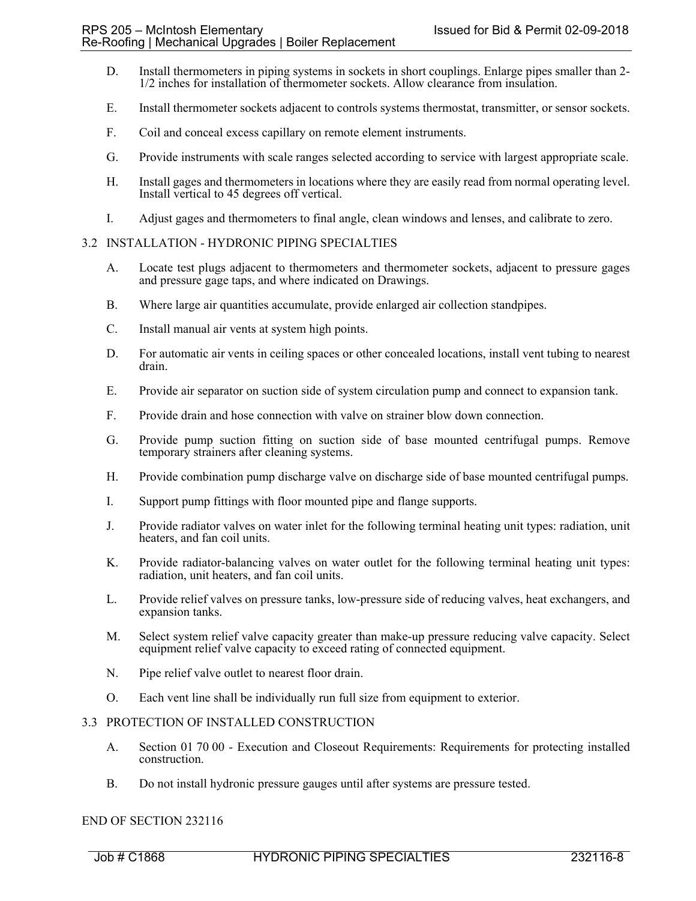- D. Install thermometers in piping systems in sockets in short couplings. Enlarge pipes smaller than 2- 1/2 inches for installation of thermometer sockets. Allow clearance from insulation.
- E. Install thermometer sockets adjacent to controls systems thermostat, transmitter, or sensor sockets.
- F. Coil and conceal excess capillary on remote element instruments.
- G. Provide instruments with scale ranges selected according to service with largest appropriate scale.
- H. Install gages and thermometers in locations where they are easily read from normal operating level. Install vertical to 45 degrees off vertical.
- I. Adjust gages and thermometers to final angle, clean windows and lenses, and calibrate to zero.

### 3.2 INSTALLATION - HYDRONIC PIPING SPECIALTIES

- A. Locate test plugs adjacent to thermometers and thermometer sockets, adjacent to pressure gages and pressure gage taps, and where indicated on Drawings.
- B. Where large air quantities accumulate, provide enlarged air collection standpipes.
- C. Install manual air vents at system high points.
- D. For automatic air vents in ceiling spaces or other concealed locations, install vent tubing to nearest drain.
- E. Provide air separator on suction side of system circulation pump and connect to expansion tank.
- F. Provide drain and hose connection with valve on strainer blow down connection.
- G. Provide pump suction fitting on suction side of base mounted centrifugal pumps. Remove temporary strainers after cleaning systems.
- H. Provide combination pump discharge valve on discharge side of base mounted centrifugal pumps.
- I. Support pump fittings with floor mounted pipe and flange supports.
- J. Provide radiator valves on water inlet for the following terminal heating unit types: radiation, unit heaters, and fan coil units.
- K. Provide radiator-balancing valves on water outlet for the following terminal heating unit types: radiation, unit heaters, and fan coil units.
- L. Provide relief valves on pressure tanks, low-pressure side of reducing valves, heat exchangers, and expansion tanks.
- M. Select system relief valve capacity greater than make-up pressure reducing valve capacity. Select equipment relief valve capacity to exceed rating of connected equipment.
- N. Pipe relief valve outlet to nearest floor drain.
- O. Each vent line shall be individually run full size from equipment to exterior.

## 3.3 PROTECTION OF INSTALLED CONSTRUCTION

- A. Section 01 70 00 Execution and Closeout Requirements: Requirements for protecting installed construction.
- B. Do not install hydronic pressure gauges until after systems are pressure tested.

### END OF SECTION 232116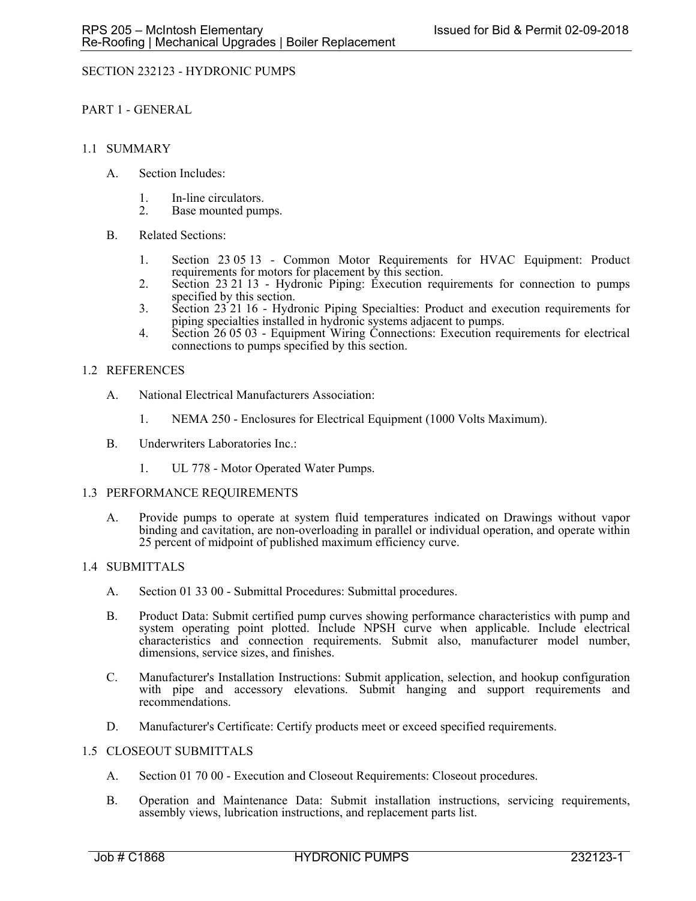## SECTION 232123 - HYDRONIC PUMPS

PART 1 - GENERAL

### 1.1 SUMMARY

- A. Section Includes:
	- 1. In-line circulators.
	- 2. Base mounted pumps.
- B. Related Sections:
	- 1. Section 23 05 13 Common Motor Requirements for HVAC Equipment: Product requirements for motors for placement by this section.
	- 2. Section 23 21 13 Hydronic Piping: Execution requirements for connection to pumps specified by this section.
	- 3. Section 23 21 16 Hydronic Piping Specialties: Product and execution requirements for piping specialties installed in hydronic systems adjacent to pumps.
	- 4. Section 26 05 03 Equipment Wiring Connections: Execution requirements for electrical connections to pumps specified by this section.

### 1.2 REFERENCES

- A. National Electrical Manufacturers Association:
	- 1. NEMA 250 Enclosures for Electrical Equipment (1000 Volts Maximum).
- B. Underwriters Laboratories Inc.:
	- 1. UL 778 Motor Operated Water Pumps.

#### 1.3 PERFORMANCE REQUIREMENTS

A. Provide pumps to operate at system fluid temperatures indicated on Drawings without vapor binding and cavitation, are non-overloading in parallel or individual operation, and operate within 25 percent of midpoint of published maximum efficiency curve.

#### 1.4 SUBMITTALS

- A. Section 01 33 00 Submittal Procedures: Submittal procedures.
- B. Product Data: Submit certified pump curves showing performance characteristics with pump and system operating point plotted. Include NPSH curve when applicable. Include electrical characteristics and connection requirements. Submit also, manufacturer model number, dimensions, service sizes, and finishes.
- C. Manufacturer's Installation Instructions: Submit application, selection, and hookup configuration with pipe and accessory elevations. Submit hanging and support requirements and recommendations.
- D. Manufacturer's Certificate: Certify products meet or exceed specified requirements.

#### 1.5 CLOSEOUT SUBMITTALS

- A. Section 01 70 00 Execution and Closeout Requirements: Closeout procedures.
- B. Operation and Maintenance Data: Submit installation instructions, servicing requirements, assembly views, lubrication instructions, and replacement parts list.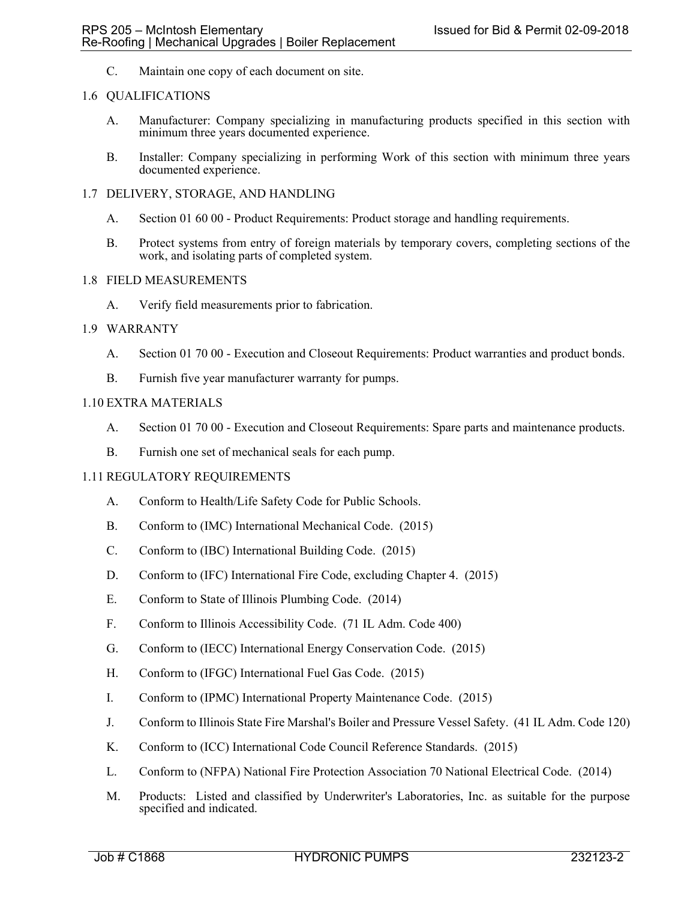C. Maintain one copy of each document on site.

### 1.6 QUALIFICATIONS

- A. Manufacturer: Company specializing in manufacturing products specified in this section with minimum three years documented experience.
- B. Installer: Company specializing in performing Work of this section with minimum three years documented experience.

### 1.7 DELIVERY, STORAGE, AND HANDLING

- A. Section 01 60 00 Product Requirements: Product storage and handling requirements.
- B. Protect systems from entry of foreign materials by temporary covers, completing sections of the work, and isolating parts of completed system.

#### 1.8 FIELD MEASUREMENTS

A. Verify field measurements prior to fabrication.

### 1.9 WARRANTY

- A. Section 01 70 00 Execution and Closeout Requirements: Product warranties and product bonds.
- B. Furnish five year manufacturer warranty for pumps.

### 1.10 EXTRA MATERIALS

- A. Section 01 70 00 Execution and Closeout Requirements: Spare parts and maintenance products.
- B. Furnish one set of mechanical seals for each pump.

## 1.11 REGULATORY REQUIREMENTS

- A. Conform to Health/Life Safety Code for Public Schools.
- B. Conform to (IMC) International Mechanical Code. (2015)
- C. Conform to (IBC) International Building Code. (2015)
- D. Conform to (IFC) International Fire Code, excluding Chapter 4. (2015)
- E. Conform to State of Illinois Plumbing Code. (2014)
- F. Conform to Illinois Accessibility Code. (71 IL Adm. Code 400)
- G. Conform to (IECC) International Energy Conservation Code. (2015)
- H. Conform to (IFGC) International Fuel Gas Code. (2015)
- I. Conform to (IPMC) International Property Maintenance Code. (2015)
- J. Conform to Illinois State Fire Marshal's Boiler and Pressure Vessel Safety. (41 IL Adm. Code 120)
- K. Conform to (ICC) International Code Council Reference Standards. (2015)
- L. Conform to (NFPA) National Fire Protection Association 70 National Electrical Code. (2014)
- M. Products: Listed and classified by Underwriter's Laboratories, Inc. as suitable for the purpose specified and indicated.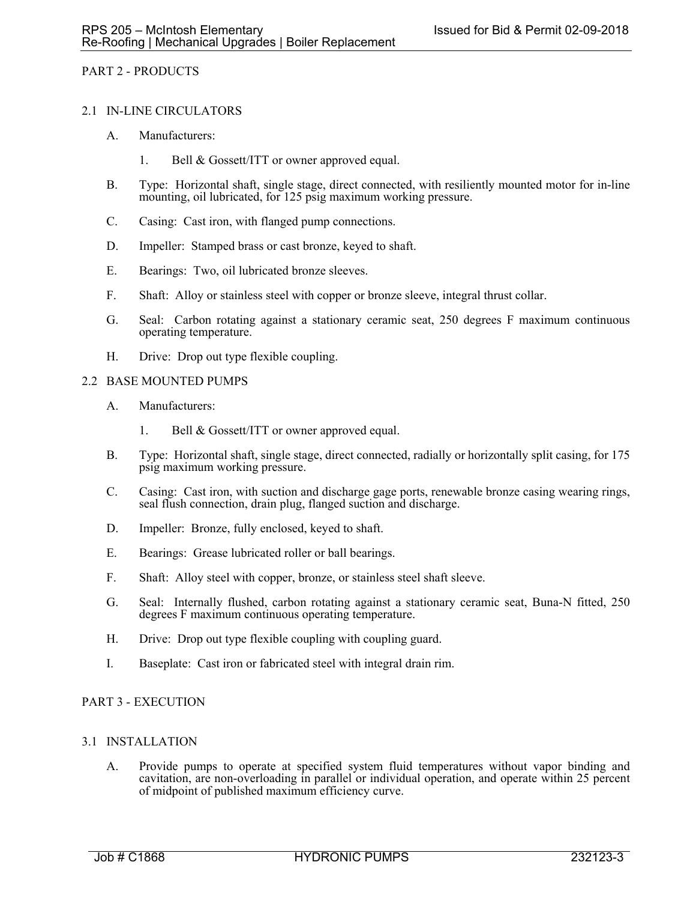### PART 2 - PRODUCTS

#### 2.1 IN-LINE CIRCULATORS

- A. Manufacturers:
	- 1. Bell & Gossett/ITT or owner approved equal.
- B. Type: Horizontal shaft, single stage, direct connected, with resiliently mounted motor for in-line mounting, oil lubricated, for 125 psig maximum working pressure.
- C. Casing: Cast iron, with flanged pump connections.
- D. Impeller: Stamped brass or cast bronze, keyed to shaft.
- E. Bearings: Two, oil lubricated bronze sleeves.
- F. Shaft: Alloy or stainless steel with copper or bronze sleeve, integral thrust collar.
- G. Seal: Carbon rotating against a stationary ceramic seat, 250 degrees F maximum continuous operating temperature.
- H. Drive: Drop out type flexible coupling.

### 2.2 BASE MOUNTED PUMPS

- A. Manufacturers:
	- 1. Bell & Gossett/ITT or owner approved equal.
- B. Type: Horizontal shaft, single stage, direct connected, radially or horizontally split casing, for 175 psig maximum working pressure.
- C. Casing: Cast iron, with suction and discharge gage ports, renewable bronze casing wearing rings, seal flush connection, drain plug, flanged suction and discharge.
- D. Impeller: Bronze, fully enclosed, keyed to shaft.
- E. Bearings: Grease lubricated roller or ball bearings.
- F. Shaft: Alloy steel with copper, bronze, or stainless steel shaft sleeve.
- G. Seal: Internally flushed, carbon rotating against a stationary ceramic seat, Buna-N fitted, 250 degrees F maximum continuous operating temperature.
- H. Drive: Drop out type flexible coupling with coupling guard.
- I. Baseplate: Cast iron or fabricated steel with integral drain rim.

## PART 3 - EXECUTION

## 3.1 INSTALLATION

A. Provide pumps to operate at specified system fluid temperatures without vapor binding and cavitation, are non-overloading in parallel or individual operation, and operate within 25 percent of midpoint of published maximum efficiency curve.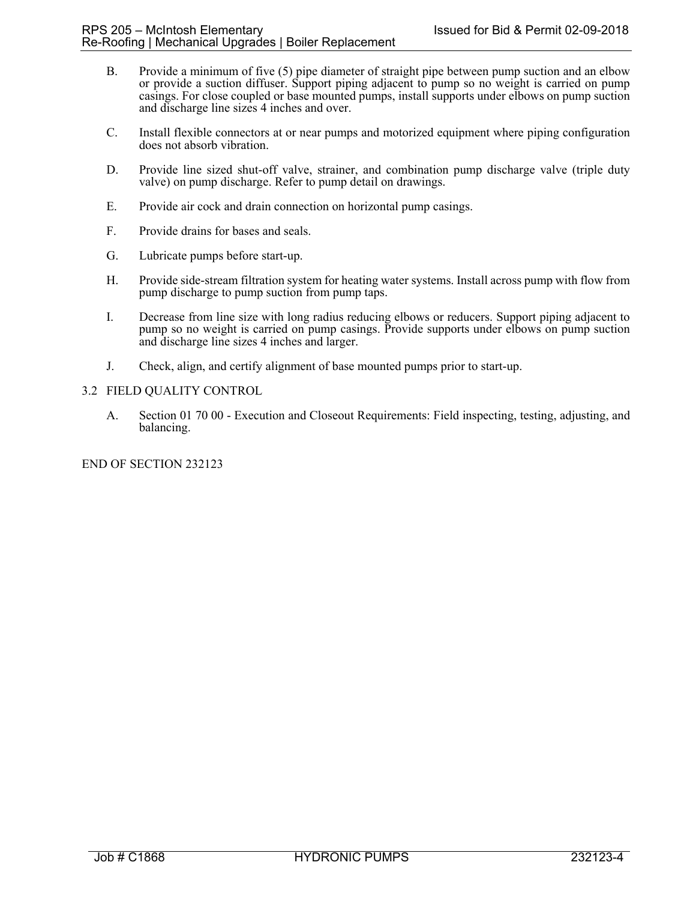- B. Provide a minimum of five (5) pipe diameter of straight pipe between pump suction and an elbow or provide a suction diffuser. Support piping adjacent to pump so no weight is carried on pump casings. For close coupled or base mounted pumps, install supports under elbows on pump suction and discharge line sizes 4 inches and over.
- C. Install flexible connectors at or near pumps and motorized equipment where piping configuration does not absorb vibration.
- D. Provide line sized shut-off valve, strainer, and combination pump discharge valve (triple duty valve) on pump discharge. Refer to pump detail on drawings.
- E. Provide air cock and drain connection on horizontal pump casings.
- F. Provide drains for bases and seals.
- G. Lubricate pumps before start-up.
- H. Provide side-stream filtration system for heating water systems. Install across pump with flow from pump discharge to pump suction from pump taps.
- I. Decrease from line size with long radius reducing elbows or reducers. Support piping adjacent to pump so no weight is carried on pump casings. Provide supports under elbows on pump suction and discharge line sizes 4 inches and larger.
- J. Check, align, and certify alignment of base mounted pumps prior to start-up.

### 3.2 FIELD QUALITY CONTROL

A. Section 01 70 00 - Execution and Closeout Requirements: Field inspecting, testing, adjusting, and balancing.

## END OF SECTION 232123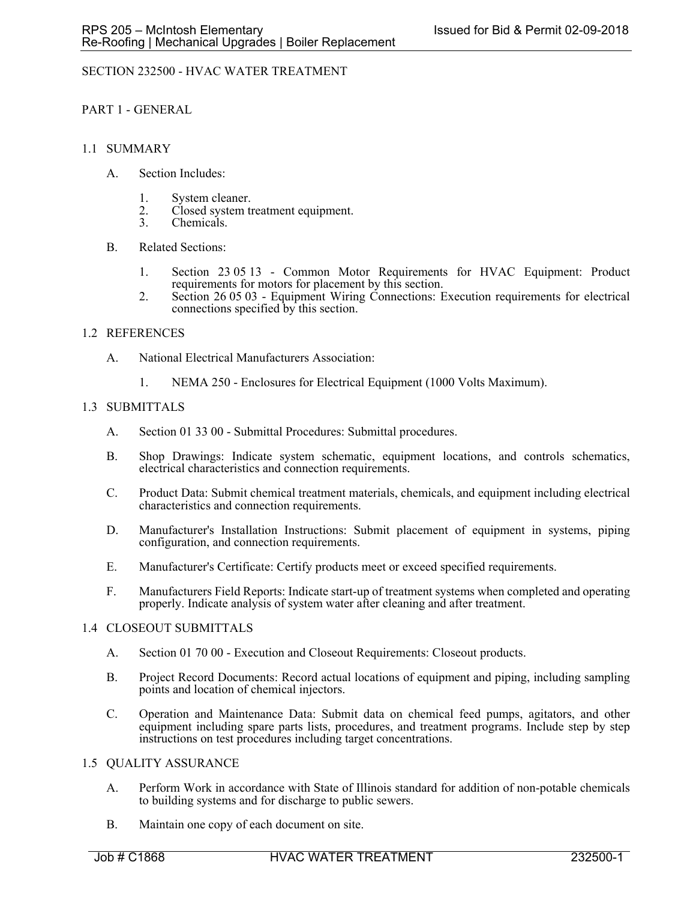# SECTION 232500 - HVAC WATER TREATMENT

PART 1 - GENERAL

### 1.1 SUMMARY

- A. Section Includes:
	- 1. System cleaner.
	- 2. Closed system treatment equipment.<br>3. Chemicals.
	- Chemicals.
- B. Related Sections:
	- 1. Section 23 05 13 Common Motor Requirements for HVAC Equipment: Product requirements for motors for placement by this section.
	- 2. Section 26 05 03 Equipment Wiring Connections: Execution requirements for electrical connections specified by this section.

## 1.2 REFERENCES

- A. National Electrical Manufacturers Association:
	- 1. NEMA 250 Enclosures for Electrical Equipment (1000 Volts Maximum).

## 1.3 SUBMITTALS

- A. Section 01 33 00 Submittal Procedures: Submittal procedures.
- B. Shop Drawings: Indicate system schematic, equipment locations, and controls schematics, electrical characteristics and connection requirements.
- C. Product Data: Submit chemical treatment materials, chemicals, and equipment including electrical characteristics and connection requirements.
- D. Manufacturer's Installation Instructions: Submit placement of equipment in systems, piping configuration, and connection requirements.
- E. Manufacturer's Certificate: Certify products meet or exceed specified requirements.
- F. Manufacturers Field Reports: Indicate start-up of treatment systems when completed and operating properly. Indicate analysis of system water after cleaning and after treatment.

#### 1.4 CLOSEOUT SUBMITTALS

- A. Section 01 70 00 Execution and Closeout Requirements: Closeout products.
- B. Project Record Documents: Record actual locations of equipment and piping, including sampling points and location of chemical injectors.
- C. Operation and Maintenance Data: Submit data on chemical feed pumps, agitators, and other equipment including spare parts lists, procedures, and treatment programs. Include step by step instructions on test procedures including target concentrations.

#### 1.5 QUALITY ASSURANCE

- A. Perform Work in accordance with State of Illinois standard for addition of non-potable chemicals to building systems and for discharge to public sewers.
- B. Maintain one copy of each document on site.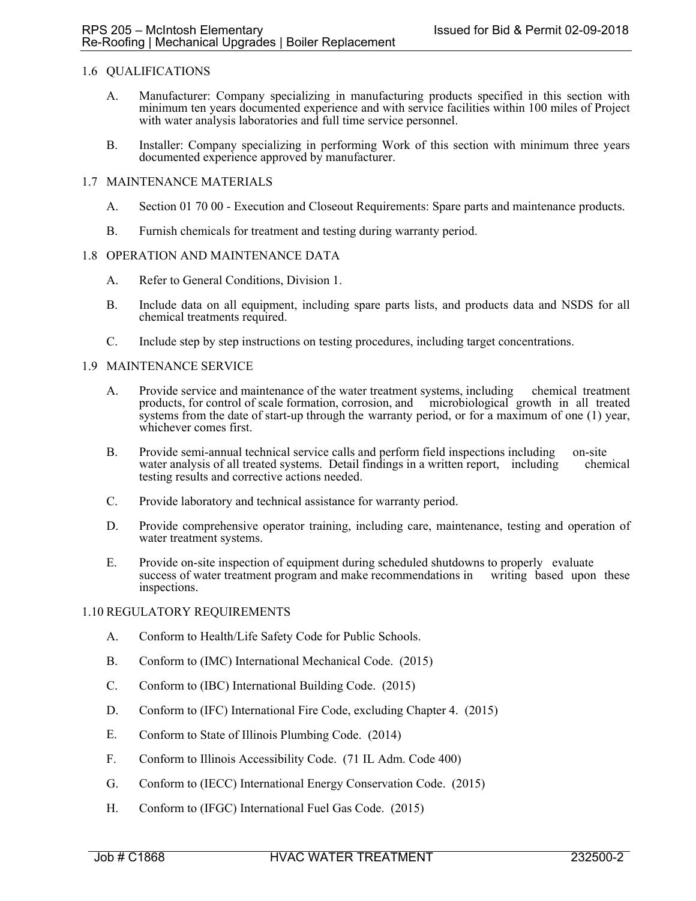## 1.6 QUALIFICATIONS

- A. Manufacturer: Company specializing in manufacturing products specified in this section with minimum ten years documented experience and with service facilities within 100 miles of Project with water analysis laboratories and full time service personnel.
- B. Installer: Company specializing in performing Work of this section with minimum three years documented experience approved by manufacturer.

## 1.7 MAINTENANCE MATERIALS

- A. Section 01 70 00 Execution and Closeout Requirements: Spare parts and maintenance products.
- B. Furnish chemicals for treatment and testing during warranty period.

#### 1.8 OPERATION AND MAINTENANCE DATA

- A. Refer to General Conditions, Division 1.
- B. Include data on all equipment, including spare parts lists, and products data and NSDS for all chemical treatments required.
- C. Include step by step instructions on testing procedures, including target concentrations.

## 1.9 MAINTENANCE SERVICE

- A. Provide service and maintenance of the water treatment systems, including chemical treatment products, for control of scale formation, corrosion, and microbiological growth in all treated systems from the date of start-up through the warranty period, or for a maximum of one (1) year, whichever comes first.
- B. Provide semi-annual technical service calls and perform field inspections including on-site water analysis of all treated systems. Detail findings in a written report, including chemical water analysis of all treated systems. Detail findings in a written report, including testing results and corrective actions needed.
- C. Provide laboratory and technical assistance for warranty period.
- D. Provide comprehensive operator training, including care, maintenance, testing and operation of water treatment systems.
- E. Provide on-site inspection of equipment during scheduled shutdowns to properly evaluate success of water treatment program and make recommendations in writing based upon these inspections.

#### 1.10 REGULATORY REQUIREMENTS

- A. Conform to Health/Life Safety Code for Public Schools.
- B. Conform to (IMC) International Mechanical Code. (2015)
- C. Conform to (IBC) International Building Code. (2015)
- D. Conform to (IFC) International Fire Code, excluding Chapter 4. (2015)
- E. Conform to State of Illinois Plumbing Code. (2014)
- F. Conform to Illinois Accessibility Code. (71 IL Adm. Code 400)
- G. Conform to (IECC) International Energy Conservation Code. (2015)
- H. Conform to (IFGC) International Fuel Gas Code. (2015)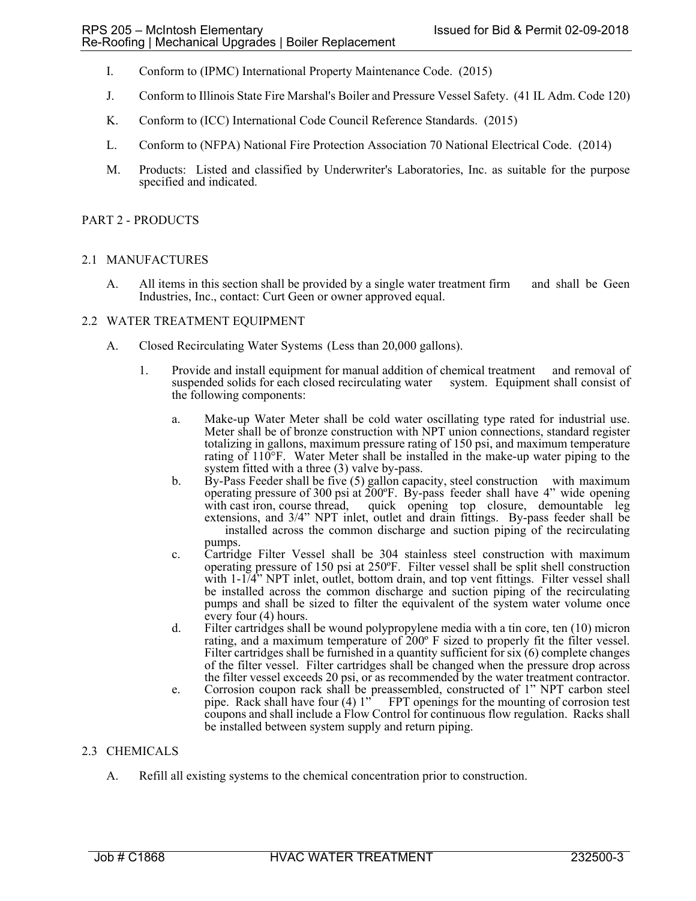- I. Conform to (IPMC) International Property Maintenance Code. (2015)
- J. Conform to Illinois State Fire Marshal's Boiler and Pressure Vessel Safety. (41 IL Adm. Code 120)
- K. Conform to (ICC) International Code Council Reference Standards. (2015)
- L. Conform to (NFPA) National Fire Protection Association 70 National Electrical Code. (2014)
- M. Products: Listed and classified by Underwriter's Laboratories, Inc. as suitable for the purpose specified and indicated.

## PART 2 - PRODUCTS

## 2.1 MANUFACTURES

A. All items in this section shall be provided by a single water treatment firm and shall be Geen Industries, Inc., contact: Curt Geen or owner approved equal.

## 2.2 WATER TREATMENT EQUIPMENT

- A. Closed Recirculating Water Systems (Less than 20,000 gallons).
	- 1. Provide and install equipment for manual addition of chemical treatment and removal of suspended solids for each closed recirculating water system. Equipment shall consist of the following components:
		- a. Make-up Water Meter shall be cold water oscillating type rated for industrial use. Meter shall be of bronze construction with NPT union connections, standard register totalizing in gallons, maximum pressure rating of 150 psi, and maximum temperature rating of 110°F. Water Meter shall be installed in the make-up water piping to the system fitted with a three (3) valve by-pass.
		- b. By-Pass Feeder shall be five (5) gallon capacity, steel construction with maximum operating pressure of 300 psi at 200ºF. By-pass feeder shall have 4" wide opening with cast iron, course thread, quick opening top closure, demountable leg extensions, and 3/4" NPT inlet, outlet and drain fittings. By-pass feeder shall be installed across the common discharge and suction piping of the recirculating pumps.
		- c. Cartridge Filter Vessel shall be 304 stainless steel construction with maximum operating pressure of 150 psi at 250ºF. Filter vessel shall be split shell construction with 1-1/4" NPT inlet, outlet, bottom drain, and top vent fittings. Filter vessel shall be installed across the common discharge and suction piping of the recirculating pumps and shall be sized to filter the equivalent of the system water volume once every four (4) hours.
		- d. Filter cartridges shall be wound polypropylene media with a tin core, ten (10) micron rating, and a maximum temperature of 200º F sized to properly fit the filter vessel. Filter cartridges shall be furnished in a quantity sufficient for six (6) complete changes of the filter vessel. Filter cartridges shall be changed when the pressure drop across the filter vessel exceeds 20 psi, or as recommended by the water treatment contractor.
		- e. Corrosion coupon rack shall be preassembled, constructed of 1" NPT carbon steel pipe. Rack shall have four (4)  $1''$  FPT openings for the mounting of corrosion test coupons and shall include a Flow Control for continuous flow regulation. Racks shall be installed between system supply and return piping.

## 2.3 CHEMICALS

A. Refill all existing systems to the chemical concentration prior to construction.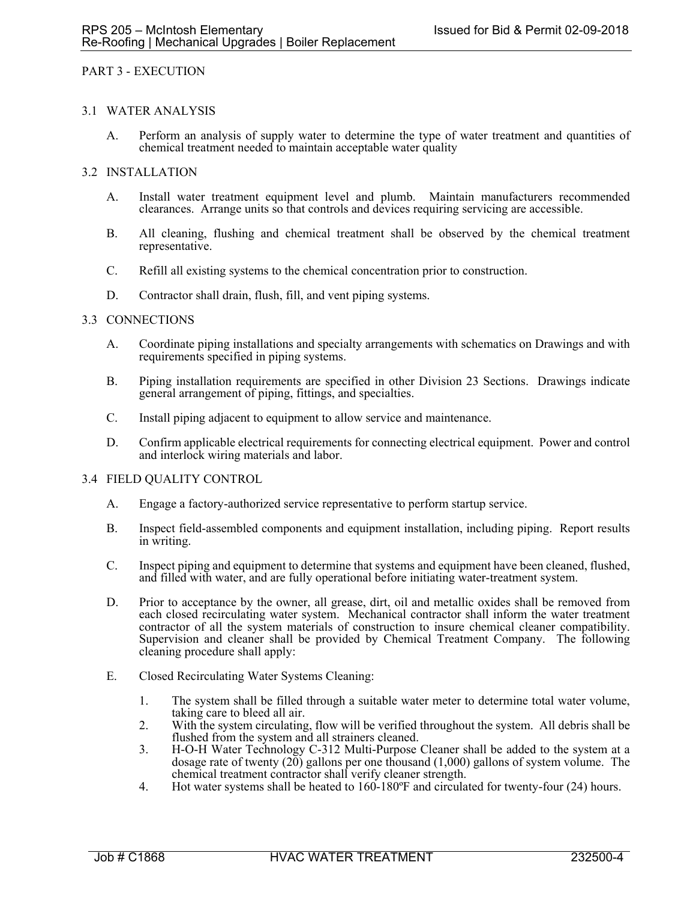## PART 3 - EXECUTION

#### 3.1 WATER ANALYSIS

A. Perform an analysis of supply water to determine the type of water treatment and quantities of chemical treatment needed to maintain acceptable water quality

## 3.2 INSTALLATION

- A. Install water treatment equipment level and plumb. Maintain manufacturers recommended clearances. Arrange units so that controls and devices requiring servicing are accessible.
- B. All cleaning, flushing and chemical treatment shall be observed by the chemical treatment representative.
- C. Refill all existing systems to the chemical concentration prior to construction.
- D. Contractor shall drain, flush, fill, and vent piping systems.

## 3.3 CONNECTIONS

- A. Coordinate piping installations and specialty arrangements with schematics on Drawings and with requirements specified in piping systems.
- B. Piping installation requirements are specified in other Division 23 Sections. Drawings indicate general arrangement of piping, fittings, and specialties.
- C. Install piping adjacent to equipment to allow service and maintenance.
- D. Confirm applicable electrical requirements for connecting electrical equipment. Power and control and interlock wiring materials and labor.

#### 3.4 FIELD QUALITY CONTROL

- A. Engage a factory-authorized service representative to perform startup service.
- B. Inspect field-assembled components and equipment installation, including piping. Report results in writing.
- C. Inspect piping and equipment to determine that systems and equipment have been cleaned, flushed, and filled with water, and are fully operational before initiating water-treatment system.
- D. Prior to acceptance by the owner, all grease, dirt, oil and metallic oxides shall be removed from each closed recirculating water system. Mechanical contractor shall inform the water treatment contractor of all the system materials of construction to insure chemical cleaner compatibility. Supervision and cleaner shall be provided by Chemical Treatment Company. The following cleaning procedure shall apply:
- E. Closed Recirculating Water Systems Cleaning:
	- 1. The system shall be filled through a suitable water meter to determine total water volume, taking care to bleed all air.
	- 2. With the system circulating, flow will be verified throughout the system. All debris shall be flushed from the system and all strainers cleaned.
	- 3. H-O-H Water Technology C-312 Multi-Purpose Cleaner shall be added to the system at a dosage rate of twenty (20) gallons per one thousand (1,000) gallons of system volume. The chemical treatment contractor shall verify cleaner strength.
	- 4. Hot water systems shall be heated to 160-180ºF and circulated for twenty-four (24) hours.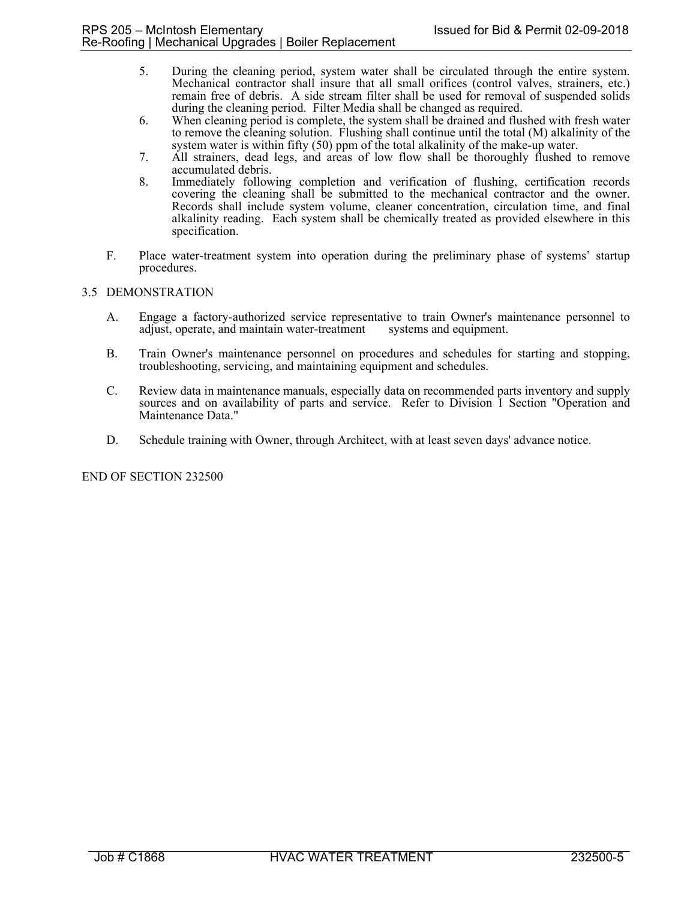- 5. During the cleaning period, system water shall be circulated through the entire system. Mechanical contractor shall insure that all small orifices (control valves, strainers, etc.) remain free of debris. A side stream filter shall be used for removal of suspended solids during the cleaning period. Filter Media shall be changed as required.
- 6. When cleaning period is complete, the system shall be drained and flushed with fresh water to remove the cleaning solution. Flushing shall continue until the total (M) alkalinity of the system water is within fifty (50) ppm of the total alkalinity of the make-up water.
- 7. All strainers, dead legs, and areas of low flow shall be thoroughly flushed to remove accumulated debris.
- 8. Immediately following completion and verification of flushing, certification records covering the cleaning shall be submitted to the mechanical contractor and the owner. Records shall include system volume, cleaner concentration, circulation time, and final alkalinity reading. Each system shall be chemically treated as provided elsewhere in this specification.
- F. Place water-treatment system into operation during the preliminary phase of systems' startup procedures.

## 3.5 DEMONSTRATION

- A. Engage a factory-authorized service representative to train Owner's maintenance personnel to adjust, operate, and maintain water-treatment systems and equipment.
- B. Train Owner's maintenance personnel on procedures and schedules for starting and stopping, troubleshooting, servicing, and maintaining equipment and schedules.
- C. Review data in maintenance manuals, especially data on recommended parts inventory and supply sources and on availability of parts and service. Refer to Division 1 Section "Operation and Maintenance Data."
- D. Schedule training with Owner, through Architect, with at least seven days' advance notice.

END OF SECTION 232500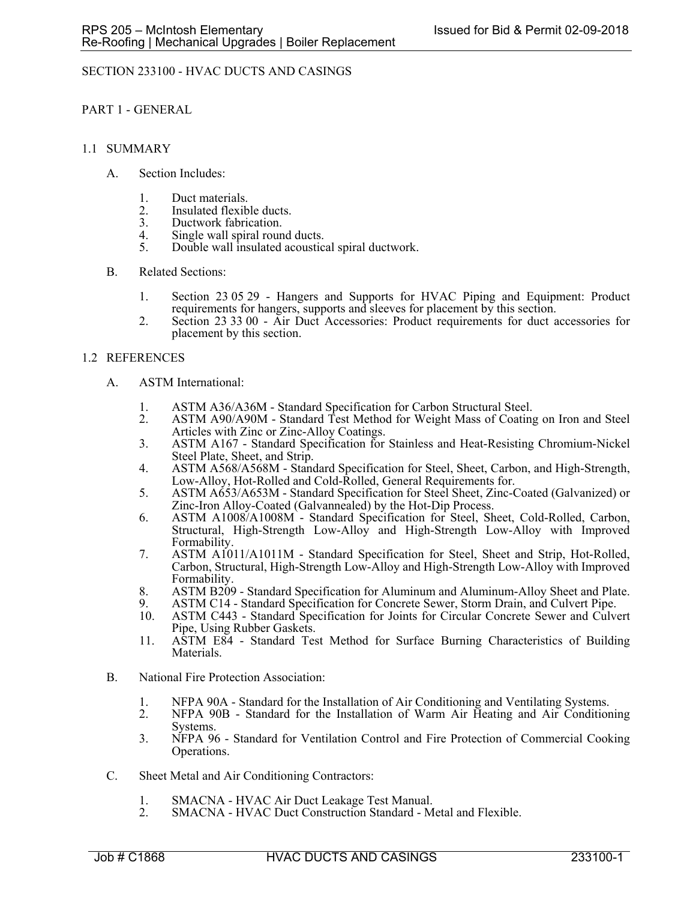# SECTION 233100 - HVAC DUCTS AND CASINGS

PART 1 - GENERAL

### 1.1 SUMMARY

- A. Section Includes:
	- 1. Duct materials.
	- 2. Insulated flexible ducts.<br>3. Ductwork fabrication.
	- Ductwork fabrication.
	- 4. Single wall spiral round ducts.<br>5. Double wall insulated acoustic
	- 5. Double wall insulated acoustical spiral ductwork.
- B. Related Sections:
	- 1. Section 23 05 29 Hangers and Supports for HVAC Piping and Equipment: Product requirements for hangers, supports and sleeves for placement by this section.
	- 2. Section 23 33 00 Air Duct Accessories: Product requirements for duct accessories for placement by this section.

## 1.2 REFERENCES

- A. ASTM International:
	- 1. ASTM A36/A36M Standard Specification for Carbon Structural Steel.<br>2. ASTM A90/A90M Standard Test Method for Weight Mass of Coating
	- 2. ASTM A90/A90M Standard Test Method for Weight Mass of Coating on Iron and Steel Articles with Zinc or Zinc-Alloy Coatings.
	- 3. ASTM A167 Standard Specification for Stainless and Heat-Resisting Chromium-Nickel Steel Plate, Sheet, and Strip.
	- 4. ASTM A568/A568M Standard Specification for Steel, Sheet, Carbon, and High-Strength,
	- Low-Alloy, Hot-Rolled and Cold-Rolled, General Requirements for. 5. ASTM A653/A653M Standard Specification for Steel Sheet, Zinc-Coated (Galvanized) or Zinc-Iron Alloy-Coated (Galvannealed) by the Hot-Dip Process.
	- 6. ASTM A1008/A1008M Standard Specification for Steel, Sheet, Cold-Rolled, Carbon, Structural, High-Strength Low-Alloy and High-Strength Low-Alloy with Improved Formability.
	- 7. ASTM A1011/A1011M Standard Specification for Steel, Sheet and Strip, Hot-Rolled, Carbon, Structural, High-Strength Low-Alloy and High-Strength Low-Alloy with Improved Formability.
	- 8. ASTM B209 Standard Specification for Aluminum and Aluminum-Alloy Sheet and Plate.
	- 9. ASTM C14 Standard Specification for Concrete Sewer, Storm Drain, and Culvert Pipe.<br>10. ASTM C443 Standard Specification for Joints for Circular Concrete Sewer and Culve
	- 10. ASTM C443 Standard Specification for Joints for Circular Concrete Sewer and Culvert Pipe, Using Rubber Gaskets.
	- 11. ASTM E84 Standard Test Method for Surface Burning Characteristics of Building Materials.
- B. National Fire Protection Association:
	- 1. NFPA 90A Standard for the Installation of Air Conditioning and Ventilating Systems.
	- 2. NFPA 90B Standard for the Installation of Warm Air Heating and Air Conditioning Systems.
	- 3. NFPA 96 Standard for Ventilation Control and Fire Protection of Commercial Cooking Operations.
- C. Sheet Metal and Air Conditioning Contractors:
	- 1. SMACNA HVAC Air Duct Leakage Test Manual.
	- 2. SMACNA HVAC Duct Construction Standard Metal and Flexible.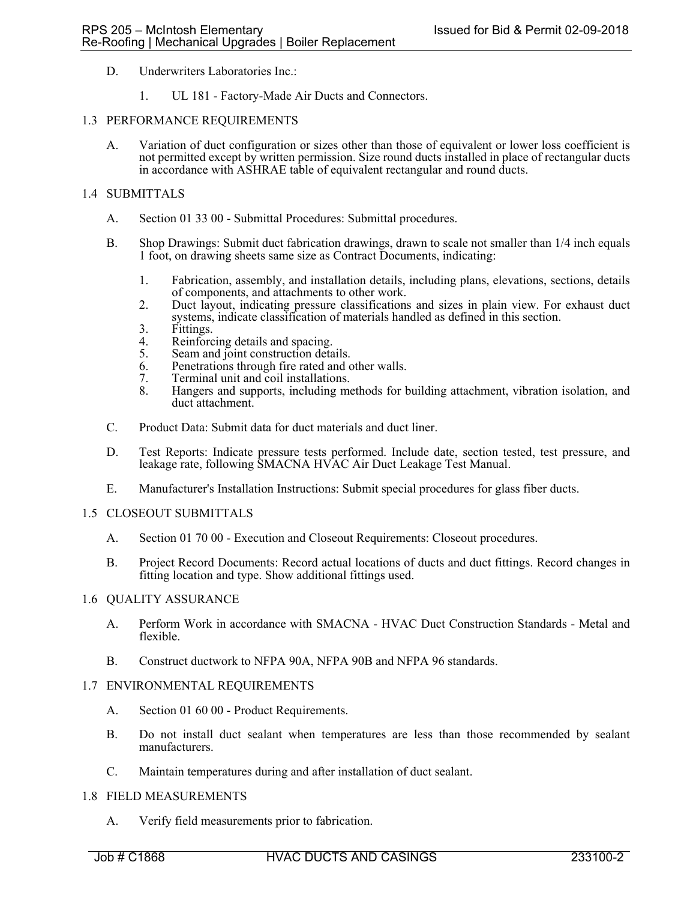- D. Underwriters Laboratories Inc.:
	- 1. UL 181 Factory-Made Air Ducts and Connectors.

### 1.3 PERFORMANCE REQUIREMENTS

A. Variation of duct configuration or sizes other than those of equivalent or lower loss coefficient is not permitted except by written permission. Size round ducts installed in place of rectangular ducts in accordance with ASHRAE table of equivalent rectangular and round ducts.

## 1.4 SUBMITTALS

- A. Section 01 33 00 Submittal Procedures: Submittal procedures.
- B. Shop Drawings: Submit duct fabrication drawings, drawn to scale not smaller than 1/4 inch equals 1 foot, on drawing sheets same size as Contract Documents, indicating:
	- 1. Fabrication, assembly, and installation details, including plans, elevations, sections, details of components, and attachments to other work.
	- 2. Duct layout, indicating pressure classifications and sizes in plain view. For exhaust duct systems, indicate classification of materials handled as defined in this section.
	- 3. Fittings.<br>4. Reinforc
	- Reinforcing details and spacing.
	- 5. Seam and joint construction details.
	- 6. Penetrations through fire rated and other walls.
	- 7. Terminal unit and coil installations.
	- 8. Hangers and supports, including methods for building attachment, vibration isolation, and duct attachment.
- C. Product Data: Submit data for duct materials and duct liner.
- D. Test Reports: Indicate pressure tests performed. Include date, section tested, test pressure, and leakage rate, following SMACNA HVAC Air Duct Leakage Test Manual.
- E. Manufacturer's Installation Instructions: Submit special procedures for glass fiber ducts.

#### 1.5 CLOSEOUT SUBMITTALS

- A. Section 01 70 00 Execution and Closeout Requirements: Closeout procedures.
- B. Project Record Documents: Record actual locations of ducts and duct fittings. Record changes in fitting location and type. Show additional fittings used.

#### 1.6 QUALITY ASSURANCE

- A. Perform Work in accordance with SMACNA HVAC Duct Construction Standards Metal and flexible.
- B. Construct ductwork to NFPA 90A, NFPA 90B and NFPA 96 standards.

#### 1.7 ENVIRONMENTAL REQUIREMENTS

- A. Section 01 60 00 Product Requirements.
- B. Do not install duct sealant when temperatures are less than those recommended by sealant manufacturers.
- C. Maintain temperatures during and after installation of duct sealant.

#### 1.8 FIELD MEASUREMENTS

A. Verify field measurements prior to fabrication.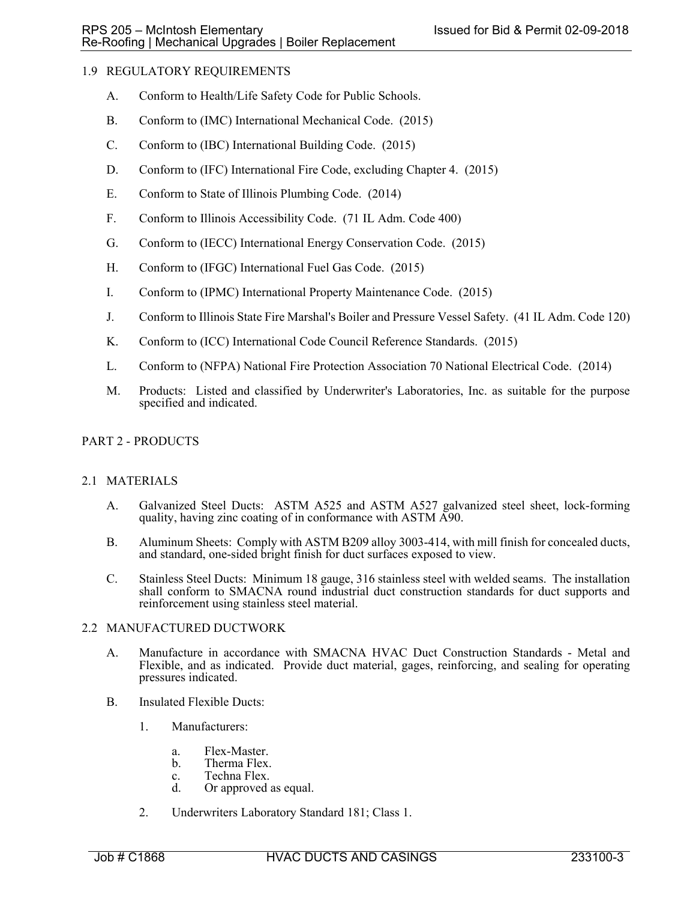# 1.9 REGULATORY REQUIREMENTS

- A. Conform to Health/Life Safety Code for Public Schools.
- B. Conform to (IMC) International Mechanical Code. (2015)
- C. Conform to (IBC) International Building Code. (2015)
- D. Conform to (IFC) International Fire Code, excluding Chapter 4. (2015)
- E. Conform to State of Illinois Plumbing Code. (2014)
- F. Conform to Illinois Accessibility Code. (71 IL Adm. Code 400)
- G. Conform to (IECC) International Energy Conservation Code. (2015)
- H. Conform to (IFGC) International Fuel Gas Code. (2015)
- I. Conform to (IPMC) International Property Maintenance Code. (2015)
- J. Conform to Illinois State Fire Marshal's Boiler and Pressure Vessel Safety. (41 IL Adm. Code 120)
- K. Conform to (ICC) International Code Council Reference Standards. (2015)
- L. Conform to (NFPA) National Fire Protection Association 70 National Electrical Code. (2014)
- M. Products: Listed and classified by Underwriter's Laboratories, Inc. as suitable for the purpose specified and indicated.

# PART 2 - PRODUCTS

## 2.1 MATERIALS

- A. Galvanized Steel Ducts: ASTM A525 and ASTM A527 galvanized steel sheet, lock-forming quality, having zinc coating of in conformance with ASTM A90.
- B. Aluminum Sheets: Comply with ASTM B209 alloy 3003-414, with mill finish for concealed ducts, and standard, one-sided bright finish for duct surfaces exposed to view.
- C. Stainless Steel Ducts: Minimum 18 gauge, 316 stainless steel with welded seams. The installation shall conform to SMACNA round industrial duct construction standards for duct supports and reinforcement using stainless steel material.

## 2.2 MANUFACTURED DUCTWORK

- A. Manufacture in accordance with SMACNA HVAC Duct Construction Standards Metal and Flexible, and as indicated. Provide duct material, gages, reinforcing, and sealing for operating pressures indicated.
- B. Insulated Flexible Ducts:
	- 1. Manufacturers:
		- a. Flex-Master.
		- b. Therma Flex.
		- c. Techna Flex.<br>d. Or approved.
		- Or approved as equal.
	- 2. Underwriters Laboratory Standard 181; Class 1.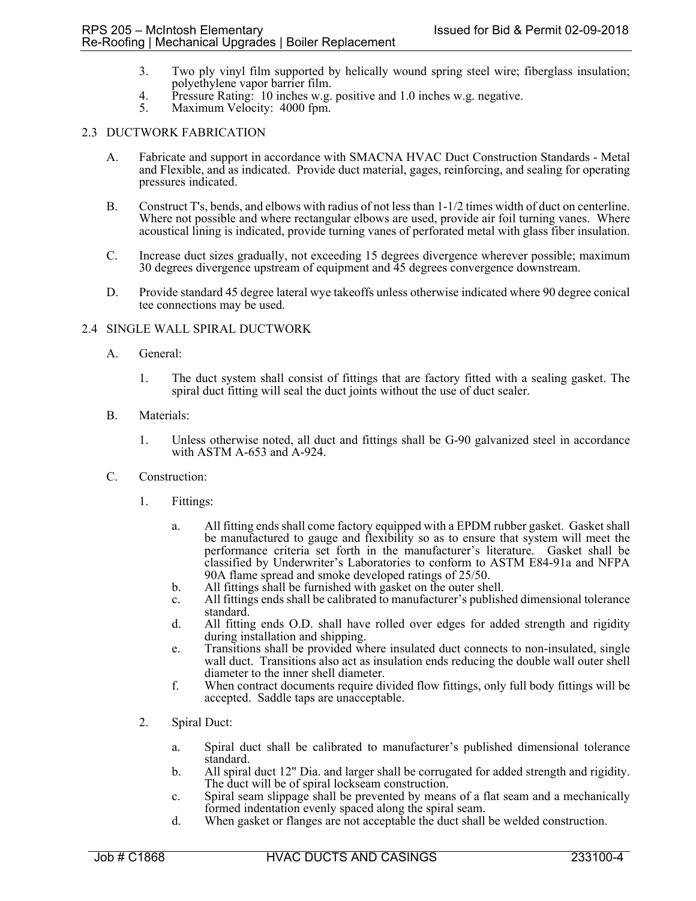- 3. Two ply vinyl film supported by helically wound spring steel wire; fiberglass insulation; polyethylene vapor barrier film.
- 4. Pressure Rating: 10 inches w.g. positive and 1.0 inches w.g. negative.
- 5. Maximum Velocity: 4000 fpm.

## 2.3 DUCTWORK FABRICATION

- A. Fabricate and support in accordance with SMACNA HVAC Duct Construction Standards Metal and Flexible, and as indicated. Provide duct material, gages, reinforcing, and sealing for operating pressures indicated.
- B. Construct T's, bends, and elbows with radius of not less than 1-1/2 times width of duct on centerline. Where not possible and where rectangular elbows are used, provide air foil turning vanes. Where acoustical lining is indicated, provide turning vanes of perforated metal with glass fiber insulation.
- C. Increase duct sizes gradually, not exceeding 15 degrees divergence wherever possible; maximum 30 degrees divergence upstream of equipment and 45 degrees convergence downstream.
- D. Provide standard 45 degree lateral wye takeoffs unless otherwise indicated where 90 degree conical tee connections may be used.

## 2.4 SINGLE WALL SPIRAL DUCTWORK

- A. General:
	- 1. The duct system shall consist of fittings that are factory fitted with a sealing gasket. The spiral duct fitting will seal the duct joints without the use of duct sealer.
- B. Materials:
	- 1. Unless otherwise noted, all duct and fittings shall be G-90 galvanized steel in accordance with ASTM A-653 and A-924.
- C. Construction:
	- 1. Fittings:
		- a. All fitting ends shall come factory equipped with a EPDM rubber gasket. Gasket shall be manufactured to gauge and flexibility so as to ensure that system will meet the performance criteria set forth in the manufacturer's literature. Gasket shall be classified by Underwriter's Laboratories to conform to ASTM E84-91a and NFPA 90A flame spread and smoke developed ratings of 25/50.<br>All fittings shall be furnished with gasket on the outer shell.
		-
		- b. All fittings shall be furnished with gasket on the outer shell. c. All fittings ends shall be calibrated to manufacturer's published dimensional tolerance standard.
		- d. All fitting ends O.D. shall have rolled over edges for added strength and rigidity during installation and shipping.
		- e. Transitions shall be provided where insulated duct connects to non-insulated, single wall duct. Transitions also act as insulation ends reducing the double wall outer shell diameter to the inner shell diameter.
		- f. When contract documents require divided flow fittings, only full body fittings will be accepted. Saddle taps are unacceptable.
	- 2. Spiral Duct:
		- a. Spiral duct shall be calibrated to manufacturer's published dimensional tolerance standard.
		- b. All spiral duct 12" Dia. and larger shall be corrugated for added strength and rigidity. The duct will be of spiral lockseam construction.
		- c. Spiral seam slippage shall be prevented by means of a flat seam and a mechanically formed indentation evenly spaced along the spiral seam.
		- d. When gasket or flanges are not acceptable the duct shall be welded construction.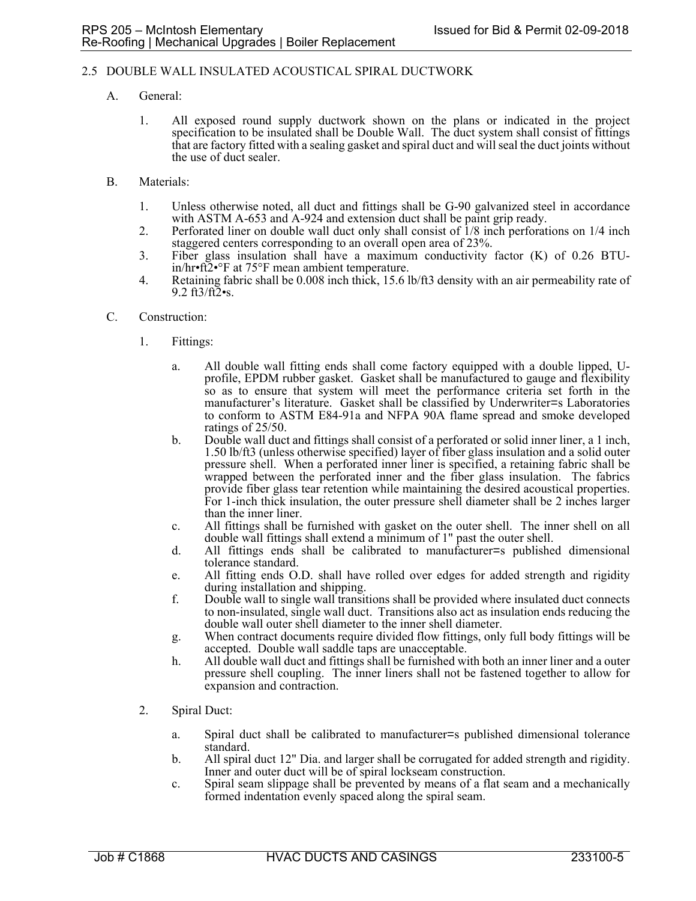## 2.5 DOUBLE WALL INSULATED ACOUSTICAL SPIRAL DUCTWORK

- A. General:
	- 1. All exposed round supply ductwork shown on the plans or indicated in the project specification to be insulated shall be Double Wall. The duct system shall consist of fittings that are factory fitted with a sealing gasket and spiral duct and will seal the duct joints without the use of duct sealer.
- B. Materials:
	- 1. Unless otherwise noted, all duct and fittings shall be G-90 galvanized steel in accordance with ASTM A-653 and A-924 and extension duct shall be paint grip ready.
	- 2. Perforated liner on double wall duct only shall consist of 1/8 inch perforations on 1/4 inch staggered centers corresponding to an overall open area of 23%.
	- 3. Fiber glass insulation shall have a maximum conductivity factor (K) of 0.26 BTUin/hr•ft2•°F at 75°F mean ambient temperature.
	- 4. Retaining fabric shall be 0.008 inch thick, 15.6 lb/ft3 density with an air permeability rate of 9.2  $ft3/ft2$ •s.
- C. Construction:
	- 1. Fittings:
		- a. All double wall fitting ends shall come factory equipped with a double lipped, Uprofile, EPDM rubber gasket. Gasket shall be manufactured to gauge and flexibility so as to ensure that system will meet the performance criteria set forth in the manufacturer's literature. Gasket shall be classified by Underwriter=s Laboratories to conform to ASTM E84-91a and NFPA 90A flame spread and smoke developed ratings of 25/50.
		- b. Double wall duct and fittings shall consist of a perforated or solid inner liner, a 1 inch, 1.50 lb/ft3 (unless otherwise specified) layer of fiber glass insulation and a solid outer pressure shell. When a perforated inner liner is specified, a retaining fabric shall be wrapped between the perforated inner and the fiber glass insulation. The fabrics provide fiber glass tear retention while maintaining the desired acoustical properties. For 1-inch thick insulation, the outer pressure shell diameter shall be 2 inches larger than the inner liner.
		- c. All fittings shall be furnished with gasket on the outer shell. The inner shell on all double wall fittings shall extend a minimum of 1" past the outer shell.
		- d. All fittings ends shall be calibrated to manufacturer=s published dimensional tolerance standard.
		- e. All fitting ends O.D. shall have rolled over edges for added strength and rigidity during installation and shipping.
		- f. Double wall to single wall transitions shall be provided where insulated duct connects to non-insulated, single wall duct. Transitions also act as insulation ends reducing the double wall outer shell diameter to the inner shell diameter.
		- g. When contract documents require divided flow fittings, only full body fittings will be accepted. Double wall saddle taps are unacceptable.
		- h. All double wall duct and fittings shall be furnished with both an inner liner and a outer pressure shell coupling. The inner liners shall not be fastened together to allow for expansion and contraction.
	- 2. Spiral Duct:
		- a. Spiral duct shall be calibrated to manufacturer=s published dimensional tolerance standard.
		- b. All spiral duct 12" Dia. and larger shall be corrugated for added strength and rigidity. Inner and outer duct will be of spiral lockseam construction.
		- c. Spiral seam slippage shall be prevented by means of a flat seam and a mechanically formed indentation evenly spaced along the spiral seam.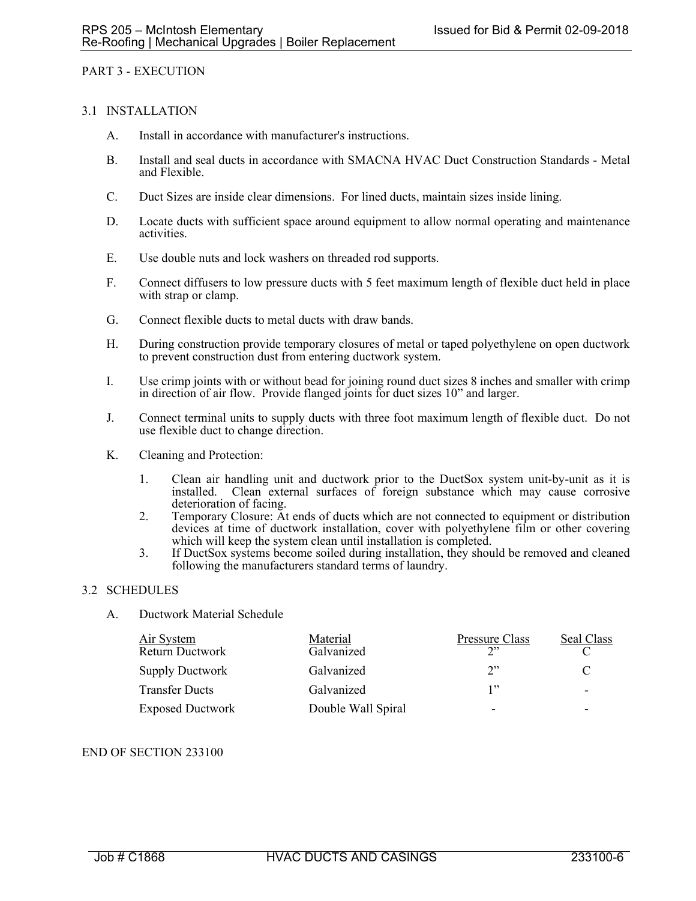## PART 3 - EXECUTION

## 3.1 INSTALLATION

- A. Install in accordance with manufacturer's instructions.
- B. Install and seal ducts in accordance with SMACNA HVAC Duct Construction Standards Metal and Flexible.
- C. Duct Sizes are inside clear dimensions. For lined ducts, maintain sizes inside lining.
- D. Locate ducts with sufficient space around equipment to allow normal operating and maintenance activities.
- E. Use double nuts and lock washers on threaded rod supports.
- F. Connect diffusers to low pressure ducts with 5 feet maximum length of flexible duct held in place with strap or clamp.
- G. Connect flexible ducts to metal ducts with draw bands.
- H. During construction provide temporary closures of metal or taped polyethylene on open ductwork to prevent construction dust from entering ductwork system.
- I. Use crimp joints with or without bead for joining round duct sizes 8 inches and smaller with crimp in direction of air flow. Provide flanged joints for duct sizes 10" and larger.
- J. Connect terminal units to supply ducts with three foot maximum length of flexible duct. Do not use flexible duct to change direction.
- K. Cleaning and Protection:
	- 1. Clean air handling unit and ductwork prior to the DuctSox system unit-by-unit as it is installed. Clean external surfaces of foreign substance which may cause corrosive deterioration of facing.
	- 2. Temporary Closure: At ends of ducts which are not connected to equipment or distribution devices at time of ductwork installation, cover with polyethylene film or other covering which will keep the system clean until installation is completed.
	- 3. If DuctSox systems become soiled during installation, they should be removed and cleaned following the manufacturers standard terms of laundry.

## 3.2 SCHEDULES

A. Ductwork Material Schedule

| Air System<br>Return Ductwork | Material<br>Galvanized | Pressure Class<br>າ"     | Seal Class               |
|-------------------------------|------------------------|--------------------------|--------------------------|
| <b>Supply Ductwork</b>        | Galvanized             | 2                        |                          |
| <b>Transfer Ducts</b>         | Galvanized             | 1"                       | $\overline{\phantom{0}}$ |
| <b>Exposed Ductwork</b>       | Double Wall Spiral     | $\overline{\phantom{0}}$ | $\overline{\phantom{0}}$ |

#### END OF SECTION 233100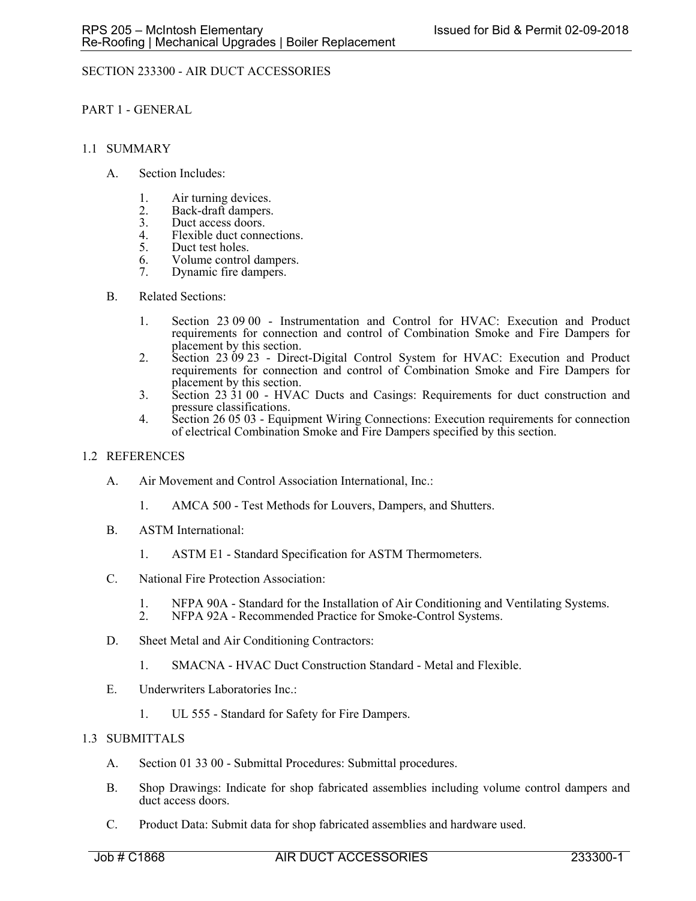# SECTION 233300 - AIR DUCT ACCESSORIES

PART 1 - GENERAL

## 1.1 SUMMARY

- A. Section Includes:
	- 1. Air turning devices.
	- 2. Back-draft dampers.<br>3. Duct access doors.
	- 3. Duct access doors.<br>4. Flexible duct conne
	- 4. Flexible duct connections.<br>5. Duct test holes.
	- Duct test holes.
	- 6. Volume control dampers.
	- 7. Dynamic fire dampers.

## B. Related Sections:

- 1. Section 23 09 00 Instrumentation and Control for HVAC: Execution and Product requirements for connection and control of Combination Smoke and Fire Dampers for placement by this section.
- 2. Section 23 09 23 Direct-Digital Control System for HVAC: Execution and Product requirements for connection and control of Combination Smoke and Fire Dampers for placement by this section.
- 3. Section 23 31 00 HVAC Ducts and Casings: Requirements for duct construction and pressure classifications.
- 4. Section 26 05 03 Equipment Wiring Connections: Execution requirements for connection of electrical Combination Smoke and Fire Dampers specified by this section.

## 1.2 REFERENCES

- A. Air Movement and Control Association International, Inc.:
	- 1. AMCA 500 Test Methods for Louvers, Dampers, and Shutters.
- B. ASTM International:
	- 1. ASTM E1 Standard Specification for ASTM Thermometers.
- C. National Fire Protection Association:
	- 1. NFPA 90A Standard for the Installation of Air Conditioning and Ventilating Systems.<br>2. NFPA 92A Recommended Practice for Smoke-Control Systems.
	- NFPA 92A Recommended Practice for Smoke-Control Systems.
- D. Sheet Metal and Air Conditioning Contractors:
	- 1. SMACNA HVAC Duct Construction Standard Metal and Flexible.
- E. Underwriters Laboratories Inc.:
	- 1. UL 555 Standard for Safety for Fire Dampers.

## 1.3 SUBMITTALS

- A. Section 01 33 00 Submittal Procedures: Submittal procedures.
- B. Shop Drawings: Indicate for shop fabricated assemblies including volume control dampers and duct access doors.
- C. Product Data: Submit data for shop fabricated assemblies and hardware used.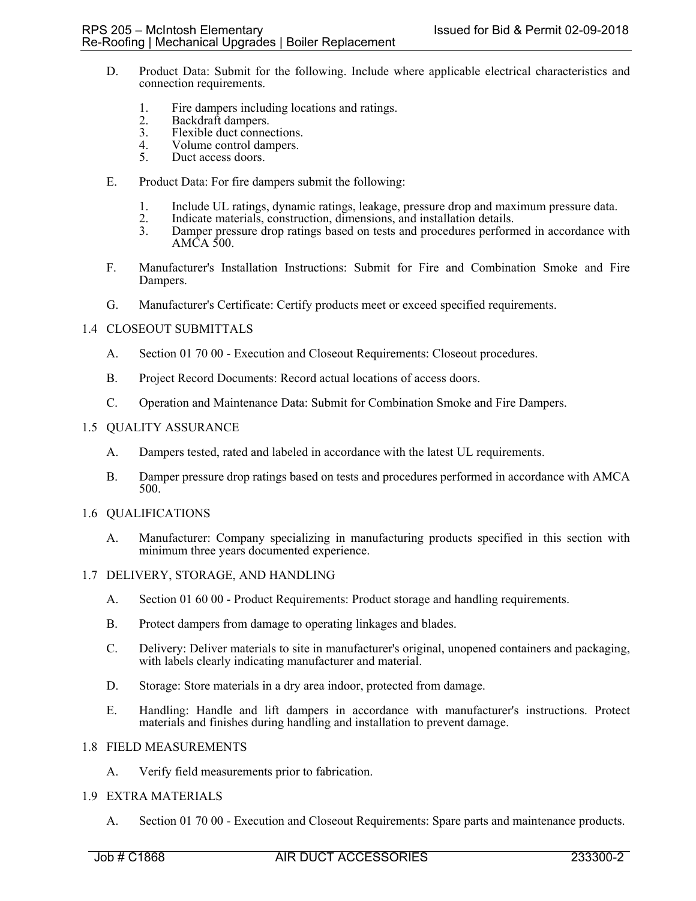- D. Product Data: Submit for the following. Include where applicable electrical characteristics and connection requirements.
	- 1. Fire dampers including locations and ratings.<br>2. Backdraft dampers.
	- 2. Backdraft dampers.<br>3. Flexible duct conner
	- 3. Flexible duct connections.<br>4. Volume control dampers.
	- 4. Volume control dampers.<br>5. Duct access doors.
	- Duct access doors.
- E. Product Data: For fire dampers submit the following:
	- 1. Include UL ratings, dynamic ratings, leakage, pressure drop and maximum pressure data.
	- 2. Indicate materials, construction, dimensions, and installation details.
	- 3. Damper pressure drop ratings based on tests and procedures performed in accordance with AMCA 500.
- F. Manufacturer's Installation Instructions: Submit for Fire and Combination Smoke and Fire Dampers.
- G. Manufacturer's Certificate: Certify products meet or exceed specified requirements.

## 1.4 CLOSEOUT SUBMITTALS

- A. Section 01 70 00 Execution and Closeout Requirements: Closeout procedures.
- B. Project Record Documents: Record actual locations of access doors.
- C. Operation and Maintenance Data: Submit for Combination Smoke and Fire Dampers.

#### 1.5 QUALITY ASSURANCE

- A. Dampers tested, rated and labeled in accordance with the latest UL requirements.
- B. Damper pressure drop ratings based on tests and procedures performed in accordance with AMCA 500.

#### 1.6 QUALIFICATIONS

A. Manufacturer: Company specializing in manufacturing products specified in this section with minimum three years documented experience.

## 1.7 DELIVERY, STORAGE, AND HANDLING

- A. Section 01 60 00 Product Requirements: Product storage and handling requirements.
- B. Protect dampers from damage to operating linkages and blades.
- C. Delivery: Deliver materials to site in manufacturer's original, unopened containers and packaging, with labels clearly indicating manufacturer and material.
- D. Storage: Store materials in a dry area indoor, protected from damage.
- E. Handling: Handle and lift dampers in accordance with manufacturer's instructions. Protect materials and finishes during handling and installation to prevent damage.

## 1.8 FIELD MEASUREMENTS

A. Verify field measurements prior to fabrication.

## 1.9 EXTRA MATERIALS

A. Section 01 70 00 - Execution and Closeout Requirements: Spare parts and maintenance products.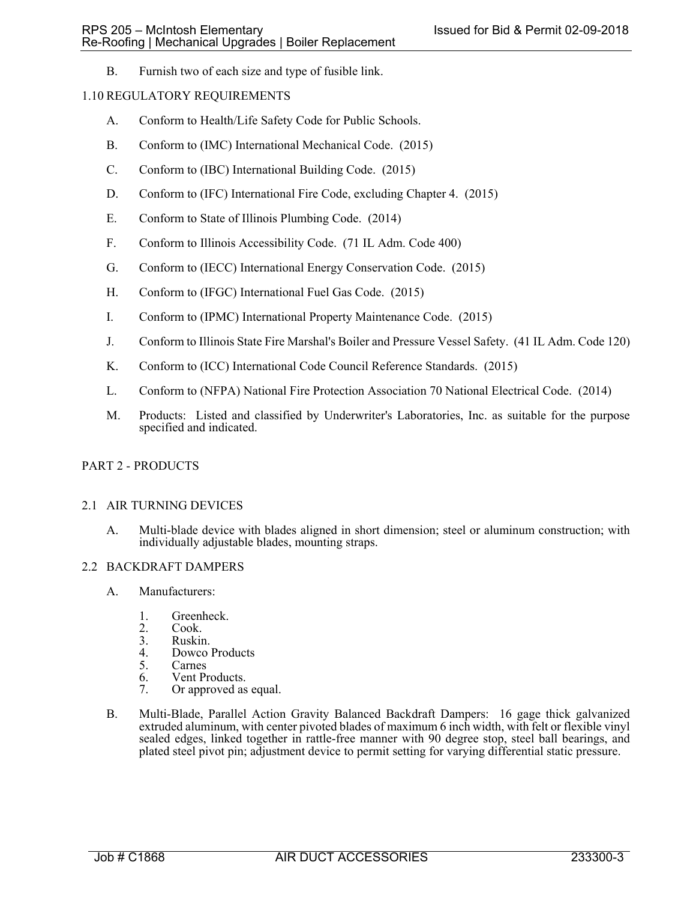B. Furnish two of each size and type of fusible link.

## 1.10 REGULATORY REQUIREMENTS

- A. Conform to Health/Life Safety Code for Public Schools.
- B. Conform to (IMC) International Mechanical Code. (2015)
- C. Conform to (IBC) International Building Code. (2015)
- D. Conform to (IFC) International Fire Code, excluding Chapter 4. (2015)
- E. Conform to State of Illinois Plumbing Code. (2014)
- F. Conform to Illinois Accessibility Code. (71 IL Adm. Code 400)
- G. Conform to (IECC) International Energy Conservation Code. (2015)
- H. Conform to (IFGC) International Fuel Gas Code. (2015)
- I. Conform to (IPMC) International Property Maintenance Code. (2015)
- J. Conform to Illinois State Fire Marshal's Boiler and Pressure Vessel Safety. (41 IL Adm. Code 120)
- K. Conform to (ICC) International Code Council Reference Standards. (2015)
- L. Conform to (NFPA) National Fire Protection Association 70 National Electrical Code. (2014)
- M. Products: Listed and classified by Underwriter's Laboratories, Inc. as suitable for the purpose specified and indicated.

## PART 2 - PRODUCTS

#### 2.1 AIR TURNING DEVICES

A. Multi-blade device with blades aligned in short dimension; steel or aluminum construction; with individually adjustable blades, mounting straps.

#### 2.2 BACKDRAFT DAMPERS

- A. Manufacturers:
	- 1. Greenheck.<br>2. Cook.
	- Cook.
	- 3. Ruskin.<br>4. Dowco
	- 4. Dowco Products<br>5. Carnes
	- **Carnes**
	- 6. Vent Products.<br>7. Or approved as
	- Or approved as equal.
- B. Multi-Blade, Parallel Action Gravity Balanced Backdraft Dampers: 16 gage thick galvanized extruded aluminum, with center pivoted blades of maximum 6 inch width, with felt or flexible vinyl sealed edges, linked together in rattle-free manner with 90 degree stop, steel ball bearings, and plated steel pivot pin; adjustment device to permit setting for varying differential static pressure.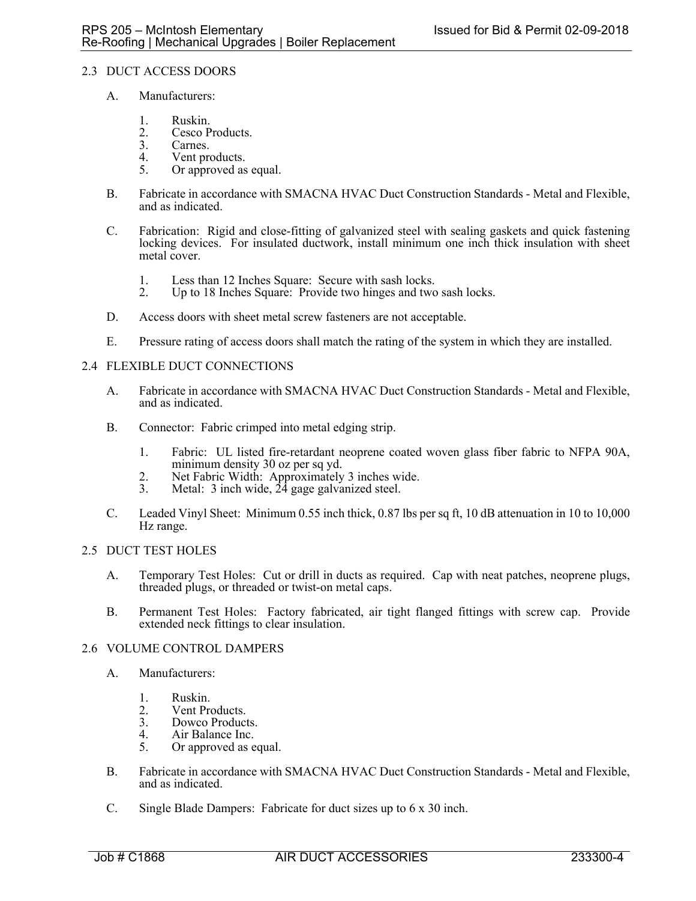# 2.3 DUCT ACCESS DOORS

- A. Manufacturers:
	- 1. Ruskin.<br>2. Cesco P
	- 2. Cesco Products.<br>3. Carnes.
	- 3. Carnes.<br>4. Vent pro
	- Vent products.
	- 5. Or approved as equal.
- B. Fabricate in accordance with SMACNA HVAC Duct Construction Standards Metal and Flexible, and as indicated.
- C. Fabrication: Rigid and close-fitting of galvanized steel with sealing gaskets and quick fastening locking devices. For insulated ductwork, install minimum one inch thick insulation with sheet metal cover.
	- 1. Less than 12 Inches Square: Secure with sash locks.
	- 2. Up to 18 Inches Square: Provide two hinges and two sash locks.
- D. Access doors with sheet metal screw fasteners are not acceptable.
- E. Pressure rating of access doors shall match the rating of the system in which they are installed.

## 2.4 FLEXIBLE DUCT CONNECTIONS

- A. Fabricate in accordance with SMACNA HVAC Duct Construction Standards Metal and Flexible, and as indicated.
- B. Connector: Fabric crimped into metal edging strip.
	- 1. Fabric: UL listed fire-retardant neoprene coated woven glass fiber fabric to NFPA 90A, minimum density 30 oz per sq yd.
	- 2. Net Fabric Width: Approximately 3 inches wide.
	- 3. Metal: 3 inch wide,  $2\overline{4}$  gage galvanized steel.
- C. Leaded Vinyl Sheet: Minimum 0.55 inch thick, 0.87 lbs per sq ft, 10 dB attenuation in 10 to 10,000 Hz range.

## 2.5 DUCT TEST HOLES

- A. Temporary Test Holes: Cut or drill in ducts as required. Cap with neat patches, neoprene plugs, threaded plugs, or threaded or twist-on metal caps.
- B. Permanent Test Holes: Factory fabricated, air tight flanged fittings with screw cap. Provide extended neck fittings to clear insulation.

#### 2.6 VOLUME CONTROL DAMPERS

- A. Manufacturers:
	- 1. Ruskin.
	- 2. Vent Products.
	- 3. Dowco Products.
	- 4. Air Balance Inc.<br>5. Or approved as e
	- Or approved as equal.
- B. Fabricate in accordance with SMACNA HVAC Duct Construction Standards Metal and Flexible, and as indicated.
- C. Single Blade Dampers: Fabricate for duct sizes up to 6 x 30 inch.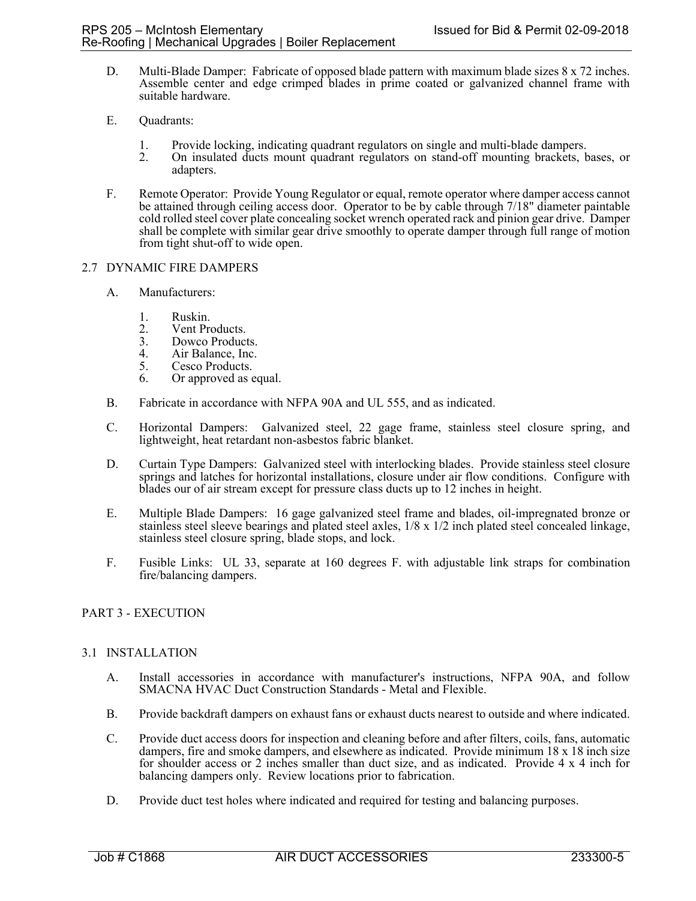- D. Multi-Blade Damper: Fabricate of opposed blade pattern with maximum blade sizes 8 x 72 inches. Assemble center and edge crimped blades in prime coated or galvanized channel frame with suitable hardware.
- E. Quadrants:
	- 1. Provide locking, indicating quadrant regulators on single and multi-blade dampers.
	- 2. On insulated ducts mount quadrant regulators on stand-off mounting brackets, bases, or adapters.
- F. Remote Operator: Provide Young Regulator or equal, remote operator where damper access cannot be attained through ceiling access door. Operator to be by cable through 7/18" diameter paintable cold rolled steel cover plate concealing socket wrench operated rack and pinion gear drive. Damper shall be complete with similar gear drive smoothly to operate damper through full range of motion from tight shut-off to wide open.

## 2.7 DYNAMIC FIRE DAMPERS

- A. Manufacturers:
	-
	- 1. Ruskin.<br>2. Vent Pro
	- 2. Vent Products.<br>3. Dowco Product Dowco Products.
	- 4. Air Balance, Inc.<br>5. Cesco Products.
	- Cesco Products.
	- 6. Or approved as equal.
- B. Fabricate in accordance with NFPA 90A and UL 555, and as indicated.
- C. Horizontal Dampers: Galvanized steel, 22 gage frame, stainless steel closure spring, and lightweight, heat retardant non-asbestos fabric blanket.
- D. Curtain Type Dampers: Galvanized steel with interlocking blades. Provide stainless steel closure springs and latches for horizontal installations, closure under air flow conditions. Configure with blades our of air stream except for pressure class ducts up to 12 inches in height.
- E. Multiple Blade Dampers: 16 gage galvanized steel frame and blades, oil-impregnated bronze or stainless steel sleeve bearings and plated steel axles, 1/8 x 1/2 inch plated steel concealed linkage, stainless steel closure spring, blade stops, and lock.
- F. Fusible Links: UL 33, separate at 160 degrees F. with adjustable link straps for combination fire/balancing dampers.

## PART 3 - EXECUTION

## 3.1 INSTALLATION

- A. Install accessories in accordance with manufacturer's instructions, NFPA 90A, and follow SMACNA HVAC Duct Construction Standards - Metal and Flexible.
- B. Provide backdraft dampers on exhaust fans or exhaust ducts nearest to outside and where indicated.
- C. Provide duct access doors for inspection and cleaning before and after filters, coils, fans, automatic dampers, fire and smoke dampers, and elsewhere as indicated. Provide minimum 18 x 18 inch size for shoulder access or 2 inches smaller than duct size, and as indicated. Provide 4 x 4 inch for balancing dampers only. Review locations prior to fabrication.
- D. Provide duct test holes where indicated and required for testing and balancing purposes.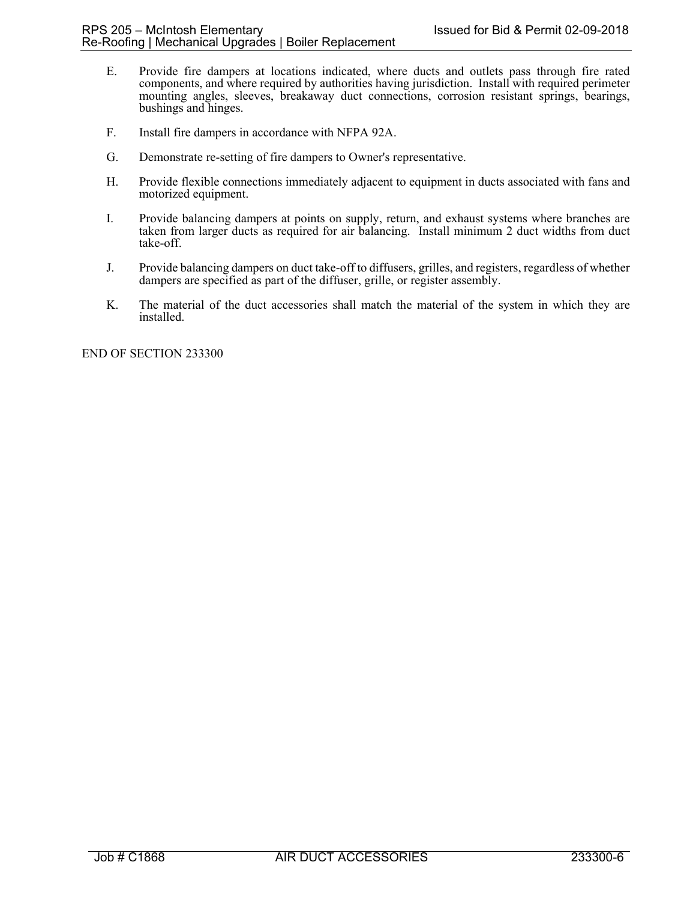- E. Provide fire dampers at locations indicated, where ducts and outlets pass through fire rated components, and where required by authorities having jurisdiction. Install with required perimeter mounting angles, sleeves, breakaway duct connections, corrosion resistant springs, bearings, bushings and hinges.
- F. Install fire dampers in accordance with NFPA 92A.
- G. Demonstrate re-setting of fire dampers to Owner's representative.
- H. Provide flexible connections immediately adjacent to equipment in ducts associated with fans and motorized equipment.
- I. Provide balancing dampers at points on supply, return, and exhaust systems where branches are taken from larger ducts as required for air balancing. Install minimum 2 duct widths from duct take-off.
- J. Provide balancing dampers on duct take-off to diffusers, grilles, and registers, regardless of whether dampers are specified as part of the diffuser, grille, or register assembly.
- K. The material of the duct accessories shall match the material of the system in which they are installed.

END OF SECTION 233300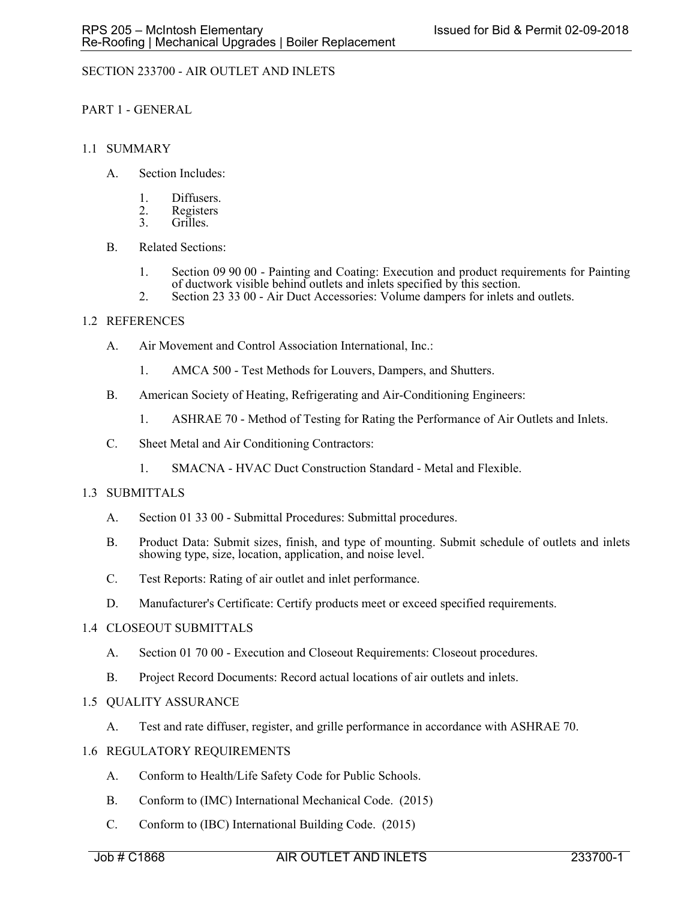# SECTION 233700 - AIR OUTLET AND INLETS

PART 1 - GENERAL

## 1.1 SUMMARY

- A. Section Includes:
	- 1. Diffusers.
	- 2. Registers<br>3. Grilles.
	- Grilles.
- B. Related Sections:
	- 1. Section 09 90 00 Painting and Coating: Execution and product requirements for Painting of ductwork visible behind outlets and inlets specified by this section.
	- 2. Section 23 33 00 Air Duct Accessories: Volume dampers for inlets and outlets.

## 1.2 REFERENCES

- A. Air Movement and Control Association International, Inc.:
	- 1. AMCA 500 Test Methods for Louvers, Dampers, and Shutters.
- B. American Society of Heating, Refrigerating and Air-Conditioning Engineers:
	- 1. ASHRAE 70 Method of Testing for Rating the Performance of Air Outlets and Inlets.
- C. Sheet Metal and Air Conditioning Contractors:
	- 1. SMACNA HVAC Duct Construction Standard Metal and Flexible.

#### 1.3 SUBMITTALS

- A. Section 01 33 00 Submittal Procedures: Submittal procedures.
- B. Product Data: Submit sizes, finish, and type of mounting. Submit schedule of outlets and inlets showing type, size, location, application, and noise level.
- C. Test Reports: Rating of air outlet and inlet performance.
- D. Manufacturer's Certificate: Certify products meet or exceed specified requirements.

#### 1.4 CLOSEOUT SUBMITTALS

- A. Section 01 70 00 Execution and Closeout Requirements: Closeout procedures.
- B. Project Record Documents: Record actual locations of air outlets and inlets.

#### 1.5 QUALITY ASSURANCE

- A. Test and rate diffuser, register, and grille performance in accordance with ASHRAE 70.
- 1.6 REGULATORY REQUIREMENTS
	- A. Conform to Health/Life Safety Code for Public Schools.
	- B. Conform to (IMC) International Mechanical Code. (2015)
	- C. Conform to (IBC) International Building Code. (2015)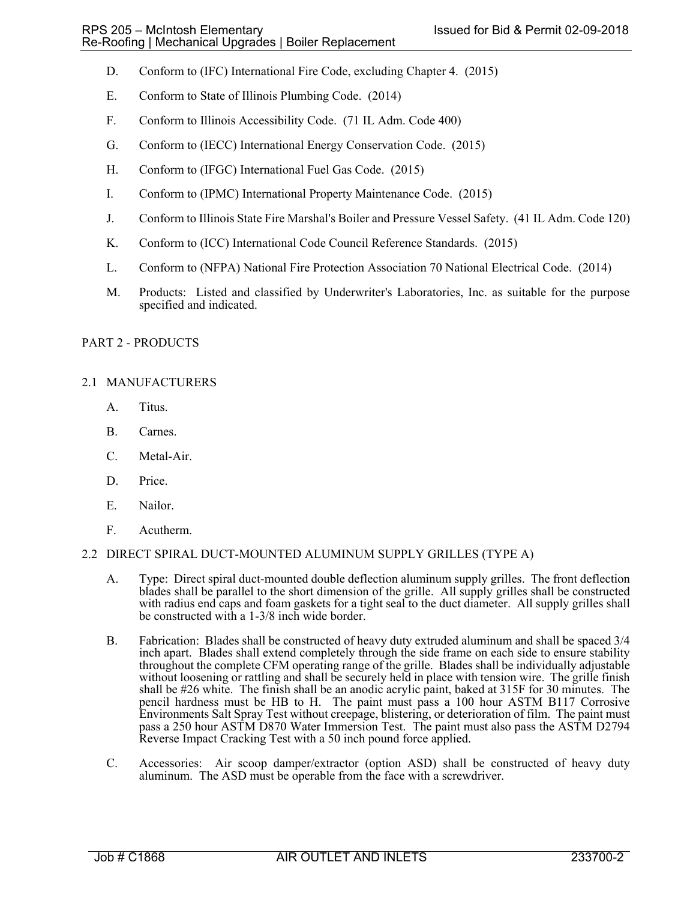- D. Conform to (IFC) International Fire Code, excluding Chapter 4. (2015)
- E. Conform to State of Illinois Plumbing Code. (2014)
- F. Conform to Illinois Accessibility Code. (71 IL Adm. Code 400)
- G. Conform to (IECC) International Energy Conservation Code. (2015)
- H. Conform to (IFGC) International Fuel Gas Code. (2015)
- I. Conform to (IPMC) International Property Maintenance Code. (2015)
- J. Conform to Illinois State Fire Marshal's Boiler and Pressure Vessel Safety. (41 IL Adm. Code 120)
- K. Conform to (ICC) International Code Council Reference Standards. (2015)
- L. Conform to (NFPA) National Fire Protection Association 70 National Electrical Code. (2014)
- M. Products: Listed and classified by Underwriter's Laboratories, Inc. as suitable for the purpose specified and indicated.

## PART 2 - PRODUCTS

## 2.1 MANUFACTURERS

- A. Titus.
- B. Carnes.
- C. Metal-Air.
- D. Price.
- E. Nailor.
- F. Acutherm.

#### 2.2 DIRECT SPIRAL DUCT-MOUNTED ALUMINUM SUPPLY GRILLES (TYPE A)

- A. Type: Direct spiral duct-mounted double deflection aluminum supply grilles. The front deflection blades shall be parallel to the short dimension of the grille. All supply grilles shall be constructed with radius end caps and foam gaskets for a tight seal to the duct diameter. All supply grilles shall be constructed with a 1-3/8 inch wide border.
- B. Fabrication: Blades shall be constructed of heavy duty extruded aluminum and shall be spaced 3/4 inch apart. Blades shall extend completely through the side frame on each side to ensure stability throughout the complete CFM operating range of the grille. Blades shall be individually adjustable without loosening or rattling and shall be securely held in place with tension wire. The grille finish shall be #26 white. The finish shall be an anodic acrylic paint, baked at 315F for 30 minutes. The pencil hardness must be HB to H. The paint must pass a 100 hour ASTM B117 Corrosive Environments Salt Spray Test without creepage, blistering, or deterioration of film. The paint must pass a 250 hour ASTM D870 Water Immersion Test. The paint must also pass the ASTM D2794 Reverse Impact Cracking Test with a 50 inch pound force applied.
- C. Accessories: Air scoop damper/extractor (option ASD) shall be constructed of heavy duty aluminum. The ASD must be operable from the face with a screwdriver.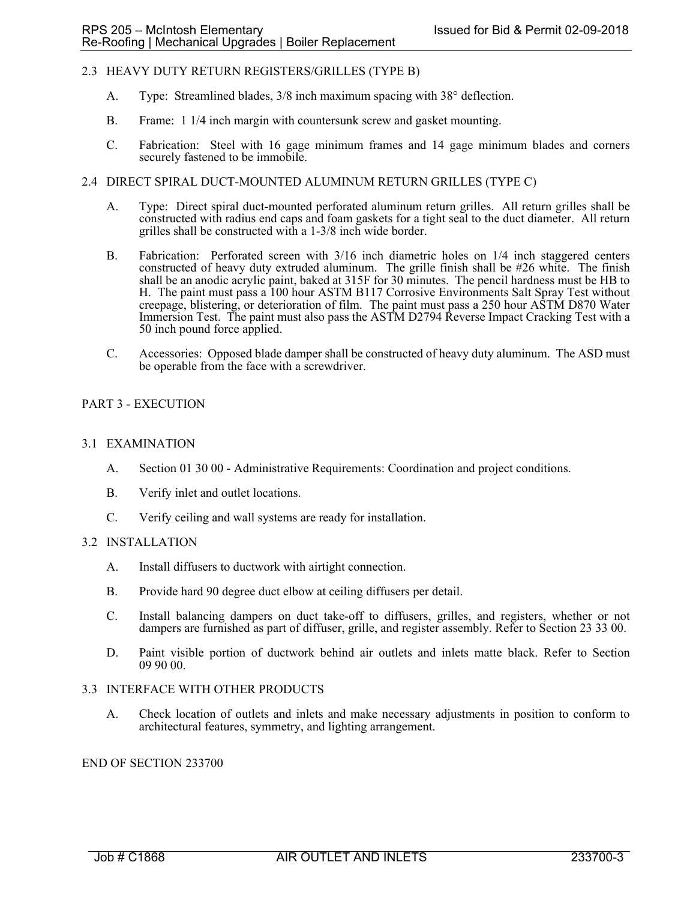## 2.3 HEAVY DUTY RETURN REGISTERS/GRILLES (TYPE B)

- A. Type: Streamlined blades, 3/8 inch maximum spacing with 38° deflection.
- B. Frame: 1 1/4 inch margin with countersunk screw and gasket mounting.
- C. Fabrication: Steel with 16 gage minimum frames and 14 gage minimum blades and corners securely fastened to be immobile.

# 2.4 DIRECT SPIRAL DUCT-MOUNTED ALUMINUM RETURN GRILLES (TYPE C)

- A. Type: Direct spiral duct-mounted perforated aluminum return grilles. All return grilles shall be constructed with radius end caps and foam gaskets for a tight seal to the duct diameter. All return grilles shall be constructed with a 1-3/8 inch wide border.
- B. Fabrication: Perforated screen with 3/16 inch diametric holes on 1/4 inch staggered centers constructed of heavy duty extruded aluminum. The grille finish shall be #26 white. The finish shall be an anodic acrylic paint, baked at 315F for 30 minutes. The pencil hardness must be HB to H. The paint must pass a 100 hour ASTM B117 Corrosive Environments Salt Spray Test without creepage, blistering, or deterioration of film. The paint must pass a 250 hour ASTM D870 Water Immersion Test. The paint must also pass the ASTM D2794 Reverse Impact Cracking Test with a 50 inch pound force applied.
- C. Accessories: Opposed blade damper shall be constructed of heavy duty aluminum. The ASD must be operable from the face with a screwdriver.

## PART 3 - EXECUTION

#### 3.1 EXAMINATION

- A. Section 01 30 00 Administrative Requirements: Coordination and project conditions.
- B. Verify inlet and outlet locations.
- C. Verify ceiling and wall systems are ready for installation.

#### 3.2 INSTALLATION

- A. Install diffusers to ductwork with airtight connection.
- B. Provide hard 90 degree duct elbow at ceiling diffusers per detail.
- C. Install balancing dampers on duct take-off to diffusers, grilles, and registers, whether or not dampers are furnished as part of diffuser, grille, and register assembly. Refer to Section 23 33 00.
- D. Paint visible portion of ductwork behind air outlets and inlets matte black. Refer to Section 09 90 00.

## 3.3 INTERFACE WITH OTHER PRODUCTS

A. Check location of outlets and inlets and make necessary adjustments in position to conform to architectural features, symmetry, and lighting arrangement.

## END OF SECTION 233700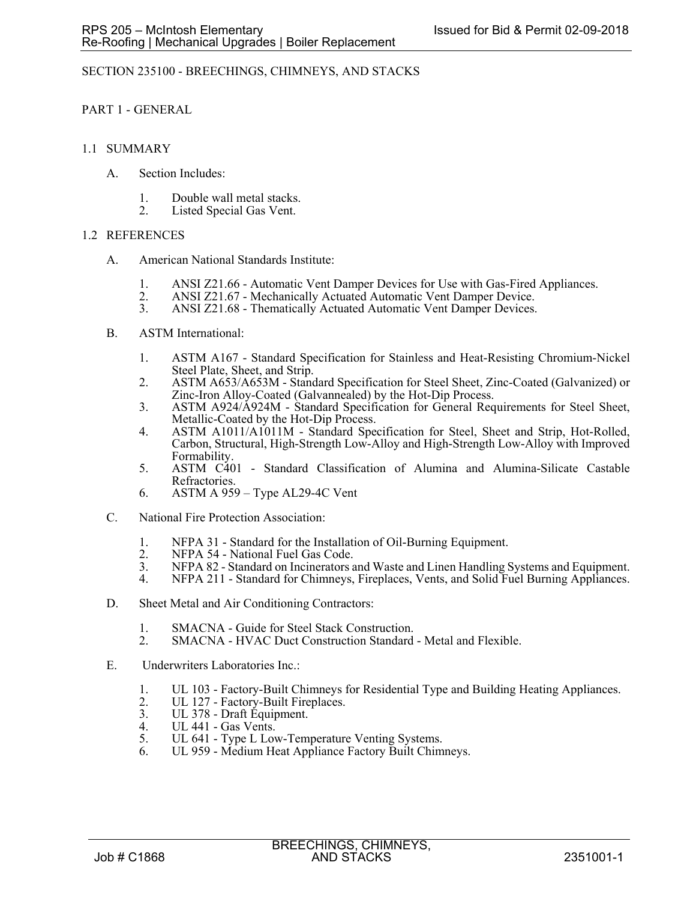## SECTION 235100 - BREECHINGS, CHIMNEYS, AND STACKS

PART 1 - GENERAL

## 1.1 SUMMARY

- A. Section Includes:
	- 1. Double wall metal stacks.
	- 2. Listed Special Gas Vent.

## 1.2 REFERENCES

- A. American National Standards Institute:
	- 1. ANSI Z21.66 Automatic Vent Damper Devices for Use with Gas-Fired Appliances.<br>2. ANSI Z21.67 Mechanically Actuated Automatic Vent Damper Device.
	- 2. ANSI Z21.67 Mechanically Actuated Automatic Vent Damper Device.<br>3. ANSI Z21.68 Thematically Actuated Automatic Vent Damper Devices.
	- ANSI Z21.68 Thematically Actuated Automatic Vent Damper Devices.

## B. ASTM International:

- 1. ASTM A167 Standard Specification for Stainless and Heat-Resisting Chromium-Nickel Steel Plate, Sheet, and Strip.
- 2. ASTM A653/A653M Standard Specification for Steel Sheet, Zinc-Coated (Galvanized) or Zinc-Iron Alloy-Coated (Galvannealed) by the Hot-Dip Process.
- 3. ASTM A924/A924M Standard Specification for General Requirements for Steel Sheet, Metallic-Coated by the Hot-Dip Process.
- 4. ASTM A1011/A1011M Standard Specification for Steel, Sheet and Strip, Hot-Rolled, Carbon, Structural, High-Strength Low-Alloy and High-Strength Low-Alloy with Improved Formability.
- 5. ASTM C401 Standard Classification of Alumina and Alumina-Silicate Castable Refractories.
- 6. ASTM A 959 Type AL29-4C Vent
- C. National Fire Protection Association:
	- 1. NFPA 31 Standard for the Installation of Oil-Burning Equipment.
	- 2. NFPA 54 National Fuel Gas Code.<br>3. NFPA 82 Standard on Incinerators a
	- 3. NFPA 82 Standard on Incinerators and Waste and Linen Handling Systems and Equipment.
	- 4. NFPA 211 Standard for Chimneys, Fireplaces, Vents, and Solid Fuel Burning Appliances.
- D. Sheet Metal and Air Conditioning Contractors:
	- 1. SMACNA Guide for Steel Stack Construction.
	- 2. SMACNA HVAC Duct Construction Standard Metal and Flexible.
- E. Underwriters Laboratories Inc.:
	- 1. UL 103 Factory-Built Chimneys for Residential Type and Building Heating Appliances.
	- 2. UL 127 Factory-Built Fireplaces.<br>3. UL 378 Draft Equipment.
	- 3. UL 378 Draft Equipment.<br>4. UL 441 Gas Vents.
	- 4. UL 441 Gas Vents.<br>5. UL 641 Type L Lov
	- UL 641 Type L Low-Temperature Venting Systems.
	- 6. UL 959 Medium Heat Appliance Factory Built Chimneys.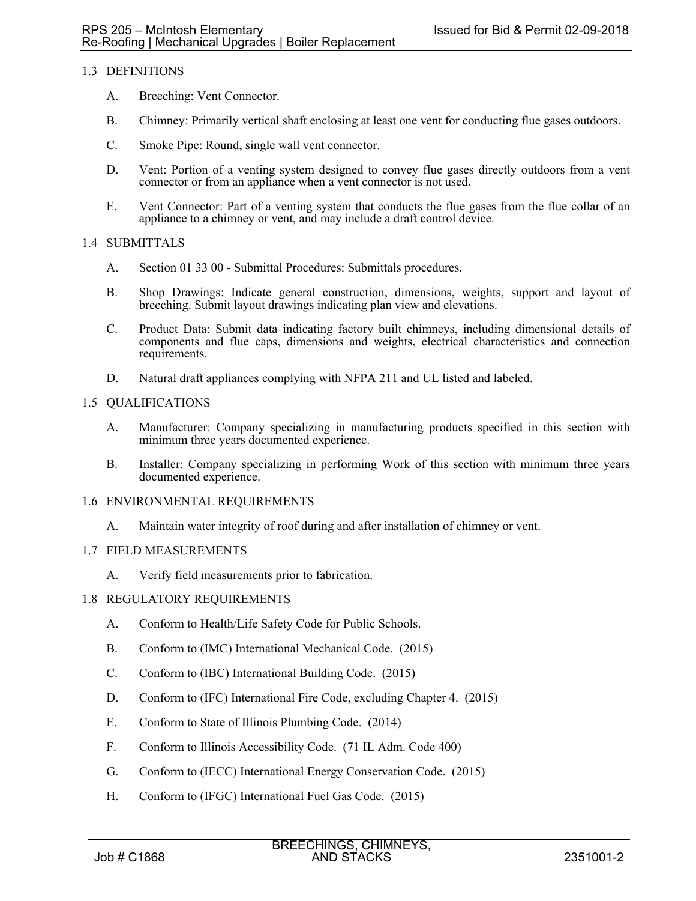# 1.3 DEFINITIONS

- A. Breeching: Vent Connector.
- B. Chimney: Primarily vertical shaft enclosing at least one vent for conducting flue gases outdoors.
- C. Smoke Pipe: Round, single wall vent connector.
- D. Vent: Portion of a venting system designed to convey flue gases directly outdoors from a vent connector or from an appliance when a vent connector is not used.
- E. Vent Connector: Part of a venting system that conducts the flue gases from the flue collar of an appliance to a chimney or vent, and may include a draft control device.

## 1.4 SUBMITTALS

- A. Section 01 33 00 Submittal Procedures: Submittals procedures.
- B. Shop Drawings: Indicate general construction, dimensions, weights, support and layout of breeching. Submit layout drawings indicating plan view and elevations.
- C. Product Data: Submit data indicating factory built chimneys, including dimensional details of components and flue caps, dimensions and weights, electrical characteristics and connection requirements.
- D. Natural draft appliances complying with NFPA 211 and UL listed and labeled.

## 1.5 QUALIFICATIONS

- A. Manufacturer: Company specializing in manufacturing products specified in this section with minimum three years documented experience.
- B. Installer: Company specializing in performing Work of this section with minimum three years documented experience.
- 1.6 ENVIRONMENTAL REQUIREMENTS
	- A. Maintain water integrity of roof during and after installation of chimney or vent.

## 1.7 FIELD MEASUREMENTS

A. Verify field measurements prior to fabrication.

#### 1.8 REGULATORY REQUIREMENTS

- A. Conform to Health/Life Safety Code for Public Schools.
- B. Conform to (IMC) International Mechanical Code. (2015)
- C. Conform to (IBC) International Building Code. (2015)
- D. Conform to (IFC) International Fire Code, excluding Chapter 4. (2015)
- E. Conform to State of Illinois Plumbing Code. (2014)
- F. Conform to Illinois Accessibility Code. (71 IL Adm. Code 400)
- G. Conform to (IECC) International Energy Conservation Code. (2015)
- H. Conform to (IFGC) International Fuel Gas Code. (2015)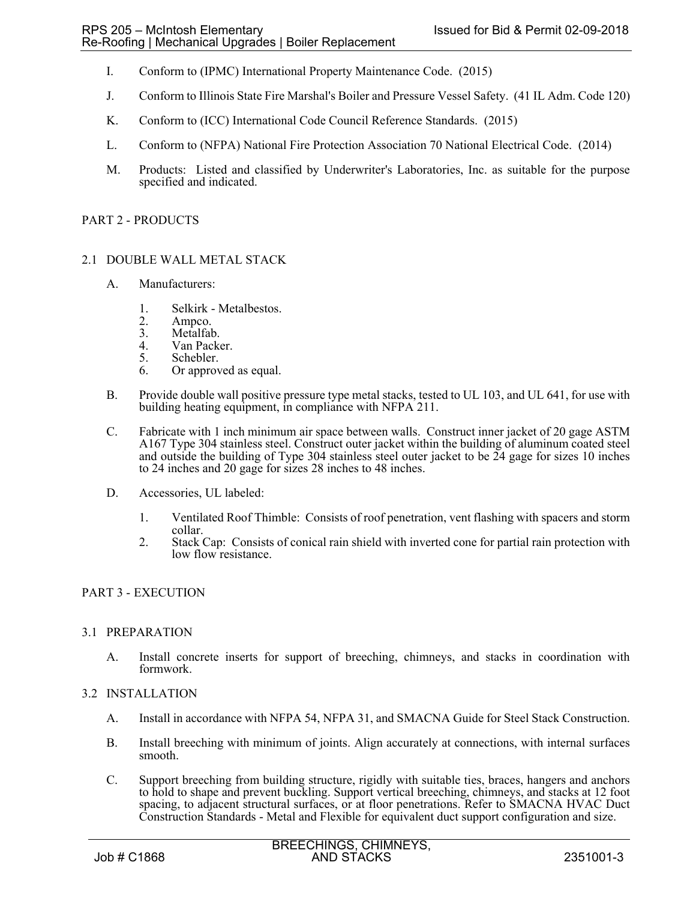- I. Conform to (IPMC) International Property Maintenance Code. (2015)
- J. Conform to Illinois State Fire Marshal's Boiler and Pressure Vessel Safety. (41 IL Adm. Code 120)
- K. Conform to (ICC) International Code Council Reference Standards. (2015)
- L. Conform to (NFPA) National Fire Protection Association 70 National Electrical Code. (2014)
- M. Products: Listed and classified by Underwriter's Laboratories, Inc. as suitable for the purpose specified and indicated.

#### PART 2 - PRODUCTS

- 2.1 DOUBLE WALL METAL STACK
	- A. Manufacturers:
		- 1. Selkirk Metalbestos.
		- 2. Ampco.
		- 3. Metalfab.<br>4. Van Packe
		- 4. Van Packer.<br>5. Schebler.
		- Schebler.
		- 6. Or approved as equal.
	- B. Provide double wall positive pressure type metal stacks, tested to UL 103, and UL 641, for use with building heating equipment, in compliance with NFPA 211.
	- C. Fabricate with 1 inch minimum air space between walls. Construct inner jacket of 20 gage ASTM A167 Type 304 stainless steel. Construct outer jacket within the building of aluminum coated steel and outside the building of Type 304 stainless steel outer jacket to be 24 gage for sizes 10 inches to 24 inches and 20 gage for sizes 28 inches to 48 inches.
	- D. Accessories, UL labeled:
		- 1. Ventilated Roof Thimble: Consists of roof penetration, vent flashing with spacers and storm collar.
		- 2. Stack Cap: Consists of conical rain shield with inverted cone for partial rain protection with low flow resistance.

## PART 3 - EXECUTION

#### 3.1 PREPARATION

A. Install concrete inserts for support of breeching, chimneys, and stacks in coordination with formwork.

#### 3.2 INSTALLATION

- A. Install in accordance with NFPA 54, NFPA 31, and SMACNA Guide for Steel Stack Construction.
- B. Install breeching with minimum of joints. Align accurately at connections, with internal surfaces smooth.
- C. Support breeching from building structure, rigidly with suitable ties, braces, hangers and anchors to hold to shape and prevent buckling. Support vertical breeching, chimneys, and stacks at 12 foot spacing, to adjacent structural surfaces, or at floor penetrations. Refer to SMACNA HVAC Duct Construction Standards - Metal and Flexible for equivalent duct support configuration and size.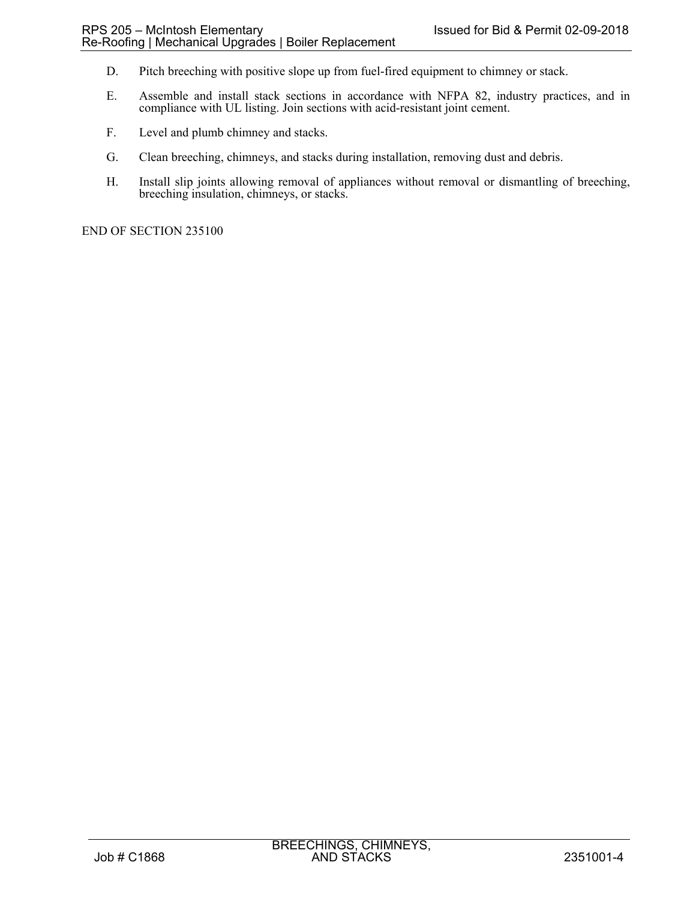- D. Pitch breeching with positive slope up from fuel-fired equipment to chimney or stack.
- E. Assemble and install stack sections in accordance with NFPA 82, industry practices, and in compliance with UL listing. Join sections with acid-resistant joint cement.
- F. Level and plumb chimney and stacks.
- G. Clean breeching, chimneys, and stacks during installation, removing dust and debris.
- H. Install slip joints allowing removal of appliances without removal or dismantling of breeching, breeching insulation, chimneys, or stacks.

END OF SECTION 235100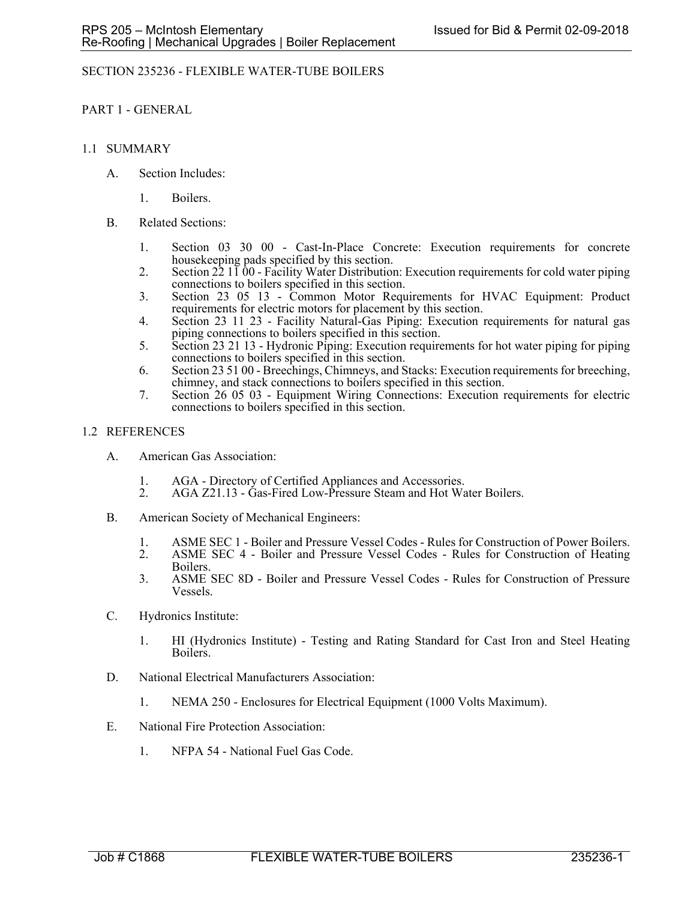## SECTION 235236 - FLEXIBLE WATER-TUBE BOILERS

PART 1 - GENERAL

## 1.1 SUMMARY

- A. Section Includes:
	- 1. Boilers.
- B. Related Sections:
	- 1. Section 03 30 00 Cast-In-Place Concrete: Execution requirements for concrete housekeeping pads specified by this section.
	- 2. Section  $22\ 11\ 00$  Facility Water Distribution: Execution requirements for cold water piping connections to boilers specified in this section.
	- 3. Section 23 05 13 Common Motor Requirements for HVAC Equipment: Product requirements for electric motors for placement by this section.
	- 4. Section 23 11 23 Facility Natural-Gas Piping: Execution requirements for natural gas piping connections to boilers specified in this section.
	- 5. Section 23 21 13 Hydronic Piping: Execution requirements for hot water piping for piping connections to boilers specified in this section.
	- 6. Section 23 51 00 Breechings, Chimneys, and Stacks: Execution requirements for breeching, chimney, and stack connections to boilers specified in this section.
	- 7. Section 26 05 03 Equipment Wiring Connections: Execution requirements for electric connections to boilers specified in this section.

## 1.2 REFERENCES

- A. American Gas Association:
	- 1. AGA Directory of Certified Appliances and Accessories.<br>2. AGA Z21.13 Gas-Fired Low-Pressure Steam and Hot Wa
	- 2. AGA Z21.13 Gas-Fired Low-Pressure Steam and Hot Water Boilers.
- B. American Society of Mechanical Engineers:
	- 1. ASME SEC 1 Boiler and Pressure Vessel Codes Rules for Construction of Power Boilers.
	- 2. ASME SEC 4 Boiler and Pressure Vessel Codes Rules for Construction of Heating Boilers.
	- 3. ASME SEC 8D Boiler and Pressure Vessel Codes Rules for Construction of Pressure Vessels.
- C. Hydronics Institute:
	- 1. HI (Hydronics Institute) Testing and Rating Standard for Cast Iron and Steel Heating Boilers.
- D. National Electrical Manufacturers Association:
	- 1. NEMA 250 Enclosures for Electrical Equipment (1000 Volts Maximum).
- E. National Fire Protection Association:
	- 1. NFPA 54 National Fuel Gas Code.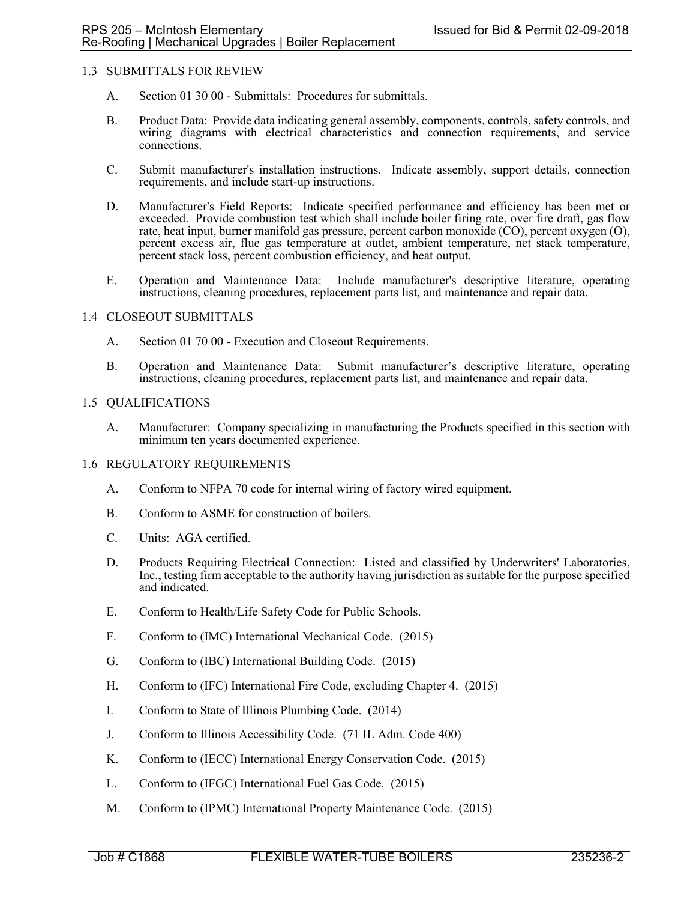## 1.3 SUBMITTALS FOR REVIEW

- A. Section 01 30 00 Submittals: Procedures for submittals.
- B. Product Data: Provide data indicating general assembly, components, controls, safety controls, and wiring diagrams with electrical characteristics and connection requirements, and service connections.
- C. Submit manufacturer's installation instructions. Indicate assembly, support details, connection requirements, and include start-up instructions.
- D. Manufacturer's Field Reports: Indicate specified performance and efficiency has been met or exceeded. Provide combustion test which shall include boiler firing rate, over fire draft, gas flow rate, heat input, burner manifold gas pressure, percent carbon monoxide (CO), percent oxygen (O), percent excess air, flue gas temperature at outlet, ambient temperature, net stack temperature, percent stack loss, percent combustion efficiency, and heat output.
- E. Operation and Maintenance Data: Include manufacturer's descriptive literature, operating instructions, cleaning procedures, replacement parts list, and maintenance and repair data.

#### 1.4 CLOSEOUT SUBMITTALS

- A. Section 01 70 00 Execution and Closeout Requirements.
- B. Operation and Maintenance Data: Submit manufacturer's descriptive literature, operating instructions, cleaning procedures, replacement parts list, and maintenance and repair data.

#### 1.5 QUALIFICATIONS

A. Manufacturer: Company specializing in manufacturing the Products specified in this section with minimum ten years documented experience.

#### 1.6 REGULATORY REQUIREMENTS

- A. Conform to NFPA 70 code for internal wiring of factory wired equipment.
- B. Conform to ASME for construction of boilers.
- C. Units: AGA certified.
- D. Products Requiring Electrical Connection: Listed and classified by Underwriters' Laboratories, Inc., testing firm acceptable to the authority having jurisdiction as suitable for the purpose specified and indicated.
- E. Conform to Health/Life Safety Code for Public Schools.
- F. Conform to (IMC) International Mechanical Code. (2015)
- G. Conform to (IBC) International Building Code. (2015)
- H. Conform to (IFC) International Fire Code, excluding Chapter 4. (2015)
- I. Conform to State of Illinois Plumbing Code. (2014)
- J. Conform to Illinois Accessibility Code. (71 IL Adm. Code 400)
- K. Conform to (IECC) International Energy Conservation Code. (2015)
- L. Conform to (IFGC) International Fuel Gas Code. (2015)
- M. Conform to (IPMC) International Property Maintenance Code. (2015)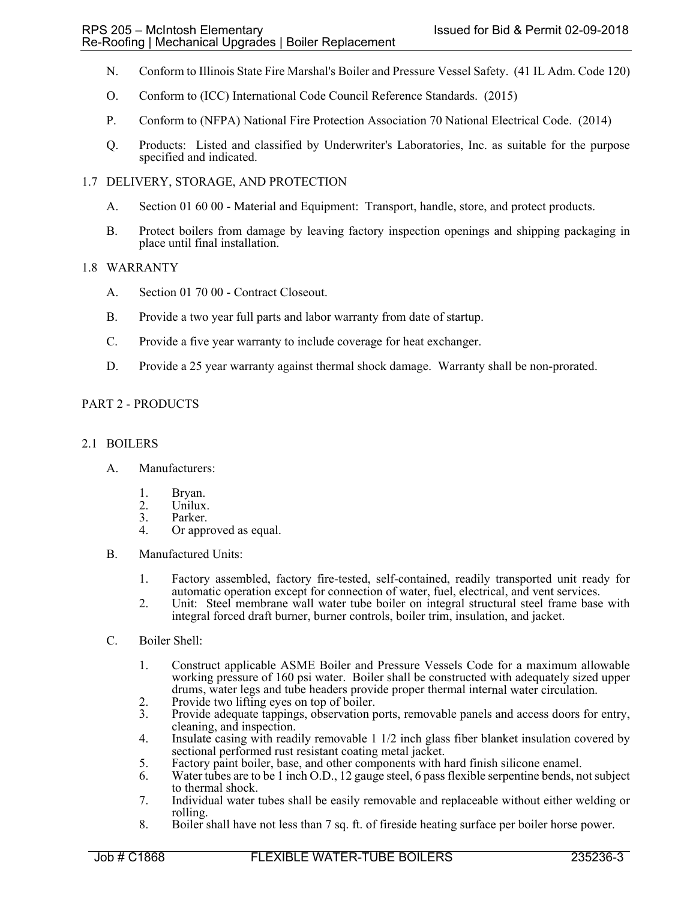- N. Conform to Illinois State Fire Marshal's Boiler and Pressure Vessel Safety. (41 IL Adm. Code 120)
- O. Conform to (ICC) International Code Council Reference Standards. (2015)
- P. Conform to (NFPA) National Fire Protection Association 70 National Electrical Code. (2014)
- Q. Products: Listed and classified by Underwriter's Laboratories, Inc. as suitable for the purpose specified and indicated.

## 1.7 DELIVERY, STORAGE, AND PROTECTION

- A. Section 01 60 00 Material and Equipment: Transport, handle, store, and protect products.
- B. Protect boilers from damage by leaving factory inspection openings and shipping packaging in place until final installation.

## 1.8 WARRANTY

- A. Section 01 70 00 Contract Closeout.
- B. Provide a two year full parts and labor warranty from date of startup.
- C. Provide a five year warranty to include coverage for heat exchanger.
- D. Provide a 25 year warranty against thermal shock damage. Warranty shall be non-prorated.

## PART 2 - PRODUCTS

## 2.1 BOILERS

- A. Manufacturers:
	- 1. Bryan.<br>2. Unilux
	- Unilux.
	- 3. Parker.<br>4. Or appr
	- Or approved as equal.
- B. Manufactured Units:
	- 1. Factory assembled, factory fire-tested, self-contained, readily transported unit ready for automatic operation except for connection of water, fuel, electrical, and vent services.
	- 2. Unit: Steel membrane wall water tube boiler on integral structural steel frame base with integral forced draft burner, burner controls, boiler trim, insulation, and jacket.
- C. Boiler Shell:
	- 1. Construct applicable ASME Boiler and Pressure Vessels Code for a maximum allowable working pressure of 160 psi water. Boiler shall be constructed with adequately sized upper drums, water legs and tube headers provide proper thermal internal water circulation.
	- 2. Provide two lifting eyes on top of boiler.<br>3. Provide adequate tappings, observation p
	- Provide adequate tappings, observation ports, removable panels and access doors for entry, cleaning, and inspection.
	- 4. Insulate casing with readily removable 1 1/2 inch glass fiber blanket insulation covered by sectional performed rust resistant coating metal jacket.
	- 5. Factory paint boiler, base, and other components with hard finish silicone enamel.<br>6. Water tubes are to be 1 inch O.D., 12 gauge steel, 6 pass flexible serpentine bends, no
	- Water tubes are to be 1 inch O.D., 12 gauge steel, 6 pass flexible serpentine bends, not subject to thermal shock.
	- 7. Individual water tubes shall be easily removable and replaceable without either welding or rolling.
	- 8. Boiler shall have not less than 7 sq. ft. of fireside heating surface per boiler horse power.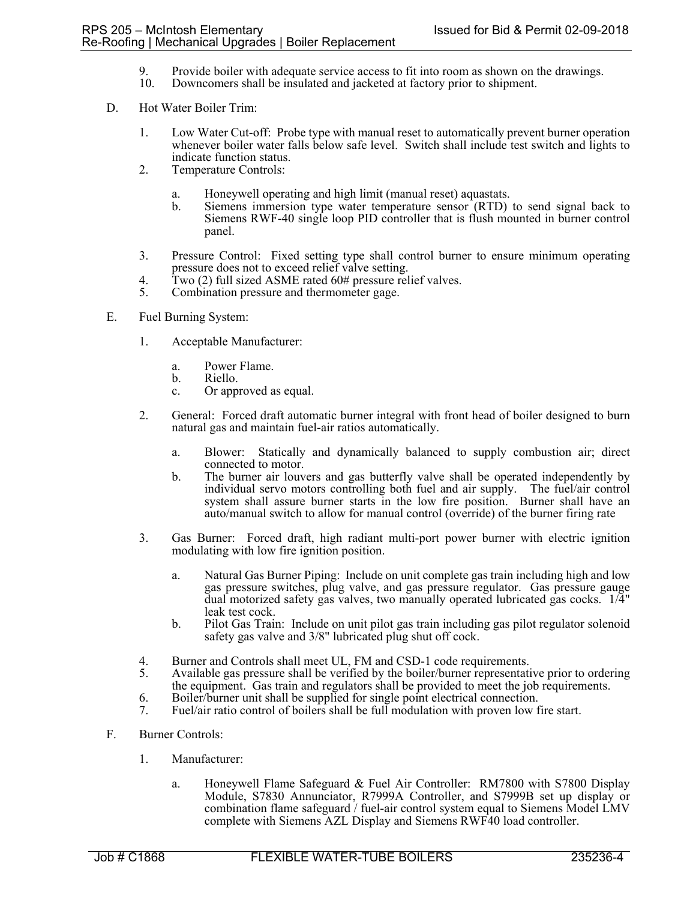- 9. Provide boiler with adequate service access to fit into room as shown on the drawings.<br>10. Downcomers shall be insulated and iacketed at factory prior to shipment.
- Downcomers shall be insulated and jacketed at factory prior to shipment.
- D. Hot Water Boiler Trim:
	- 1. Low Water Cut-off: Probe type with manual reset to automatically prevent burner operation whenever boiler water falls below safe level. Switch shall include test switch and lights to indicate function status.
	- 2. Temperature Controls:
		- a. Honeywell operating and high limit (manual reset) aquastats.
		- b. Siemens immersion type water temperature sensor (RTD) to send signal back to Siemens RWF-40 single loop PID controller that is flush mounted in burner control panel.
	- 3. Pressure Control: Fixed setting type shall control burner to ensure minimum operating pressure does not to exceed relief valve setting.
	- 4. Two (2) full sized ASME rated 60# pressure relief valves.
	- 5. Combination pressure and thermometer gage.
- E. Fuel Burning System:
	- 1. Acceptable Manufacturer:
		- a. Power Flame.
		- b. Riello.
		- c. Or approved as equal.
	- 2. General: Forced draft automatic burner integral with front head of boiler designed to burn natural gas and maintain fuel-air ratios automatically.
		- a. Blower: Statically and dynamically balanced to supply combustion air; direct connected to motor.
		- b. The burner air louvers and gas butterfly valve shall be operated independently by individual servo motors controlling both fuel and air supply. The fuel/air control system shall assure burner starts in the low fire position. Burner shall have an auto/manual switch to allow for manual control (override) of the burner firing rate
	- 3. Gas Burner: Forced draft, high radiant multi-port power burner with electric ignition modulating with low fire ignition position.
		- a. Natural Gas Burner Piping: Include on unit complete gas train including high and low gas pressure switches, plug valve, and gas pressure regulator. Gas pressure gauge dual motorized safety gas valves, two manually operated lubricated gas cocks. 1/4" leak test cock.
		- b. Pilot Gas Train: Include on unit pilot gas train including gas pilot regulator solenoid safety gas valve and 3/8" lubricated plug shut off cock.
	- 4. Burner and Controls shall meet UL, FM and CSD-1 code requirements.<br>5. Available gas pressure shall be verified by the boiler/burner representation
	- 5. Available gas pressure shall be verified by the boiler/burner representative prior to ordering the equipment. Gas train and regulators shall be provided to meet the job requirements.
	- 6. Boiler/burner unit shall be supplied for single point electrical connection.
	- 7. Fuel/air ratio control of boilers shall be full modulation with proven low fire start.
- F. Burner Controls:
	- 1. Manufacturer:
		- a. Honeywell Flame Safeguard & Fuel Air Controller: RM7800 with S7800 Display Module, S7830 Annunciator, R7999A Controller, and S7999B set up display or combination flame safeguard / fuel-air control system equal to Siemens Model LMV complete with Siemens AZL Display and Siemens RWF40 load controller.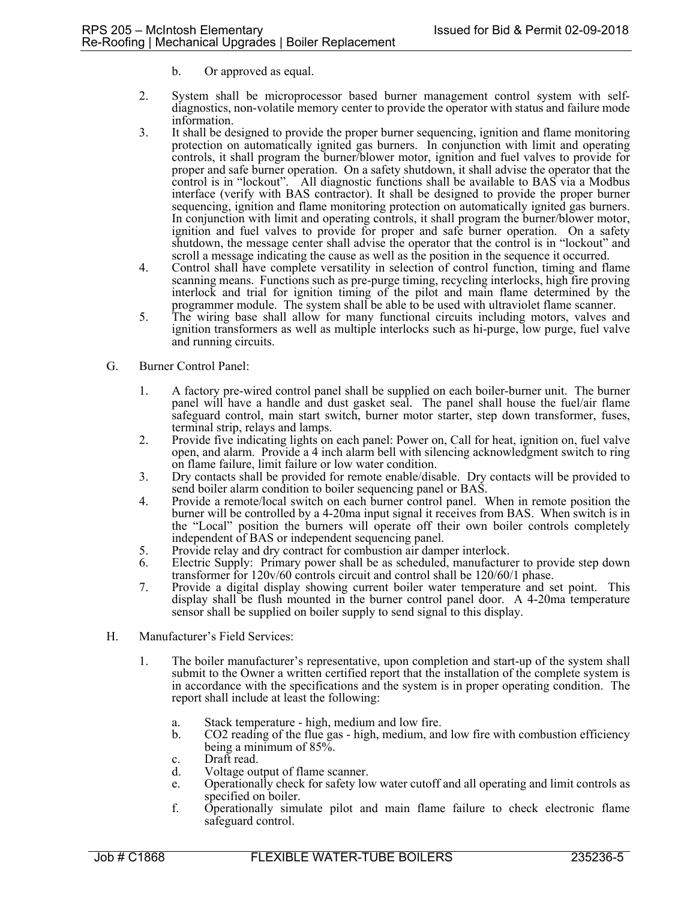- b. Or approved as equal.
- 2. System shall be microprocessor based burner management control system with selfdiagnostics, non-volatile memory center to provide the operator with status and failure mode information.
- 3. It shall be designed to provide the proper burner sequencing, ignition and flame monitoring protection on automatically ignited gas burners. In conjunction with limit and operating controls, it shall program the burner/blower motor, ignition and fuel valves to provide for proper and safe burner operation. On a safety shutdown, it shall advise the operator that the control is in "lockout". All diagnostic functions shall be available to BAS via a Modbus interface (verify with BAS contractor). It shall be designed to provide the proper burner sequencing, ignition and flame monitoring protection on automatically ignited gas burners. In conjunction with limit and operating controls, it shall program the burner/blower motor, ignition and fuel valves to provide for proper and safe burner operation. On a safety shutdown, the message center shall advise the operator that the control is in "lockout" and scroll a message indicating the cause as well as the position in the sequence it occurred.
- 4. Control shall have complete versatility in selection of control function, timing and flame scanning means. Functions such as pre-purge timing, recycling interlocks, high fire proving interlock and trial for ignition timing of the pilot and main flame determined by the programmer module. The system shall be able to be used with ultraviolet flame scanner.
- 5. The wiring base shall allow for many functional circuits including motors, valves and ignition transformers as well as multiple interlocks such as hi-purge, low purge, fuel valve and running circuits.
- G. Burner Control Panel:
	- 1. A factory pre-wired control panel shall be supplied on each boiler-burner unit. The burner panel will have a handle and dust gasket seal. The panel shall house the fuel/air flame safeguard control, main start switch, burner motor starter, step down transformer, fuses, terminal strip, relays and lamps.
	- 2. Provide five indicating lights on each panel: Power on, Call for heat, ignition on, fuel valve open, and alarm. Provide a 4 inch alarm bell with silencing acknowledgment switch to ring on flame failure, limit failure or low water condition.
	- 3. Dry contacts shall be provided for remote enable/disable. Dry contacts will be provided to send boiler alarm condition to boiler sequencing panel or BAS.
	- 4. Provide a remote/local switch on each burner control panel. When in remote position the burner will be controlled by a 4-20ma input signal it receives from BAS. When switch is in the "Local" position the burners will operate off their own boiler controls completely independent of BAS or independent sequencing panel.
	- 5. Provide relay and dry contract for combustion air damper interlock.<br>6. Electric Supply: Primary power shall be as scheduled, manufacture
	- Electric Supply: Primary power shall be as scheduled, manufacturer to provide step down transformer for 120v/60 controls circuit and control shall be 120/60/1 phase.
	- 7. Provide a digital display showing current boiler water temperature and set point. This display shall be flush mounted in the burner control panel door. A 4-20ma temperature sensor shall be supplied on boiler supply to send signal to this display.
- H. Manufacturer's Field Services:
	- 1. The boiler manufacturer's representative, upon completion and start-up of the system shall submit to the Owner a written certified report that the installation of the complete system is in accordance with the specifications and the system is in proper operating condition. The report shall include at least the following:
		- a. Stack temperature high, medium and low fire.
		- b. CO2 reading of the flue gas high, medium, and low fire with combustion efficiency being a minimum of 85%.
		- c. Draft read.
		- d. Voltage output of flame scanner.
		- e. Operationally check for safety low water cutoff and all operating and limit controls as specified on boiler.
		- f. Operationally simulate pilot and main flame failure to check electronic flame safeguard control.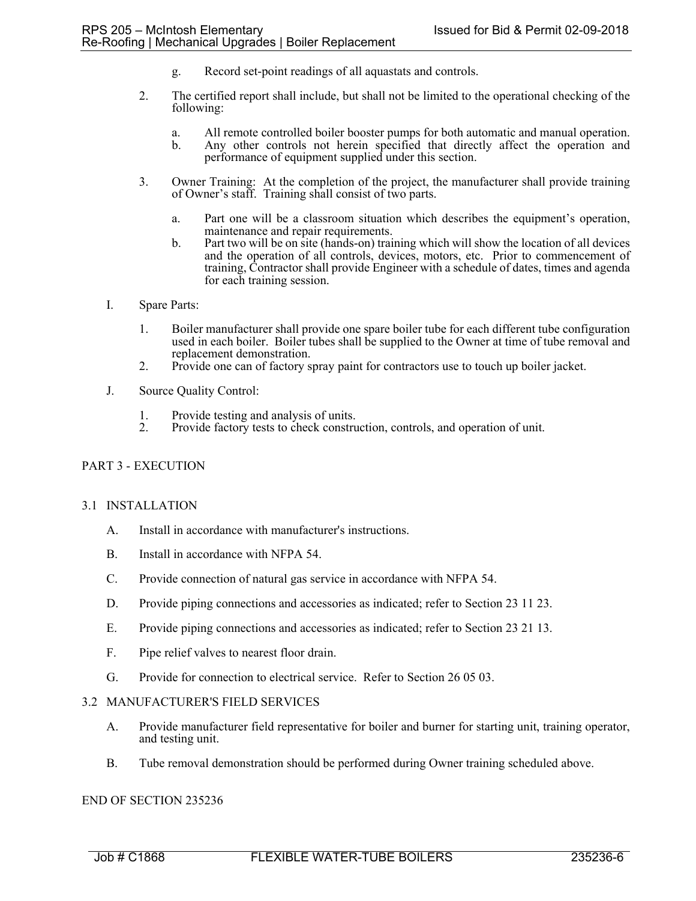- g. Record set-point readings of all aquastats and controls.
- 2. The certified report shall include, but shall not be limited to the operational checking of the following:
	- a. All remote controlled boiler booster pumps for both automatic and manual operation.
	- Any other controls not herein specified that directly affect the operation and performance of equipment supplied under this section.
- 3. Owner Training: At the completion of the project, the manufacturer shall provide training of Owner's staff. Training shall consist of two parts.
	- a. Part one will be a classroom situation which describes the equipment's operation, maintenance and repair requirements.
	- b. Part two will be on site (hands-on) training which will show the location of all devices and the operation of all controls, devices, motors, etc. Prior to commencement of training, Contractor shall provide Engineer with a schedule of dates, times and agenda for each training session.
- I. Spare Parts:
	- 1. Boiler manufacturer shall provide one spare boiler tube for each different tube configuration used in each boiler. Boiler tubes shall be supplied to the Owner at time of tube removal and replacement demonstration.
	- 2. Provide one can of factory spray paint for contractors use to touch up boiler jacket.
- J. Source Quality Control:
	- 1. Provide testing and analysis of units.<br>2. Provide factory tests to check constru
	- Provide factory tests to check construction, controls, and operation of unit.

## PART 3 - EXECUTION

#### 3.1 INSTALLATION

- A. Install in accordance with manufacturer's instructions.
- B. Install in accordance with NFPA 54.
- C. Provide connection of natural gas service in accordance with NFPA 54.
- D. Provide piping connections and accessories as indicated; refer to Section 23 11 23.
- E. Provide piping connections and accessories as indicated; refer to Section 23 21 13.
- F. Pipe relief valves to nearest floor drain.
- G. Provide for connection to electrical service. Refer to Section 26 05 03.

#### 3.2 MANUFACTURER'S FIELD SERVICES

- A. Provide manufacturer field representative for boiler and burner for starting unit, training operator, and testing unit.
- B. Tube removal demonstration should be performed during Owner training scheduled above.

## END OF SECTION 235236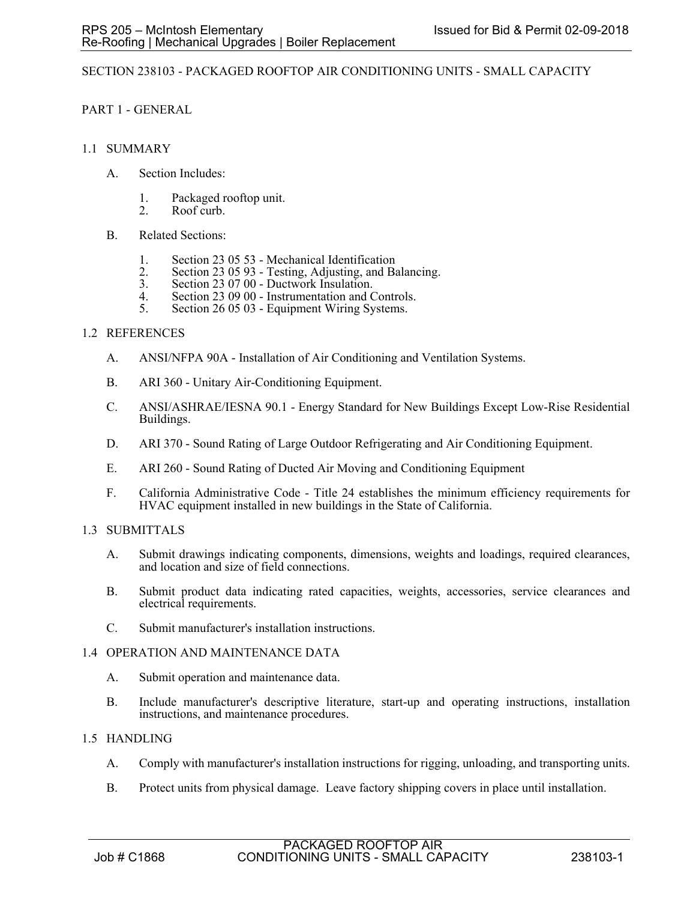## SECTION 238103 - PACKAGED ROOFTOP AIR CONDITIONING UNITS - SMALL CAPACITY

PART 1 - GENERAL

- 1.1 SUMMARY
	- A. Section Includes:
		- 1. Packaged rooftop unit.
		- 2. Roof curb.
	- B. Related Sections:
		- 1. Section 23 05 53 Mechanical Identification
		- 2. Section 23 05 93 Testing, Adjusting, and Balancing.<br>3. Section 23 07 00 Ductwork Insulation.
		- 3. Section 23 07 00 Ductwork Insulation.
		- 4. Section 23 09 00 Instrumentation and Controls.<br>5. Section 26 05 03 Equipment Wiring Systems.
		- Section 26 05 03 Equipment Wiring Systems.

## 1.2 REFERENCES

- A. ANSI/NFPA 90A Installation of Air Conditioning and Ventilation Systems.
- B. ARI 360 Unitary Air-Conditioning Equipment.
- C. ANSI/ASHRAE/IESNA 90.1 Energy Standard for New Buildings Except Low-Rise Residential Buildings.
- D. ARI 370 Sound Rating of Large Outdoor Refrigerating and Air Conditioning Equipment.
- E. ARI 260 Sound Rating of Ducted Air Moving and Conditioning Equipment
- F. California Administrative Code Title 24 establishes the minimum efficiency requirements for HVAC equipment installed in new buildings in the State of California.
- 1.3 SUBMITTALS
	- A. Submit drawings indicating components, dimensions, weights and loadings, required clearances, and location and size of field connections.
	- B. Submit product data indicating rated capacities, weights, accessories, service clearances and electrical requirements.
	- C. Submit manufacturer's installation instructions.

#### 1.4 OPERATION AND MAINTENANCE DATA

- A. Submit operation and maintenance data.
- B. Include manufacturer's descriptive literature, start-up and operating instructions, installation instructions, and maintenance procedures.

## 1.5 HANDLING

- A. Comply with manufacturer's installation instructions for rigging, unloading, and transporting units.
- B. Protect units from physical damage. Leave factory shipping covers in place until installation.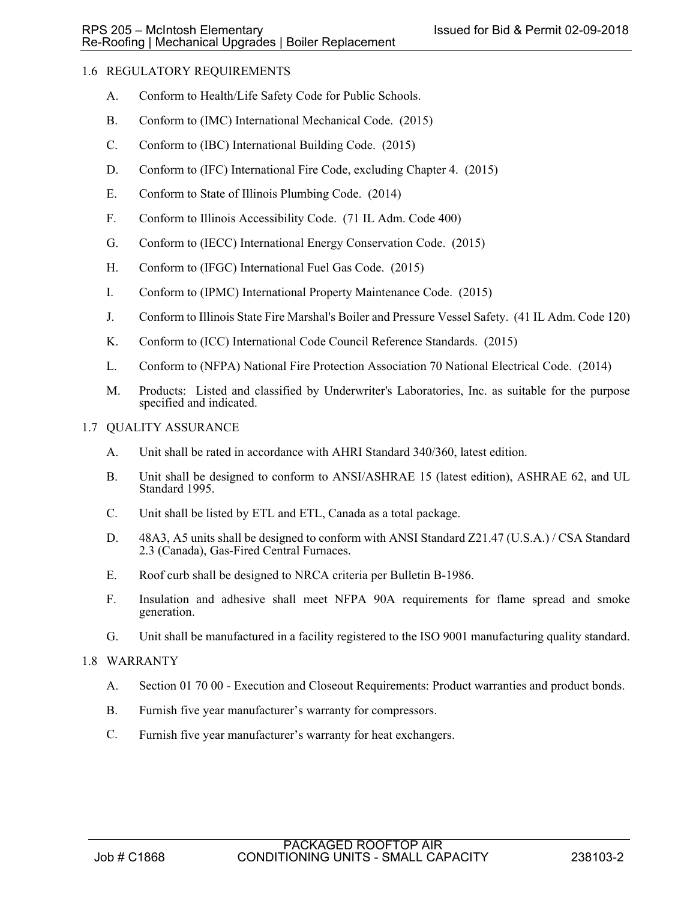# 1.6 REGULATORY REQUIREMENTS

- A. Conform to Health/Life Safety Code for Public Schools.
- B. Conform to (IMC) International Mechanical Code. (2015)
- C. Conform to (IBC) International Building Code. (2015)
- D. Conform to (IFC) International Fire Code, excluding Chapter 4. (2015)
- E. Conform to State of Illinois Plumbing Code. (2014)
- F. Conform to Illinois Accessibility Code. (71 IL Adm. Code 400)
- G. Conform to (IECC) International Energy Conservation Code. (2015)
- H. Conform to (IFGC) International Fuel Gas Code. (2015)
- I. Conform to (IPMC) International Property Maintenance Code. (2015)
- J. Conform to Illinois State Fire Marshal's Boiler and Pressure Vessel Safety. (41 IL Adm. Code 120)
- K. Conform to (ICC) International Code Council Reference Standards. (2015)
- L. Conform to (NFPA) National Fire Protection Association 70 National Electrical Code. (2014)
- M. Products: Listed and classified by Underwriter's Laboratories, Inc. as suitable for the purpose specified and indicated.
- 1.7 QUALITY ASSURANCE
	- A. Unit shall be rated in accordance with AHRI Standard 340/360, latest edition.
	- B. Unit shall be designed to conform to ANSI/ASHRAE 15 (latest edition), ASHRAE 62, and UL Standard 1995.
	- C. Unit shall be listed by ETL and ETL, Canada as a total package.
	- D. 48A3, A5 units shall be designed to conform with ANSI Standard Z21.47 (U.S.A.) / CSA Standard 2.3 (Canada), Gas-Fired Central Furnaces.
	- E. Roof curb shall be designed to NRCA criteria per Bulletin B-1986.
	- F. Insulation and adhesive shall meet NFPA 90A requirements for flame spread and smoke generation.
	- G. Unit shall be manufactured in a facility registered to the ISO 9001 manufacturing quality standard.

## 1.8 WARRANTY

- A. Section 01 70 00 Execution and Closeout Requirements: Product warranties and product bonds.
- B. Furnish five year manufacturer's warranty for compressors.
- C. Furnish five year manufacturer's warranty for heat exchangers.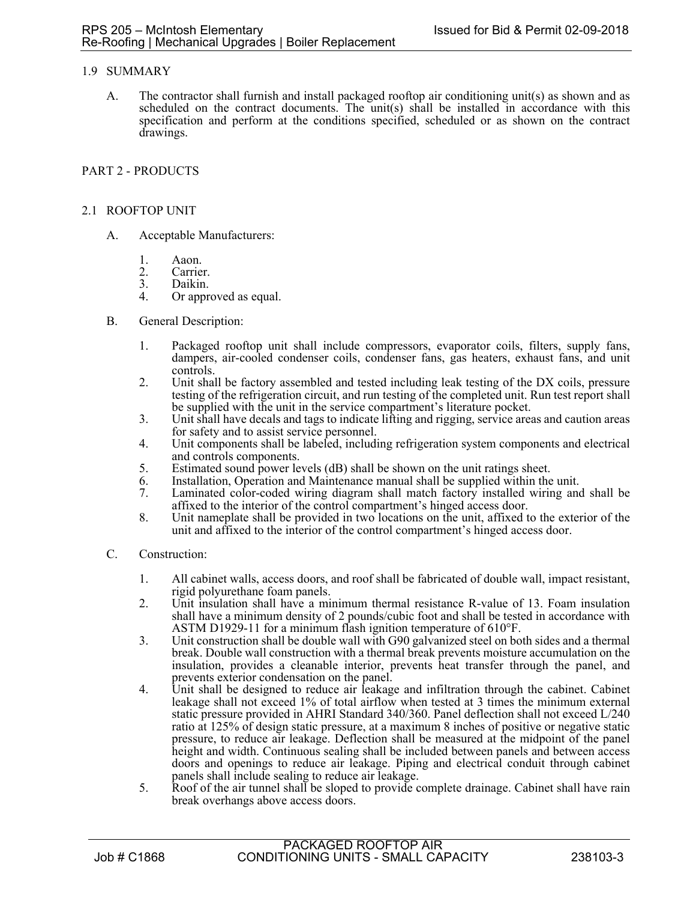# 1.9 SUMMARY

A. The contractor shall furnish and install packaged rooftop air conditioning unit(s) as shown and as scheduled on the contract documents. The unit(s) shall be installed in accordance with this specification and perform at the conditions specified, scheduled or as shown on the contract drawings.

# PART 2 - PRODUCTS

## 2.1 ROOFTOP UNIT

- A. Acceptable Manufacturers:
	- 1. Aaon.
	- 2. Carrier.<br>3. Daikin.
	- 3. Daikin.<br>4. Or appr
	- Or approved as equal.
- B. General Description:
	- 1. Packaged rooftop unit shall include compressors, evaporator coils, filters, supply fans, dampers, air-cooled condenser coils, condenser fans, gas heaters, exhaust fans, and unit controls.
	- 2. Unit shall be factory assembled and tested including leak testing of the DX coils, pressure testing of the refrigeration circuit, and run testing of the completed unit. Run test report shall be supplied with the unit in the service compartment's literature pocket.
	- 3. Unit shall have decals and tags to indicate lifting and rigging, service areas and caution areas for safety and to assist service personnel.
	- 4. Unit components shall be labeled, including refrigeration system components and electrical and controls components.
	- 5. Estimated sound power levels (dB) shall be shown on the unit ratings sheet.
	- 6. Installation, Operation and Maintenance manual shall be supplied within the unit.
	- Laminated color-coded wiring diagram shall match factory installed wiring and shall be affixed to the interior of the control compartment's hinged access door.
	- 8. Unit nameplate shall be provided in two locations on the unit, affixed to the exterior of the unit and affixed to the interior of the control compartment's hinged access door.
- C. Construction:
	- 1. All cabinet walls, access doors, and roof shall be fabricated of double wall, impact resistant, rigid polyurethane foam panels.
	- 2. Unit insulation shall have a minimum thermal resistance R-value of 13. Foam insulation shall have a minimum density of 2 pounds/cubic foot and shall be tested in accordance with ASTM D1929-11 for a minimum flash ignition temperature of  $610^{\circ}$ F.
	- 3. Unit construction shall be double wall with G90 galvanized steel on both sides and a thermal break. Double wall construction with a thermal break prevents moisture accumulation on the insulation, provides a cleanable interior, prevents heat transfer through the panel, and prevents exterior condensation on the panel.
	- 4. Unit shall be designed to reduce air leakage and infiltration through the cabinet. Cabinet leakage shall not exceed 1% of total airflow when tested at 3 times the minimum external static pressure provided in AHRI Standard 340/360. Panel deflection shall not exceed L/240 ratio at 125% of design static pressure, at a maximum 8 inches of positive or negative static pressure, to reduce air leakage. Deflection shall be measured at the midpoint of the panel height and width. Continuous sealing shall be included between panels and between access doors and openings to reduce air leakage. Piping and electrical conduit through cabinet panels shall include sealing to reduce air leakage.
	- 5. Roof of the air tunnel shall be sloped to provide complete drainage. Cabinet shall have rain break overhangs above access doors.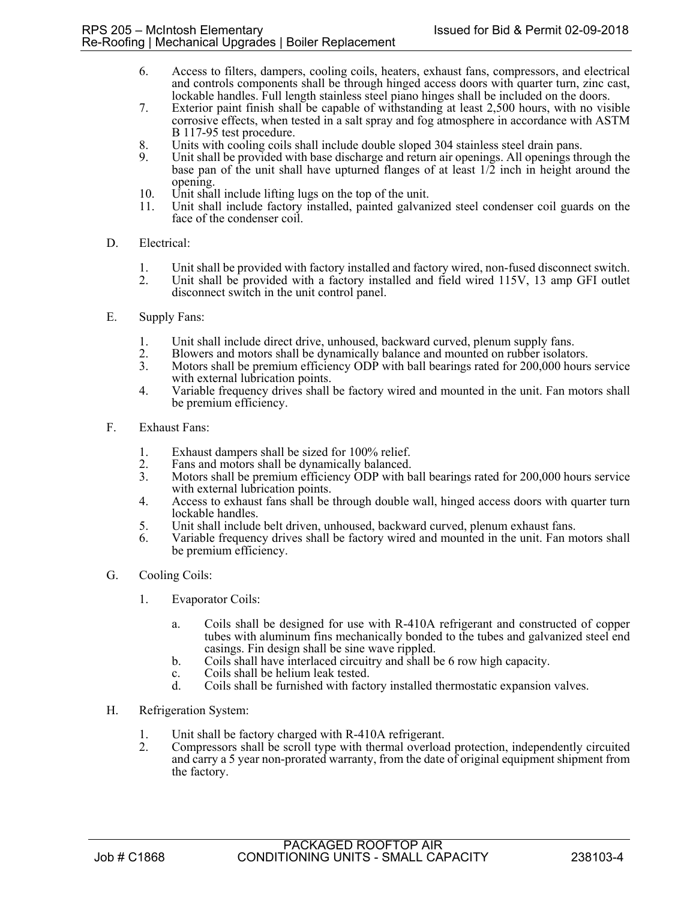- 6. Access to filters, dampers, cooling coils, heaters, exhaust fans, compressors, and electrical and controls components shall be through hinged access doors with quarter turn, zinc cast, lockable handles. Full length stainless steel piano hinges shall be included on the doors.
- 7. Exterior paint finish shall be capable of withstanding at least 2,500 hours, with no visible corrosive effects, when tested in a salt spray and fog atmosphere in accordance with ASTM B 117-95 test procedure.
- 8. Units with cooling coils shall include double sloped 304 stainless steel drain pans.
- Unit shall be provided with base discharge and return air openings. All openings through the base pan of the unit shall have upturned flanges of at least 1/2 inch in height around the opening.
- 10. Unit shall include lifting lugs on the top of the unit.
- 11. Unit shall include factory installed, painted galvanized steel condenser coil guards on the face of the condenser coil.

## D. Electrical:

- 1. Unit shall be provided with factory installed and factory wired, non-fused disconnect switch.
- 2. Unit shall be provided with a factory installed and field wired 115V, 13 amp GFI outlet disconnect switch in the unit control panel.
- E. Supply Fans:
	- 1. Unit shall include direct drive, unhoused, backward curved, plenum supply fans.
	- 2. Blowers and motors shall be dynamically balance and mounted on rubber isolators.<br>3. Motors shall be premium efficiency ODP with ball bearings rated for 200,000 hours
	- Motors shall be premium efficiency ODP with ball bearings rated for 200,000 hours service with external lubrication points.
	- 4. Variable frequency drives shall be factory wired and mounted in the unit. Fan motors shall be premium efficiency.
- F. Exhaust Fans:
	- 1. Exhaust dampers shall be sized for 100% relief.<br>2. Fans and motors shall be dynamically balanced.
	- Fans and motors shall be dynamically balanced.
	- 3. Motors shall be premium efficiency ODP with ball bearings rated for 200,000 hours service with external lubrication points.
	- 4. Access to exhaust fans shall be through double wall, hinged access doors with quarter turn lockable handles.
	- 5. Unit shall include belt driven, unhoused, backward curved, plenum exhaust fans.
	- 6. Variable frequency drives shall be factory wired and mounted in the unit. Fan motors shall be premium efficiency.
- G. Cooling Coils:
	- 1. Evaporator Coils:
		- a. Coils shall be designed for use with R-410A refrigerant and constructed of copper tubes with aluminum fins mechanically bonded to the tubes and galvanized steel end casings. Fin design shall be sine wave rippled.
		- b. Coils shall have interlaced circuitry and shall be 6 row high capacity.
		- c. Coils shall be helium leak tested.
		- d. Coils shall be furnished with factory installed thermostatic expansion valves.
- H. Refrigeration System:
	- 1. Unit shall be factory charged with R-410A refrigerant.
	- 2. Compressors shall be scroll type with thermal overload protection, independently circuited and carry a 5 year non-prorated warranty, from the date of original equipment shipment from the factory.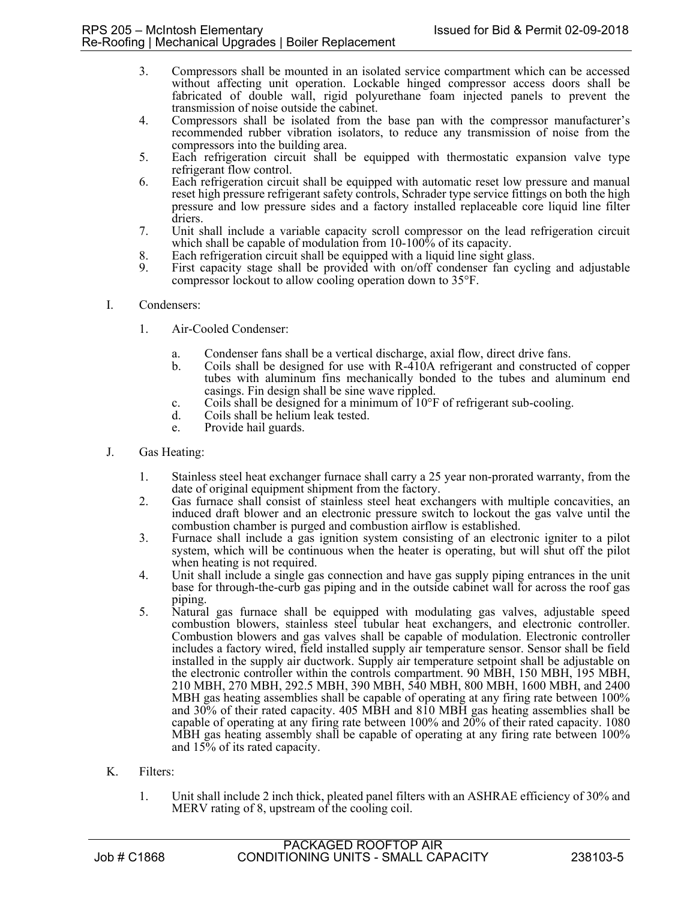- 3. Compressors shall be mounted in an isolated service compartment which can be accessed without affecting unit operation. Lockable hinged compressor access doors shall be fabricated of double wall, rigid polyurethane foam injected panels to prevent the transmission of noise outside the cabinet.
- 4. Compressors shall be isolated from the base pan with the compressor manufacturer's recommended rubber vibration isolators, to reduce any transmission of noise from the compressors into the building area.
- 5. Each refrigeration circuit shall be equipped with thermostatic expansion valve type refrigerant flow control.
- 6. Each refrigeration circuit shall be equipped with automatic reset low pressure and manual reset high pressure refrigerant safety controls, Schrader type service fittings on both the high pressure and low pressure sides and a factory installed replaceable core liquid line filter driers.
- 7. Unit shall include a variable capacity scroll compressor on the lead refrigeration circuit which shall be capable of modulation from 10-100% of its capacity.
- 8. Each refrigeration circuit shall be equipped with a liquid line sight glass.<br>9. First capacity stage shall be provided with on/off condenser fan cycli
- First capacity stage shall be provided with on/off condenser fan cycling and adjustable compressor lockout to allow cooling operation down to 35°F.
- I. Condensers:
	- 1. Air-Cooled Condenser:
		- a. Condenser fans shall be a vertical discharge, axial flow, direct drive fans.
		- b. Coils shall be designed for use with R-410A refrigerant and constructed of copper tubes with aluminum fins mechanically bonded to the tubes and aluminum end casings. Fin design shall be sine wave rippled.
		- c. Coils shall be designed for a minimum of 10°F of refrigerant sub-cooling.
		- d. Coils shall be helium leak tested.
		- e. Provide hail guards.
- J. Gas Heating:
	- 1. Stainless steel heat exchanger furnace shall carry a 25 year non-prorated warranty, from the date of original equipment shipment from the factory.
	- 2. Gas furnace shall consist of stainless steel heat exchangers with multiple concavities, an induced draft blower and an electronic pressure switch to lockout the gas valve until the combustion chamber is purged and combustion airflow is established.
	- 3. Furnace shall include a gas ignition system consisting of an electronic igniter to a pilot system, which will be continuous when the heater is operating, but will shut off the pilot when heating is not required.
	- 4. Unit shall include a single gas connection and have gas supply piping entrances in the unit base for through-the-curb gas piping and in the outside cabinet wall for across the roof gas piping.
	- 5. Natural gas furnace shall be equipped with modulating gas valves, adjustable speed combustion blowers, stainless steel tubular heat exchangers, and electronic controller. Combustion blowers and gas valves shall be capable of modulation. Electronic controller includes a factory wired, field installed supply air temperature sensor. Sensor shall be field installed in the supply air ductwork. Supply air temperature setpoint shall be adjustable on the electronic controller within the controls compartment. 90 MBH, 150 MBH, 195 MBH, 210 MBH, 270 MBH, 292.5 MBH, 390 MBH, 540 MBH, 800 MBH, 1600 MBH, and 2400 MBH gas heating assemblies shall be capable of operating at any firing rate between 100% and 30% of their rated capacity. 405 MBH and 810 MBH gas heating assemblies shall be capable of operating at any firing rate between 100% and 20% of their rated capacity. 1080 MBH gas heating assembly shall be capable of operating at any firing rate between 100% and 15% of its rated capacity.
- K. Filters:
	- 1. Unit shall include 2 inch thick, pleated panel filters with an ASHRAE efficiency of 30% and MERV rating of 8, upstream of the cooling coil.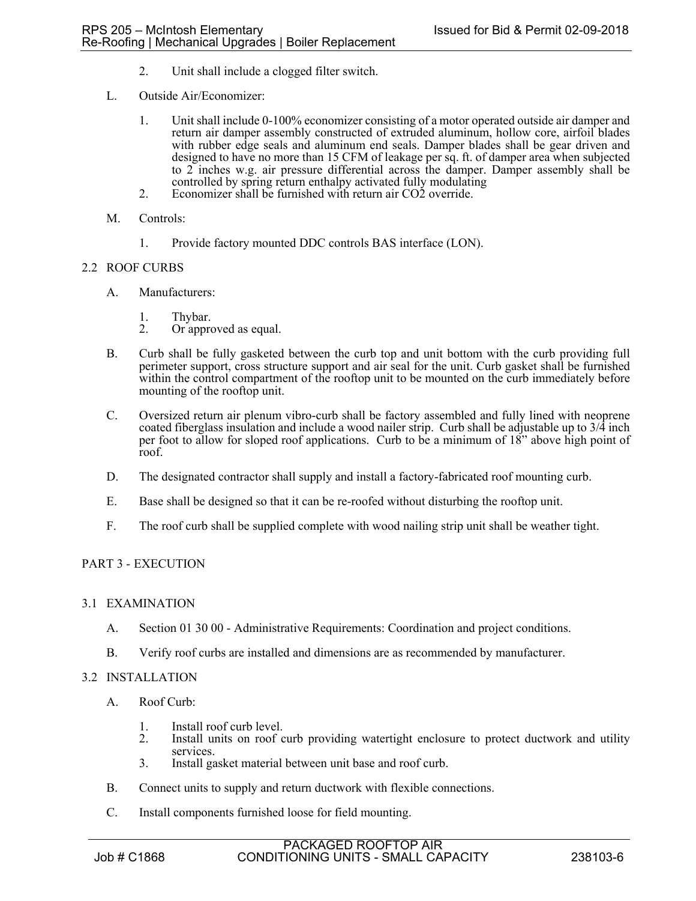- 2. Unit shall include a clogged filter switch.
- L. Outside Air/Economizer:
	- 1. Unit shall include 0-100% economizer consisting of a motor operated outside air damper and return air damper assembly constructed of extruded aluminum, hollow core, airfoil blades with rubber edge seals and aluminum end seals. Damper blades shall be gear driven and designed to have no more than 15 CFM of leakage per sq. ft. of damper area when subjected to 2 inches w.g. air pressure differential across the damper. Damper assembly shall be controlled by spring return enthalpy activated fully modulating
	- 2. Economizer shall be furnished with return air CO2 override.
- M. Controls:
	- 1. Provide factory mounted DDC controls BAS interface (LON).

## 2.2 ROOF CURBS

- A. Manufacturers:
	-
	- 1. Thybar.<br>2. Or appro Or approved as equal.
- B. Curb shall be fully gasketed between the curb top and unit bottom with the curb providing full perimeter support, cross structure support and air seal for the unit. Curb gasket shall be furnished within the control compartment of the rooftop unit to be mounted on the curb immediately before mounting of the rooftop unit.
- C. Oversized return air plenum vibro-curb shall be factory assembled and fully lined with neoprene coated fiberglass insulation and include a wood nailer strip. Curb shall be adjustable up to 3/4 inch per foot to allow for sloped roof applications. Curb to be a minimum of 18" above high point of roof.
- D. The designated contractor shall supply and install a factory-fabricated roof mounting curb.
- E. Base shall be designed so that it can be re-roofed without disturbing the rooftop unit.
- F. The roof curb shall be supplied complete with wood nailing strip unit shall be weather tight.

## PART 3 - EXECUTION

## 3.1 EXAMINATION

- A. Section 01 30 00 Administrative Requirements: Coordination and project conditions.
- B. Verify roof curbs are installed and dimensions are as recommended by manufacturer.

#### 3.2 INSTALLATION

- A. Roof Curb:
	- 1. Install roof curb level.<br>2. Install units on roof c
	- Install units on roof curb providing watertight enclosure to protect ductwork and utility services.
	- 3. Install gasket material between unit base and roof curb.
- B. Connect units to supply and return ductwork with flexible connections.
- C. Install components furnished loose for field mounting.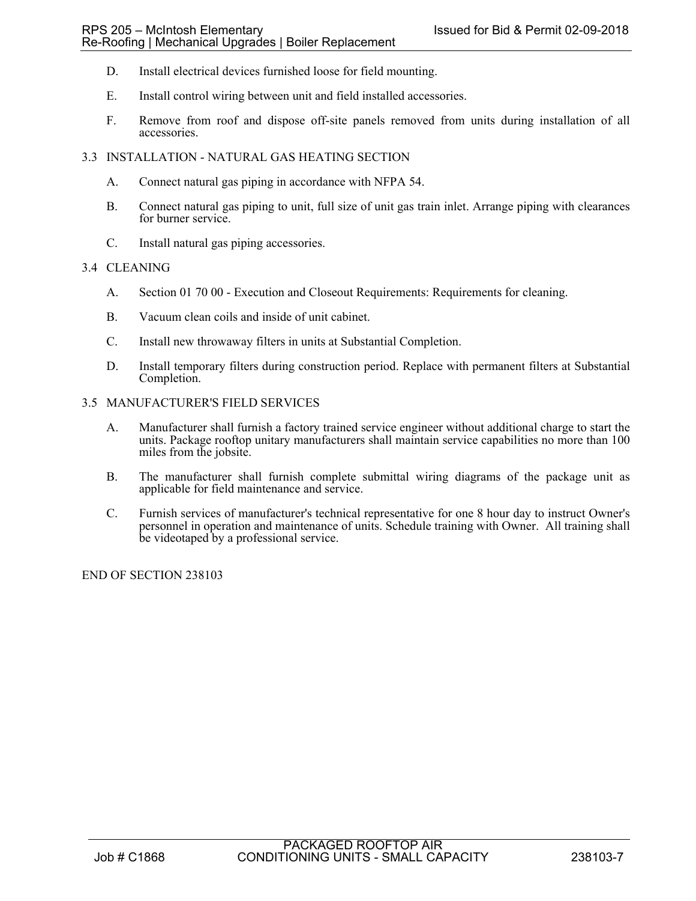- D. Install electrical devices furnished loose for field mounting.
- E. Install control wiring between unit and field installed accessories.
- F. Remove from roof and dispose off-site panels removed from units during installation of all accessories.
- 3.3 INSTALLATION NATURAL GAS HEATING SECTION
	- A. Connect natural gas piping in accordance with NFPA 54.
	- B. Connect natural gas piping to unit, full size of unit gas train inlet. Arrange piping with clearances for burner service.
	- C. Install natural gas piping accessories.

### 3.4 CLEANING

- A. Section 01 70 00 Execution and Closeout Requirements: Requirements for cleaning.
- B. Vacuum clean coils and inside of unit cabinet.
- C. Install new throwaway filters in units at Substantial Completion.
- D. Install temporary filters during construction period. Replace with permanent filters at Substantial Completion.

### 3.5 MANUFACTURER'S FIELD SERVICES

- A. Manufacturer shall furnish a factory trained service engineer without additional charge to start the units. Package rooftop unitary manufacturers shall maintain service capabilities no more than 100 miles from the jobsite.
- B. The manufacturer shall furnish complete submittal wiring diagrams of the package unit as applicable for field maintenance and service.
- C. Furnish services of manufacturer's technical representative for one 8 hour day to instruct Owner's personnel in operation and maintenance of units. Schedule training with Owner. All training shall be videotaped by a professional service.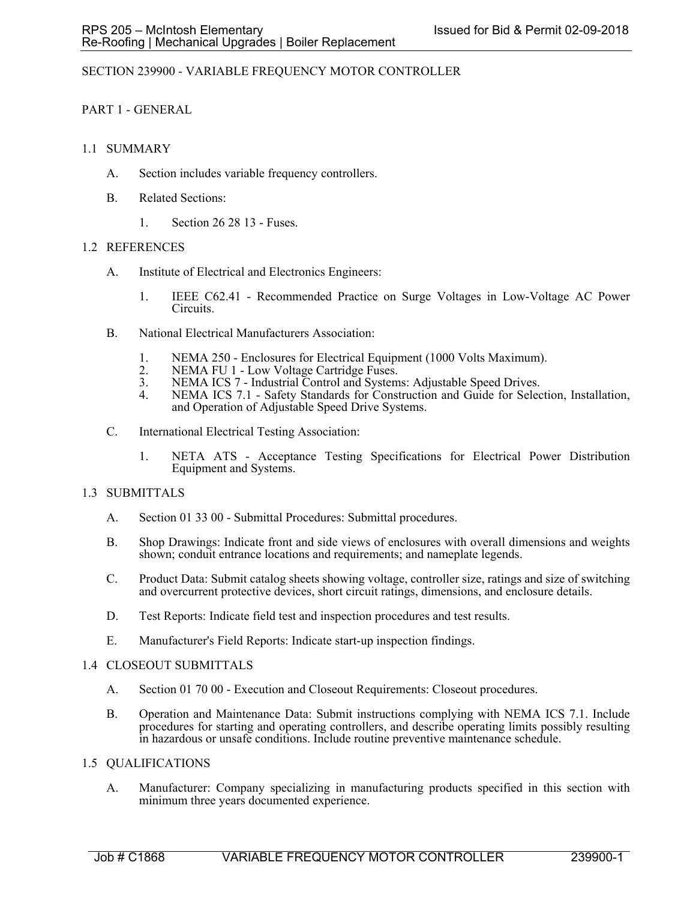# SECTION 239900 - VARIABLE FREQUENCY MOTOR CONTROLLER

# PART 1 - GENERAL

# 1.1 SUMMARY

- A. Section includes variable frequency controllers.
- B. Related Sections:
	- 1. Section 26 28 13 Fuses.

# 1.2 REFERENCES

- A. Institute of Electrical and Electronics Engineers:
	- 1. IEEE C62.41 Recommended Practice on Surge Voltages in Low-Voltage AC Power Circuits.
- B. National Electrical Manufacturers Association:
	- 1. NEMA 250 Enclosures for Electrical Equipment (1000 Volts Maximum).<br>2. NEMA FU 1 Low Voltage Cartridge Fuses.
	- 2. NEMA FU 1 Low Voltage Cartridge Fuses.<br>3. NEMA ICS 7 Industrial Control and System
	- NEMA ICS 7 Industrial Control and Systems: Adjustable Speed Drives.
	- 4. NEMA ICS 7.1 Safety Standards for Construction and Guide for Selection, Installation, and Operation of Adjustable Speed Drive Systems.
- C. International Electrical Testing Association:
	- 1. NETA ATS Acceptance Testing Specifications for Electrical Power Distribution Equipment and Systems.

# 1.3 SUBMITTALS

- A. Section 01 33 00 Submittal Procedures: Submittal procedures.
- B. Shop Drawings: Indicate front and side views of enclosures with overall dimensions and weights shown; conduit entrance locations and requirements; and nameplate legends.
- C. Product Data: Submit catalog sheets showing voltage, controller size, ratings and size of switching and overcurrent protective devices, short circuit ratings, dimensions, and enclosure details.
- D. Test Reports: Indicate field test and inspection procedures and test results.
- E. Manufacturer's Field Reports: Indicate start-up inspection findings.

# 1.4 CLOSEOUT SUBMITTALS

- A. Section 01 70 00 Execution and Closeout Requirements: Closeout procedures.
- B. Operation and Maintenance Data: Submit instructions complying with NEMA ICS 7.1. Include procedures for starting and operating controllers, and describe operating limits possibly resulting in hazardous or unsafe conditions. Include routine preventive maintenance schedule.

# 1.5 QUALIFICATIONS

A. Manufacturer: Company specializing in manufacturing products specified in this section with minimum three years documented experience.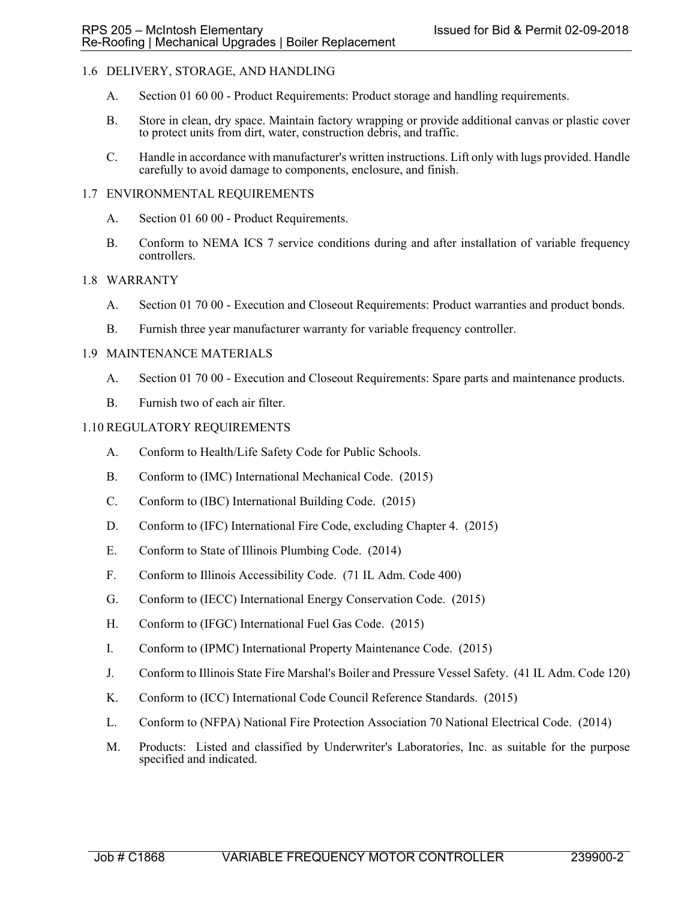# 1.6 DELIVERY, STORAGE, AND HANDLING

- A. Section 01 60 00 Product Requirements: Product storage and handling requirements.
- B. Store in clean, dry space. Maintain factory wrapping or provide additional canvas or plastic cover to protect units from dirt, water, construction debris, and traffic.
- C. Handle in accordance with manufacturer's written instructions. Lift only with lugs provided. Handle carefully to avoid damage to components, enclosure, and finish.

### 1.7 ENVIRONMENTAL REQUIREMENTS

- A. Section 01 60 00 Product Requirements.
- B. Conform to NEMA ICS 7 service conditions during and after installation of variable frequency controllers.

### 1.8 WARRANTY

- A. Section 01 70 00 Execution and Closeout Requirements: Product warranties and product bonds.
- B. Furnish three year manufacturer warranty for variable frequency controller.

### 1.9 MAINTENANCE MATERIALS

- A. Section 01 70 00 Execution and Closeout Requirements: Spare parts and maintenance products.
- B. Furnish two of each air filter.

### 1.10 REGULATORY REQUIREMENTS

- A. Conform to Health/Life Safety Code for Public Schools.
- B. Conform to (IMC) International Mechanical Code. (2015)
- C. Conform to (IBC) International Building Code. (2015)
- D. Conform to (IFC) International Fire Code, excluding Chapter 4. (2015)
- E. Conform to State of Illinois Plumbing Code. (2014)
- F. Conform to Illinois Accessibility Code. (71 IL Adm. Code 400)
- G. Conform to (IECC) International Energy Conservation Code. (2015)
- H. Conform to (IFGC) International Fuel Gas Code. (2015)
- I. Conform to (IPMC) International Property Maintenance Code. (2015)
- J. Conform to Illinois State Fire Marshal's Boiler and Pressure Vessel Safety. (41 IL Adm. Code 120)
- K. Conform to (ICC) International Code Council Reference Standards. (2015)
- L. Conform to (NFPA) National Fire Protection Association 70 National Electrical Code. (2014)
- M. Products: Listed and classified by Underwriter's Laboratories, Inc. as suitable for the purpose specified and indicated.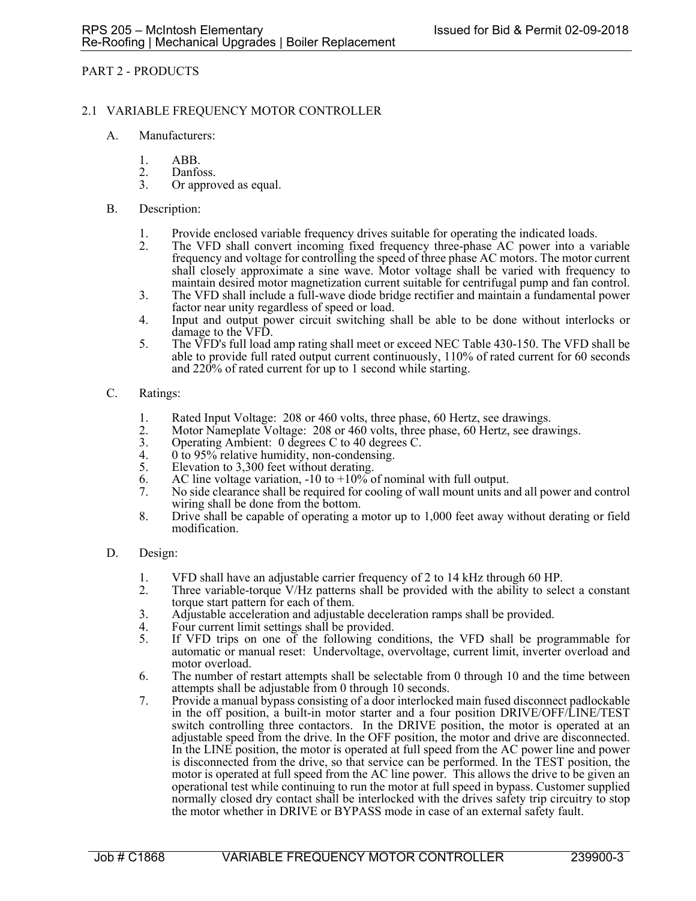# PART 2 - PRODUCTS

### 2.1 VARIABLE FREQUENCY MOTOR CONTROLLER

- A. Manufacturers:
	- 1. ABB.
	- 2. Danfoss.<br>3. Or appro
	- Or approved as equal.
- B. Description:
	- 1. Provide enclosed variable frequency drives suitable for operating the indicated loads.<br>2. The VFD shall convert incoming fixed frequency three-phase AC power into a va
	- The VFD shall convert incoming fixed frequency three-phase AC power into a variable frequency and voltage for controlling the speed of three phase AC motors. The motor current shall closely approximate a sine wave. Motor voltage shall be varied with frequency to maintain desired motor magnetization current suitable for centrifugal pump and fan control.
	- 3. The VFD shall include a full-wave diode bridge rectifier and maintain a fundamental power factor near unity regardless of speed or load.
	- 4. Input and output power circuit switching shall be able to be done without interlocks or damage to the VFD.
	- 5. The VFD's full load amp rating shall meet or exceed NEC Table 430-150. The VFD shall be able to provide full rated output current continuously, 110% of rated current for 60 seconds and 220% of rated current for up to 1 second while starting.

#### C. Ratings:

- 1. Rated Input Voltage: 208 or 460 volts, three phase, 60 Hertz, see drawings.<br>2. Motor Nameplate Voltage: 208 or 460 volts, three phase, 60 Hertz, see draw
- Motor Nameplate Voltage: 208 or 460 volts, three phase, 60 Hertz, see drawings.
- 3. Operating Ambient: 0 degrees C to 40 degrees C.<br>4. 0 to 95% relative humidity, non-condensing.
- 4.  $0$  to 95% relative humidity, non-condensing.<br>5. Elevation to 3.300 feet without derating.
- Elevation to 3,300 feet without derating.
- 6. AC line voltage variation, -10 to  $+10\%$  of nominal with full output.
- 7. No side clearance shall be required for cooling of wall mount units and all power and control wiring shall be done from the bottom.
- 8. Drive shall be capable of operating a motor up to 1,000 feet away without derating or field modification.
- D. Design:
	- 1. VFD shall have an adjustable carrier frequency of 2 to 14 kHz through 60 HP.<br>2. Three variable-torque V/Hz patterns shall be provided with the ability to sele
	- Three variable-torque V/Hz patterns shall be provided with the ability to select a constant torque start pattern for each of them.
	- 3. Adjustable acceleration and adjustable deceleration ramps shall be provided.
	- 4. Four current limit settings shall be provided.<br>5. If VFD trips on one of the following con-
	- If VFD trips on one of the following conditions, the VFD shall be programmable for automatic or manual reset: Undervoltage, overvoltage, current limit, inverter overload and motor overload.
	- 6. The number of restart attempts shall be selectable from 0 through 10 and the time between attempts shall be adjustable from 0 through 10 seconds.
	- 7. Provide a manual bypass consisting of a door interlocked main fused disconnect padlockable in the off position, a built-in motor starter and a four position DRIVE/OFF/LINE/TEST switch controlling three contactors. In the DRIVE position, the motor is operated at an adjustable speed from the drive. In the OFF position, the motor and drive are disconnected. In the LINE position, the motor is operated at full speed from the AC power line and power is disconnected from the drive, so that service can be performed. In the TEST position, the motor is operated at full speed from the AC line power. This allows the drive to be given an operational test while continuing to run the motor at full speed in bypass. Customer supplied normally closed dry contact shall be interlocked with the drives safety trip circuitry to stop the motor whether in DRIVE or BYPASS mode in case of an external safety fault.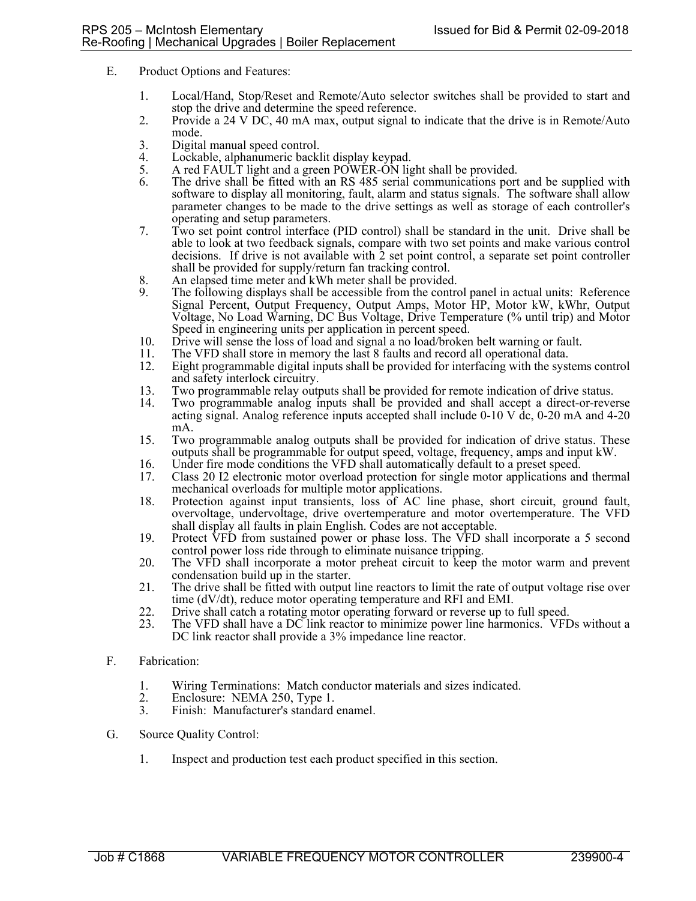- E. Product Options and Features:
	- 1. Local/Hand, Stop/Reset and Remote/Auto selector switches shall be provided to start and stop the drive and determine the speed reference.
	- 2. Provide a 24 V DC, 40 mA max, output signal to indicate that the drive is in Remote/Auto mode.
	- 3. Digital manual speed control.<br>4. Lockable, alphanumeric backl
	- Lockable, alphanumeric backlit display keypad.
	- 5. A red FAULT light and a green POWER-ON light shall be provided.
	- 6. The drive shall be fitted with an RS 485 serial communications port and be supplied with software to display all monitoring, fault, alarm and status signals. The software shall allow parameter changes to be made to the drive settings as well as storage of each controller's operating and setup parameters.
	- 7. Two set point control interface (PID control) shall be standard in the unit. Drive shall be able to look at two feedback signals, compare with two set points and make various control decisions. If drive is not available with  $\hat{2}$  set point control, a separate set point controller shall be provided for supply/return fan tracking control.
	- 8. An elapsed time meter and kWh meter shall be provided.
	- 9. The following displays shall be accessible from the control panel in actual units: Reference Signal Percent, Output Frequency, Output Amps, Motor HP, Motor kW, kWhr, Output Voltage, No Load Warning, DC Bus Voltage, Drive Temperature (% until trip) and Motor Speed in engineering units per application in percent speed.
	- 10. Drive will sense the loss of load and signal a no load/broken belt warning or fault.
	-
	- 11. The VFD shall store in memory the last 8 faults and record all operational data. 12. Eight programmable digital inputs shall be provided for interfacing with the systems control and safety interlock circuitry.
	- 13. Two programmable relay outputs shall be provided for remote indication of drive status.
	- Two programmable analog inputs shall be provided and shall accept a direct-or-reverse acting signal. Analog reference inputs accepted shall include 0-10 V dc, 0-20 mA and 4-20 mA.
	- 15. Two programmable analog outputs shall be provided for indication of drive status. These outputs shall be programmable for output speed, voltage, frequency, amps and input kW.
	- 16. Under fire mode conditions the VFD shall automatically default to a preset speed.
	- 17. Class 20 I2 electronic motor overload protection for single motor applications and thermal mechanical overloads for multiple motor applications.
	- 18. Protection against input transients, loss of AC line phase, short circuit, ground fault, overvoltage, undervoltage, drive overtemperature and motor overtemperature. The VFD shall display all faults in plain English. Codes are not acceptable.
	- 19. Protect VFD from sustained power or phase loss. The VFD shall incorporate a 5 second control power loss ride through to eliminate nuisance tripping.
	- 20. The VFD shall incorporate a motor preheat circuit to keep the motor warm and prevent condensation build up in the starter.
	- 21. The drive shall be fitted with output line reactors to limit the rate of output voltage rise over time (dV/dt), reduce motor operating temperature and RFI and EMI.
	- 22. Drive shall catch a rotating motor operating forward or reverse up to full speed.
	- 23. The VFD shall have a DC link reactor to minimize power line harmonics. VFDs without a DC link reactor shall provide a 3% impedance line reactor.
- F. Fabrication:
	- 1. Wiring Terminations: Match conductor materials and sizes indicated.
	- 2. Enclosure: NEMA 250, Type 1.<br>3. Finish: Manufacturer's standard
	- Finish: Manufacturer's standard enamel.
- G. Source Quality Control:
	- 1. Inspect and production test each product specified in this section.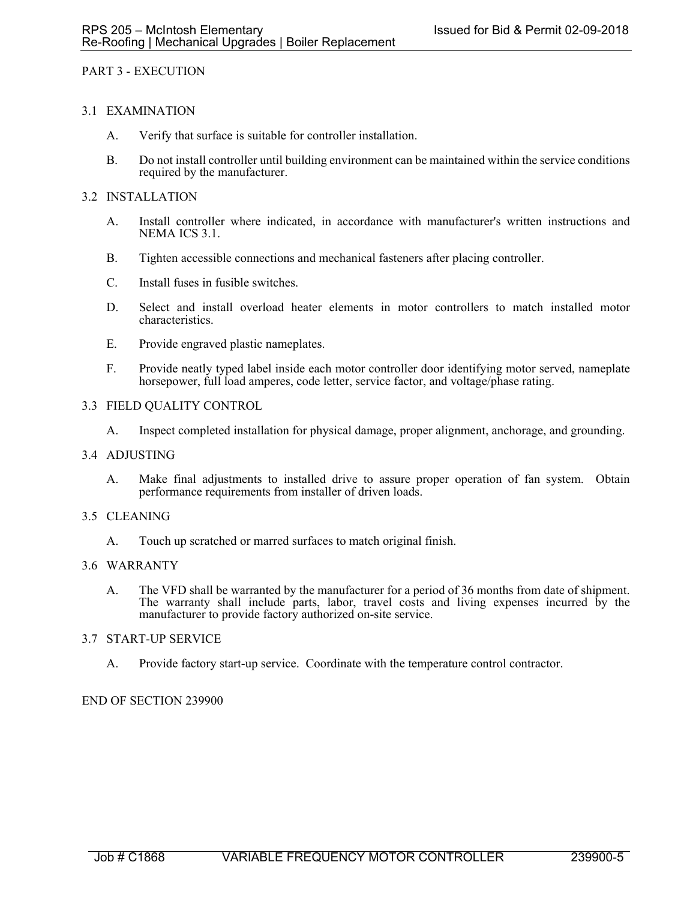# PART 3 - EXECUTION

# 3.1 EXAMINATION

- A. Verify that surface is suitable for controller installation.
- B. Do not install controller until building environment can be maintained within the service conditions required by the manufacturer.

### 3.2 INSTALLATION

- A. Install controller where indicated, in accordance with manufacturer's written instructions and NEMA ICS 3.1.
- B. Tighten accessible connections and mechanical fasteners after placing controller.
- C. Install fuses in fusible switches.
- D. Select and install overload heater elements in motor controllers to match installed motor characteristics.
- E. Provide engraved plastic nameplates.
- F. Provide neatly typed label inside each motor controller door identifying motor served, nameplate horsepower, full load amperes, code letter, service factor, and voltage/phase rating.

### 3.3 FIELD QUALITY CONTROL

A. Inspect completed installation for physical damage, proper alignment, anchorage, and grounding.

#### 3.4 ADJUSTING

A. Make final adjustments to installed drive to assure proper operation of fan system. Obtain performance requirements from installer of driven loads.

#### 3.5 CLEANING

A. Touch up scratched or marred surfaces to match original finish.

#### 3.6 WARRANTY

A. The VFD shall be warranted by the manufacturer for a period of 36 months from date of shipment. The warranty shall include parts, labor, travel costs and living expenses incurred by the manufacturer to provide factory authorized on-site service.

#### 3.7 START-UP SERVICE

A. Provide factory start-up service. Coordinate with the temperature control contractor.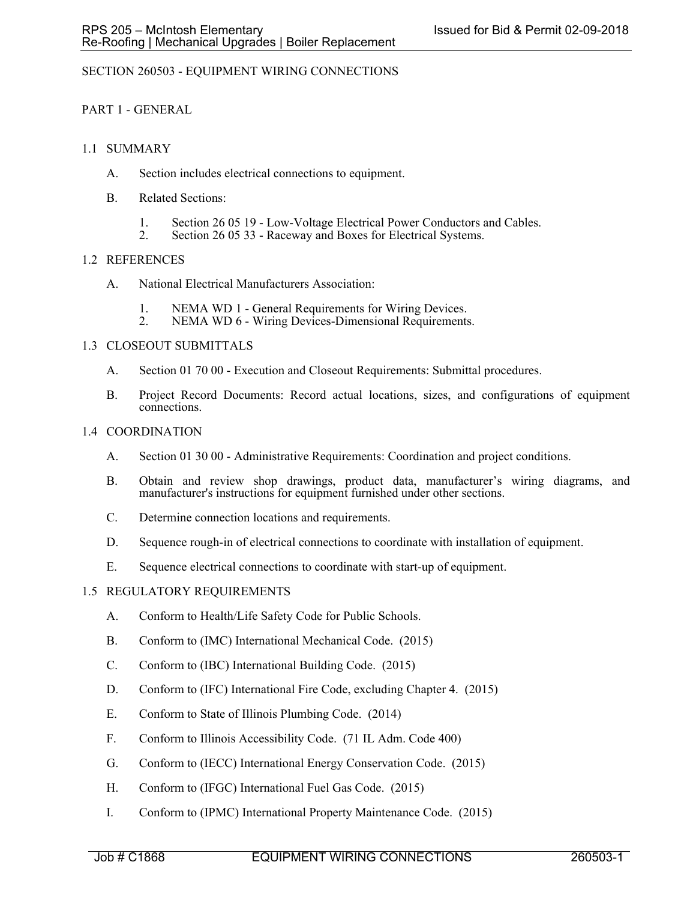# SECTION 260503 - EQUIPMENT WIRING CONNECTIONS

# PART 1 - GENERAL

# 1.1 SUMMARY

- A. Section includes electrical connections to equipment.
- B. Related Sections:
	- 1. Section 26 05 19 Low-Voltage Electrical Power Conductors and Cables.<br>2. Section 26 05 33 Raceway and Boxes for Electrical Systems
	- Section 26 05 33 Raceway and Boxes for Electrical Systems.

### 1.2 REFERENCES

- A. National Electrical Manufacturers Association:
	- 1. NEMA WD 1 General Requirements for Wiring Devices.
	- 2. NEMA WD 6 Wiring Devices-Dimensional Requirements.

### 1.3 CLOSEOUT SUBMITTALS

- A. Section 01 70 00 Execution and Closeout Requirements: Submittal procedures.
- B. Project Record Documents: Record actual locations, sizes, and configurations of equipment connections.

### 1.4 COORDINATION

- A. Section 01 30 00 Administrative Requirements: Coordination and project conditions.
- B. Obtain and review shop drawings, product data, manufacturer's wiring diagrams, and manufacturer's instructions for equipment furnished under other sections.
- C. Determine connection locations and requirements.
- D. Sequence rough-in of electrical connections to coordinate with installation of equipment.
- E. Sequence electrical connections to coordinate with start-up of equipment.

# 1.5 REGULATORY REQUIREMENTS

- A. Conform to Health/Life Safety Code for Public Schools.
- B. Conform to (IMC) International Mechanical Code. (2015)
- C. Conform to (IBC) International Building Code. (2015)
- D. Conform to (IFC) International Fire Code, excluding Chapter 4. (2015)
- E. Conform to State of Illinois Plumbing Code. (2014)
- F. Conform to Illinois Accessibility Code. (71 IL Adm. Code 400)
- G. Conform to (IECC) International Energy Conservation Code. (2015)
- H. Conform to (IFGC) International Fuel Gas Code. (2015)
- I. Conform to (IPMC) International Property Maintenance Code. (2015)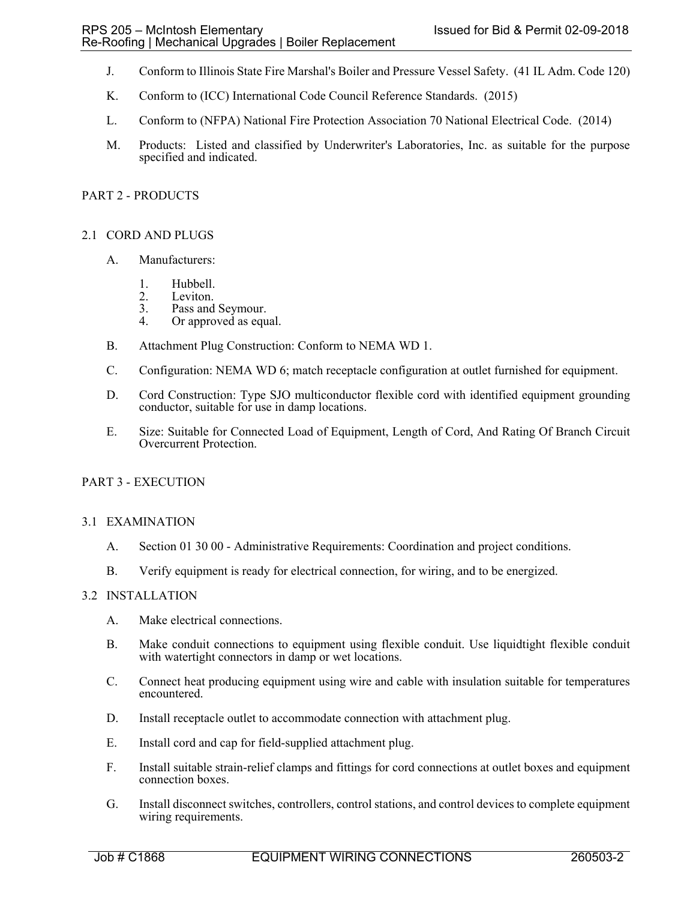- J. Conform to Illinois State Fire Marshal's Boiler and Pressure Vessel Safety. (41 IL Adm. Code 120)
- K. Conform to (ICC) International Code Council Reference Standards. (2015)
- L. Conform to (NFPA) National Fire Protection Association 70 National Electrical Code. (2014)
- M. Products: Listed and classified by Underwriter's Laboratories, Inc. as suitable for the purpose specified and indicated.

# PART 2 - PRODUCTS

# 2.1 CORD AND PLUGS

- A. Manufacturers:
	- 1. Hubbell.<br>2. Leviton.
	- Leviton.
	- 3. Pass and Seymour. 4. Or approved as equal.
	-
- B. Attachment Plug Construction: Conform to NEMA WD 1.
- C. Configuration: NEMA WD 6; match receptacle configuration at outlet furnished for equipment.
- D. Cord Construction: Type SJO multiconductor flexible cord with identified equipment grounding conductor, suitable for use in damp locations.
- E. Size: Suitable for Connected Load of Equipment, Length of Cord, And Rating Of Branch Circuit Overcurrent Protection.

# PART 3 - EXECUTION

# 3.1 EXAMINATION

- A. Section 01 30 00 Administrative Requirements: Coordination and project conditions.
- B. Verify equipment is ready for electrical connection, for wiring, and to be energized.

# 3.2 INSTALLATION

- A. Make electrical connections.
- B. Make conduit connections to equipment using flexible conduit. Use liquidtight flexible conduit with watertight connectors in damp or wet locations.
- C. Connect heat producing equipment using wire and cable with insulation suitable for temperatures encountered.
- D. Install receptacle outlet to accommodate connection with attachment plug.
- E. Install cord and cap for field-supplied attachment plug.
- F. Install suitable strain-relief clamps and fittings for cord connections at outlet boxes and equipment connection boxes.
- G. Install disconnect switches, controllers, control stations, and control devices to complete equipment wiring requirements.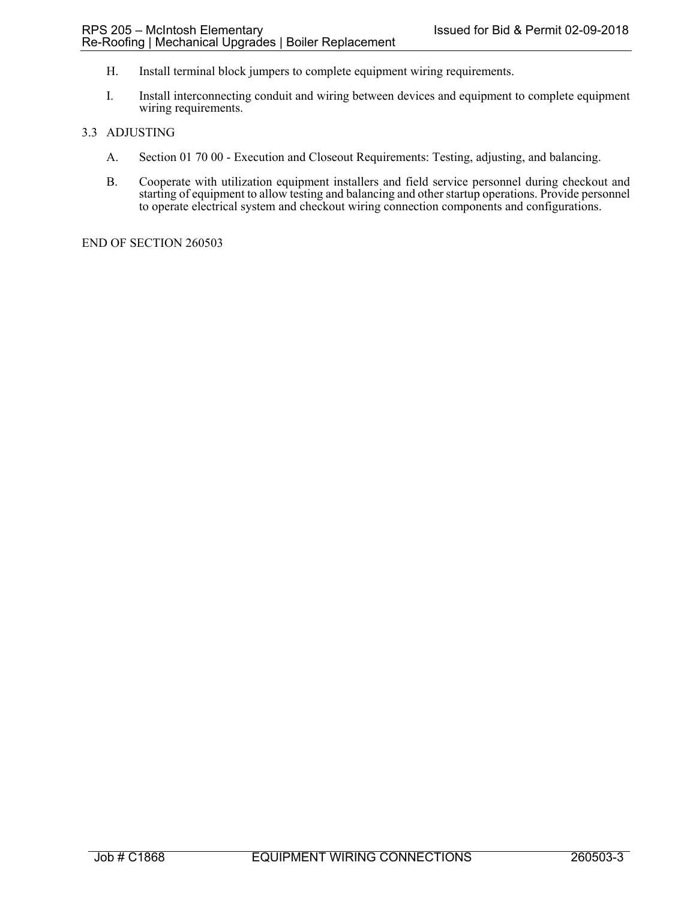- H. Install terminal block jumpers to complete equipment wiring requirements.
- I. Install interconnecting conduit and wiring between devices and equipment to complete equipment wiring requirements.

# 3.3 ADJUSTING

- A. Section 01 70 00 Execution and Closeout Requirements: Testing, adjusting, and balancing.
- B. Cooperate with utilization equipment installers and field service personnel during checkout and starting of equipment to allow testing and balancing and other startup operations. Provide personnel to operate electrical system and checkout wiring connection components and configurations.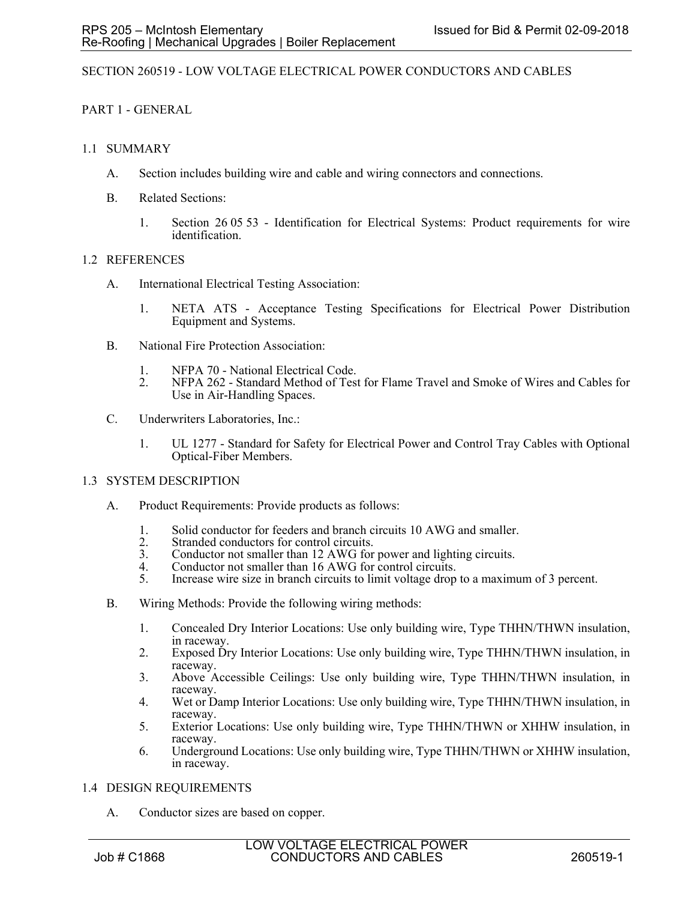### SECTION 260519 - LOW VOLTAGE ELECTRICAL POWER CONDUCTORS AND CABLES

PART 1 - GENERAL

### 1.1 SUMMARY

- A. Section includes building wire and cable and wiring connectors and connections.
- B. Related Sections:
	- 1. Section 26 05 53 Identification for Electrical Systems: Product requirements for wire identification.

### 1.2 REFERENCES

- A. International Electrical Testing Association:
	- 1. NETA ATS Acceptance Testing Specifications for Electrical Power Distribution Equipment and Systems.
- B. National Fire Protection Association:
	- 1. NFPA 70 National Electrical Code.
	- 2. NFPA 262 Standard Method of Test for Flame Travel and Smoke of Wires and Cables for Use in Air-Handling Spaces.
- C. Underwriters Laboratories, Inc.:
	- 1. UL 1277 Standard for Safety for Electrical Power and Control Tray Cables with Optional Optical-Fiber Members.

# 1.3 SYSTEM DESCRIPTION

- A. Product Requirements: Provide products as follows:
	- 1. Solid conductor for feeders and branch circuits 10 AWG and smaller.
	- 2. Stranded conductors for control circuits.
	- 3. Conductor not smaller than 12 AWG for power and lighting circuits.
	- 4. Conductor not smaller than 16 AWG for control circuits.
	- 5. Increase wire size in branch circuits to limit voltage drop to a maximum of 3 percent.
- B. Wiring Methods: Provide the following wiring methods:
	- 1. Concealed Dry Interior Locations: Use only building wire, Type THHN/THWN insulation, in raceway.
	- 2. Exposed Dry Interior Locations: Use only building wire, Type THHN/THWN insulation, in raceway.
	- 3. Above Accessible Ceilings: Use only building wire, Type THHN/THWN insulation, in raceway.
	- 4. Wet or Damp Interior Locations: Use only building wire, Type THHN/THWN insulation, in raceway.
	- 5. Exterior Locations: Use only building wire, Type THHN/THWN or XHHW insulation, in raceway.
	- 6. Underground Locations: Use only building wire, Type THHN/THWN or XHHW insulation, in raceway.

#### 1.4 DESIGN REQUIREMENTS

A. Conductor sizes are based on copper.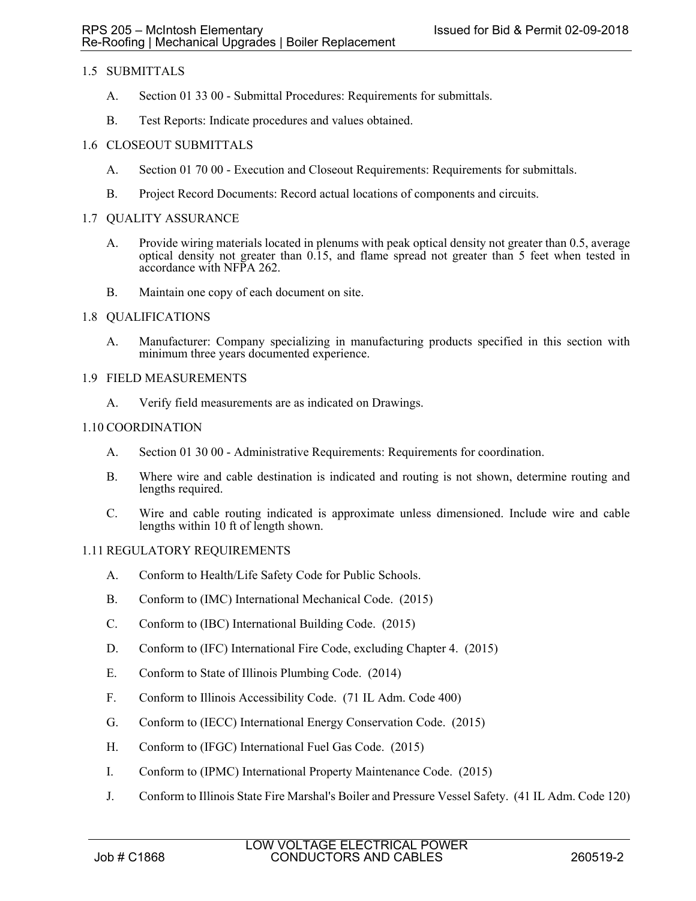# 1.5 SUBMITTALS

- A. Section 01 33 00 Submittal Procedures: Requirements for submittals.
- B. Test Reports: Indicate procedures and values obtained.

# 1.6 CLOSEOUT SUBMITTALS

- A. Section 01 70 00 Execution and Closeout Requirements: Requirements for submittals.
- B. Project Record Documents: Record actual locations of components and circuits.

### 1.7 QUALITY ASSURANCE

- A. Provide wiring materials located in plenums with peak optical density not greater than 0.5, average optical density not greater than 0.15, and flame spread not greater than 5 feet when tested in accordance with NFPA 262.
- B. Maintain one copy of each document on site.

### 1.8 QUALIFICATIONS

A. Manufacturer: Company specializing in manufacturing products specified in this section with minimum three years documented experience.

### 1.9 FIELD MEASUREMENTS

A. Verify field measurements are as indicated on Drawings.

### 1.10 COORDINATION

- A. Section 01 30 00 Administrative Requirements: Requirements for coordination.
- B. Where wire and cable destination is indicated and routing is not shown, determine routing and lengths required.
- C. Wire and cable routing indicated is approximate unless dimensioned. Include wire and cable lengths within 10 ft of length shown.

# 1.11 REGULATORY REQUIREMENTS

- A. Conform to Health/Life Safety Code for Public Schools.
- B. Conform to (IMC) International Mechanical Code. (2015)
- C. Conform to (IBC) International Building Code. (2015)
- D. Conform to (IFC) International Fire Code, excluding Chapter 4. (2015)
- E. Conform to State of Illinois Plumbing Code. (2014)
- F. Conform to Illinois Accessibility Code. (71 IL Adm. Code 400)
- G. Conform to (IECC) International Energy Conservation Code. (2015)
- H. Conform to (IFGC) International Fuel Gas Code. (2015)
- I. Conform to (IPMC) International Property Maintenance Code. (2015)
- J. Conform to Illinois State Fire Marshal's Boiler and Pressure Vessel Safety. (41 IL Adm. Code 120)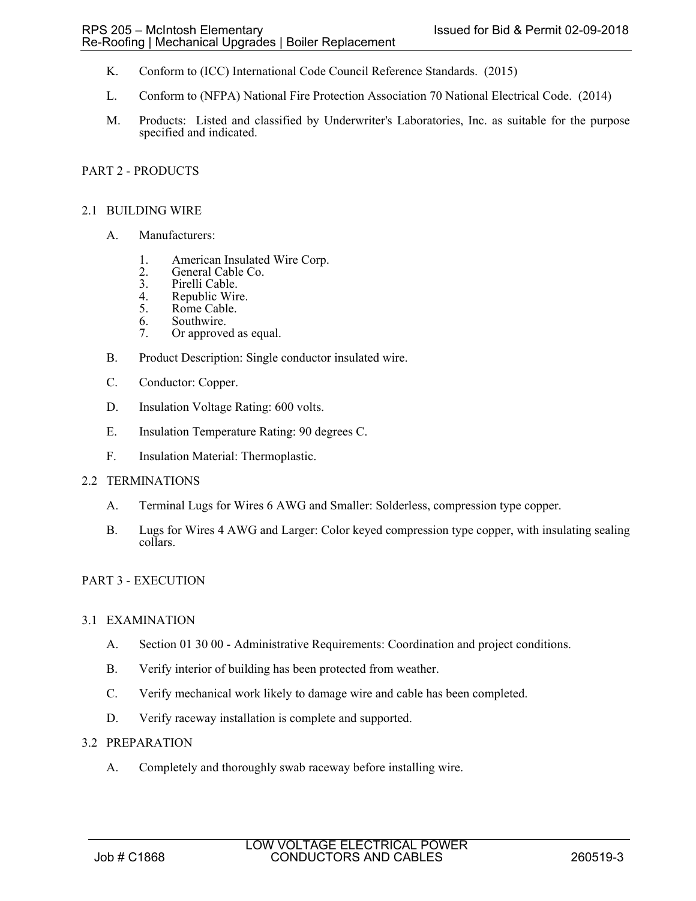- K. Conform to (ICC) International Code Council Reference Standards. (2015)
- L. Conform to (NFPA) National Fire Protection Association 70 National Electrical Code. (2014)
- M. Products: Listed and classified by Underwriter's Laboratories, Inc. as suitable for the purpose specified and indicated.

### PART 2 - PRODUCTS

### 2.1 BUILDING WIRE

- A. Manufacturers:
	- 1. American Insulated Wire Corp.
	- 2. General Cable Co.<br>3. Pirelli Cable.
	- 3. Pirelli Cable.<br>4. Republic Wir
	- 4. Republic Wire.<br>5. Rome Cable.
	- Rome Cable.
	- 6. Southwire.
	- 7. Or approved as equal.
- B. Product Description: Single conductor insulated wire.
- C. Conductor: Copper.
- D. Insulation Voltage Rating: 600 volts.
- E. Insulation Temperature Rating: 90 degrees C.
- F. Insulation Material: Thermoplastic.

#### 2.2 TERMINATIONS

- A. Terminal Lugs for Wires 6 AWG and Smaller: Solderless, compression type copper.
- B. Lugs for Wires 4 AWG and Larger: Color keyed compression type copper, with insulating sealing collars.

#### PART 3 - EXECUTION

#### 3.1 EXAMINATION

- A. Section 01 30 00 Administrative Requirements: Coordination and project conditions.
- B. Verify interior of building has been protected from weather.
- C. Verify mechanical work likely to damage wire and cable has been completed.
- D. Verify raceway installation is complete and supported.

#### 3.2 PREPARATION

A. Completely and thoroughly swab raceway before installing wire.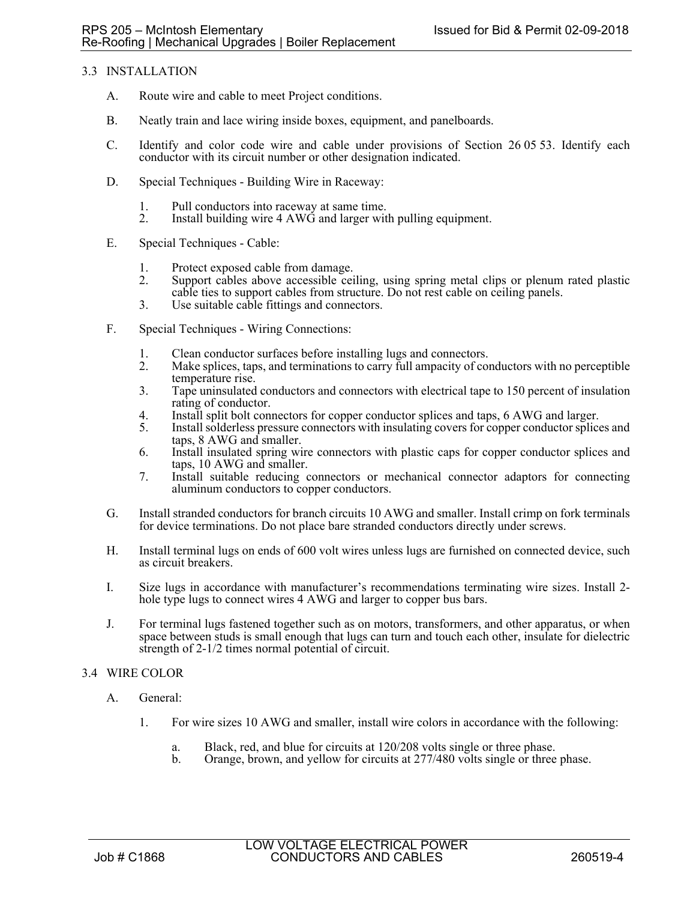# 3.3 INSTALLATION

- A. Route wire and cable to meet Project conditions.
- B. Neatly train and lace wiring inside boxes, equipment, and panelboards.
- C. Identify and color code wire and cable under provisions of Section 26 05 53. Identify each conductor with its circuit number or other designation indicated.
- D. Special Techniques Building Wire in Raceway:
	- 1. Pull conductors into raceway at same time.
	- 2. Install building wire 4 AWG and larger with pulling equipment.
- E. Special Techniques Cable:
	- 1. Protect exposed cable from damage.<br>2. Support cables above accessible cei
	- 2. Support cables above accessible ceiling, using spring metal clips or plenum rated plastic cable ties to support cables from structure. Do not rest cable on ceiling panels.
	- 3. Use suitable cable fittings and connectors.
- F. Special Techniques Wiring Connections:
	- 1. Clean conductor surfaces before installing lugs and connectors.
	- 2. Make splices, taps, and terminations to carry full ampacity of conductors with no perceptible temperature rise.
	- 3. Tape uninsulated conductors and connectors with electrical tape to 150 percent of insulation rating of conductor.
	- 4. Install split bolt connectors for copper conductor splices and taps, 6 AWG and larger.<br>5. Install solderless pressure connectors with insulating covers for copper conductor splice
	- Install solderless pressure connectors with insulating covers for copper conductor splices and taps, 8 AWG and smaller.
	- 6. Install insulated spring wire connectors with plastic caps for copper conductor splices and taps, 10 AWG and smaller.
	- 7. Install suitable reducing connectors or mechanical connector adaptors for connecting aluminum conductors to copper conductors.
- G. Install stranded conductors for branch circuits 10 AWG and smaller. Install crimp on fork terminals for device terminations. Do not place bare stranded conductors directly under screws.
- H. Install terminal lugs on ends of 600 volt wires unless lugs are furnished on connected device, such as circuit breakers.
- I. Size lugs in accordance with manufacturer's recommendations terminating wire sizes. Install 2 hole type lugs to connect wires 4 AWG and larger to copper bus bars.
- J. For terminal lugs fastened together such as on motors, transformers, and other apparatus, or when space between studs is small enough that lugs can turn and touch each other, insulate for dielectric strength of 2-1/2 times normal potential of circuit.

# 3.4 WIRE COLOR

- A. General:
	- 1. For wire sizes 10 AWG and smaller, install wire colors in accordance with the following:
		- a. Black, red, and blue for circuits at 120/208 volts single or three phase.
		- b. Orange, brown, and yellow for circuits at 277/480 volts single or three phase.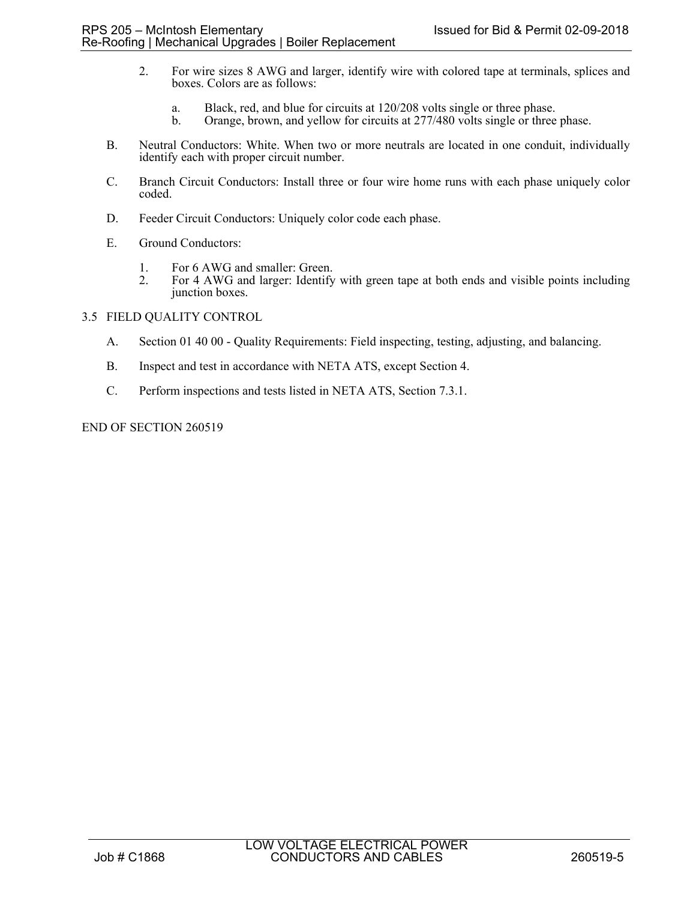- 2. For wire sizes 8 AWG and larger, identify wire with colored tape at terminals, splices and boxes. Colors are as follows:
	- a. Black, red, and blue for circuits at 120/208 volts single or three phase.
	- Orange, brown, and yellow for circuits at 277/480 volts single or three phase.
- B. Neutral Conductors: White. When two or more neutrals are located in one conduit, individually identify each with proper circuit number.
- C. Branch Circuit Conductors: Install three or four wire home runs with each phase uniquely color coded.
- D. Feeder Circuit Conductors: Uniquely color code each phase.
- E. Ground Conductors:
	- 1. For 6 AWG and smaller: Green.<br>2. For 4 AWG and larger: Identify
	- 2. For 4 AWG and larger: Identify with green tape at both ends and visible points including junction boxes.

### 3.5 FIELD QUALITY CONTROL

- A. Section 01 40 00 Quality Requirements: Field inspecting, testing, adjusting, and balancing.
- B. Inspect and test in accordance with NETA ATS, except Section 4.
- C. Perform inspections and tests listed in NETA ATS, Section 7.3.1.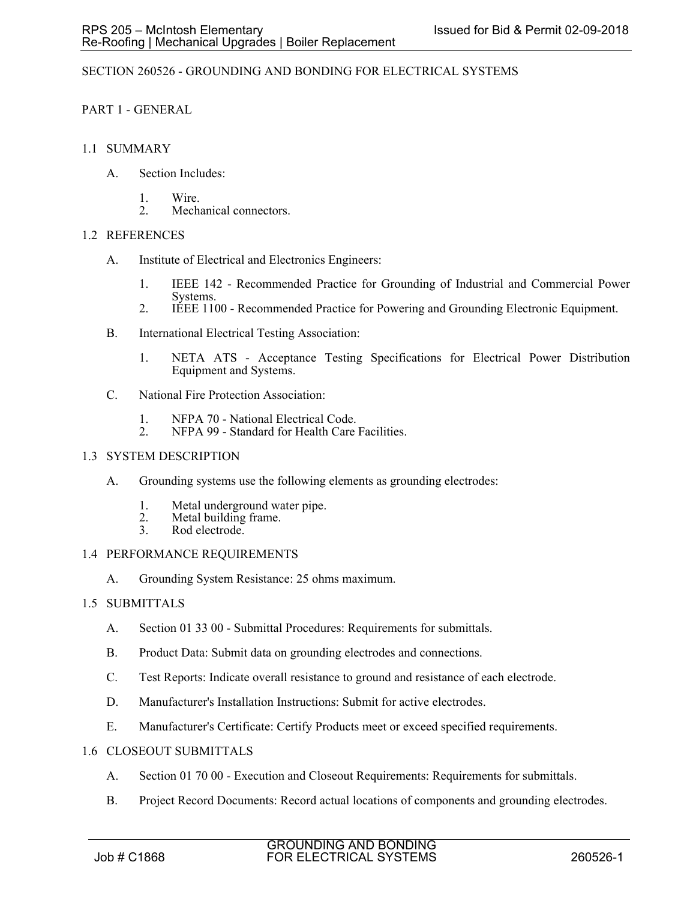# SECTION 260526 - GROUNDING AND BONDING FOR ELECTRICAL SYSTEMS

# PART 1 - GENERAL

# 1.1 SUMMARY

- A. Section Includes:
	- 1. Wire.
	- 2. Mechanical connectors.

# 1.2 REFERENCES

- A. Institute of Electrical and Electronics Engineers:
	- 1. IEEE 142 Recommended Practice for Grounding of Industrial and Commercial Power Systems.
	- 2. IEEE 1100 Recommended Practice for Powering and Grounding Electronic Equipment.
- B. International Electrical Testing Association:
	- 1. NETA ATS Acceptance Testing Specifications for Electrical Power Distribution Equipment and Systems.
- C. National Fire Protection Association:
	- 1. NFPA 70 National Electrical Code.<br>2. NFPA 99 Standard for Health Care
	- NFPA 99 Standard for Health Care Facilities.

# 1.3 SYSTEM DESCRIPTION

- A. Grounding systems use the following elements as grounding electrodes:
	- 1. Metal underground water pipe.
	- 2. Metal building frame.<br>3. Rod electrode.
	- Rod electrode.

# 1.4 PERFORMANCE REQUIREMENTS

A. Grounding System Resistance: 25 ohms maximum.

# 1.5 SUBMITTALS

- A. Section 01 33 00 Submittal Procedures: Requirements for submittals.
- B. Product Data: Submit data on grounding electrodes and connections.
- C. Test Reports: Indicate overall resistance to ground and resistance of each electrode.
- D. Manufacturer's Installation Instructions: Submit for active electrodes.
- E. Manufacturer's Certificate: Certify Products meet or exceed specified requirements.
- 1.6 CLOSEOUT SUBMITTALS
	- A. Section 01 70 00 Execution and Closeout Requirements: Requirements for submittals.
	- B. Project Record Documents: Record actual locations of components and grounding electrodes.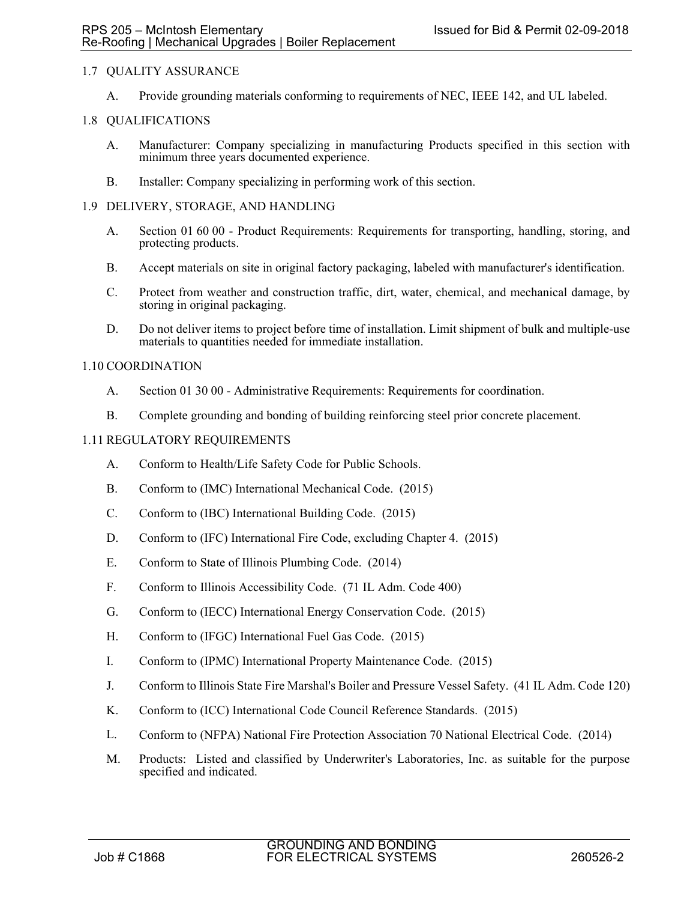# 1.7 QUALITY ASSURANCE

A. Provide grounding materials conforming to requirements of NEC, IEEE 142, and UL labeled.

### 1.8 QUALIFICATIONS

- A. Manufacturer: Company specializing in manufacturing Products specified in this section with minimum three years documented experience.
- B. Installer: Company specializing in performing work of this section.

### 1.9 DELIVERY, STORAGE, AND HANDLING

- A. Section 01 60 00 Product Requirements: Requirements for transporting, handling, storing, and protecting products.
- B. Accept materials on site in original factory packaging, labeled with manufacturer's identification.
- C. Protect from weather and construction traffic, dirt, water, chemical, and mechanical damage, by storing in original packaging.
- D. Do not deliver items to project before time of installation. Limit shipment of bulk and multiple-use materials to quantities needed for immediate installation.

### 1.10 COORDINATION

- A. Section 01 30 00 Administrative Requirements: Requirements for coordination.
- B. Complete grounding and bonding of building reinforcing steel prior concrete placement.

### 1.11 REGULATORY REQUIREMENTS

- A. Conform to Health/Life Safety Code for Public Schools.
- B. Conform to (IMC) International Mechanical Code. (2015)
- C. Conform to (IBC) International Building Code. (2015)
- D. Conform to (IFC) International Fire Code, excluding Chapter 4. (2015)
- E. Conform to State of Illinois Plumbing Code. (2014)
- F. Conform to Illinois Accessibility Code. (71 IL Adm. Code 400)
- G. Conform to (IECC) International Energy Conservation Code. (2015)
- H. Conform to (IFGC) International Fuel Gas Code. (2015)
- I. Conform to (IPMC) International Property Maintenance Code. (2015)
- J. Conform to Illinois State Fire Marshal's Boiler and Pressure Vessel Safety. (41 IL Adm. Code 120)
- K. Conform to (ICC) International Code Council Reference Standards. (2015)
- L. Conform to (NFPA) National Fire Protection Association 70 National Electrical Code. (2014)
- M. Products: Listed and classified by Underwriter's Laboratories, Inc. as suitable for the purpose specified and indicated.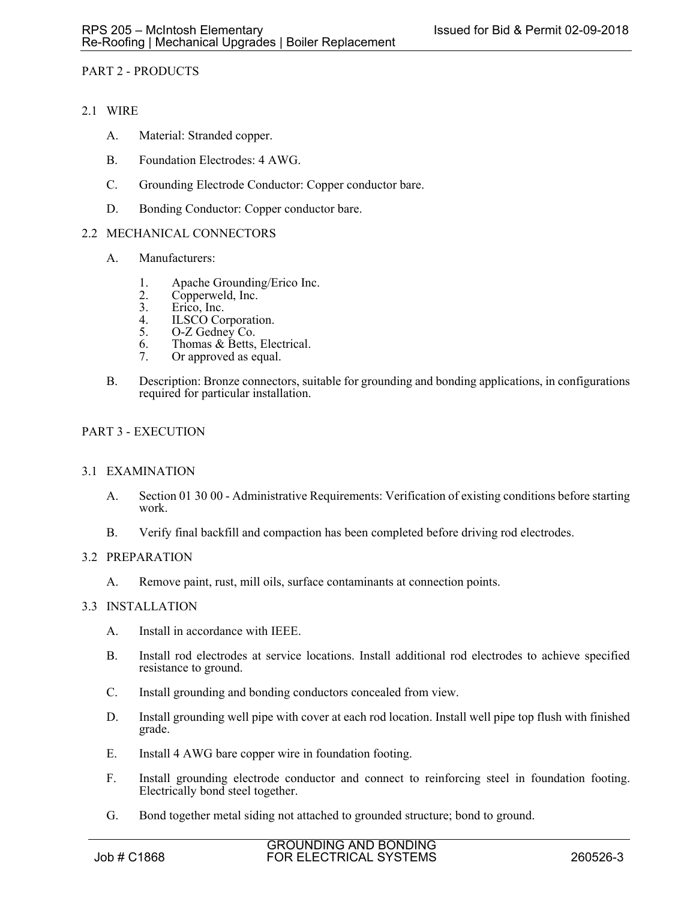# PART 2 - PRODUCTS

- 2.1 WIRE
	- A. Material: Stranded copper.
	- B. Foundation Electrodes: 4 AWG.
	- C. Grounding Electrode Conductor: Copper conductor bare.
	- D. Bonding Conductor: Copper conductor bare.

# 2.2 MECHANICAL CONNECTORS

- A. Manufacturers:
	- 1. Apache Grounding/Erico Inc.<br>2. Copperweld, Inc.
	- 2. Copperweld, Inc.<br>3. Erico, Inc.
	- Erico, Inc.
	- 4. ILSCO Corporation.<br>5. O-Z Gedney Co.
	- O-Z Gedney Co.
	- 6. Thomas & Betts, Electrical.
	- 7. Or approved as equal.
- B. Description: Bronze connectors, suitable for grounding and bonding applications, in configurations required for particular installation.

# PART 3 - EXECUTION

# 3.1 EXAMINATION

- A. Section 01 30 00 Administrative Requirements: Verification of existing conditions before starting work.
- B. Verify final backfill and compaction has been completed before driving rod electrodes.

# 3.2 PREPARATION

A. Remove paint, rust, mill oils, surface contaminants at connection points.

#### 3.3 INSTALLATION

- A. Install in accordance with IEEE.
- B. Install rod electrodes at service locations. Install additional rod electrodes to achieve specified resistance to ground.
- C. Install grounding and bonding conductors concealed from view.
- D. Install grounding well pipe with cover at each rod location. Install well pipe top flush with finished grade.
- E. Install 4 AWG bare copper wire in foundation footing.
- F. Install grounding electrode conductor and connect to reinforcing steel in foundation footing. Electrically bond steel together.
- G. Bond together metal siding not attached to grounded structure; bond to ground.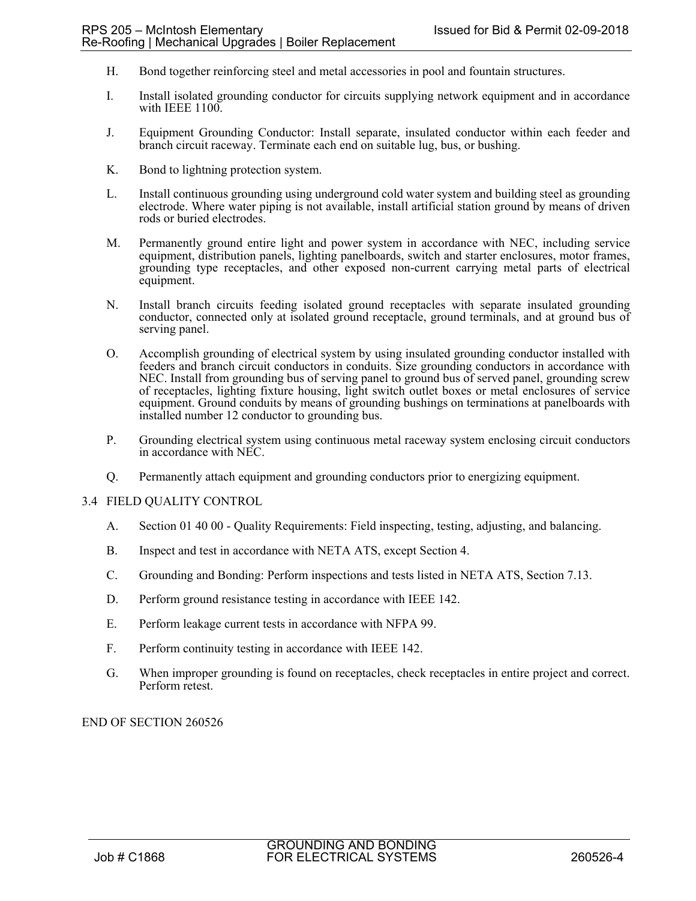- H. Bond together reinforcing steel and metal accessories in pool and fountain structures.
- I. Install isolated grounding conductor for circuits supplying network equipment and in accordance with IEEE 1100.
- J. Equipment Grounding Conductor: Install separate, insulated conductor within each feeder and branch circuit raceway. Terminate each end on suitable lug, bus, or bushing.
- K. Bond to lightning protection system.
- L. Install continuous grounding using underground cold water system and building steel as grounding electrode. Where water piping is not available, install artificial station ground by means of driven rods or buried electrodes.
- M. Permanently ground entire light and power system in accordance with NEC, including service equipment, distribution panels, lighting panelboards, switch and starter enclosures, motor frames, grounding type receptacles, and other exposed non-current carrying metal parts of electrical equipment.
- N. Install branch circuits feeding isolated ground receptacles with separate insulated grounding conductor, connected only at isolated ground receptacle, ground terminals, and at ground bus of serving panel.
- O. Accomplish grounding of electrical system by using insulated grounding conductor installed with feeders and branch circuit conductors in conduits. Size grounding conductors in accordance with NEC. Install from grounding bus of serving panel to ground bus of served panel, grounding screw of receptacles, lighting fixture housing, light switch outlet boxes or metal enclosures of service equipment. Ground conduits by means of grounding bushings on terminations at panelboards with installed number 12 conductor to grounding bus.
- P. Grounding electrical system using continuous metal raceway system enclosing circuit conductors in accordance with NEC.
- Q. Permanently attach equipment and grounding conductors prior to energizing equipment.

#### 3.4 FIELD QUALITY CONTROL

- A. Section 01 40 00 Quality Requirements: Field inspecting, testing, adjusting, and balancing.
- B. Inspect and test in accordance with NETA ATS, except Section 4.
- C. Grounding and Bonding: Perform inspections and tests listed in NETA ATS, Section 7.13.
- D. Perform ground resistance testing in accordance with IEEE 142.
- E. Perform leakage current tests in accordance with NFPA 99.
- F. Perform continuity testing in accordance with IEEE 142.
- G. When improper grounding is found on receptacles, check receptacles in entire project and correct. Perform retest.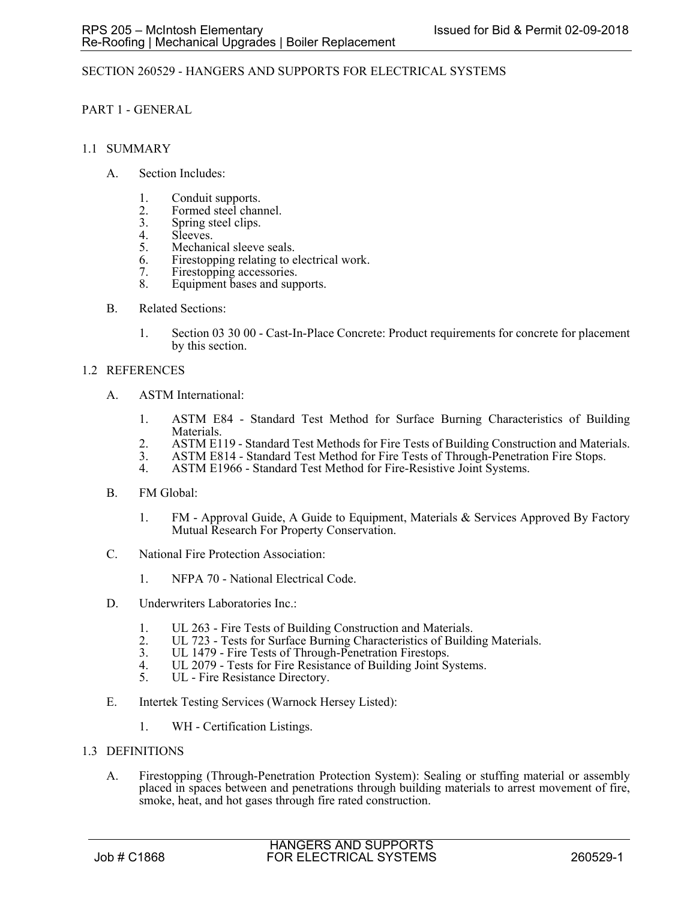# SECTION 260529 - HANGERS AND SUPPORTS FOR ELECTRICAL SYSTEMS

# PART 1 - GENERAL

### 1.1 SUMMARY

- A. Section Includes:
	- 1. Conduit supports.
	- 2. Formed steel channel.<br>3. Spring steel clips.
	- 3. Spring steel clips.<br>4. Sleeves.
	- 4. Sleeves.<br>5. Mechani
	- Mechanical sleeve seals.
	- 6. Firestopping relating to electrical work.
	- 7. Firestopping accessories.
	- 8. Equipment bases and supports.
- B. Related Sections:
	- 1. Section 03 30 00 Cast-In-Place Concrete: Product requirements for concrete for placement by this section.

### 1.2 REFERENCES

- A. ASTM International:
	- 1. ASTM E84 Standard Test Method for Surface Burning Characteristics of Building Materials.
	- 2. ASTM E119 Standard Test Methods for Fire Tests of Building Construction and Materials.
	- 3. ASTM E814 Standard Test Method for Fire Tests of Through-Penetration Fire Stops.<br>4. ASTM E1966 Standard Test Method for Fire-Resistive Joint Systems.
	- ASTM E1966 Standard Test Method for Fire-Resistive Joint Systems.
- B. FM Global:
	- 1. FM Approval Guide, A Guide to Equipment, Materials & Services Approved By Factory Mutual Research For Property Conservation.
- C. National Fire Protection Association:
	- 1. NFPA 70 National Electrical Code.
- D. Underwriters Laboratories Inc.:
	- 1. UL 263 Fire Tests of Building Construction and Materials.
	- 2. UL 723 Tests for Surface Burning Characteristics of Building Materials.<br>3. UL 1479 Fire Tests of Through-Penetration Firestops.
	- 3. UL 1479 Fire Tests of Through-Penetration Firestops.<br>4 UL 2079 Tests for Fire Resistance of Building Joint Sy
	- 4. UL 2079 Tests for Fire Resistance of Building Joint Systems.<br>5. UL Fire Resistance Directory.
	- UL Fire Resistance Directory.
- E. Intertek Testing Services (Warnock Hersey Listed):
	- 1. WH Certification Listings.
- 1.3 DEFINITIONS
	- A. Firestopping (Through-Penetration Protection System): Sealing or stuffing material or assembly placed in spaces between and penetrations through building materials to arrest movement of fire, smoke, heat, and hot gases through fire rated construction.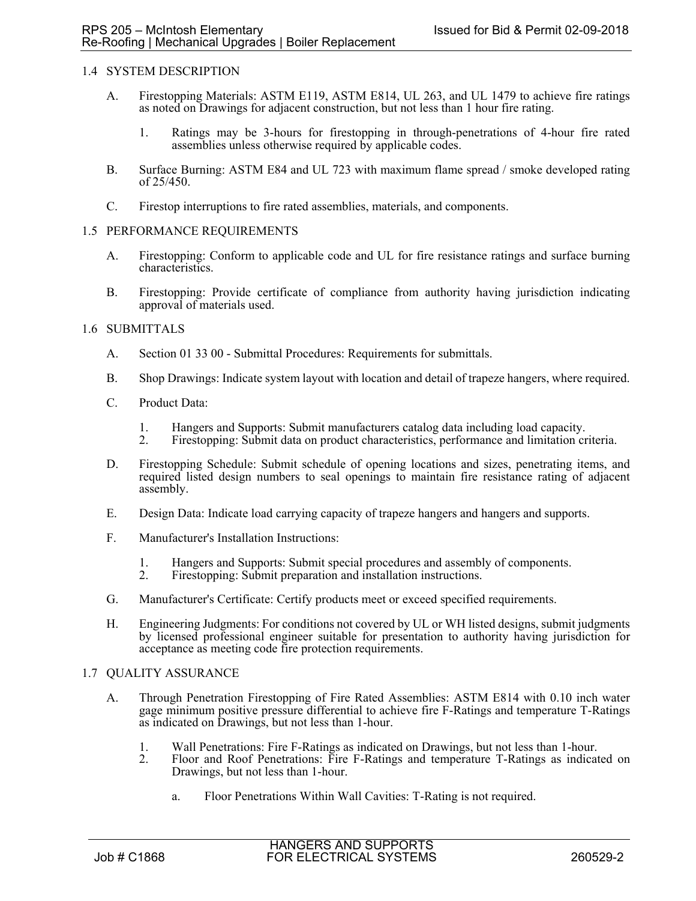### 1.4 SYSTEM DESCRIPTION

- A. Firestopping Materials: ASTM E119, ASTM E814, UL 263, and UL 1479 to achieve fire ratings as noted on Drawings for adjacent construction, but not less than 1 hour fire rating.
	- 1. Ratings may be 3-hours for firestopping in through-penetrations of 4-hour fire rated assemblies unless otherwise required by applicable codes.
- B. Surface Burning: ASTM E84 and UL 723 with maximum flame spread / smoke developed rating of 25/450.
- C. Firestop interruptions to fire rated assemblies, materials, and components.

### 1.5 PERFORMANCE REQUIREMENTS

- A. Firestopping: Conform to applicable code and UL for fire resistance ratings and surface burning characteristics.
- B. Firestopping: Provide certificate of compliance from authority having jurisdiction indicating approval of materials used.

### 1.6 SUBMITTALS

- A. Section 01 33 00 Submittal Procedures: Requirements for submittals.
- B. Shop Drawings: Indicate system layout with location and detail of trapeze hangers, where required.
- C. Product Data:
	- 1. Hangers and Supports: Submit manufacturers catalog data including load capacity.
	- 2. Firestopping: Submit data on product characteristics, performance and limitation criteria.
- D. Firestopping Schedule: Submit schedule of opening locations and sizes, penetrating items, and required listed design numbers to seal openings to maintain fire resistance rating of adjacent assembly.
- E. Design Data: Indicate load carrying capacity of trapeze hangers and hangers and supports.
- F. Manufacturer's Installation Instructions:
	- 1. Hangers and Supports: Submit special procedures and assembly of components.<br>2. Firestopping: Submit preparation and installation instructions.
	- Firestopping: Submit preparation and installation instructions.
- G. Manufacturer's Certificate: Certify products meet or exceed specified requirements.
- H. Engineering Judgments: For conditions not covered by UL or WH listed designs, submit judgments by licensed professional engineer suitable for presentation to authority having jurisdiction for acceptance as meeting code fire protection requirements.

#### 1.7 QUALITY ASSURANCE

- A. Through Penetration Firestopping of Fire Rated Assemblies: ASTM E814 with 0.10 inch water gage minimum positive pressure differential to achieve fire F-Ratings and temperature T-Ratings as indicated on Drawings, but not less than 1-hour.
	- 1. Wall Penetrations: Fire F-Ratings as indicated on Drawings, but not less than 1-hour.
	- 2. Floor and Roof Penetrations: Fire F-Ratings and temperature T-Ratings as indicated on Drawings, but not less than 1-hour.
		- a. Floor Penetrations Within Wall Cavities: T-Rating is not required.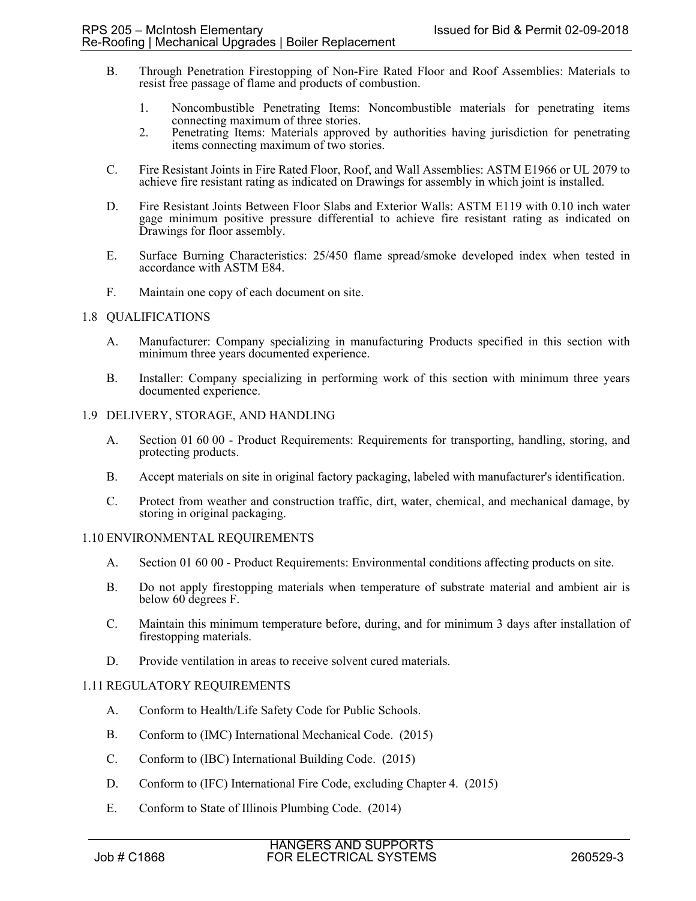- B. Through Penetration Firestopping of Non-Fire Rated Floor and Roof Assemblies: Materials to resist free passage of flame and products of combustion.
	- 1. Noncombustible Penetrating Items: Noncombustible materials for penetrating items connecting maximum of three stories.
	- 2. Penetrating Items: Materials approved by authorities having jurisdiction for penetrating items connecting maximum of two stories.
- C. Fire Resistant Joints in Fire Rated Floor, Roof, and Wall Assemblies: ASTM E1966 or UL 2079 to achieve fire resistant rating as indicated on Drawings for assembly in which joint is installed.
- D. Fire Resistant Joints Between Floor Slabs and Exterior Walls: ASTM E119 with 0.10 inch water gage minimum positive pressure differential to achieve fire resistant rating as indicated on Drawings for floor assembly.
- E. Surface Burning Characteristics: 25/450 flame spread/smoke developed index when tested in accordance with ASTM E84.
- F. Maintain one copy of each document on site.

# 1.8 QUALIFICATIONS

- A. Manufacturer: Company specializing in manufacturing Products specified in this section with minimum three years documented experience.
- B. Installer: Company specializing in performing work of this section with minimum three years documented experience.

### 1.9 DELIVERY, STORAGE, AND HANDLING

- A. Section 01 60 00 Product Requirements: Requirements for transporting, handling, storing, and protecting products.
- B. Accept materials on site in original factory packaging, labeled with manufacturer's identification.
- C. Protect from weather and construction traffic, dirt, water, chemical, and mechanical damage, by storing in original packaging.

# 1.10 ENVIRONMENTAL REQUIREMENTS

- A. Section 01 60 00 Product Requirements: Environmental conditions affecting products on site.
- B. Do not apply firestopping materials when temperature of substrate material and ambient air is below 60 degrees F.
- C. Maintain this minimum temperature before, during, and for minimum 3 days after installation of firestopping materials.
- D. Provide ventilation in areas to receive solvent cured materials.

# 1.11 REGULATORY REQUIREMENTS

- A. Conform to Health/Life Safety Code for Public Schools.
- B. Conform to (IMC) International Mechanical Code. (2015)
- C. Conform to (IBC) International Building Code. (2015)
- D. Conform to (IFC) International Fire Code, excluding Chapter 4. (2015)
- E. Conform to State of Illinois Plumbing Code. (2014)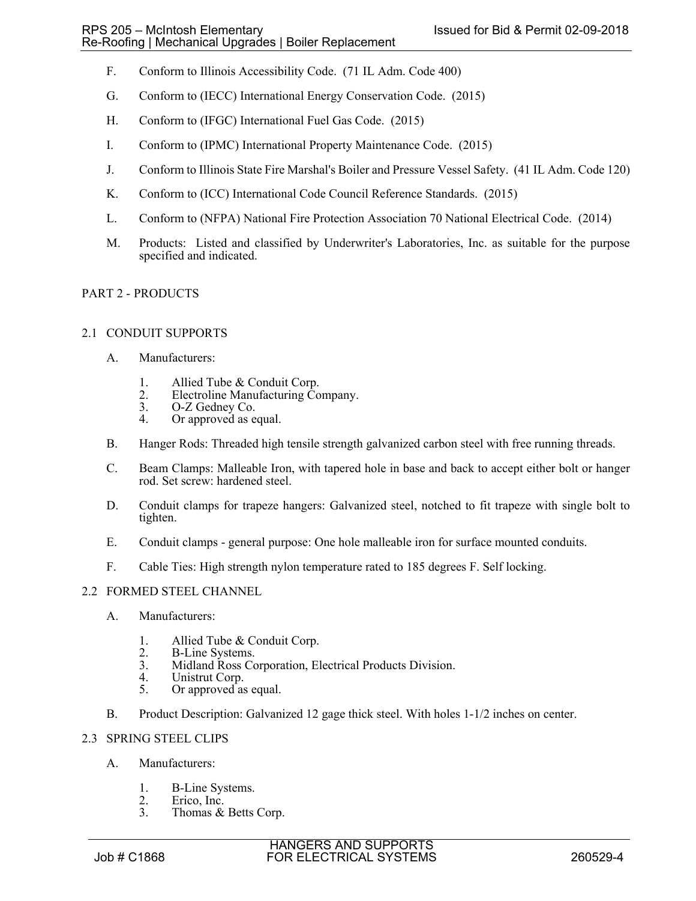- F. Conform to Illinois Accessibility Code. (71 IL Adm. Code 400)
- G. Conform to (IECC) International Energy Conservation Code. (2015)
- H. Conform to (IFGC) International Fuel Gas Code. (2015)
- I. Conform to (IPMC) International Property Maintenance Code. (2015)
- J. Conform to Illinois State Fire Marshal's Boiler and Pressure Vessel Safety. (41 IL Adm. Code 120)
- K. Conform to (ICC) International Code Council Reference Standards. (2015)
- L. Conform to (NFPA) National Fire Protection Association 70 National Electrical Code. (2014)
- M. Products: Listed and classified by Underwriter's Laboratories, Inc. as suitable for the purpose specified and indicated.

# PART 2 - PRODUCTS

#### 2.1 CONDUIT SUPPORTS

- A. Manufacturers:
	- 1. Allied Tube & Conduit Corp.
	- 2. Electroline Manufacturing Company.<br>3. O-Z Gedney Co.
	- 3. O-Z Gedney Co.<br>4. Or approved as e
	- Or approved as equal.
- B. Hanger Rods: Threaded high tensile strength galvanized carbon steel with free running threads.
- C. Beam Clamps: Malleable Iron, with tapered hole in base and back to accept either bolt or hanger rod. Set screw: hardened steel.
- D. Conduit clamps for trapeze hangers: Galvanized steel, notched to fit trapeze with single bolt to tighten.
- E. Conduit clamps general purpose: One hole malleable iron for surface mounted conduits.
- F. Cable Ties: High strength nylon temperature rated to 185 degrees F. Self locking.

# 2.2 FORMED STEEL CHANNEL

- A. Manufacturers:
	- 1. Allied Tube & Conduit Corp.<br>2. B-Line Systems.
	- 2. B-Line Systems.<br>3. Midland Ross Co.
	- 3. Midland Ross Corporation, Electrical Products Division.
	- 4. Unistrut Corp.<br>5. Or approved as
	- Or approved as equal.
- B. Product Description: Galvanized 12 gage thick steel. With holes 1-1/2 inches on center.

#### 2.3 SPRING STEEL CLIPS

- A. Manufacturers:
	- 1. B-Line Systems.<br>2. Erico, Inc.
	- 2. Erico, Inc.<br>3. Thomas &
	- Thomas & Betts Corp.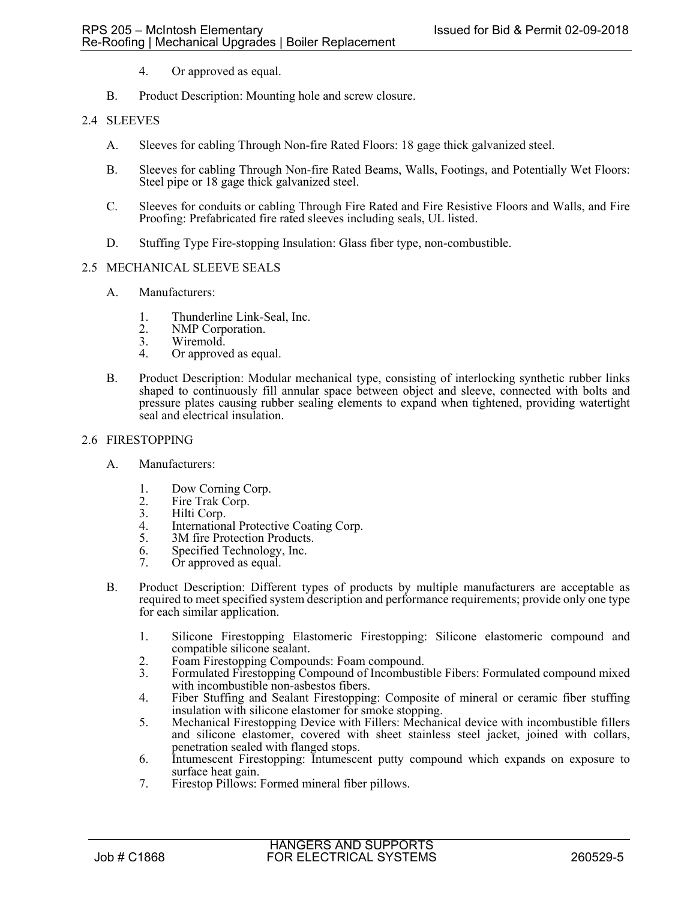- 4. Or approved as equal.
- B. Product Description: Mounting hole and screw closure.

# 2.4 SLEEVES

- A. Sleeves for cabling Through Non-fire Rated Floors: 18 gage thick galvanized steel.
- B. Sleeves for cabling Through Non-fire Rated Beams, Walls, Footings, and Potentially Wet Floors: Steel pipe or 18 gage thick galvanized steel.
- C. Sleeves for conduits or cabling Through Fire Rated and Fire Resistive Floors and Walls, and Fire Proofing: Prefabricated fire rated sleeves including seals, UL listed.
- D. Stuffing Type Fire-stopping Insulation: Glass fiber type, non-combustible.

### 2.5 MECHANICAL SLEEVE SEALS

- A. Manufacturers:
	- 1. Thunderline Link-Seal, Inc.<br>2. NMP Corporation.
	- 2. NMP Corporation.<br>3. Wiremold.
	- Wiremold.
	- 4. Or approved as equal.
- B. Product Description: Modular mechanical type, consisting of interlocking synthetic rubber links shaped to continuously fill annular space between object and sleeve, connected with bolts and pressure plates causing rubber sealing elements to expand when tightened, providing watertight seal and electrical insulation.

# 2.6 FIRESTOPPING

- A. Manufacturers:
	- 1. Dow Corning Corp.
	- 2. Fire Trak Corp.<br>3. Hilti Corp.
	- 3. Hilti Corp.<br>4. Internation
	- International Protective Coating Corp.
	- 5. 3M fire Protection Products.
	- 6. Specified Technology, Inc.<br>7. Or approved as equal
	- Or approved as equal.
- B. Product Description: Different types of products by multiple manufacturers are acceptable as required to meet specified system description and performance requirements; provide only one type for each similar application.
	- 1. Silicone Firestopping Elastomeric Firestopping: Silicone elastomeric compound and compatible silicone sealant.
	- 2. Foam Firestopping Compounds: Foam compound.<br>3. Formulated Firestopping Compound of Incombusti
	- Formulated Firestopping Compound of Incombustible Fibers: Formulated compound mixed with incombustible non-asbestos fibers.
	- 4. Fiber Stuffing and Sealant Firestopping: Composite of mineral or ceramic fiber stuffing insulation with silicone elastomer for smoke stopping.
	- 5. Mechanical Firestopping Device with Fillers: Mechanical device with incombustible fillers and silicone elastomer, covered with sheet stainless steel jacket, joined with collars, penetration sealed with flanged stops.
	- 6. Intumescent Firestopping: Intumescent putty compound which expands on exposure to surface heat gain.
	- 7. Firestop Pillows: Formed mineral fiber pillows.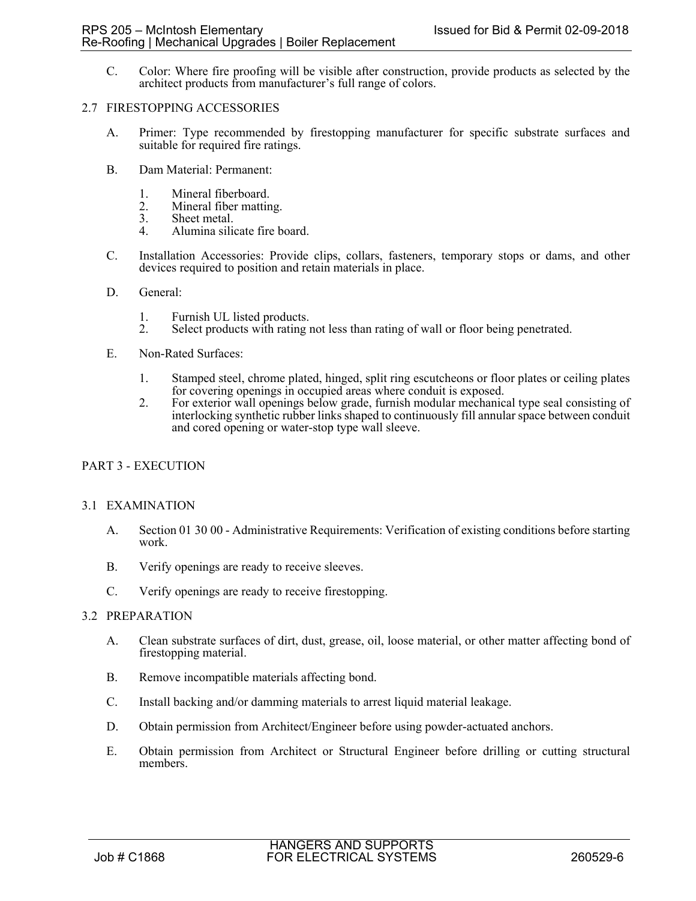C. Color: Where fire proofing will be visible after construction, provide products as selected by the architect products from manufacturer's full range of colors.

### 2.7 FIRESTOPPING ACCESSORIES

- A. Primer: Type recommended by firestopping manufacturer for specific substrate surfaces and suitable for required fire ratings.
- B. Dam Material: Permanent:
	-
	- 1. Mineral fiberboard.<br>2. Mineral fiber mattin 2. Mineral fiber matting.<br>3. Sheet metal.
	- Sheet metal.
	- 4. Alumina silicate fire board.
- C. Installation Accessories: Provide clips, collars, fasteners, temporary stops or dams, and other devices required to position and retain materials in place.
- D. General:
	-
	- 1. Furnish UL listed products.<br>2. Select products with rating 1 2. Select products with rating not less than rating of wall or floor being penetrated.
- E. Non-Rated Surfaces:
	- 1. Stamped steel, chrome plated, hinged, split ring escutcheons or floor plates or ceiling plates for covering openings in occupied areas where conduit is exposed.
	- 2. For exterior wall openings below grade, furnish modular mechanical type seal consisting of interlocking synthetic rubber links shaped to continuously fill annular space between conduit and cored opening or water-stop type wall sleeve.

# PART 3 - EXECUTION

#### 3.1 EXAMINATION

- A. Section 01 30 00 Administrative Requirements: Verification of existing conditions before starting work.
- B. Verify openings are ready to receive sleeves.
- C. Verify openings are ready to receive firestopping.

# 3.2 PREPARATION

- A. Clean substrate surfaces of dirt, dust, grease, oil, loose material, or other matter affecting bond of firestopping material.
- B. Remove incompatible materials affecting bond.
- C. Install backing and/or damming materials to arrest liquid material leakage.
- D. Obtain permission from Architect/Engineer before using powder-actuated anchors.
- E. Obtain permission from Architect or Structural Engineer before drilling or cutting structural members.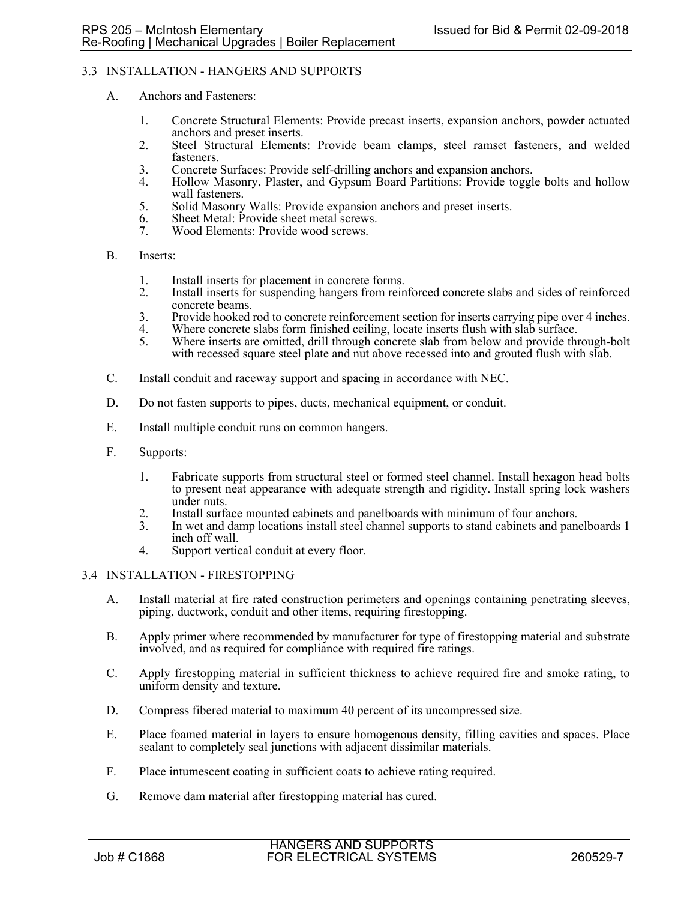# 3.3 INSTALLATION - HANGERS AND SUPPORTS

- A. Anchors and Fasteners:
	- 1. Concrete Structural Elements: Provide precast inserts, expansion anchors, powder actuated anchors and preset inserts.
	- 2. Steel Structural Elements: Provide beam clamps, steel ramset fasteners, and welded fasteners.
	- 3. Concrete Surfaces: Provide self-drilling anchors and expansion anchors.<br>4. Hollow Masonry, Plaster, and Gypsum Board Partitions: Provide toggl
	- Hollow Masonry, Plaster, and Gypsum Board Partitions: Provide toggle bolts and hollow wall fasteners.
	- 5. Solid Masonry Walls: Provide expansion anchors and preset inserts.
	- 6. Sheet Metal: Provide sheet metal screws.
	- 7. Wood Elements: Provide wood screws.
- B. Inserts:
	- 1. Install inserts for placement in concrete forms.
	- 2. Install inserts for suspending hangers from reinforced concrete slabs and sides of reinforced concrete beams.
	- 3. Provide hooked rod to concrete reinforcement section for inserts carrying pipe over 4 inches.
	- 4. Where concrete slabs form finished ceiling, locate inserts flush with slab surface.<br>5. Where inserts are omitted, drill through concrete slab from below and provide thr
	- 5. Where inserts are omitted, drill through concrete slab from below and provide through-bolt with recessed square steel plate and nut above recessed into and grouted flush with slab.
- C. Install conduit and raceway support and spacing in accordance with NEC.
- D. Do not fasten supports to pipes, ducts, mechanical equipment, or conduit.
- E. Install multiple conduit runs on common hangers.
- F. Supports:
	- 1. Fabricate supports from structural steel or formed steel channel. Install hexagon head bolts to present neat appearance with adequate strength and rigidity. Install spring lock washers under nuts.
	- 2. Install surface mounted cabinets and panelboards with minimum of four anchors.<br>3. In wet and damp locations install steel channel supports to stand cabinets and panel
	- In wet and damp locations install steel channel supports to stand cabinets and panelboards 1 inch off wall.
	- 4. Support vertical conduit at every floor.

### 3.4 INSTALLATION - FIRESTOPPING

- A. Install material at fire rated construction perimeters and openings containing penetrating sleeves, piping, ductwork, conduit and other items, requiring firestopping.
- B. Apply primer where recommended by manufacturer for type of firestopping material and substrate involved, and as required for compliance with required fire ratings.
- C. Apply firestopping material in sufficient thickness to achieve required fire and smoke rating, to uniform density and texture.
- D. Compress fibered material to maximum 40 percent of its uncompressed size.
- E. Place foamed material in layers to ensure homogenous density, filling cavities and spaces. Place sealant to completely seal junctions with adjacent dissimilar materials.
- F. Place intumescent coating in sufficient coats to achieve rating required.
- G. Remove dam material after firestopping material has cured.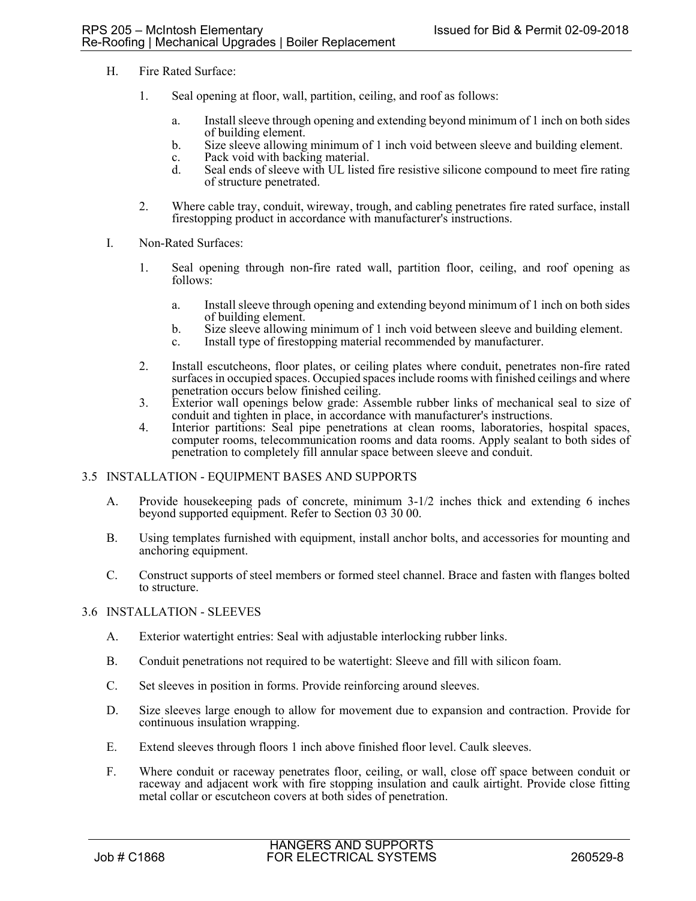- H. Fire Rated Surface:
	- 1. Seal opening at floor, wall, partition, ceiling, and roof as follows:
		- a. Install sleeve through opening and extending beyond minimum of 1 inch on both sides of building element.
		- b. Size sleeve allowing minimum of 1 inch void between sleeve and building element.
		- c. Pack void with backing material.
		- d. Seal ends of sleeve with UL listed fire resistive silicone compound to meet fire rating of structure penetrated.
	- 2. Where cable tray, conduit, wireway, trough, and cabling penetrates fire rated surface, install firestopping product in accordance with manufacturer's instructions.
- I. Non-Rated Surfaces:
	- 1. Seal opening through non-fire rated wall, partition floor, ceiling, and roof opening as follows:
		- a. Install sleeve through opening and extending beyond minimum of 1 inch on both sides of building element.
		- b. Size sleeve allowing minimum of 1 inch void between sleeve and building element.
		- c. Install type of firestopping material recommended by manufacturer.
	- 2. Install escutcheons, floor plates, or ceiling plates where conduit, penetrates non-fire rated surfaces in occupied spaces. Occupied spaces include rooms with finished ceilings and where penetration occurs below finished ceiling.
	- 3. Exterior wall openings below grade: Assemble rubber links of mechanical seal to size of conduit and tighten in place, in accordance with manufacturer's instructions.
	- 4. Interior partitions: Seal pipe penetrations at clean rooms, laboratories, hospital spaces, computer rooms, telecommunication rooms and data rooms. Apply sealant to both sides of penetration to completely fill annular space between sleeve and conduit.

# 3.5 INSTALLATION - EQUIPMENT BASES AND SUPPORTS

- A. Provide housekeeping pads of concrete, minimum 3-1/2 inches thick and extending 6 inches beyond supported equipment. Refer to Section 03 30 00.
- B. Using templates furnished with equipment, install anchor bolts, and accessories for mounting and anchoring equipment.
- C. Construct supports of steel members or formed steel channel. Brace and fasten with flanges bolted to structure.

#### 3.6 INSTALLATION - SLEEVES

- A. Exterior watertight entries: Seal with adjustable interlocking rubber links.
- B. Conduit penetrations not required to be watertight: Sleeve and fill with silicon foam.
- C. Set sleeves in position in forms. Provide reinforcing around sleeves.
- D. Size sleeves large enough to allow for movement due to expansion and contraction. Provide for continuous insulation wrapping.
- E. Extend sleeves through floors 1 inch above finished floor level. Caulk sleeves.
- F. Where conduit or raceway penetrates floor, ceiling, or wall, close off space between conduit or raceway and adjacent work with fire stopping insulation and caulk airtight. Provide close fitting metal collar or escutcheon covers at both sides of penetration.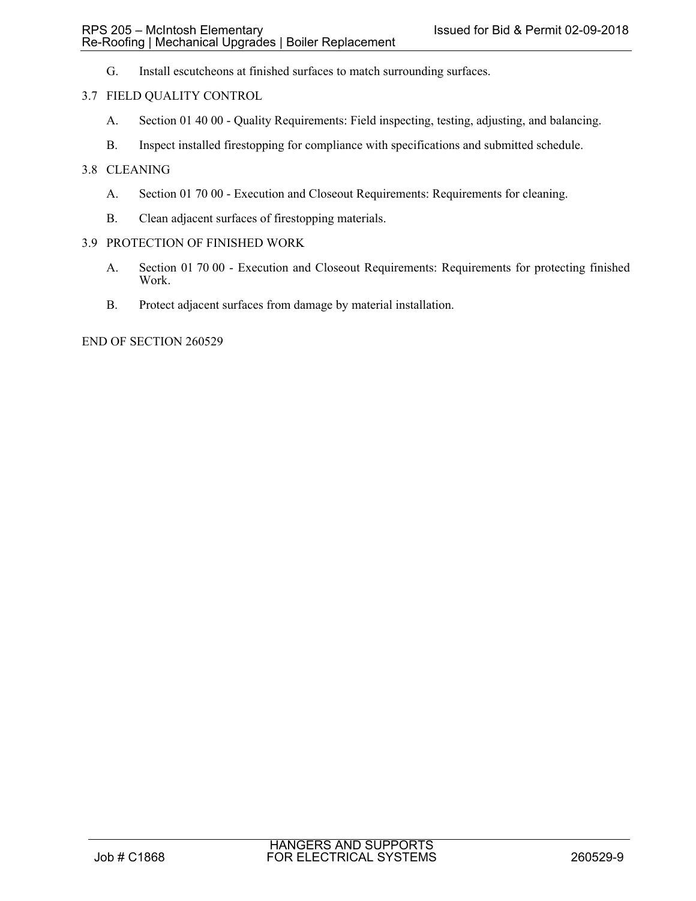G. Install escutcheons at finished surfaces to match surrounding surfaces.

# 3.7 FIELD QUALITY CONTROL

- A. Section 01 40 00 Quality Requirements: Field inspecting, testing, adjusting, and balancing.
- B. Inspect installed firestopping for compliance with specifications and submitted schedule.

### 3.8 CLEANING

- A. Section 01 70 00 Execution and Closeout Requirements: Requirements for cleaning.
- B. Clean adjacent surfaces of firestopping materials.

#### 3.9 PROTECTION OF FINISHED WORK

- A. Section 01 70 00 Execution and Closeout Requirements: Requirements for protecting finished Work.
- B. Protect adjacent surfaces from damage by material installation.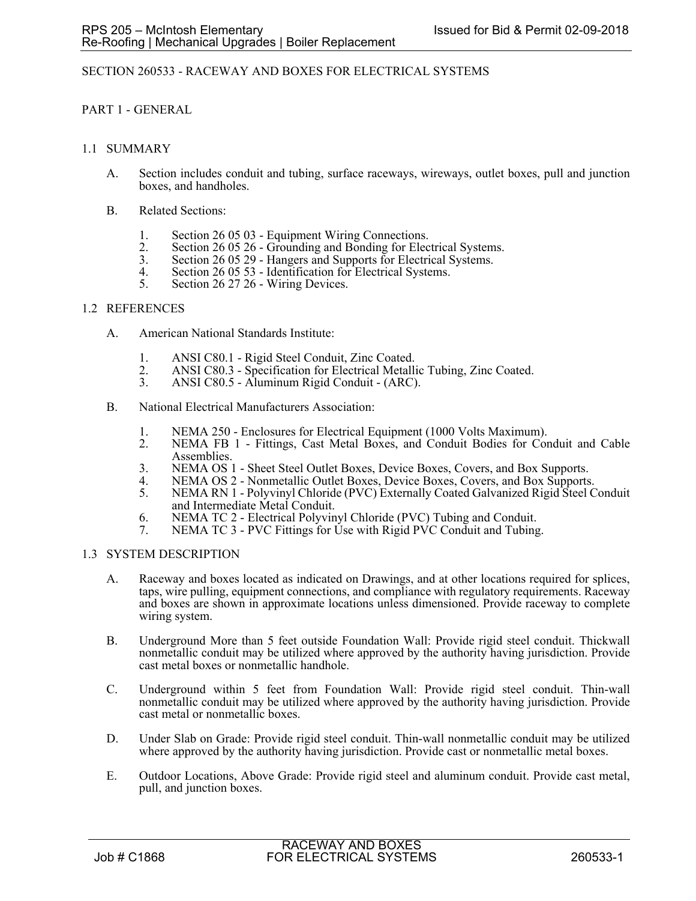# SECTION 260533 - RACEWAY AND BOXES FOR ELECTRICAL SYSTEMS

# PART 1 - GENERAL

### 1.1 SUMMARY

- A. Section includes conduit and tubing, surface raceways, wireways, outlet boxes, pull and junction boxes, and handholes.
- B. Related Sections:
	- 1. Section 26 05 03 Equipment Wiring Connections.<br>2. Section 26 05 26 Grounding and Bonding for Elec-
	- 2. Section 26 05 26 Grounding and Bonding for Electrical Systems. 3. Section 26 05 29 Hangers and Supports for Electrical Systems.
	-
	- 4. Section 26 05 53 Identification for Electrical Systems.<br>5. Section 26 27 26 Wiring Devices.
	- Section 26 27 26 Wiring Devices.

### 1.2 REFERENCES

- A. American National Standards Institute:
	-
	- 1. ANSI C80.1 Rigid Steel Conduit, Zinc Coated.<br>2. ANSI C80.3 Specification for Electrical Metalli 2. ANSI C80.3 - Specification for Electrical Metallic Tubing, Zinc Coated.<br>3. ANSI C80.5 - Aluminum Rigid Conduit - (ARC).
	- 3. ANSI C80.5 Aluminum Rigid Conduit (ARC).
- B. National Electrical Manufacturers Association:
	- 1. NEMA 250 Enclosures for Electrical Equipment (1000 Volts Maximum).<br>2. NEMA FB 1 Fittings, Cast Metal Boxes, and Conduit Bodies for Cor
	- NEMA FB 1 Fittings, Cast Metal Boxes, and Conduit Bodies for Conduit and Cable Assemblies.
	- 3. NEMA OS 1 Sheet Steel Outlet Boxes, Device Boxes, Covers, and Box Supports.
	- 4. NEMA OS 2 Nonmetallic Outlet Boxes, Device Boxes, Covers, and Box Supports.<br>5. NEMA RN 1 Polyvinyl Chloride (PVC) Externally Coated Galvanized Rigid Steel C
	- 5. NEMA RN 1 Polyvinyl Chloride (PVC) Externally Coated Galvanized Rigid Steel Conduit and Intermediate Metal Conduit.
	- 6. NEMA TC 2 Electrical Polyvinyl Chloride (PVC) Tubing and Conduit.
	- 7. NEMA TC 3 PVC Fittings for Use with Rigid PVC Conduit and Tubing.

# 1.3 SYSTEM DESCRIPTION

- A. Raceway and boxes located as indicated on Drawings, and at other locations required for splices, taps, wire pulling, equipment connections, and compliance with regulatory requirements. Raceway and boxes are shown in approximate locations unless dimensioned. Provide raceway to complete wiring system.
- B. Underground More than 5 feet outside Foundation Wall: Provide rigid steel conduit. Thickwall nonmetallic conduit may be utilized where approved by the authority having jurisdiction. Provide cast metal boxes or nonmetallic handhole.
- C. Underground within 5 feet from Foundation Wall: Provide rigid steel conduit. Thin-wall nonmetallic conduit may be utilized where approved by the authority having jurisdiction. Provide cast metal or nonmetallic boxes.
- D. Under Slab on Grade: Provide rigid steel conduit. Thin-wall nonmetallic conduit may be utilized where approved by the authority having jurisdiction. Provide cast or nonmetallic metal boxes.
- E. Outdoor Locations, Above Grade: Provide rigid steel and aluminum conduit. Provide cast metal, pull, and junction boxes.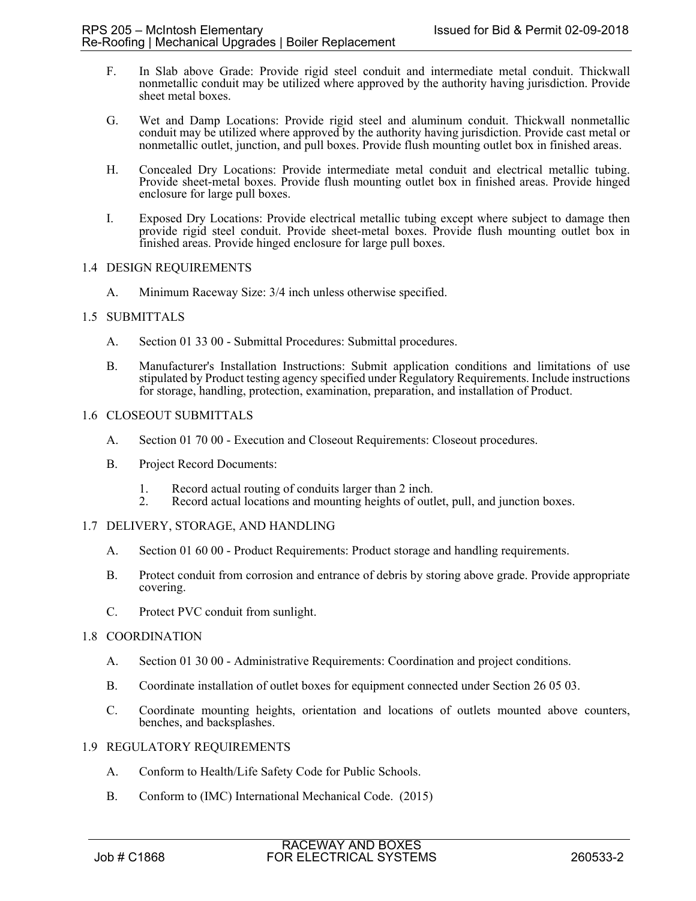- F. In Slab above Grade: Provide rigid steel conduit and intermediate metal conduit. Thickwall nonmetallic conduit may be utilized where approved by the authority having jurisdiction. Provide sheet metal boxes.
- G. Wet and Damp Locations: Provide rigid steel and aluminum conduit. Thickwall nonmetallic conduit may be utilized where approved by the authority having jurisdiction. Provide cast metal or nonmetallic outlet, junction, and pull boxes. Provide flush mounting outlet box in finished areas.
- H. Concealed Dry Locations: Provide intermediate metal conduit and electrical metallic tubing. Provide sheet-metal boxes. Provide flush mounting outlet box in finished areas. Provide hinged enclosure for large pull boxes.
- I. Exposed Dry Locations: Provide electrical metallic tubing except where subject to damage then provide rigid steel conduit. Provide sheet-metal boxes. Provide flush mounting outlet box in finished areas. Provide hinged enclosure for large pull boxes.

# 1.4 DESIGN REQUIREMENTS

A. Minimum Raceway Size: 3/4 inch unless otherwise specified.

# 1.5 SUBMITTALS

- A. Section 01 33 00 Submittal Procedures: Submittal procedures.
- B. Manufacturer's Installation Instructions: Submit application conditions and limitations of use stipulated by Product testing agency specified under Regulatory Requirements. Include instructions for storage, handling, protection, examination, preparation, and installation of Product.

# 1.6 CLOSEOUT SUBMITTALS

- A. Section 01 70 00 Execution and Closeout Requirements: Closeout procedures.
- B. Project Record Documents:
	- 1. Record actual routing of conduits larger than 2 inch.
	- 2. Record actual locations and mounting heights of outlet, pull, and junction boxes.

# 1.7 DELIVERY, STORAGE, AND HANDLING

- A. Section 01 60 00 Product Requirements: Product storage and handling requirements.
- B. Protect conduit from corrosion and entrance of debris by storing above grade. Provide appropriate covering.
- C. Protect PVC conduit from sunlight.

#### 1.8 COORDINATION

- A. Section 01 30 00 Administrative Requirements: Coordination and project conditions.
- B. Coordinate installation of outlet boxes for equipment connected under Section 26 05 03.
- C. Coordinate mounting heights, orientation and locations of outlets mounted above counters, benches, and backsplashes.

#### 1.9 REGULATORY REQUIREMENTS

- A. Conform to Health/Life Safety Code for Public Schools.
- B. Conform to (IMC) International Mechanical Code. (2015)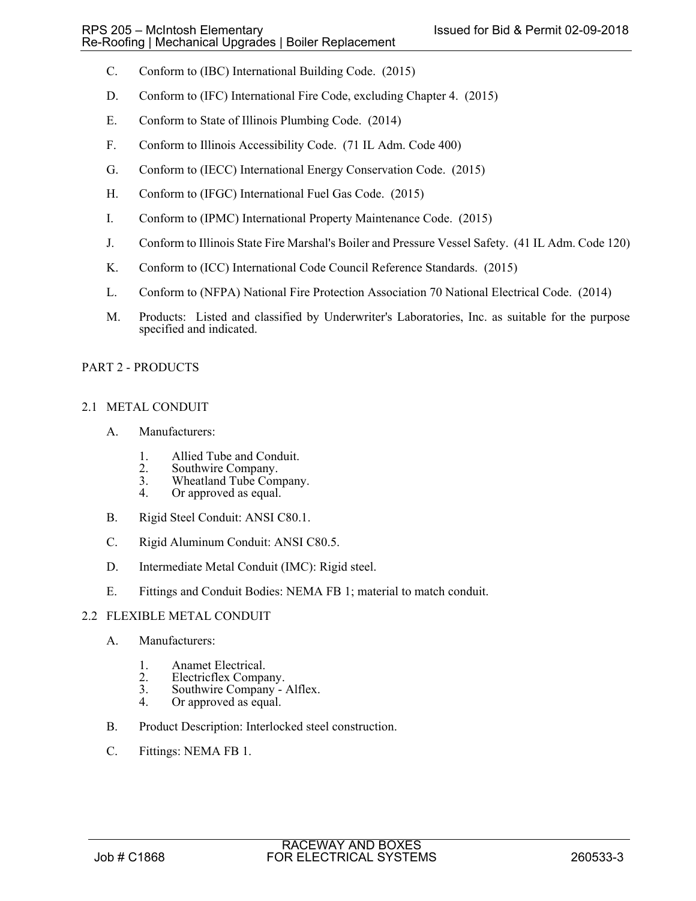- C. Conform to (IBC) International Building Code. (2015)
- D. Conform to (IFC) International Fire Code, excluding Chapter 4. (2015)
- E. Conform to State of Illinois Plumbing Code. (2014)
- F. Conform to Illinois Accessibility Code. (71 IL Adm. Code 400)
- G. Conform to (IECC) International Energy Conservation Code. (2015)
- H. Conform to (IFGC) International Fuel Gas Code. (2015)
- I. Conform to (IPMC) International Property Maintenance Code. (2015)
- J. Conform to Illinois State Fire Marshal's Boiler and Pressure Vessel Safety. (41 IL Adm. Code 120)
- K. Conform to (ICC) International Code Council Reference Standards. (2015)
- L. Conform to (NFPA) National Fire Protection Association 70 National Electrical Code. (2014)
- M. Products: Listed and classified by Underwriter's Laboratories, Inc. as suitable for the purpose specified and indicated.

# PART 2 - PRODUCTS

# 2.1 METAL CONDUIT

- A. Manufacturers:
	- 1. Allied Tube and Conduit.<br>2. Southwire Company.
	- 2. Southwire Company.<br>3. Wheatland Tube Com
	- 3. Wheatland Tube Company.<br>4. Or approved as equal.
	- Or approved as equal.
- B. Rigid Steel Conduit: ANSI C80.1.
- C. Rigid Aluminum Conduit: ANSI C80.5.
- D. Intermediate Metal Conduit (IMC): Rigid steel.
- E. Fittings and Conduit Bodies: NEMA FB 1; material to match conduit.

# 2.2 FLEXIBLE METAL CONDUIT

- A. Manufacturers:
	- 1. Anamet Electrical.<br>2. Electricflex Compa
	- 2. Electricflex Company.<br>3. Southwire Company -
	- Southwire Company Alflex.
	- 4. Or approved as equal.
- B. Product Description: Interlocked steel construction.
- C. Fittings: NEMA FB 1.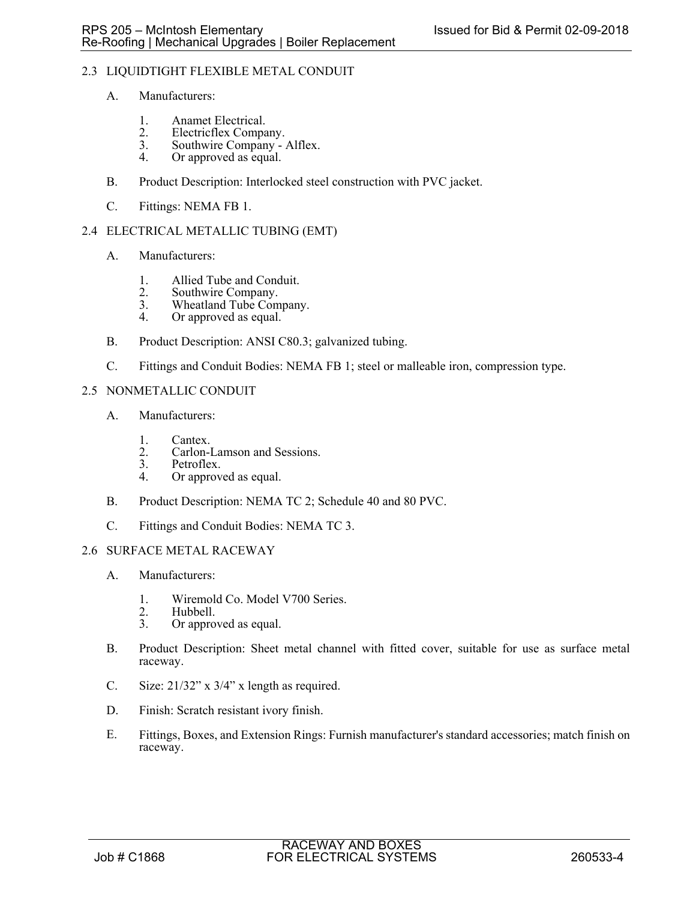# 2.3 LIQUIDTIGHT FLEXIBLE METAL CONDUIT

- A. Manufacturers:
	- 1. Anamet Electrical.<br>2. Electricflex Compa
	- 2. Electricflex Company.<br>3. Southwire Company -
	- 3. Southwire Company Alflex.<br>4. Or approved as equal.
	- Or approved as equal.
- B. Product Description: Interlocked steel construction with PVC jacket.
- C. Fittings: NEMA FB 1.

# 2.4 ELECTRICAL METALLIC TUBING (EMT)

- A. Manufacturers:
	- 1. Allied Tube and Conduit.
	- 2. Southwire Company.<br>3. Wheatland Tube Com
	- 3. Wheatland Tube Company.<br>4 Or approved as equal
	- Or approved as equal.
- B. Product Description: ANSI C80.3; galvanized tubing.
- C. Fittings and Conduit Bodies: NEMA FB 1; steel or malleable iron, compression type.
- 2.5 NONMETALLIC CONDUIT
	- A. Manufacturers:
		- 1. Cantex.<br>2. Carlon-
		- 2. Carlon-Lamson and Sessions.<br>3. Petroflex.
		- Petroflex.
		- 4. Or approved as equal.
	- B. Product Description: NEMA TC 2; Schedule 40 and 80 PVC.
	- C. Fittings and Conduit Bodies: NEMA TC 3.

# 2.6 SURFACE METAL RACEWAY

- A. Manufacturers:
	- 1. Wiremold Co. Model V700 Series.<br>2. Hubbell.
	- 2. Hubbell.<br>3. Or appro
	- Or approved as equal.
- B. Product Description: Sheet metal channel with fitted cover, suitable for use as surface metal raceway.
- C. Size:  $21/32$ " x  $3/4$ " x length as required.
- D. Finish: Scratch resistant ivory finish.
- E. Fittings, Boxes, and Extension Rings: Furnish manufacturer's standard accessories; match finish on raceway.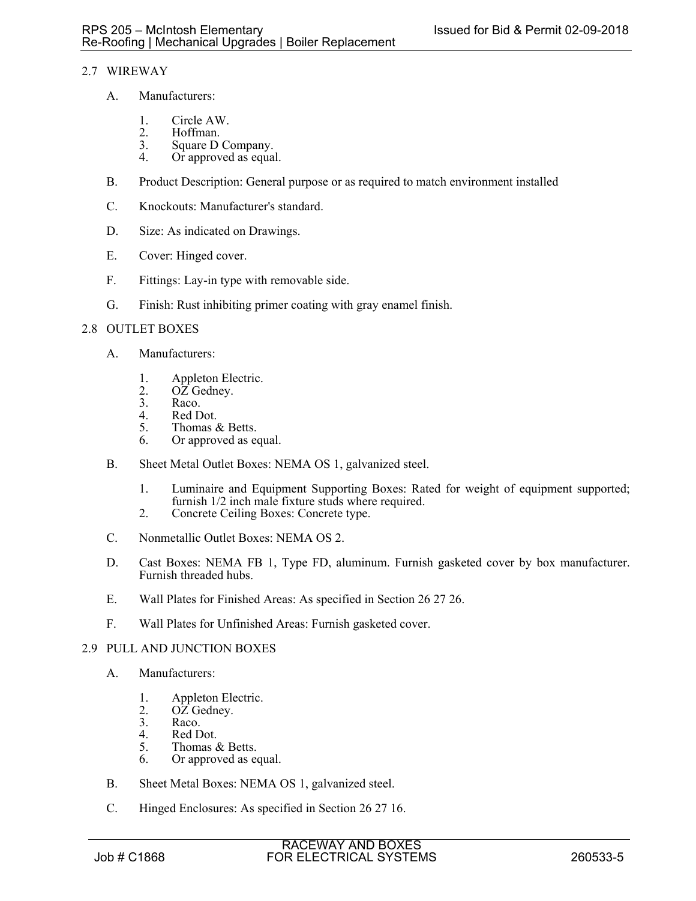# 2.7 WIREWAY

- A. Manufacturers:
	- 1. Circle AW.<br>2. Hoffman.
	- 2. Hoffman.<br>3. Square D
	- 3. Square D Company.<br>4. Or approved as equa
	- Or approved as equal.
- B. Product Description: General purpose or as required to match environment installed
- C. Knockouts: Manufacturer's standard.
- D. Size: As indicated on Drawings.
- E. Cover: Hinged cover.
- F. Fittings: Lay-in type with removable side.
- G. Finish: Rust inhibiting primer coating with gray enamel finish.

### 2.8 OUTLET BOXES

- A. Manufacturers:
	- 1. Appleton Electric.<br>2. OZ Gedney.
	- 2.  $O\overline{Z}$  Gedney.<br>3. Raco.
	- Raco.
	- 4. Red Dot.<br>5. Thomas d
	- 5. Thomas & Betts.<br>6. Or approved as equal to the Section of the Section of the Section of the Section of the Section of the Section of the Section of the Section of the Section of the Section of the Section of the Section
	- Or approved as equal.
- B. Sheet Metal Outlet Boxes: NEMA OS 1, galvanized steel.
	- 1. Luminaire and Equipment Supporting Boxes: Rated for weight of equipment supported; furnish 1/2 inch male fixture studs where required.
	- 2. Concrete Ceiling Boxes: Concrete type.
- C. Nonmetallic Outlet Boxes: NEMA OS 2.
- D. Cast Boxes: NEMA FB 1, Type FD, aluminum. Furnish gasketed cover by box manufacturer. Furnish threaded hubs.
- E. Wall Plates for Finished Areas: As specified in Section 26 27 26.
- F. Wall Plates for Unfinished Areas: Furnish gasketed cover.

# 2.9 PULL AND JUNCTION BOXES

- A. Manufacturers:
	- 1. Appleton Electric.<br>2. OZ Gednev.
	- $OZ$  Gedney.
	- 3. Raco.<br>4. Red D
	- 4. Red Dot.<br>5. Thomas  $\delta$
	- Thomas & Betts. 6. Or approved as equal.
- B. Sheet Metal Boxes: NEMA OS 1, galvanized steel.
- C. Hinged Enclosures: As specified in Section 26 27 16.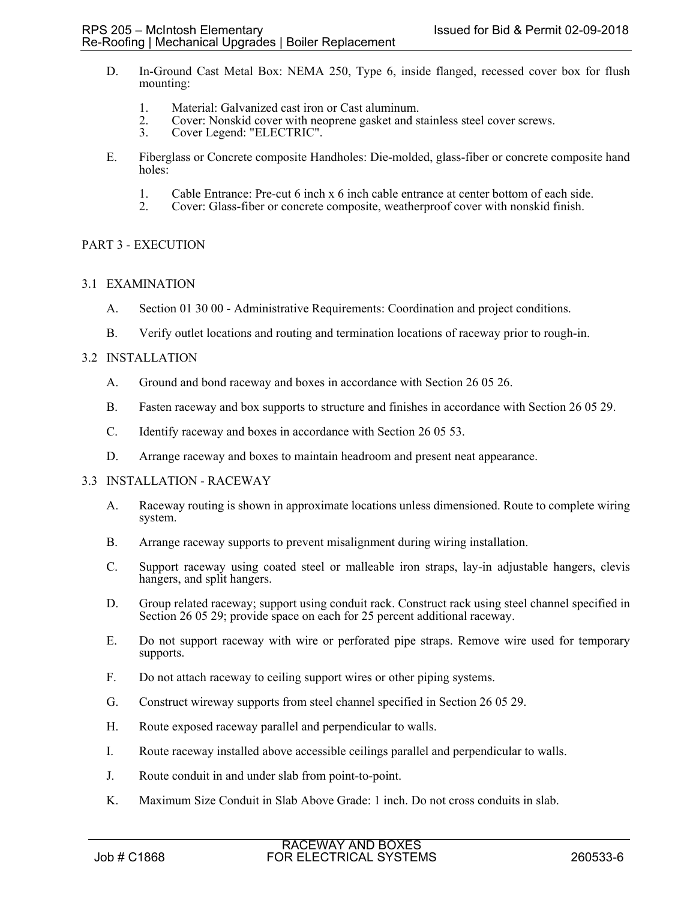- D. In-Ground Cast Metal Box: NEMA 250, Type 6, inside flanged, recessed cover box for flush mounting:
	- 1. Material: Galvanized cast iron or Cast aluminum.
	- 2. Cover: Nonskid cover with neoprene gasket and stainless steel cover screws.<br>3. Cover Legend: "ELECTRIC".
	- Cover Legend: "ELECTRIC".
- E. Fiberglass or Concrete composite Handholes: Die-molded, glass-fiber or concrete composite hand holes:
	- 1. Cable Entrance: Pre-cut 6 inch x 6 inch cable entrance at center bottom of each side.<br>2. Cover: Glass-fiber or concrete composite, weatherproof cover with nonskid finish.
	- 2. Cover: Glass-fiber or concrete composite, weatherproof cover with nonskid finish.

# PART 3 - EXECUTION

### 3.1 EXAMINATION

- A. Section 01 30 00 Administrative Requirements: Coordination and project conditions.
- B. Verify outlet locations and routing and termination locations of raceway prior to rough-in.

### 3.2 INSTALLATION

- A. Ground and bond raceway and boxes in accordance with Section 26 05 26.
- B. Fasten raceway and box supports to structure and finishes in accordance with Section 26 05 29.
- C. Identify raceway and boxes in accordance with Section 26 05 53.
- D. Arrange raceway and boxes to maintain headroom and present neat appearance.

#### 3.3 INSTALLATION - RACEWAY

- A. Raceway routing is shown in approximate locations unless dimensioned. Route to complete wiring system.
- B. Arrange raceway supports to prevent misalignment during wiring installation.
- C. Support raceway using coated steel or malleable iron straps, lay-in adjustable hangers, clevis hangers, and split hangers.
- D. Group related raceway; support using conduit rack. Construct rack using steel channel specified in Section 26 05 29; provide space on each for 25 percent additional raceway.
- E. Do not support raceway with wire or perforated pipe straps. Remove wire used for temporary supports.
- F. Do not attach raceway to ceiling support wires or other piping systems.
- G. Construct wireway supports from steel channel specified in Section 26 05 29.
- H. Route exposed raceway parallel and perpendicular to walls.
- I. Route raceway installed above accessible ceilings parallel and perpendicular to walls.
- J. Route conduit in and under slab from point-to-point.
- K. Maximum Size Conduit in Slab Above Grade: 1 inch. Do not cross conduits in slab.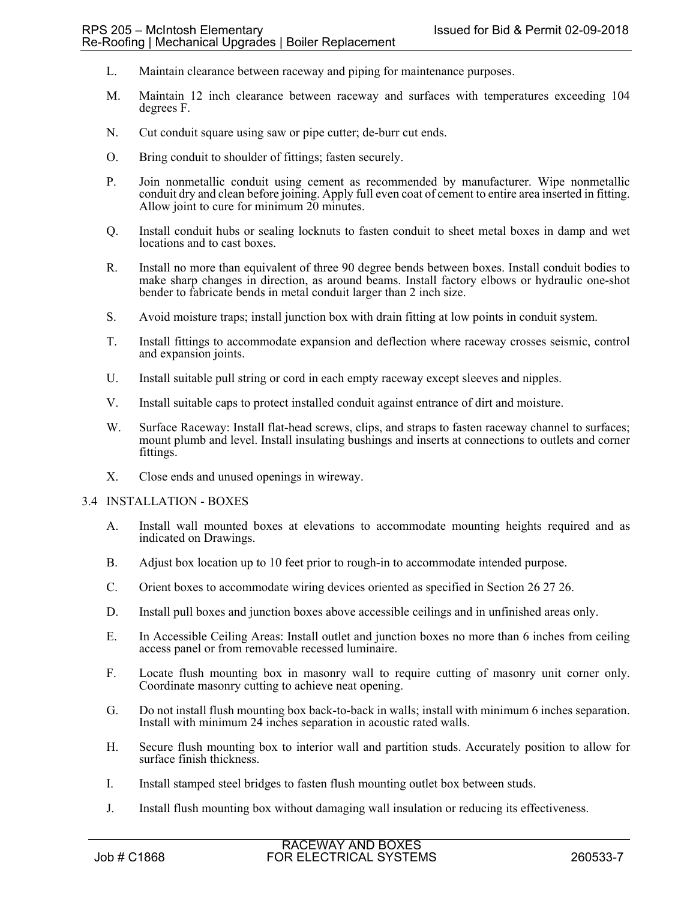- L. Maintain clearance between raceway and piping for maintenance purposes.
- M. Maintain 12 inch clearance between raceway and surfaces with temperatures exceeding 104 degrees F.
- N. Cut conduit square using saw or pipe cutter; de-burr cut ends.
- O. Bring conduit to shoulder of fittings; fasten securely.
- P. Join nonmetallic conduit using cement as recommended by manufacturer. Wipe nonmetallic conduit dry and clean before joining. Apply full even coat of cement to entire area inserted in fitting. Allow joint to cure for minimum 20 minutes.
- Q. Install conduit hubs or sealing locknuts to fasten conduit to sheet metal boxes in damp and wet locations and to cast boxes.
- R. Install no more than equivalent of three 90 degree bends between boxes. Install conduit bodies to make sharp changes in direction, as around beams. Install factory elbows or hydraulic one-shot bender to fabricate bends in metal conduit larger than 2 inch size.
- S. Avoid moisture traps; install junction box with drain fitting at low points in conduit system.
- T. Install fittings to accommodate expansion and deflection where raceway crosses seismic, control and expansion joints.
- U. Install suitable pull string or cord in each empty raceway except sleeves and nipples.
- V. Install suitable caps to protect installed conduit against entrance of dirt and moisture.
- W. Surface Raceway: Install flat-head screws, clips, and straps to fasten raceway channel to surfaces; mount plumb and level. Install insulating bushings and inserts at connections to outlets and corner fittings.
- X. Close ends and unused openings in wireway.

#### 3.4 INSTALLATION - BOXES

- A. Install wall mounted boxes at elevations to accommodate mounting heights required and as indicated on Drawings.
- B. Adjust box location up to 10 feet prior to rough-in to accommodate intended purpose.
- C. Orient boxes to accommodate wiring devices oriented as specified in Section 26 27 26.
- D. Install pull boxes and junction boxes above accessible ceilings and in unfinished areas only.
- E. In Accessible Ceiling Areas: Install outlet and junction boxes no more than 6 inches from ceiling access panel or from removable recessed luminaire.
- F. Locate flush mounting box in masonry wall to require cutting of masonry unit corner only. Coordinate masonry cutting to achieve neat opening.
- G. Do not install flush mounting box back-to-back in walls; install with minimum 6 inches separation. Install with minimum 24 inches separation in acoustic rated walls.
- H. Secure flush mounting box to interior wall and partition studs. Accurately position to allow for surface finish thickness.
- I. Install stamped steel bridges to fasten flush mounting outlet box between studs.
- J. Install flush mounting box without damaging wall insulation or reducing its effectiveness.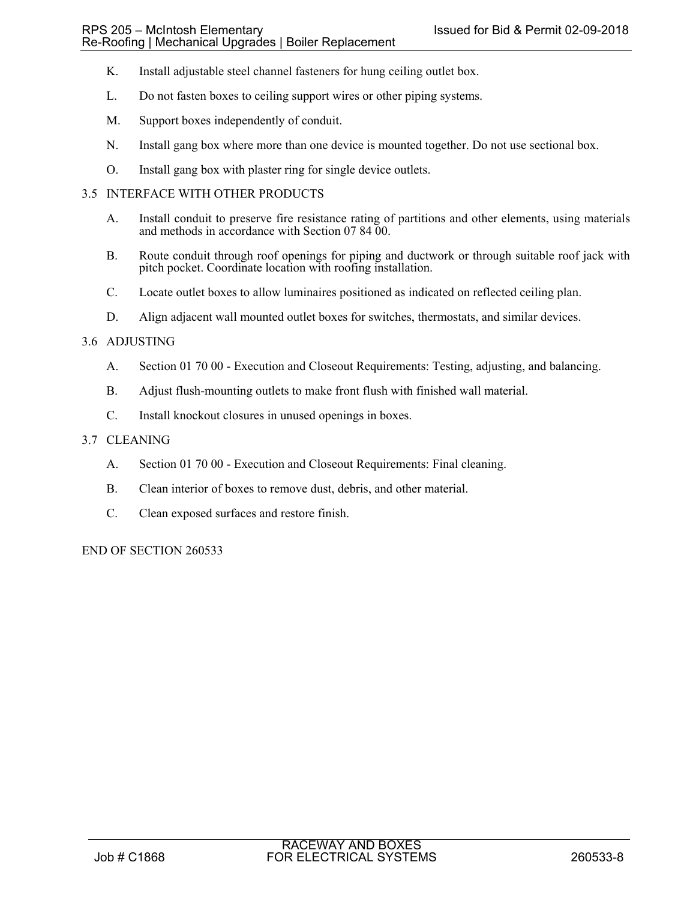- K. Install adjustable steel channel fasteners for hung ceiling outlet box.
- L. Do not fasten boxes to ceiling support wires or other piping systems.
- M. Support boxes independently of conduit.
- N. Install gang box where more than one device is mounted together. Do not use sectional box.
- O. Install gang box with plaster ring for single device outlets.

# 3.5 INTERFACE WITH OTHER PRODUCTS

- A. Install conduit to preserve fire resistance rating of partitions and other elements, using materials and methods in accordance with Section 07 84 00.
- B. Route conduit through roof openings for piping and ductwork or through suitable roof jack with pitch pocket. Coordinate location with roofing installation.
- C. Locate outlet boxes to allow luminaires positioned as indicated on reflected ceiling plan.
- D. Align adjacent wall mounted outlet boxes for switches, thermostats, and similar devices.

### 3.6 ADJUSTING

- A. Section 01 70 00 Execution and Closeout Requirements: Testing, adjusting, and balancing.
- B. Adjust flush-mounting outlets to make front flush with finished wall material.
- C. Install knockout closures in unused openings in boxes.

### 3.7 CLEANING

- A. Section 01 70 00 Execution and Closeout Requirements: Final cleaning.
- B. Clean interior of boxes to remove dust, debris, and other material.
- C. Clean exposed surfaces and restore finish.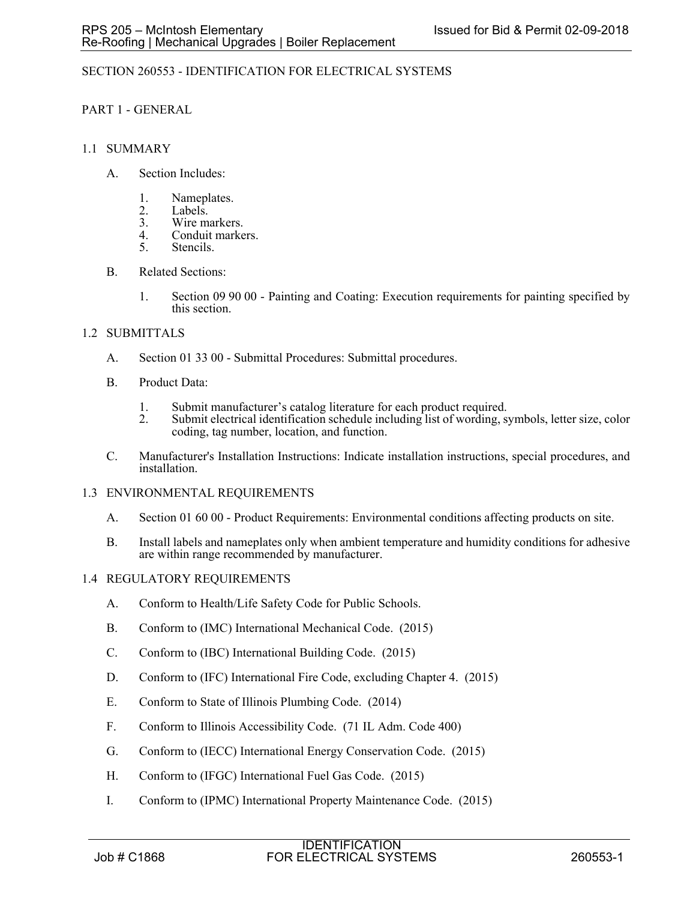# SECTION 260553 - IDENTIFICATION FOR ELECTRICAL SYSTEMS

# PART 1 - GENERAL

# 1.1 SUMMARY

- A. Section Includes:
	- 1. Nameplates.
	- 2. Labels.<br>3. Wire ma
	- 3. Wire markers.<br>4. Conduit marke
	- 4. Conduit markers.<br>5. Stencils.
	- Stencils.
- B. Related Sections:
	- 1. Section 09 90 00 Painting and Coating: Execution requirements for painting specified by this section.

# 1.2 SUBMITTALS

- A. Section 01 33 00 Submittal Procedures: Submittal procedures.
- B. Product Data:
	- 1. Submit manufacturer's catalog literature for each product required.<br>2. Submit electrical identification schedule including list of wording. s
	- Submit electrical identification schedule including list of wording, symbols, letter size, color coding, tag number, location, and function.
- C. Manufacturer's Installation Instructions: Indicate installation instructions, special procedures, and installation.

# 1.3 ENVIRONMENTAL REQUIREMENTS

- A. Section 01 60 00 Product Requirements: Environmental conditions affecting products on site.
- B. Install labels and nameplates only when ambient temperature and humidity conditions for adhesive are within range recommended by manufacturer.

# 1.4 REGULATORY REQUIREMENTS

- A. Conform to Health/Life Safety Code for Public Schools.
- B. Conform to (IMC) International Mechanical Code. (2015)
- C. Conform to (IBC) International Building Code. (2015)
- D. Conform to (IFC) International Fire Code, excluding Chapter 4. (2015)
- E. Conform to State of Illinois Plumbing Code. (2014)
- F. Conform to Illinois Accessibility Code. (71 IL Adm. Code 400)
- G. Conform to (IECC) International Energy Conservation Code. (2015)
- H. Conform to (IFGC) International Fuel Gas Code. (2015)
- I. Conform to (IPMC) International Property Maintenance Code. (2015)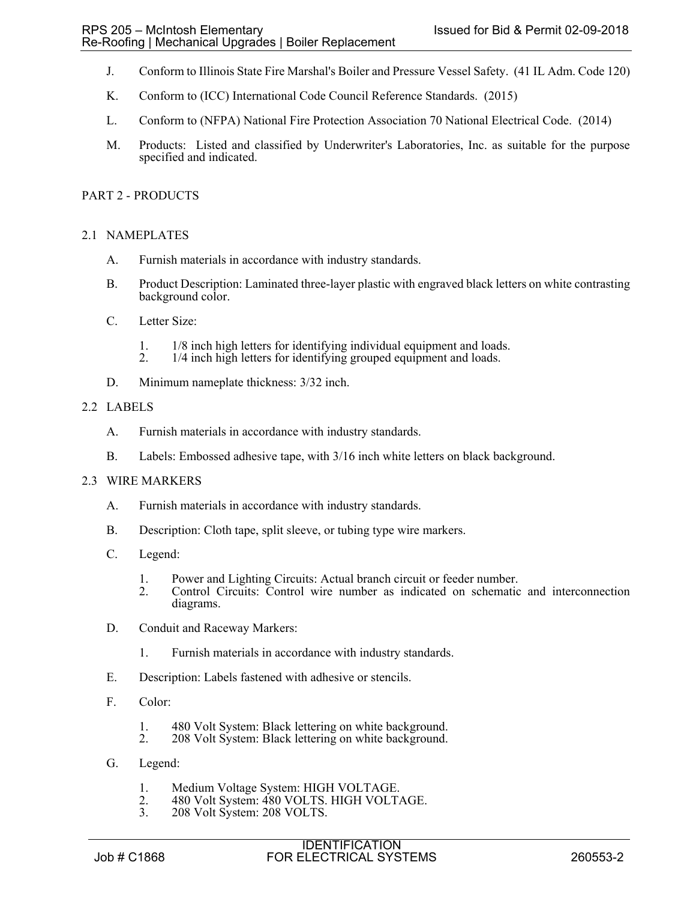- J. Conform to Illinois State Fire Marshal's Boiler and Pressure Vessel Safety. (41 IL Adm. Code 120)
- K. Conform to (ICC) International Code Council Reference Standards. (2015)
- L. Conform to (NFPA) National Fire Protection Association 70 National Electrical Code. (2014)
- M. Products: Listed and classified by Underwriter's Laboratories, Inc. as suitable for the purpose specified and indicated.

## PART 2 - PRODUCTS

## 2.1 NAMEPLATES

- A. Furnish materials in accordance with industry standards.
- B. Product Description: Laminated three-layer plastic with engraved black letters on white contrasting background color.
- C. Letter Size:
	- 1. 1/8 inch high letters for identifying individual equipment and loads.
	- 2. 1/4 inch high letters for identifying grouped equipment and loads.
- D. Minimum nameplate thickness: 3/32 inch.

## 2.2 LABELS

- A. Furnish materials in accordance with industry standards.
- B. Labels: Embossed adhesive tape, with 3/16 inch white letters on black background.

#### 2.3 WIRE MARKERS

- A. Furnish materials in accordance with industry standards.
- B. Description: Cloth tape, split sleeve, or tubing type wire markers.
- C. Legend:
	- 1. Power and Lighting Circuits: Actual branch circuit or feeder number.
	- 2. Control Circuits: Control wire number as indicated on schematic and interconnection diagrams.
- D. Conduit and Raceway Markers:
	- 1. Furnish materials in accordance with industry standards.
- E. Description: Labels fastened with adhesive or stencils.
- F. Color:
	- 1. 480 Volt System: Black lettering on white background.<br>2. 208 Volt System: Black lettering on white background.
	- 208 Volt System: Black lettering on white background.
- G. Legend:
	- 1. Medium Voltage System: HIGH VOLTAGE.<br>2. 480 Volt System: 480 VOLTS. HIGH VOLT.
	- 2. 480 Volt System: 480 VOLTS. HIGH VOLTAGE.<br>3. 208 Volt System: 208 VOLTS.
	- 208 Volt System: 208 VOLTS.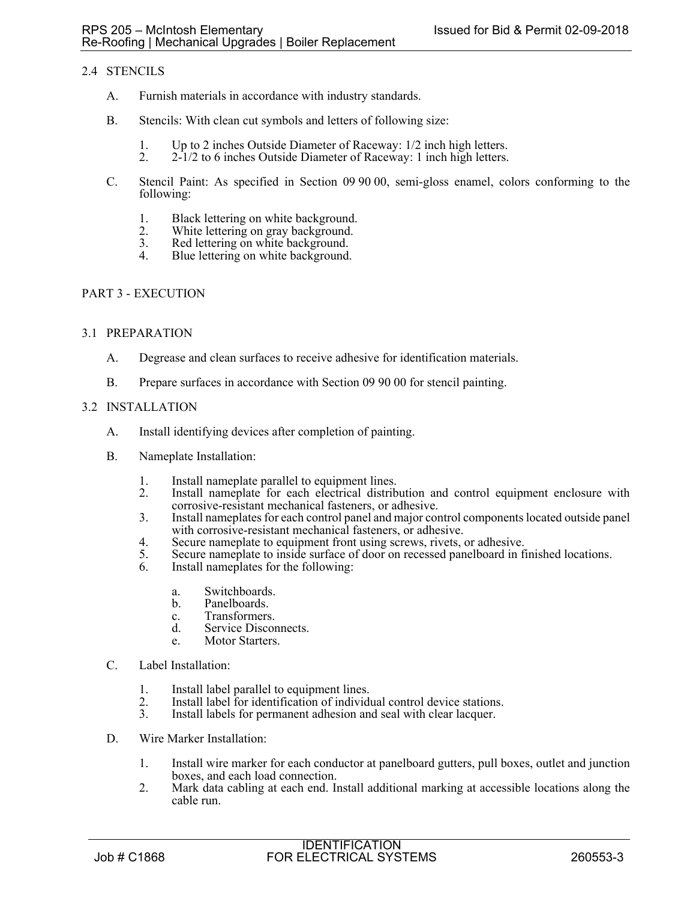# 2.4 STENCILS

- A. Furnish materials in accordance with industry standards.
- B. Stencils: With clean cut symbols and letters of following size:
	- 1. Up to 2 inches Outside Diameter of Raceway: 1/2 inch high letters.<br>2. 2-1/2 to 6 inches Outside Diameter of Raceway: 1 inch high letters.
	- 2. 2-1/2 to 6 inches Outside Diameter of Raceway: 1 inch high letters.
- C. Stencil Paint: As specified in Section 09 90 00, semi-gloss enamel, colors conforming to the following:
	- 1. Black lettering on white background.
	- 2. White lettering on gray background.<br>3. Red lettering on white background.
	- 3. Red lettering on white background.<br>4 Blue lettering on white background.
	- Blue lettering on white background.

## PART 3 - EXECUTION

## 3.1 PREPARATION

- A. Degrease and clean surfaces to receive adhesive for identification materials.
- B. Prepare surfaces in accordance with Section 09 90 00 for stencil painting.

## 3.2 INSTALLATION

- A. Install identifying devices after completion of painting.
- B. Nameplate Installation:
	- 1. Install nameplate parallel to equipment lines.<br>2. Install nameplate for each electrical distrib
	- Install nameplate for each electrical distribution and control equipment enclosure with corrosive-resistant mechanical fasteners, or adhesive.
	- 3. Install nameplates for each control panel and major control components located outside panel with corrosive-resistant mechanical fasteners, or adhesive.
	- 4. Secure nameplate to equipment front using screws, rivets, or adhesive.
	- 5. Secure nameplate to inside surface of door on recessed panelboard in finished locations.
	- 6. Install nameplates for the following:
		- a. Switchboards.
		- b. Panelboards.
		- c. Transformers.
		- d. Service Disconnects.
		- e. Motor Starters.
- C. Label Installation:
	- 1. Install label parallel to equipment lines.
	- 2. Install label for identification of individual control device stations.<br>3. Install labels for permanent adhesion and seal with clear lacquer.
	- Install labels for permanent adhesion and seal with clear lacquer.
- D. Wire Marker Installation:
	- 1. Install wire marker for each conductor at panelboard gutters, pull boxes, outlet and junction boxes, and each load connection.
	- 2. Mark data cabling at each end. Install additional marking at accessible locations along the cable run.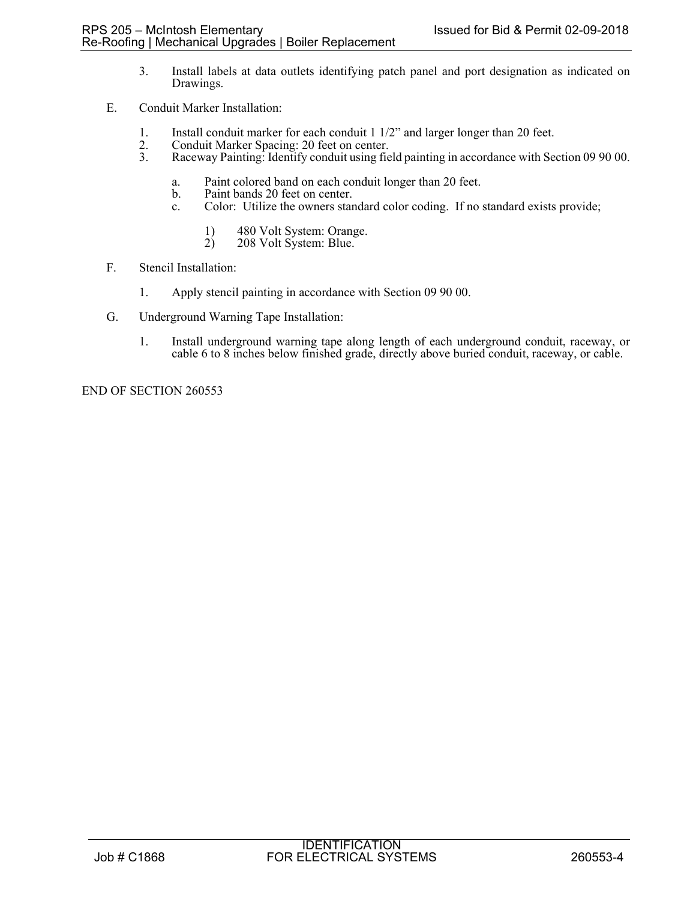- 3. Install labels at data outlets identifying patch panel and port designation as indicated on Drawings.
- E. Conduit Marker Installation:
	- 1. Install conduit marker for each conduit 1 1/2" and larger longer than 20 feet.<br>2. Conduit Marker Spacing: 20 feet on center.
	- 2. Conduit Marker Spacing: 20 feet on center.<br>3. Raceway Painting: Identify conduit using fie
	- 3. Raceway Painting: Identify conduit using field painting in accordance with Section 09 90 00.
		- a. Paint colored band on each conduit longer than 20 feet.
		- Paint bands 20 feet on center.
		- c. Color: Utilize the owners standard color coding. If no standard exists provide;
			- 1) 480 Volt System: Orange.<br>2) 208 Volt System: Blue.
			- 208 Volt System: Blue.
- F. Stencil Installation:
	- 1. Apply stencil painting in accordance with Section 09 90 00.
- G. Underground Warning Tape Installation:
	- 1. Install underground warning tape along length of each underground conduit, raceway, or cable 6 to 8 inches below finished grade, directly above buried conduit, raceway, or cable.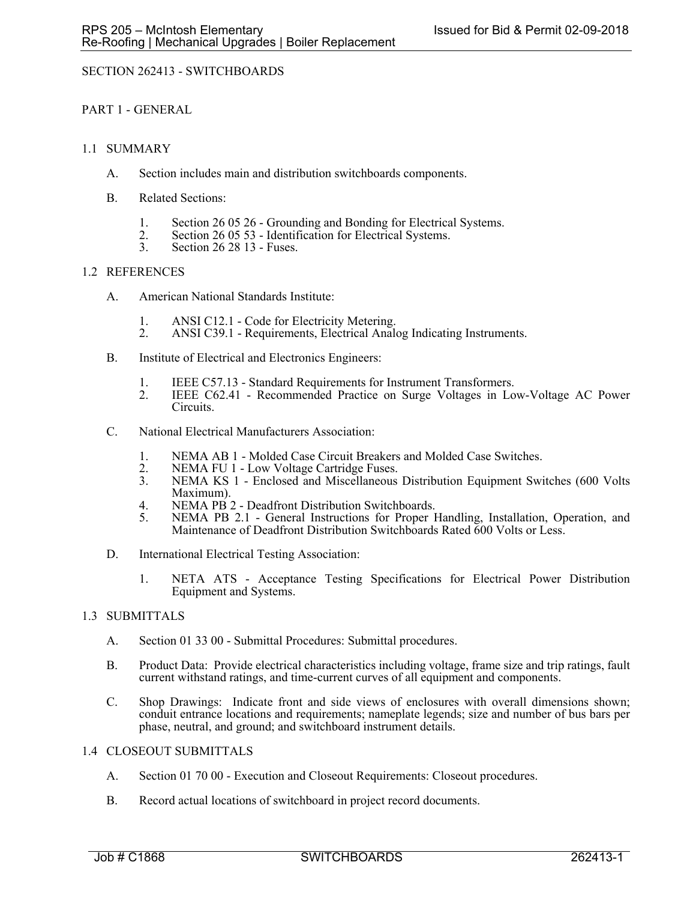# SECTION 262413 - SWITCHBOARDS

## PART 1 - GENERAL

## 1.1 SUMMARY

- A. Section includes main and distribution switchboards components.
- B. Related Sections:
	- 1. Section 26 05 26 Grounding and Bonding for Electrical Systems.<br>
	2. Section 26 05 53 Identification for Electrical Systems.<br>
	3. Section 26 28 13 Fuses.
	-
	- Section 26 28 13 Fuses.

## 1.2 REFERENCES

- A. American National Standards Institute:
	- 1. ANSI C12.1 Code for Electricity Metering.
	- 2. ANSI C39.1 Requirements, Electrical Analog Indicating Instruments.
- B. Institute of Electrical and Electronics Engineers:
	-
	- 1. IEEE C57.13 Standard Requirements for Instrument Transformers. 2. IEEE C62.41 Recommended Practice on Surge Voltages in Low-Voltage AC Power Circuits.
- C. National Electrical Manufacturers Association:
	- 1. NEMA AB 1 Molded Case Circuit Breakers and Molded Case Switches.<br>2. NEMA FU 1 Low Voltage Cartridge Fuses.
	- 2. NEMA FU 1 Low Voltage Cartridge Fuses.<br>3. NEMA KS 1 Enclosed and Miscellaneous
	- NEMA KS 1 Enclosed and Miscellaneous Distribution Equipment Switches (600 Volts Maximum).
	- 4. NEMA PB 2 Deadfront Distribution Switchboards.
	- 5. NEMA PB 2.1 General Instructions for Proper Handling, Installation, Operation, and Maintenance of Deadfront Distribution Switchboards Rated 600 Volts or Less.
- D. International Electrical Testing Association:
	- 1. NETA ATS Acceptance Testing Specifications for Electrical Power Distribution Equipment and Systems.

## 1.3 SUBMITTALS

- A. Section 01 33 00 Submittal Procedures: Submittal procedures.
- B. Product Data: Provide electrical characteristics including voltage, frame size and trip ratings, fault current withstand ratings, and time-current curves of all equipment and components.
- C. Shop Drawings: Indicate front and side views of enclosures with overall dimensions shown; conduit entrance locations and requirements; nameplate legends; size and number of bus bars per phase, neutral, and ground; and switchboard instrument details.

## 1.4 CLOSEOUT SUBMITTALS

- A. Section 01 70 00 Execution and Closeout Requirements: Closeout procedures.
- B. Record actual locations of switchboard in project record documents.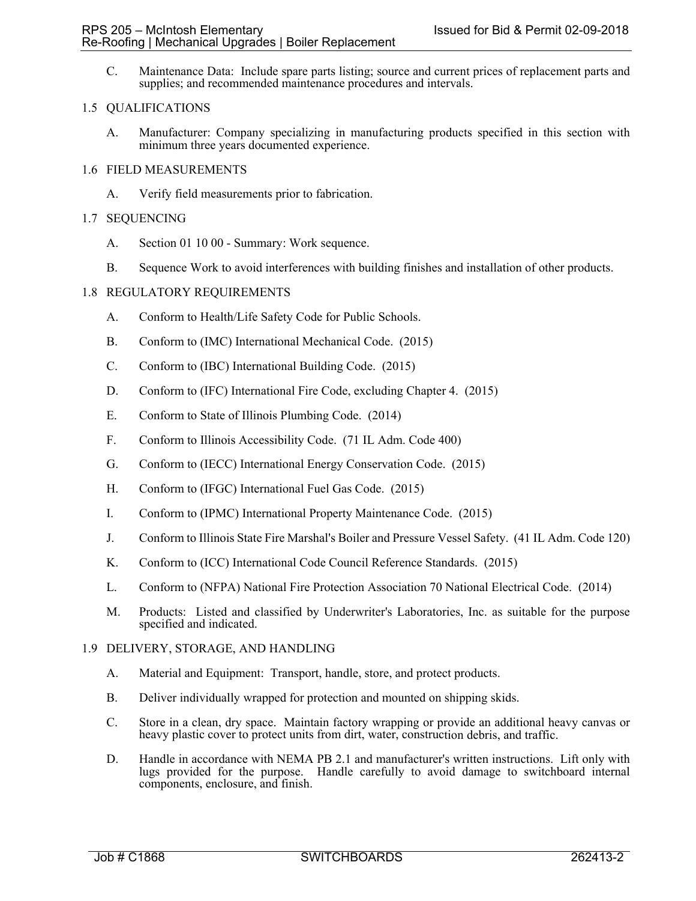C. Maintenance Data: Include spare parts listing; source and current prices of replacement parts and supplies; and recommended maintenance procedures and intervals.

## 1.5 QUALIFICATIONS

A. Manufacturer: Company specializing in manufacturing products specified in this section with minimum three years documented experience.

## 1.6 FIELD MEASUREMENTS

A. Verify field measurements prior to fabrication.

## 1.7 SEQUENCING

- A. Section 01 10 00 Summary: Work sequence.
- B. Sequence Work to avoid interferences with building finishes and installation of other products.

## 1.8 REGULATORY REQUIREMENTS

- A. Conform to Health/Life Safety Code for Public Schools.
- B. Conform to (IMC) International Mechanical Code. (2015)
- C. Conform to (IBC) International Building Code. (2015)
- D. Conform to (IFC) International Fire Code, excluding Chapter 4. (2015)
- E. Conform to State of Illinois Plumbing Code. (2014)
- F. Conform to Illinois Accessibility Code. (71 IL Adm. Code 400)
- G. Conform to (IECC) International Energy Conservation Code. (2015)
- H. Conform to (IFGC) International Fuel Gas Code. (2015)
- I. Conform to (IPMC) International Property Maintenance Code. (2015)
- J. Conform to Illinois State Fire Marshal's Boiler and Pressure Vessel Safety. (41 IL Adm. Code 120)
- K. Conform to (ICC) International Code Council Reference Standards. (2015)
- L. Conform to (NFPA) National Fire Protection Association 70 National Electrical Code. (2014)
- M. Products: Listed and classified by Underwriter's Laboratories, Inc. as suitable for the purpose specified and indicated.

#### 1.9 DELIVERY, STORAGE, AND HANDLING

- A. Material and Equipment: Transport, handle, store, and protect products.
- B. Deliver individually wrapped for protection and mounted on shipping skids.
- C. Store in a clean, dry space. Maintain factory wrapping or provide an additional heavy canvas or heavy plastic cover to protect units from dirt, water, construction debris, and traffic.
- D. Handle in accordance with NEMA PB 2.1 and manufacturer's written instructions. Lift only with lugs provided for the purpose. Handle carefully to avoid damage to switchboard internal components, enclosure, and finish.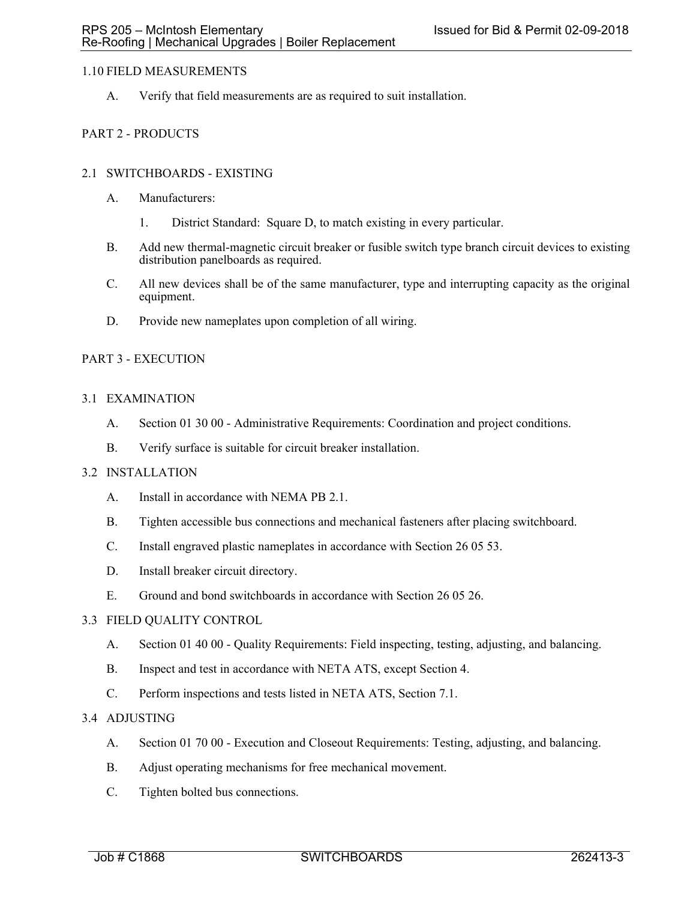## 1.10 FIELD MEASUREMENTS

A. Verify that field measurements are as required to suit installation.

# PART 2 - PRODUCTS

## 2.1 SWITCHBOARDS - EXISTING

- A. Manufacturers:
	- 1. District Standard: Square D, to match existing in every particular.
- B. Add new thermal-magnetic circuit breaker or fusible switch type branch circuit devices to existing distribution panelboards as required.
- C. All new devices shall be of the same manufacturer, type and interrupting capacity as the original equipment.
- D. Provide new nameplates upon completion of all wiring.

## PART 3 - EXECUTION

## 3.1 EXAMINATION

- A. Section 01 30 00 Administrative Requirements: Coordination and project conditions.
- B. Verify surface is suitable for circuit breaker installation.

## 3.2 INSTALLATION

- A. Install in accordance with NEMA PB 2.1.
- B. Tighten accessible bus connections and mechanical fasteners after placing switchboard.
- C. Install engraved plastic nameplates in accordance with Section 26 05 53.
- D. Install breaker circuit directory.
- E. Ground and bond switchboards in accordance with Section 26 05 26.

### 3.3 FIELD QUALITY CONTROL

- A. Section 01 40 00 Quality Requirements: Field inspecting, testing, adjusting, and balancing.
- B. Inspect and test in accordance with NETA ATS, except Section 4.
- C. Perform inspections and tests listed in NETA ATS, Section 7.1.

## 3.4 ADJUSTING

- A. Section 01 70 00 Execution and Closeout Requirements: Testing, adjusting, and balancing.
- B. Adjust operating mechanisms for free mechanical movement.
- C. Tighten bolted bus connections.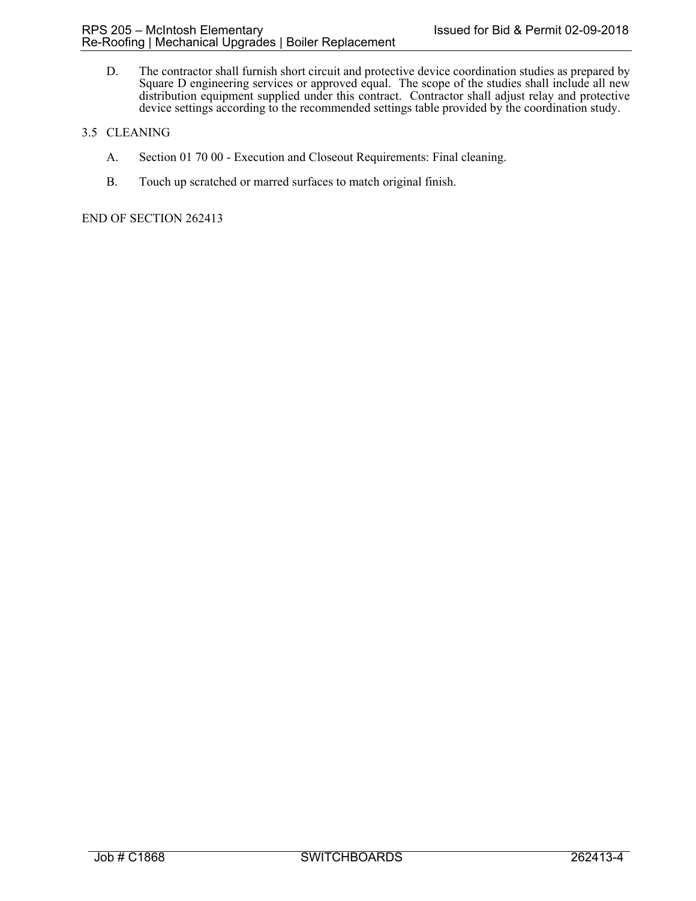D. The contractor shall furnish short circuit and protective device coordination studies as prepared by Square D engineering services or approved equal. The scope of the studies shall include all new distribution equipment supplied under this contract. Contractor shall adjust relay and protective device settings according to the recommended settings table provided by the coordination study.

# 3.5 CLEANING

- A. Section 01 70 00 Execution and Closeout Requirements: Final cleaning.
- B. Touch up scratched or marred surfaces to match original finish.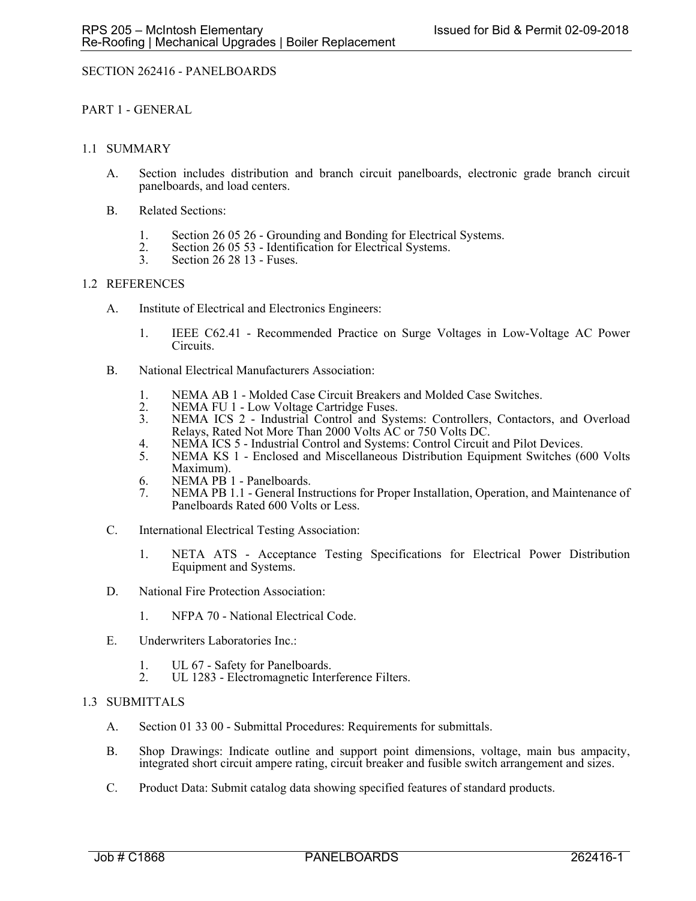## SECTION 262416 - PANELBOARDS

## PART 1 - GENERAL

## 1.1 SUMMARY

- A. Section includes distribution and branch circuit panelboards, electronic grade branch circuit panelboards, and load centers.
- B. Related Sections:
	- 1. Section 26 05 26 Grounding and Bonding for Electrical Systems.<br>
	2. Section 26 05 53 Identification for Electrical Systems.<br>
	3. Section 26 28 13 Fuses.
	-
	- Section 26 28 13 Fuses.

## 1.2 REFERENCES

- A. Institute of Electrical and Electronics Engineers:
	- 1. IEEE C62.41 Recommended Practice on Surge Voltages in Low-Voltage AC Power Circuits.
- B. National Electrical Manufacturers Association:
	- 1. NEMA AB 1 Molded Case Circuit Breakers and Molded Case Switches.<br>2. NEMA FU 1 Low Voltage Cartridge Fuses.
	- 2. NEMA FU 1 Low Voltage Cartridge Fuses.<br>3. NEMA ICS 2 Industrial Control and Sys
	- NEMA ICS 2 Industrial Control and Systems: Controllers, Contactors, and Overload Relays, Rated Not More Than 2000 Volts AC or 750 Volts DC.
	- 4. NEMA ICS 5 Industrial Control and Systems: Control Circuit and Pilot Devices.
	- 5. NEMA KS 1 Enclosed and Miscellaneous Distribution Equipment Switches (600 Volts Maximum).
	- 6. NEMA PB 1 Panelboards.<br>7. NEMA PB 1.1 General Ins
	- NEMA PB 1.1 General Instructions for Proper Installation, Operation, and Maintenance of Panelboards Rated 600 Volts or Less.
- C. International Electrical Testing Association:
	- 1. NETA ATS Acceptance Testing Specifications for Electrical Power Distribution Equipment and Systems.
- D. National Fire Protection Association:
	- 1. NFPA 70 National Electrical Code.
- E. Underwriters Laboratories Inc.:
	- 1. UL 67 Safety for Panelboards.<br>2. UL 1283 Electromagnetic Inter-
	- UL 1283 Electromagnetic Interference Filters.

#### 1.3 SUBMITTALS

- A. Section 01 33 00 Submittal Procedures: Requirements for submittals.
- B. Shop Drawings: Indicate outline and support point dimensions, voltage, main bus ampacity, integrated short circuit ampere rating, circuit breaker and fusible switch arrangement and sizes.
- C. Product Data: Submit catalog data showing specified features of standard products.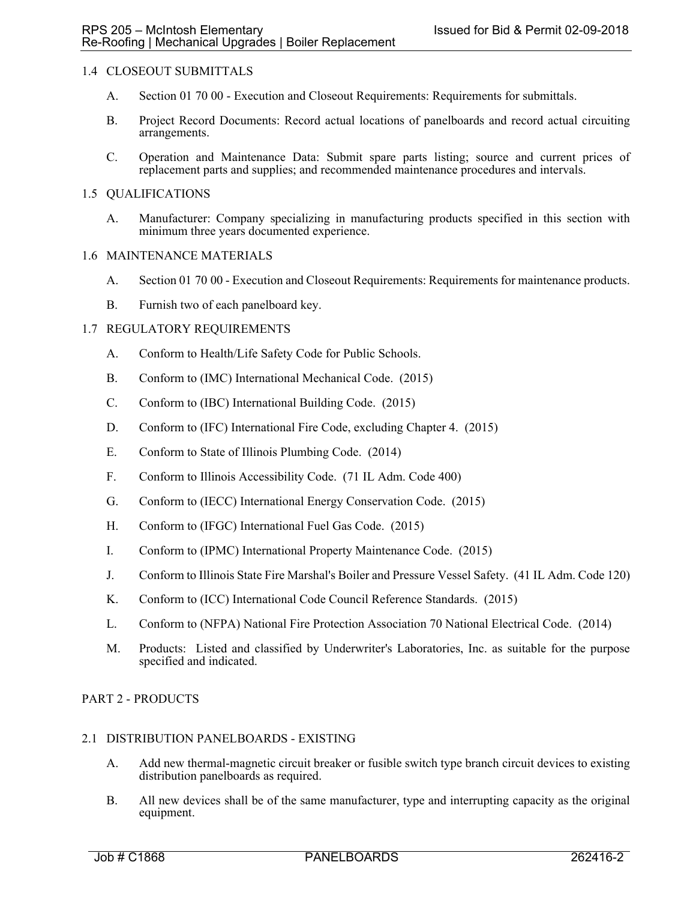## 1.4 CLOSEOUT SUBMITTALS

- A. Section 01 70 00 Execution and Closeout Requirements: Requirements for submittals.
- B. Project Record Documents: Record actual locations of panelboards and record actual circuiting arrangements.
- C. Operation and Maintenance Data: Submit spare parts listing; source and current prices of replacement parts and supplies; and recommended maintenance procedures and intervals.

## 1.5 QUALIFICATIONS

A. Manufacturer: Company specializing in manufacturing products specified in this section with minimum three years documented experience.

#### 1.6 MAINTENANCE MATERIALS

- A. Section 01 70 00 Execution and Closeout Requirements: Requirements for maintenance products.
- B. Furnish two of each panelboard key.

## 1.7 REGULATORY REQUIREMENTS

- A. Conform to Health/Life Safety Code for Public Schools.
- B. Conform to (IMC) International Mechanical Code. (2015)
- C. Conform to (IBC) International Building Code. (2015)
- D. Conform to (IFC) International Fire Code, excluding Chapter 4. (2015)
- E. Conform to State of Illinois Plumbing Code. (2014)
- F. Conform to Illinois Accessibility Code. (71 IL Adm. Code 400)
- G. Conform to (IECC) International Energy Conservation Code. (2015)
- H. Conform to (IFGC) International Fuel Gas Code. (2015)
- I. Conform to (IPMC) International Property Maintenance Code. (2015)
- J. Conform to Illinois State Fire Marshal's Boiler and Pressure Vessel Safety. (41 IL Adm. Code 120)
- K. Conform to (ICC) International Code Council Reference Standards. (2015)
- L. Conform to (NFPA) National Fire Protection Association 70 National Electrical Code. (2014)
- M. Products: Listed and classified by Underwriter's Laboratories, Inc. as suitable for the purpose specified and indicated.

#### PART 2 - PRODUCTS

#### 2.1 DISTRIBUTION PANELBOARDS - EXISTING

- A. Add new thermal-magnetic circuit breaker or fusible switch type branch circuit devices to existing distribution panelboards as required.
- B. All new devices shall be of the same manufacturer, type and interrupting capacity as the original equipment.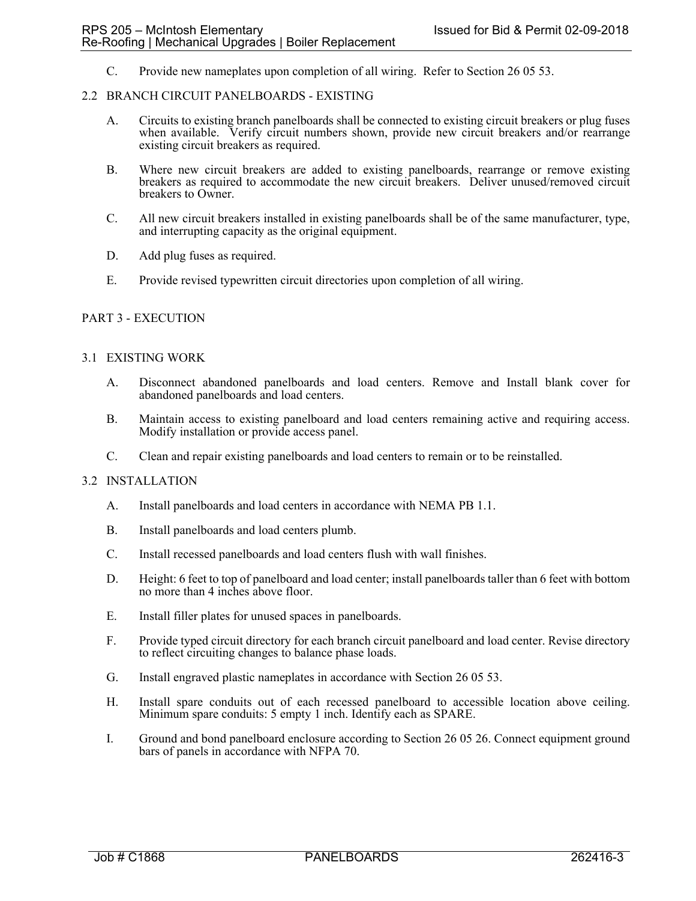C. Provide new nameplates upon completion of all wiring. Refer to Section 26 05 53.

## 2.2 BRANCH CIRCUIT PANELBOARDS - EXISTING

- A. Circuits to existing branch panelboards shall be connected to existing circuit breakers or plug fuses when available. Verify circuit numbers shown, provide new circuit breakers and/or rearrange existing circuit breakers as required.
- B. Where new circuit breakers are added to existing panelboards, rearrange or remove existing breakers as required to accommodate the new circuit breakers. Deliver unused/removed circuit breakers to Owner.
- C. All new circuit breakers installed in existing panelboards shall be of the same manufacturer, type, and interrupting capacity as the original equipment.
- D. Add plug fuses as required.
- E. Provide revised typewritten circuit directories upon completion of all wiring.

## PART 3 - EXECUTION

#### 3.1 EXISTING WORK

- A. Disconnect abandoned panelboards and load centers. Remove and Install blank cover for abandoned panelboards and load centers.
- B. Maintain access to existing panelboard and load centers remaining active and requiring access. Modify installation or provide access panel.
- C. Clean and repair existing panelboards and load centers to remain or to be reinstalled.

#### 3.2 INSTALLATION

- A. Install panelboards and load centers in accordance with NEMA PB 1.1.
- B. Install panelboards and load centers plumb.
- C. Install recessed panelboards and load centers flush with wall finishes.
- D. Height: 6 feet to top of panelboard and load center; install panelboards taller than 6 feet with bottom no more than 4 inches above floor.
- E. Install filler plates for unused spaces in panelboards.
- F. Provide typed circuit directory for each branch circuit panelboard and load center. Revise directory to reflect circuiting changes to balance phase loads.
- G. Install engraved plastic nameplates in accordance with Section 26 05 53.
- H. Install spare conduits out of each recessed panelboard to accessible location above ceiling. Minimum spare conduits: 5 empty 1 inch. Identify each as SPARE.
- I. Ground and bond panelboard enclosure according to Section 26 05 26. Connect equipment ground bars of panels in accordance with NFPA 70.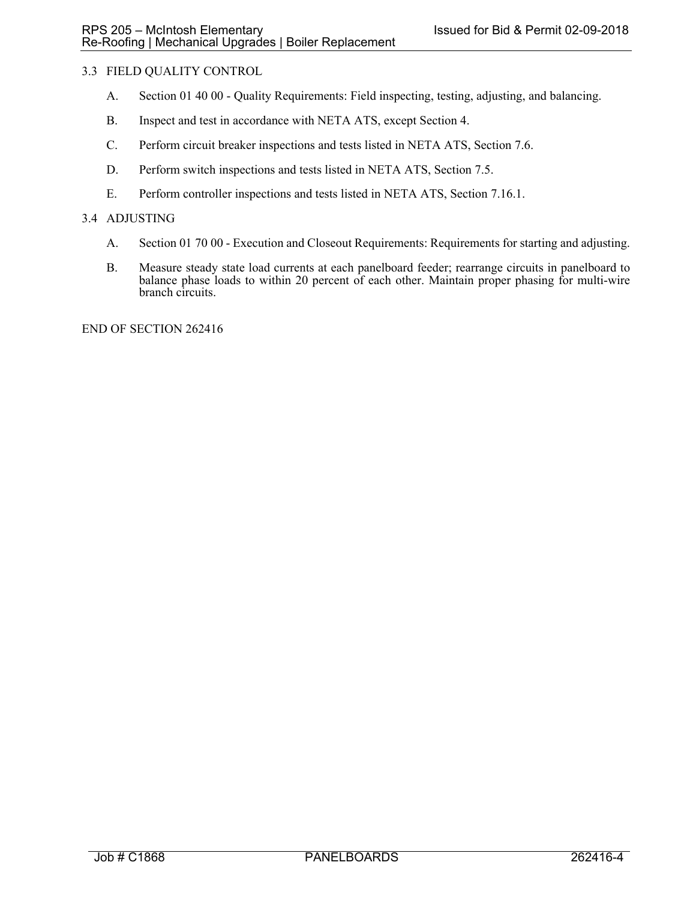# 3.3 FIELD QUALITY CONTROL

- A. Section 01 40 00 Quality Requirements: Field inspecting, testing, adjusting, and balancing.
- B. Inspect and test in accordance with NETA ATS, except Section 4.
- C. Perform circuit breaker inspections and tests listed in NETA ATS, Section 7.6.
- D. Perform switch inspections and tests listed in NETA ATS, Section 7.5.
- E. Perform controller inspections and tests listed in NETA ATS, Section 7.16.1.

## 3.4 ADJUSTING

- A. Section 01 70 00 Execution and Closeout Requirements: Requirements for starting and adjusting.
- B. Measure steady state load currents at each panelboard feeder; rearrange circuits in panelboard to balance phase loads to within 20 percent of each other. Maintain proper phasing for multi-wire branch circuits.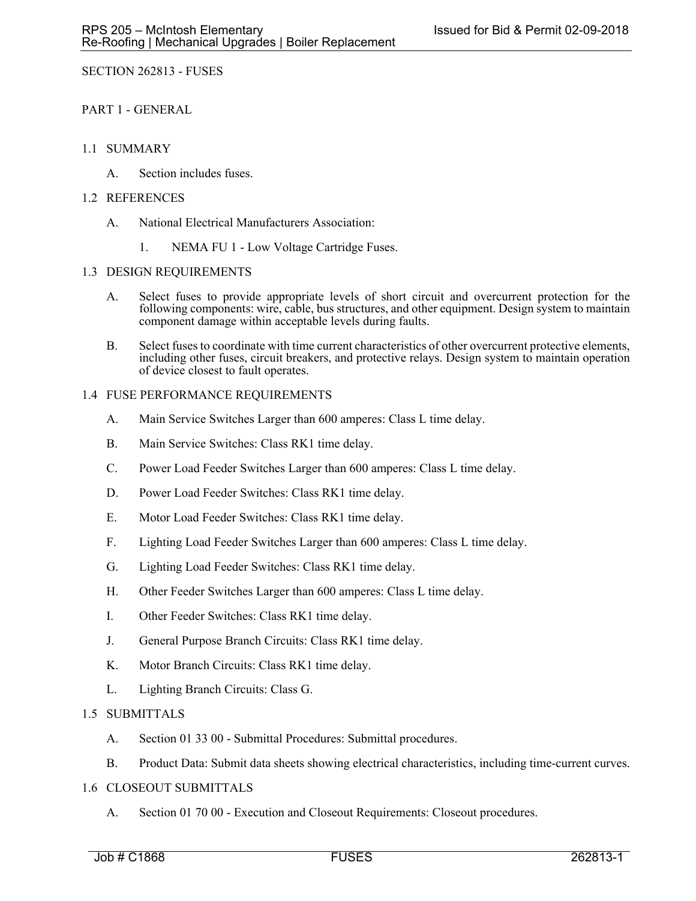SECTION 262813 - FUSES

PART 1 - GENERAL

# 1.1 SUMMARY

A. Section includes fuses.

# 1.2 REFERENCES

- A. National Electrical Manufacturers Association:
	- 1. NEMA FU 1 Low Voltage Cartridge Fuses.

# 1.3 DESIGN REQUIREMENTS

- A. Select fuses to provide appropriate levels of short circuit and overcurrent protection for the following components: wire, cable, bus structures, and other equipment. Design system to maintain component damage within acceptable levels during faults.
- B. Select fuses to coordinate with time current characteristics of other overcurrent protective elements, including other fuses, circuit breakers, and protective relays. Design system to maintain operation of device closest to fault operates.

# 1.4 FUSE PERFORMANCE REQUIREMENTS

- A. Main Service Switches Larger than 600 amperes: Class L time delay.
- B. Main Service Switches: Class RK1 time delay.
- C. Power Load Feeder Switches Larger than 600 amperes: Class L time delay.
- D. Power Load Feeder Switches: Class RK1 time delay.
- E. Motor Load Feeder Switches: Class RK1 time delay.
- F. Lighting Load Feeder Switches Larger than 600 amperes: Class L time delay.
- G. Lighting Load Feeder Switches: Class RK1 time delay.
- H. Other Feeder Switches Larger than 600 amperes: Class L time delay.
- I. Other Feeder Switches: Class RK1 time delay.
- J. General Purpose Branch Circuits: Class RK1 time delay.
- K. Motor Branch Circuits: Class RK1 time delay.
- L. Lighting Branch Circuits: Class G.

# 1.5 SUBMITTALS

- A. Section 01 33 00 Submittal Procedures: Submittal procedures.
- B. Product Data: Submit data sheets showing electrical characteristics, including time-current curves.

# 1.6 CLOSEOUT SUBMITTALS

A. Section 01 70 00 - Execution and Closeout Requirements: Closeout procedures.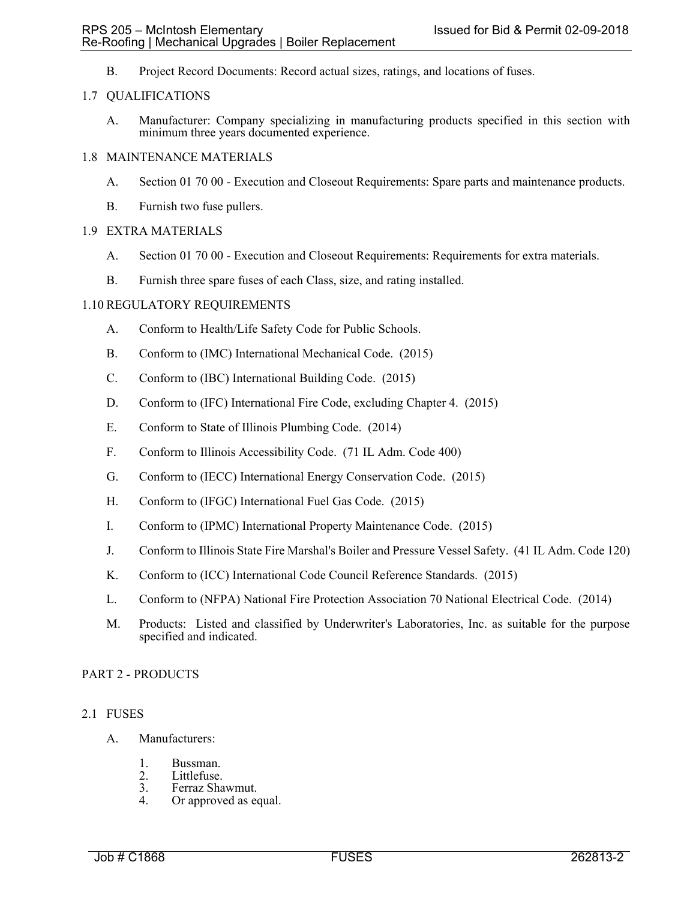B. Project Record Documents: Record actual sizes, ratings, and locations of fuses.

## 1.7 QUALIFICATIONS

A. Manufacturer: Company specializing in manufacturing products specified in this section with minimum three years documented experience.

## 1.8 MAINTENANCE MATERIALS

- A. Section 01 70 00 Execution and Closeout Requirements: Spare parts and maintenance products.
- B. Furnish two fuse pullers.

## 1.9 EXTRA MATERIALS

- A. Section 01 70 00 Execution and Closeout Requirements: Requirements for extra materials.
- B. Furnish three spare fuses of each Class, size, and rating installed.

## 1.10 REGULATORY REQUIREMENTS

- A. Conform to Health/Life Safety Code for Public Schools.
- B. Conform to (IMC) International Mechanical Code. (2015)
- C. Conform to (IBC) International Building Code. (2015)
- D. Conform to (IFC) International Fire Code, excluding Chapter 4. (2015)
- E. Conform to State of Illinois Plumbing Code. (2014)
- F. Conform to Illinois Accessibility Code. (71 IL Adm. Code 400)
- G. Conform to (IECC) International Energy Conservation Code. (2015)
- H. Conform to (IFGC) International Fuel Gas Code. (2015)
- I. Conform to (IPMC) International Property Maintenance Code. (2015)
- J. Conform to Illinois State Fire Marshal's Boiler and Pressure Vessel Safety. (41 IL Adm. Code 120)
- K. Conform to (ICC) International Code Council Reference Standards. (2015)
- L. Conform to (NFPA) National Fire Protection Association 70 National Electrical Code. (2014)
- M. Products: Listed and classified by Underwriter's Laboratories, Inc. as suitable for the purpose specified and indicated.

#### PART 2 - PRODUCTS

#### 2.1 FUSES

- A. Manufacturers:
	- 1. Bussman.<br>2. Littlefuse.
	- 2. Littlefuse.<br>3. Ferraz Sha
	- 3. Ferraz Shawmut.<br>4. Or approved as equal to the Section of the Section 1.
	- Or approved as equal.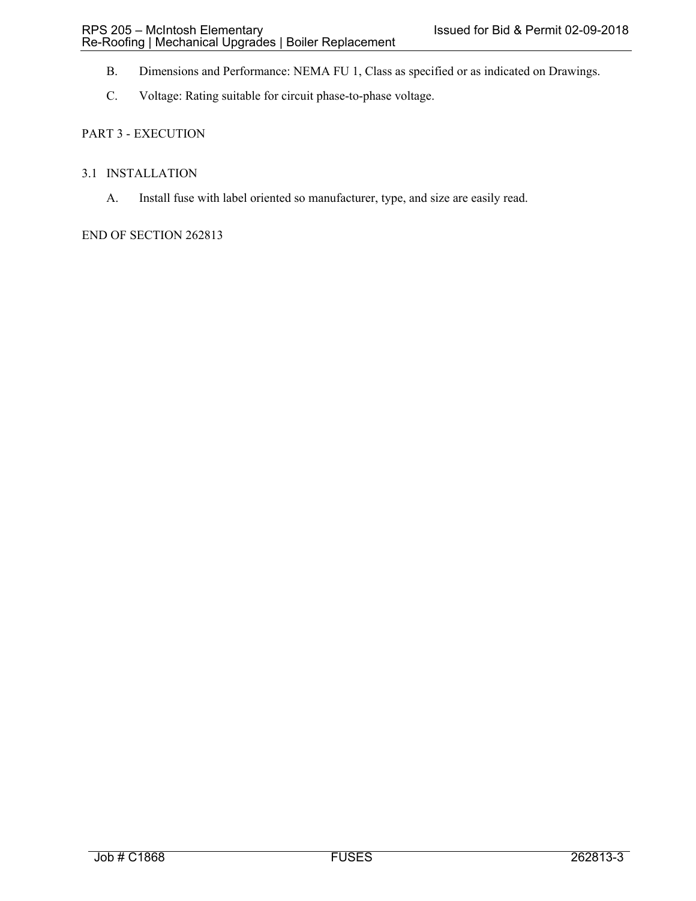- B. Dimensions and Performance: NEMA FU 1, Class as specified or as indicated on Drawings.
- C. Voltage: Rating suitable for circuit phase-to-phase voltage.

# PART 3 - EXECUTION

## 3.1 INSTALLATION

A. Install fuse with label oriented so manufacturer, type, and size are easily read.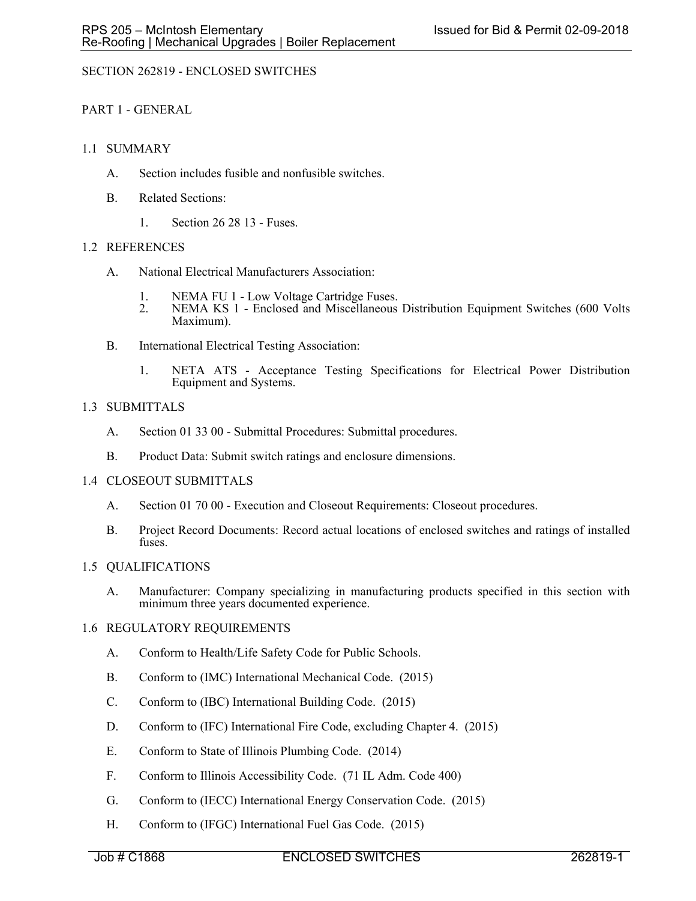# SECTION 262819 - ENCLOSED SWITCHES

# PART 1 - GENERAL

## 1.1 SUMMARY

- A. Section includes fusible and nonfusible switches.
- B. Related Sections:
	- 1. Section 26 28 13 Fuses.

## 1.2 REFERENCES

- A. National Electrical Manufacturers Association:
	- 1. NEMA FU 1 Low Voltage Cartridge Fuses.
	- 2. NEMA KS 1 Enclosed and Miscellaneous Distribution Equipment Switches (600 Volts Maximum).
- B. International Electrical Testing Association:
	- 1. NETA ATS Acceptance Testing Specifications for Electrical Power Distribution Equipment and Systems.

## 1.3 SUBMITTALS

- A. Section 01 33 00 Submittal Procedures: Submittal procedures.
- B. Product Data: Submit switch ratings and enclosure dimensions.

#### 1.4 CLOSEOUT SUBMITTALS

- A. Section 01 70 00 Execution and Closeout Requirements: Closeout procedures.
- B. Project Record Documents: Record actual locations of enclosed switches and ratings of installed fuses.

#### 1.5 QUALIFICATIONS

A. Manufacturer: Company specializing in manufacturing products specified in this section with minimum three years documented experience.

#### 1.6 REGULATORY REQUIREMENTS

- A. Conform to Health/Life Safety Code for Public Schools.
- B. Conform to (IMC) International Mechanical Code. (2015)
- C. Conform to (IBC) International Building Code. (2015)
- D. Conform to (IFC) International Fire Code, excluding Chapter 4. (2015)
- E. Conform to State of Illinois Plumbing Code. (2014)
- F. Conform to Illinois Accessibility Code. (71 IL Adm. Code 400)
- G. Conform to (IECC) International Energy Conservation Code. (2015)
- H. Conform to (IFGC) International Fuel Gas Code. (2015)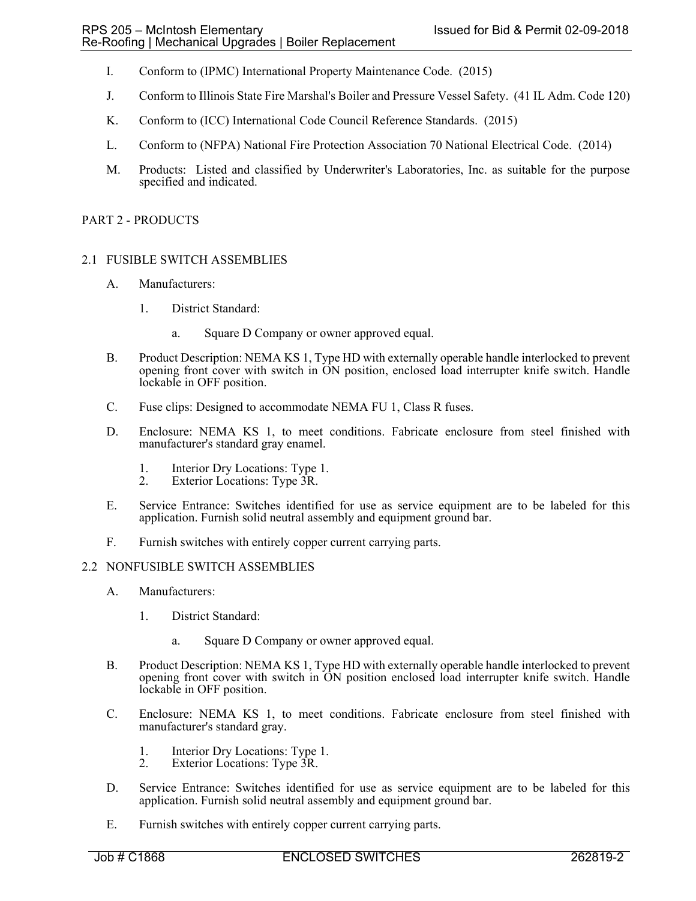- I. Conform to (IPMC) International Property Maintenance Code. (2015)
- J. Conform to Illinois State Fire Marshal's Boiler and Pressure Vessel Safety. (41 IL Adm. Code 120)
- K. Conform to (ICC) International Code Council Reference Standards. (2015)
- L. Conform to (NFPA) National Fire Protection Association 70 National Electrical Code. (2014)
- M. Products: Listed and classified by Underwriter's Laboratories, Inc. as suitable for the purpose specified and indicated.

### PART 2 - PRODUCTS

# 2.1 FUSIBLE SWITCH ASSEMBLIES

- A. Manufacturers:
	- 1. District Standard:
		- a. Square D Company or owner approved equal.
- B. Product Description: NEMA KS 1, Type HD with externally operable handle interlocked to prevent opening front cover with switch in ON position, enclosed load interrupter knife switch. Handle lockable in OFF position.
- C. Fuse clips: Designed to accommodate NEMA FU 1, Class R fuses.
- D. Enclosure: NEMA KS 1, to meet conditions. Fabricate enclosure from steel finished with manufacturer's standard gray enamel.
	- 1. Interior Dry Locations: Type 1.<br>2. Exterior Locations: Type 3R.
	- Exterior Locations: Type 3R.
- E. Service Entrance: Switches identified for use as service equipment are to be labeled for this application. Furnish solid neutral assembly and equipment ground bar.
- F. Furnish switches with entirely copper current carrying parts.

#### 2.2 NONFUSIBLE SWITCH ASSEMBLIES

- A. Manufacturers:
	- 1. District Standard:
		- a. Square D Company or owner approved equal.
- B. Product Description: NEMA KS 1, Type HD with externally operable handle interlocked to prevent opening front cover with switch in ON position enclosed load interrupter knife switch. Handle lockable in OFF position.
- C. Enclosure: NEMA KS 1, to meet conditions. Fabricate enclosure from steel finished with manufacturer's standard gray.
	- 1. Interior Dry Locations: Type 1.
	- 2. Exterior Locations: Type 3R.
- D. Service Entrance: Switches identified for use as service equipment are to be labeled for this application. Furnish solid neutral assembly and equipment ground bar.
- E. Furnish switches with entirely copper current carrying parts.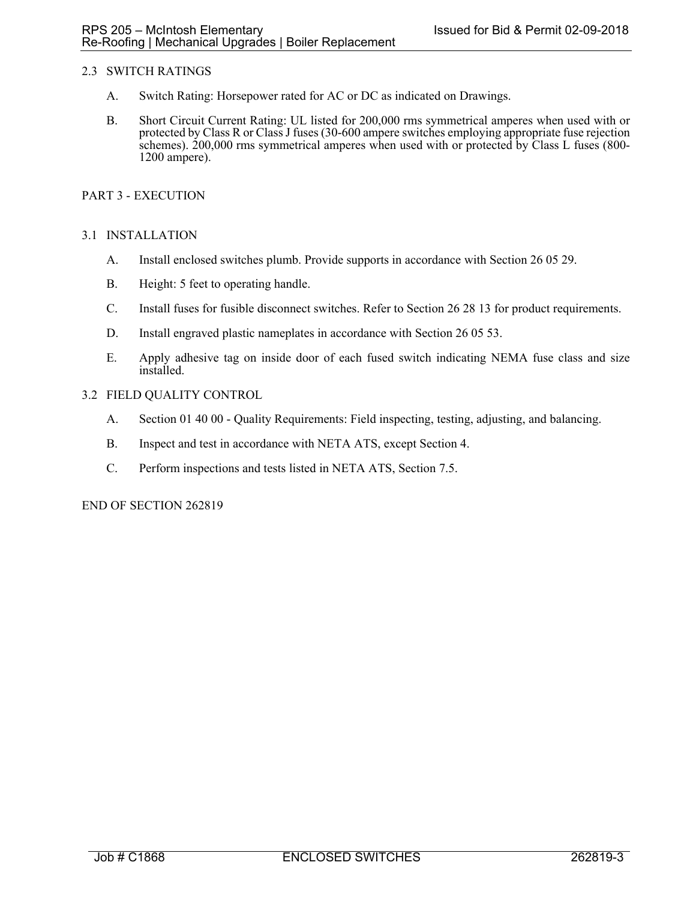## 2.3 SWITCH RATINGS

- A. Switch Rating: Horsepower rated for AC or DC as indicated on Drawings.
- B. Short Circuit Current Rating: UL listed for 200,000 rms symmetrical amperes when used with or protected by Class R or Class J fuses (30-600 ampere switches employing appropriate fuse rejection schemes). 200,000 rms symmetrical amperes when used with or protected by Class L fuses (800- 1200 ampere).

## PART 3 - EXECUTION

## 3.1 INSTALLATION

- A. Install enclosed switches plumb. Provide supports in accordance with Section 26 05 29.
- B. Height: 5 feet to operating handle.
- C. Install fuses for fusible disconnect switches. Refer to Section 26 28 13 for product requirements.
- D. Install engraved plastic nameplates in accordance with Section 26 05 53.
- E. Apply adhesive tag on inside door of each fused switch indicating NEMA fuse class and size installed.
- 3.2 FIELD QUALITY CONTROL
	- A. Section 01 40 00 Quality Requirements: Field inspecting, testing, adjusting, and balancing.
	- B. Inspect and test in accordance with NETA ATS, except Section 4.
	- C. Perform inspections and tests listed in NETA ATS, Section 7.5.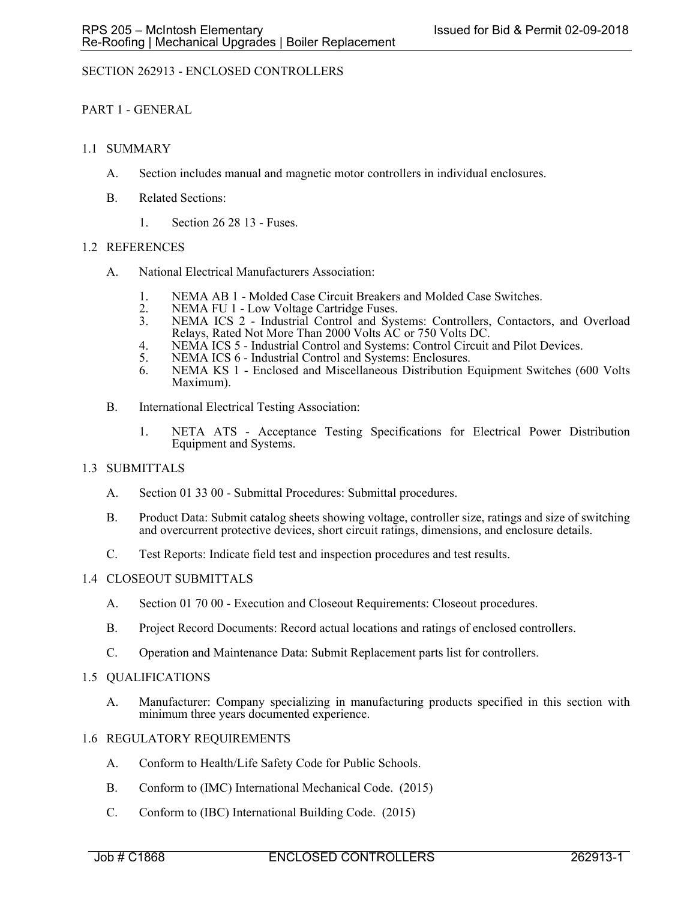# SECTION 262913 - ENCLOSED CONTROLLERS

## PART 1 - GENERAL

## 1.1 SUMMARY

- A. Section includes manual and magnetic motor controllers in individual enclosures.
- B. Related Sections:
	- 1. Section 26 28 13 Fuses.

## 1.2 REFERENCES

- A. National Electrical Manufacturers Association:
	- 1. NEMA AB 1 Molded Case Circuit Breakers and Molded Case Switches.
	- 2. NEMA FU 1 Low Voltage Cartridge Fuses.<br>3. NEMA ICS 2 Industrial Control and Svs
	- NEMA ICS 2 Industrial Control and Systems: Controllers, Contactors, and Overload Relays, Rated Not More Than 2000 Volts AC or 750 Volts DC.
	- 4. NEMA ICS 5 Industrial Control and Systems: Control Circuit and Pilot Devices.
	- 5. NEMA ICS 6 Industrial Control and Systems: Enclosures.
	- 6. NEMA KS 1 Enclosed and Miscellaneous Distribution Equipment Switches (600 Volts Maximum).
- B. International Electrical Testing Association:
	- 1. NETA ATS Acceptance Testing Specifications for Electrical Power Distribution Equipment and Systems.

## 1.3 SUBMITTALS

- A. Section 01 33 00 Submittal Procedures: Submittal procedures.
- B. Product Data: Submit catalog sheets showing voltage, controller size, ratings and size of switching and overcurrent protective devices, short circuit ratings, dimensions, and enclosure details.
- C. Test Reports: Indicate field test and inspection procedures and test results.

## 1.4 CLOSEOUT SUBMITTALS

- A. Section 01 70 00 Execution and Closeout Requirements: Closeout procedures.
- B. Project Record Documents: Record actual locations and ratings of enclosed controllers.
- C. Operation and Maintenance Data: Submit Replacement parts list for controllers.

## 1.5 QUALIFICATIONS

A. Manufacturer: Company specializing in manufacturing products specified in this section with minimum three years documented experience.

## 1.6 REGULATORY REQUIREMENTS

- A. Conform to Health/Life Safety Code for Public Schools.
- B. Conform to (IMC) International Mechanical Code. (2015)
- C. Conform to (IBC) International Building Code. (2015)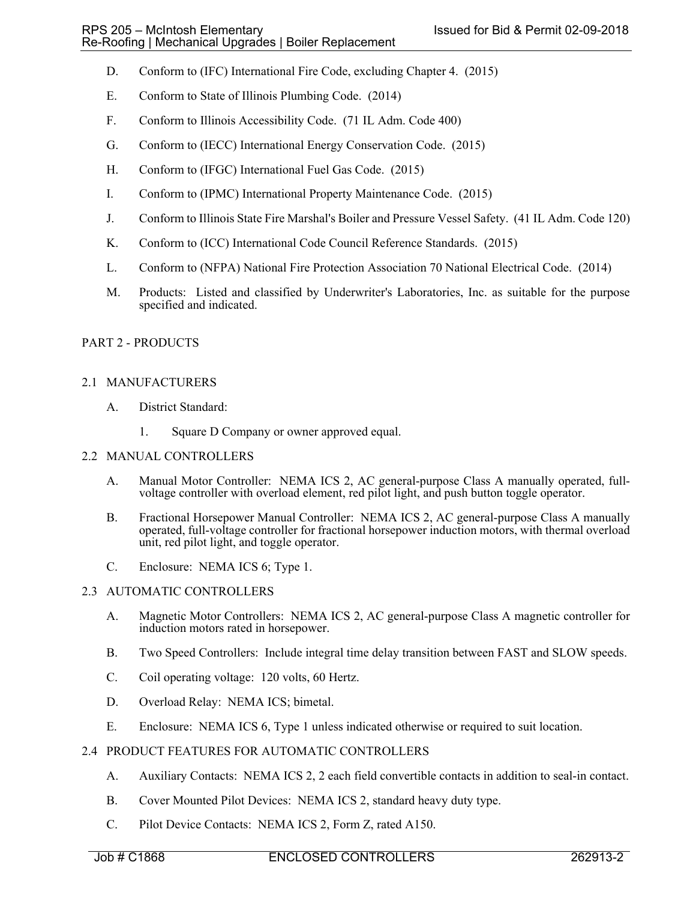- D. Conform to (IFC) International Fire Code, excluding Chapter 4. (2015)
- E. Conform to State of Illinois Plumbing Code. (2014)
- F. Conform to Illinois Accessibility Code. (71 IL Adm. Code 400)
- G. Conform to (IECC) International Energy Conservation Code. (2015)
- H. Conform to (IFGC) International Fuel Gas Code. (2015)
- I. Conform to (IPMC) International Property Maintenance Code. (2015)
- J. Conform to Illinois State Fire Marshal's Boiler and Pressure Vessel Safety. (41 IL Adm. Code 120)
- K. Conform to (ICC) International Code Council Reference Standards. (2015)
- L. Conform to (NFPA) National Fire Protection Association 70 National Electrical Code. (2014)
- M. Products: Listed and classified by Underwriter's Laboratories, Inc. as suitable for the purpose specified and indicated.

## PART 2 - PRODUCTS

## 2.1 MANUFACTURERS

- A. District Standard:
	- 1. Square D Company or owner approved equal.

## 2.2 MANUAL CONTROLLERS

- A. Manual Motor Controller: NEMA ICS 2, AC general-purpose Class A manually operated, fullvoltage controller with overload element, red pilot light, and push button toggle operator.
- B. Fractional Horsepower Manual Controller: NEMA ICS 2, AC general-purpose Class A manually operated, full-voltage controller for fractional horsepower induction motors, with thermal overload unit, red pilot light, and toggle operator.
- C. Enclosure: NEMA ICS 6; Type 1.

## 2.3 AUTOMATIC CONTROLLERS

- A. Magnetic Motor Controllers: NEMA ICS 2, AC general-purpose Class A magnetic controller for induction motors rated in horsepower.
- B. Two Speed Controllers: Include integral time delay transition between FAST and SLOW speeds.
- C. Coil operating voltage: 120 volts, 60 Hertz.
- D. Overload Relay: NEMA ICS; bimetal.
- E. Enclosure: NEMA ICS 6, Type 1 unless indicated otherwise or required to suit location.

## 2.4 PRODUCT FEATURES FOR AUTOMATIC CONTROLLERS

- A. Auxiliary Contacts: NEMA ICS 2, 2 each field convertible contacts in addition to seal-in contact.
- B. Cover Mounted Pilot Devices: NEMA ICS 2, standard heavy duty type.
- C. Pilot Device Contacts: NEMA ICS 2, Form Z, rated A150.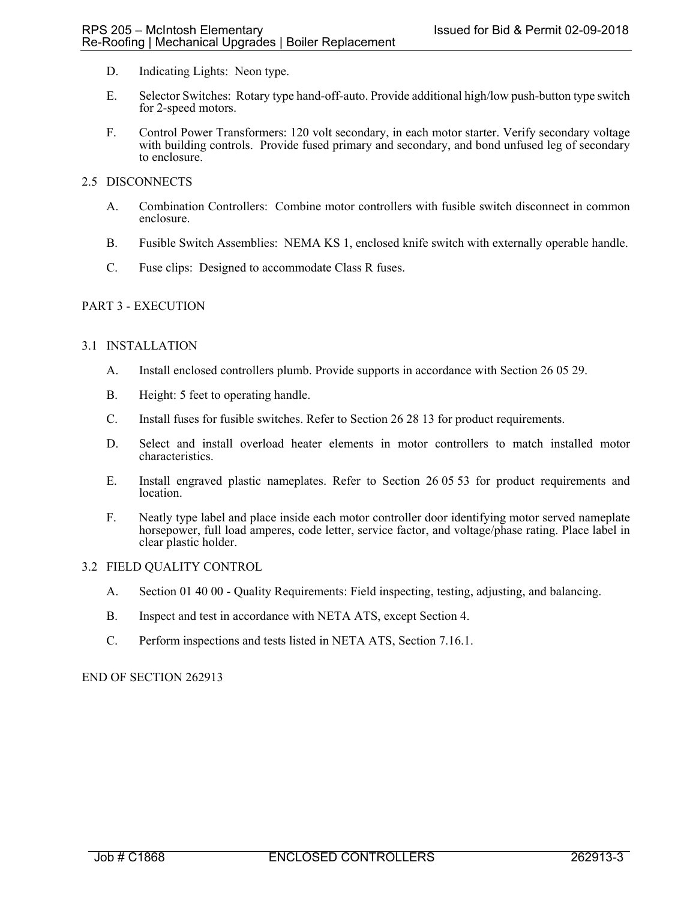- D. Indicating Lights: Neon type.
- E. Selector Switches: Rotary type hand-off-auto. Provide additional high/low push-button type switch for 2-speed motors.
- F. Control Power Transformers: 120 volt secondary, in each motor starter. Verify secondary voltage with building controls. Provide fused primary and secondary, and bond unfused leg of secondary to enclosure.

## 2.5 DISCONNECTS

- A. Combination Controllers: Combine motor controllers with fusible switch disconnect in common enclosure.
- B. Fusible Switch Assemblies: NEMA KS 1, enclosed knife switch with externally operable handle.
- C. Fuse clips: Designed to accommodate Class R fuses.

## PART 3 - EXECUTION

## 3.1 INSTALLATION

- A. Install enclosed controllers plumb. Provide supports in accordance with Section 26 05 29.
- B. Height: 5 feet to operating handle.
- C. Install fuses for fusible switches. Refer to Section 26 28 13 for product requirements.
- D. Select and install overload heater elements in motor controllers to match installed motor characteristics.
- E. Install engraved plastic nameplates. Refer to Section 26 05 53 for product requirements and location.
- F. Neatly type label and place inside each motor controller door identifying motor served nameplate horsepower, full load amperes, code letter, service factor, and voltage/phase rating. Place label in clear plastic holder.

## 3.2 FIELD QUALITY CONTROL

- A. Section 01 40 00 Quality Requirements: Field inspecting, testing, adjusting, and balancing.
- B. Inspect and test in accordance with NETA ATS, except Section 4.
- C. Perform inspections and tests listed in NETA ATS, Section 7.16.1.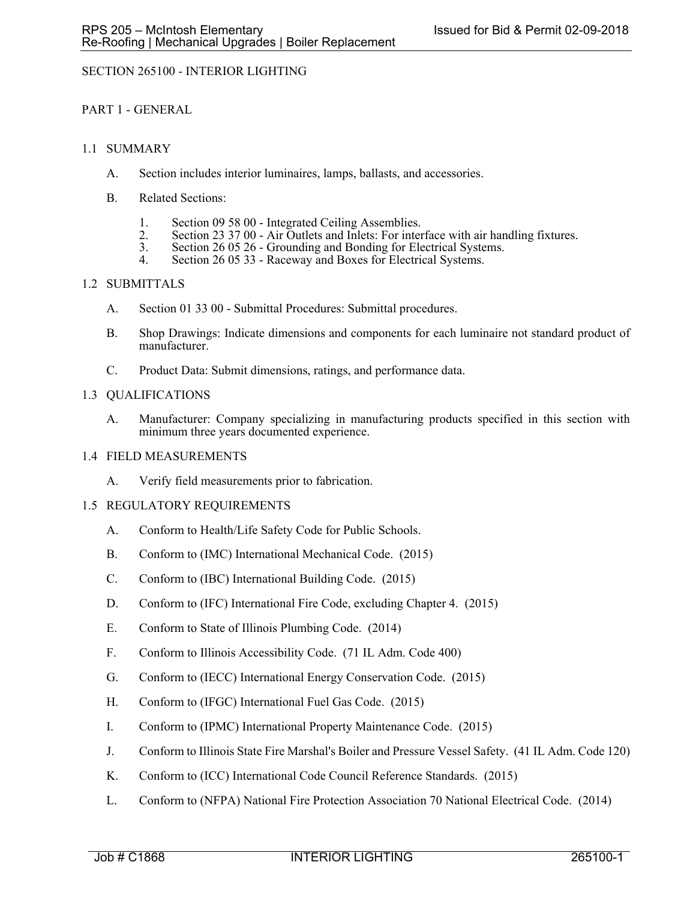# SECTION 265100 - INTERIOR LIGHTING

# PART 1 - GENERAL

## 1.1 SUMMARY

- A. Section includes interior luminaires, lamps, ballasts, and accessories.
- B. Related Sections:
	- 1. Section 09 58 00 Integrated Ceiling Assemblies.<br>2. Section 23 37 00 Air Outlets and Inlets: For inter-
	- Section 23 37 00 Air Outlets and Inlets: For interface with air handling fixtures.<br>Section 26 05 26 Grounding and Bonding for Electrical Systems.
	- 3. Section 26 05 26 Grounding and Bonding for Electrical Systems. 4. Section 26 05 33 Raceway and Boxes for Electrical Systems.
	-

# 1.2 SUBMITTALS

- A. Section 01 33 00 Submittal Procedures: Submittal procedures.
- B. Shop Drawings: Indicate dimensions and components for each luminaire not standard product of manufacturer.
- C. Product Data: Submit dimensions, ratings, and performance data.

## 1.3 QUALIFICATIONS

A. Manufacturer: Company specializing in manufacturing products specified in this section with minimum three years documented experience.

### 1.4 FIELD MEASUREMENTS

A. Verify field measurements prior to fabrication.

## 1.5 REGULATORY REQUIREMENTS

- A. Conform to Health/Life Safety Code for Public Schools.
- B. Conform to (IMC) International Mechanical Code. (2015)
- C. Conform to (IBC) International Building Code. (2015)
- D. Conform to (IFC) International Fire Code, excluding Chapter 4. (2015)
- E. Conform to State of Illinois Plumbing Code. (2014)
- F. Conform to Illinois Accessibility Code. (71 IL Adm. Code 400)
- G. Conform to (IECC) International Energy Conservation Code. (2015)
- H. Conform to (IFGC) International Fuel Gas Code. (2015)
- I. Conform to (IPMC) International Property Maintenance Code. (2015)
- J. Conform to Illinois State Fire Marshal's Boiler and Pressure Vessel Safety. (41 IL Adm. Code 120)
- K. Conform to (ICC) International Code Council Reference Standards. (2015)
- L. Conform to (NFPA) National Fire Protection Association 70 National Electrical Code. (2014)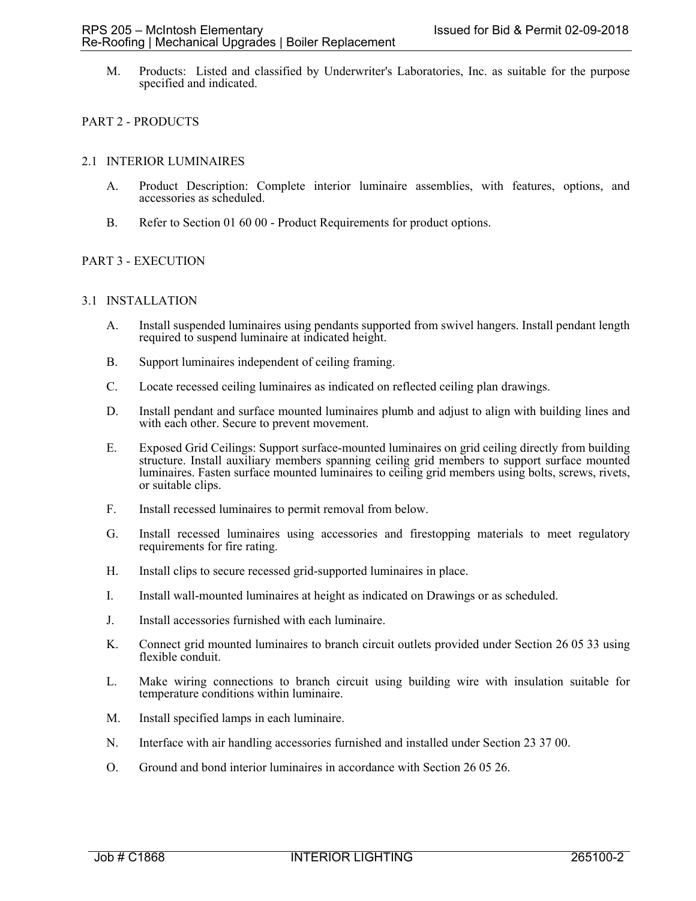M. Products: Listed and classified by Underwriter's Laboratories, Inc. as suitable for the purpose specified and indicated.

# PART 2 - PRODUCTS

## 2.1 INTERIOR LUMINAIRES

- A. Product Description: Complete interior luminaire assemblies, with features, options, and accessories as scheduled.
- B. Refer to Section 01 60 00 Product Requirements for product options.

## PART 3 - EXECUTION

## 3.1 INSTALLATION

- A. Install suspended luminaires using pendants supported from swivel hangers. Install pendant length required to suspend luminaire at indicated height.
- B. Support luminaires independent of ceiling framing.
- C. Locate recessed ceiling luminaires as indicated on reflected ceiling plan drawings.
- D. Install pendant and surface mounted luminaires plumb and adjust to align with building lines and with each other. Secure to prevent movement.
- E. Exposed Grid Ceilings: Support surface-mounted luminaires on grid ceiling directly from building structure. Install auxiliary members spanning ceiling grid members to support surface mounted luminaires. Fasten surface mounted luminaires to ceiling grid members using bolts, screws, rivets, or suitable clips.
- F. Install recessed luminaires to permit removal from below.
- G. Install recessed luminaires using accessories and firestopping materials to meet regulatory requirements for fire rating.
- H. Install clips to secure recessed grid-supported luminaires in place.
- I. Install wall-mounted luminaires at height as indicated on Drawings or as scheduled.
- J. Install accessories furnished with each luminaire.
- K. Connect grid mounted luminaires to branch circuit outlets provided under Section 26 05 33 using flexible conduit.
- L. Make wiring connections to branch circuit using building wire with insulation suitable for temperature conditions within luminaire.
- M. Install specified lamps in each luminaire.
- N. Interface with air handling accessories furnished and installed under Section 23 37 00.
- O. Ground and bond interior luminaires in accordance with Section 26 05 26.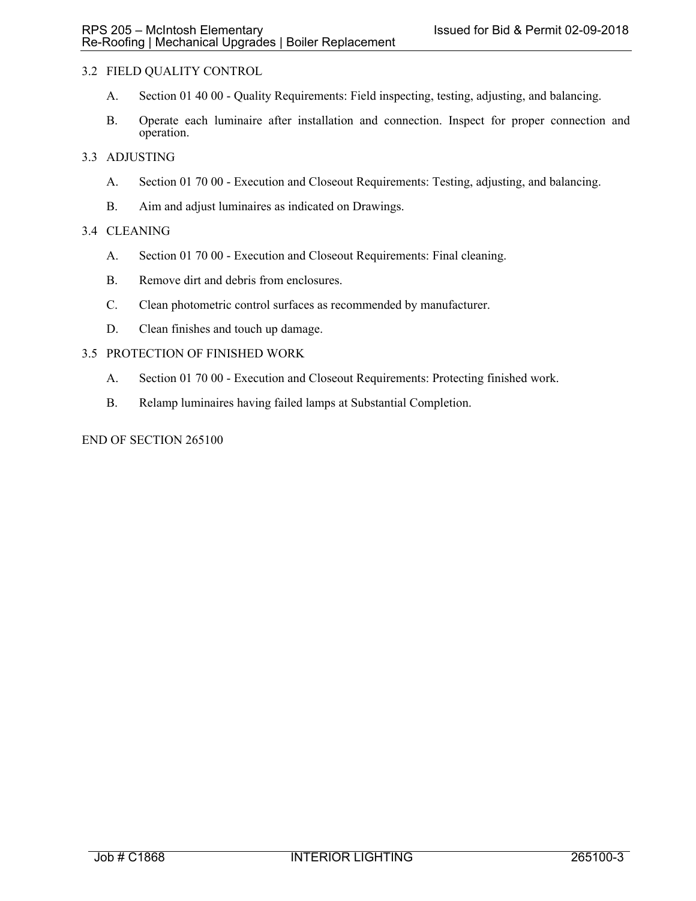# 3.2 FIELD QUALITY CONTROL

- A. Section 01 40 00 Quality Requirements: Field inspecting, testing, adjusting, and balancing.
- B. Operate each luminaire after installation and connection. Inspect for proper connection and operation.

## 3.3 ADJUSTING

- A. Section 01 70 00 Execution and Closeout Requirements: Testing, adjusting, and balancing.
- B. Aim and adjust luminaires as indicated on Drawings.

## 3.4 CLEANING

- A. Section 01 70 00 Execution and Closeout Requirements: Final cleaning.
- B. Remove dirt and debris from enclosures.
- C. Clean photometric control surfaces as recommended by manufacturer.
- D. Clean finishes and touch up damage.

## 3.5 PROTECTION OF FINISHED WORK

- A. Section 01 70 00 Execution and Closeout Requirements: Protecting finished work.
- B. Relamp luminaires having failed lamps at Substantial Completion.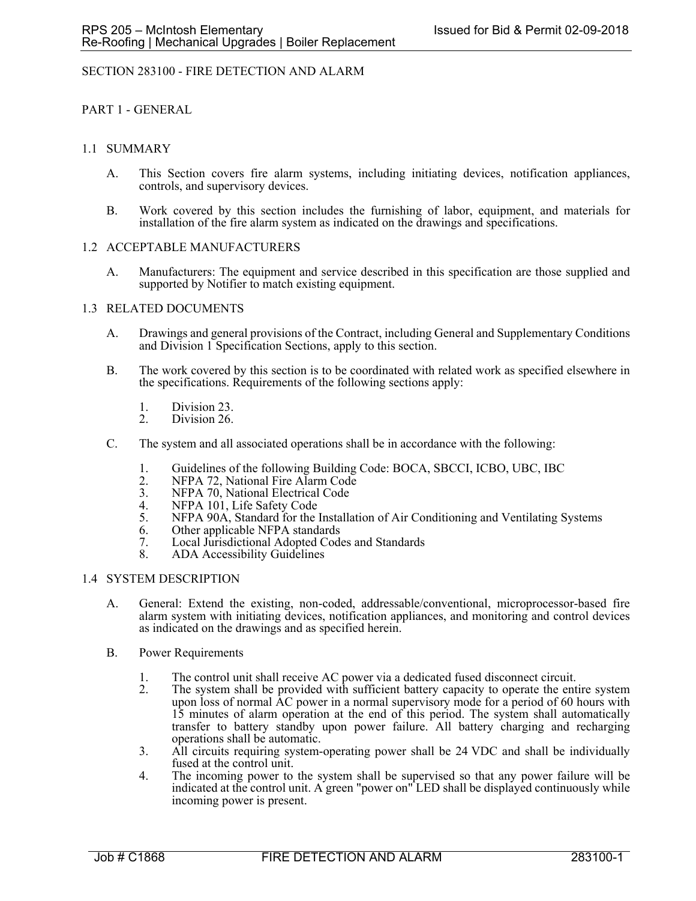## SECTION 283100 - FIRE DETECTION AND ALARM

PART 1 - GENERAL

## 1.1 SUMMARY

- A. This Section covers fire alarm systems, including initiating devices, notification appliances, controls, and supervisory devices.
- B. Work covered by this section includes the furnishing of labor, equipment, and materials for installation of the fire alarm system as indicated on the drawings and specifications.

## 1.2 ACCEPTABLE MANUFACTURERS

A. Manufacturers: The equipment and service described in this specification are those supplied and supported by Notifier to match existing equipment.

#### 1.3 RELATED DOCUMENTS

- A. Drawings and general provisions of the Contract, including General and Supplementary Conditions and Division 1 Specification Sections, apply to this section.
- B. The work covered by this section is to be coordinated with related work as specified elsewhere in the specifications. Requirements of the following sections apply:
	- 1. Division 23.<br>2. Division 26.
	- Division 26.
- C. The system and all associated operations shall be in accordance with the following:
	- 1. Guidelines of the following Building Code: BOCA, SBCCI, ICBO, UBC, IBC<br>2. NFPA 72. National Fire Alarm Code
	- 2. NFPA 72, National Fire Alarm Code<br>3. NFPA 70, National Electrical Code
	- 3. NFPA 70, National Electrical Code<br>4. NFPA 101. Life Safety Code
	- NFPA 101, Life Safety Code
	- 5. NFPA 90A, Standard for the Installation of Air Conditioning and Ventilating Systems
	- 6. Other applicable NFPA standards
	- 7. Local Jurisdictional Adopted Codes and Standards
	- 8. ADA Accessibility Guidelines

#### 1.4 SYSTEM DESCRIPTION

- A. General: Extend the existing, non-coded, addressable/conventional, microprocessor-based fire alarm system with initiating devices, notification appliances, and monitoring and control devices as indicated on the drawings and as specified herein.
- B. Power Requirements
	- 1. The control unit shall receive AC power via a dedicated fused disconnect circuit.<br>2. The system shall be provided with sufficient battery capacity to operate the enti-
	- 2. The system shall be provided with sufficient battery capacity to operate the entire system upon loss of normal AC power in a normal supervisory mode for a period of 60 hours with 15 minutes of alarm operation at the end of this period. The system shall automatically transfer to battery standby upon power failure. All battery charging and recharging operations shall be automatic.
	- 3. All circuits requiring system-operating power shall be 24 VDC and shall be individually fused at the control unit.
	- 4. The incoming power to the system shall be supervised so that any power failure will be indicated at the control unit. A green "power on" LED shall be displayed continuously while incoming power is present.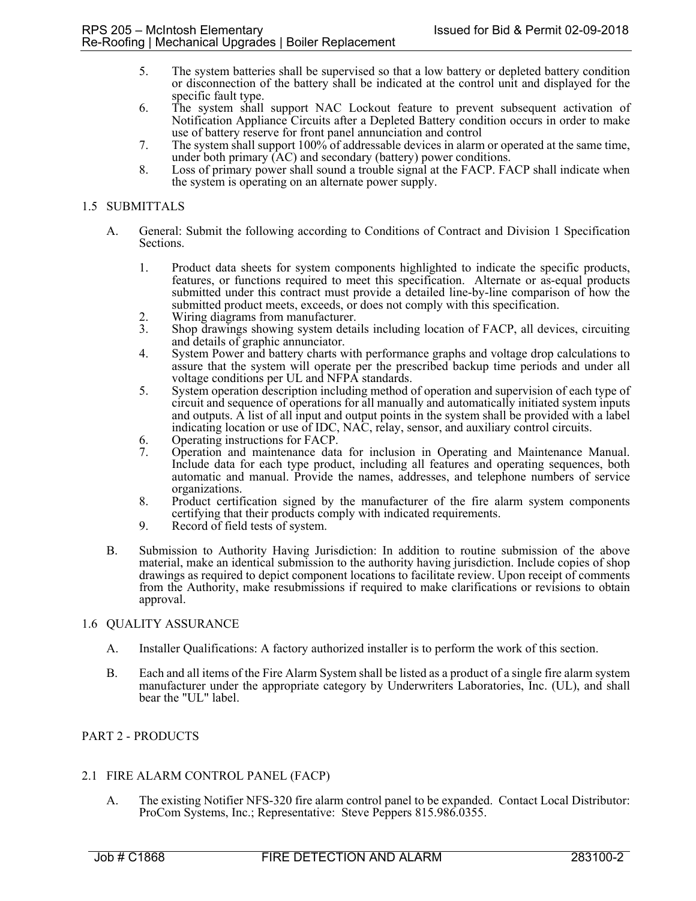- 5. The system batteries shall be supervised so that a low battery or depleted battery condition or disconnection of the battery shall be indicated at the control unit and displayed for the specific fault type.
- 6. The system shall support NAC Lockout feature to prevent subsequent activation of Notification Appliance Circuits after a Depleted Battery condition occurs in order to make use of battery reserve for front panel annunciation and control
- 7. The system shall support 100% of addressable devices in alarm or operated at the same time, under both primary (AC) and secondary (battery) power conditions.
- 8. Loss of primary power shall sound a trouble signal at the FACP. FACP shall indicate when the system is operating on an alternate power supply.

# 1.5 SUBMITTALS

- A. General: Submit the following according to Conditions of Contract and Division 1 Specification Sections.
	- 1. Product data sheets for system components highlighted to indicate the specific products, features, or functions required to meet this specification. Alternate or as-equal products submitted under this contract must provide a detailed line-by-line comparison of how the submitted product meets, exceeds, or does not comply with this specification.
	- 2. Wiring diagrams from manufacturer.
	- 3. Shop drawings showing system details including location of FACP, all devices, circuiting and details of graphic annunciator.
	- 4. System Power and battery charts with performance graphs and voltage drop calculations to assure that the system will operate per the prescribed backup time periods and under all voltage conditions per UL and NFPA standards.
	- 5. System operation description including method of operation and supervision of each type of circuit and sequence of operations for all manually and automatically initiated system inputs and outputs. A list of all input and output points in the system shall be provided with a label indicating location or use of IDC, NAC, relay, sensor, and auxiliary control circuits.
	- 6. Operating instructions for FACP.
	- 7. Operation and maintenance data for inclusion in Operating and Maintenance Manual. Include data for each type product, including all features and operating sequences, both automatic and manual. Provide the names, addresses, and telephone numbers of service organizations.
	- 8. Product certification signed by the manufacturer of the fire alarm system components certifying that their products comply with indicated requirements.
	- 9. Record of field tests of system.
- B. Submission to Authority Having Jurisdiction: In addition to routine submission of the above material, make an identical submission to the authority having jurisdiction. Include copies of shop drawings as required to depict component locations to facilitate review. Upon receipt of comments from the Authority, make resubmissions if required to make clarifications or revisions to obtain approval.

#### 1.6 QUALITY ASSURANCE

- A. Installer Qualifications: A factory authorized installer is to perform the work of this section.
- B. Each and all items of the Fire Alarm System shall be listed as a product of a single fire alarm system manufacturer under the appropriate category by Underwriters Laboratories, Inc. (UL), and shall bear the "UL" label.

## PART 2 - PRODUCTS

## 2.1 FIRE ALARM CONTROL PANEL (FACP)

A. The existing Notifier NFS-320 fire alarm control panel to be expanded. Contact Local Distributor: ProCom Systems, Inc.; Representative: Steve Peppers 815.986.0355.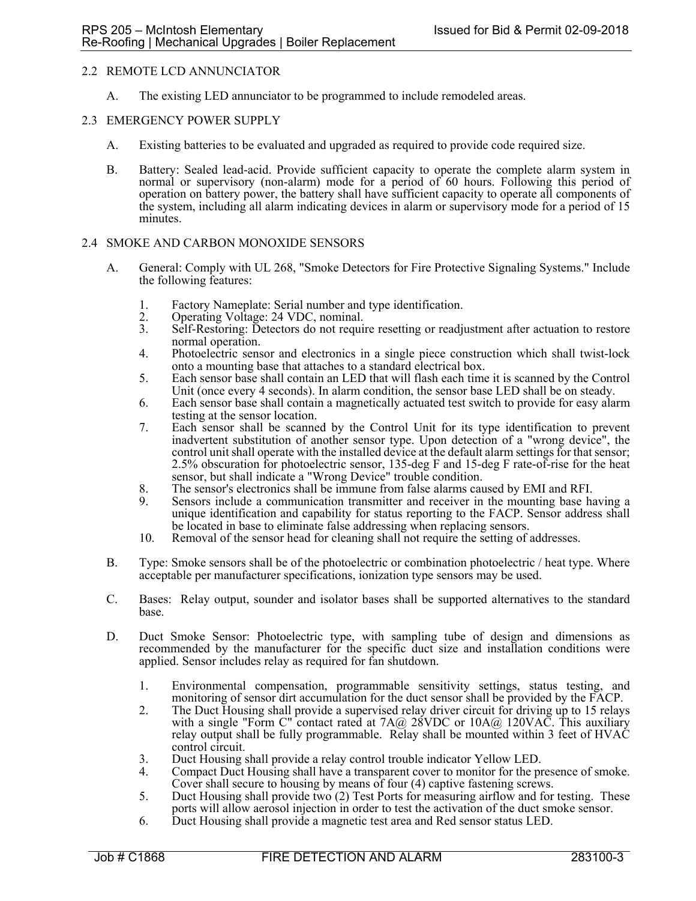## 2.2 REMOTE LCD ANNUNCIATOR

A. The existing LED annunciator to be programmed to include remodeled areas.

### 2.3 EMERGENCY POWER SUPPLY

- A. Existing batteries to be evaluated and upgraded as required to provide code required size.
- B. Battery: Sealed lead-acid. Provide sufficient capacity to operate the complete alarm system in normal or supervisory (non-alarm) mode for a period of 60 hours. Following this period of operation on battery power, the battery shall have sufficient capacity to operate all components of the system, including all alarm indicating devices in alarm or supervisory mode for a period of 15 minutes.

## 2.4 SMOKE AND CARBON MONOXIDE SENSORS

- A. General: Comply with UL 268, "Smoke Detectors for Fire Protective Signaling Systems." Include the following features:
	- 1. Factory Nameplate: Serial number and type identification.<br>2. Operating Voltage: 24 VDC, nominal.
	- 2. Operating Voltage: 24 VDC, nominal.<br>3. Self-Restoring: Detectors do not requi
	- 3. Self-Restoring: Detectors do not require resetting or readjustment after actuation to restore normal operation.
	- 4. Photoelectric sensor and electronics in a single piece construction which shall twist-lock
	- onto a mounting base that attaches to a standard electrical box. 5. Each sensor base shall contain an LED that will flash each time it is scanned by the Control Unit (once every 4 seconds). In alarm condition, the sensor base LED shall be on steady.
	- 6. Each sensor base shall contain a magnetically actuated test switch to provide for easy alarm testing at the sensor location.
	- 7. Each sensor shall be scanned by the Control Unit for its type identification to prevent inadvertent substitution of another sensor type. Upon detection of a "wrong device", the control unit shall operate with the installed device at the default alarm settings for that sensor; 2.5% obscuration for photoelectric sensor, 135-deg F and 15-deg F rate-of-rise for the heat sensor, but shall indicate a "Wrong Device" trouble condition.
	- 8. The sensor's electronics shall be immune from false alarms caused by EMI and RFI.
	- 9. Sensors include a communication transmitter and receiver in the mounting base having a unique identification and capability for status reporting to the FACP. Sensor address shall be located in base to eliminate false addressing when replacing sensors.
	- 10. Removal of the sensor head for cleaning shall not require the setting of addresses.
- B. Type: Smoke sensors shall be of the photoelectric or combination photoelectric / heat type. Where acceptable per manufacturer specifications, ionization type sensors may be used.
- C. Bases: Relay output, sounder and isolator bases shall be supported alternatives to the standard base.
- D. Duct Smoke Sensor: Photoelectric type, with sampling tube of design and dimensions as recommended by the manufacturer for the specific duct size and installation conditions were applied. Sensor includes relay as required for fan shutdown.
	- 1. Environmental compensation, programmable sensitivity settings, status testing, and monitoring of sensor dirt accumulation for the duct sensor shall be provided by the FACP.
	- 2. The Duct Housing shall provide a supervised relay driver circuit for driving up to 15 relays with a single "Form C" contact rated at  $7A@ 28VDC$  or  $10A@ 120VAC$ . This auxiliary relay output shall be fully programmable. Relay shall be mounted within 3 feet of HVAC control circuit.
	- 3. Duct Housing shall provide a relay control trouble indicator Yellow LED.
	- 4. Compact Duct Housing shall have a transparent cover to monitor for the presence of smoke. Cover shall secure to housing by means of four (4) captive fastening screws.
	- 5. Duct Housing shall provide two (2) Test Ports for measuring airflow and for testing. These ports will allow aerosol injection in order to test the activation of the duct smoke sensor.
	- 6. Duct Housing shall provide a magnetic test area and Red sensor status LED.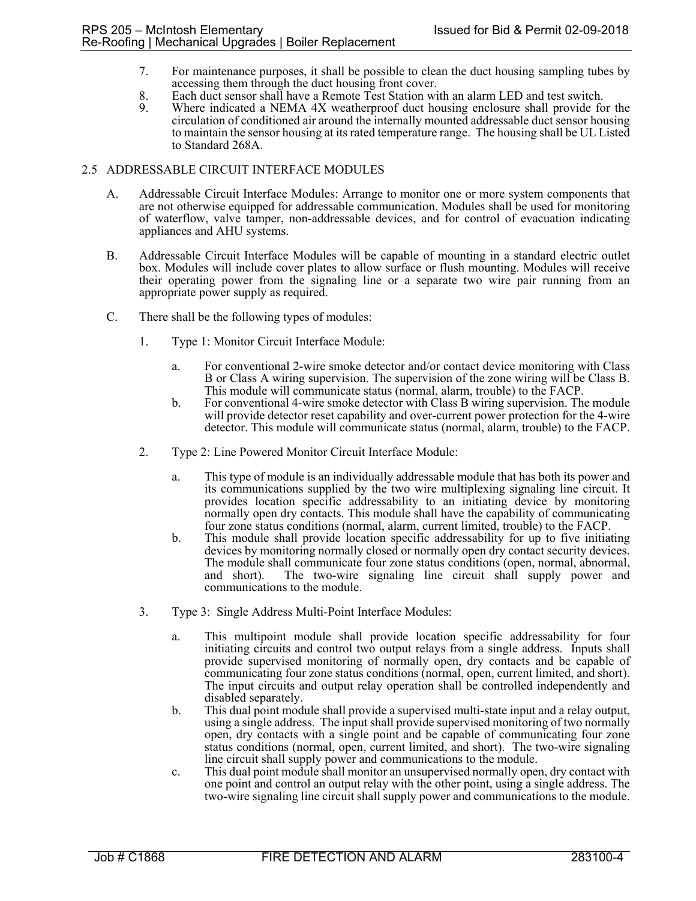- 7. For maintenance purposes, it shall be possible to clean the duct housing sampling tubes by accessing them through the duct housing front cover.
- 8. Each duct sensor shall have a Remote Test Station with an alarm LED and test switch.
- 9. Where indicated a NEMA 4X weatherproof duct housing enclosure shall provide for the circulation of conditioned air around the internally mounted addressable duct sensor housing to maintain the sensor housing at its rated temperature range. The housing shall be UL Listed to Standard 268A.

## 2.5 ADDRESSABLE CIRCUIT INTERFACE MODULES

- A. Addressable Circuit Interface Modules: Arrange to monitor one or more system components that are not otherwise equipped for addressable communication. Modules shall be used for monitoring of waterflow, valve tamper, non-addressable devices, and for control of evacuation indicating appliances and AHU systems.
- B. Addressable Circuit Interface Modules will be capable of mounting in a standard electric outlet box. Modules will include cover plates to allow surface or flush mounting. Modules will receive their operating power from the signaling line or a separate two wire pair running from an appropriate power supply as required.
- C. There shall be the following types of modules:
	- 1. Type 1: Monitor Circuit Interface Module:
		- a. For conventional 2-wire smoke detector and/or contact device monitoring with Class B or Class A wiring supervision. The supervision of the zone wiring will be Class B. This module will communicate status (normal, alarm, trouble) to the FACP.
		- b. For conventional 4-wire smoke detector with Class B wiring supervision. The module will provide detector reset capability and over-current power protection for the 4-wire detector. This module will communicate status (normal, alarm, trouble) to the FACP.
	- 2. Type 2: Line Powered Monitor Circuit Interface Module:
		- a. This type of module is an individually addressable module that has both its power and its communications supplied by the two wire multiplexing signaling line circuit. It provides location specific addressability to an initiating device by monitoring normally open dry contacts. This module shall have the capability of communicating four zone status conditions (normal, alarm, current limited, trouble) to the FACP.
		- b. This module shall provide location specific addressability for up to five initiating devices by monitoring normally closed or normally open dry contact security devices. The module shall communicate four zone status conditions (open, normal, abnormal, and short). The two-wire signaling line circuit shall supply power and communications to the module.
	- 3. Type 3: Single Address Multi-Point Interface Modules:
		- a. This multipoint module shall provide location specific addressability for four initiating circuits and control two output relays from a single address. Inputs shall provide supervised monitoring of normally open, dry contacts and be capable of communicating four zone status conditions (normal, open, current limited, and short). The input circuits and output relay operation shall be controlled independently and disabled separately.
		- b. This dual point module shall provide a supervised multi-state input and a relay output, using a single address. The input shall provide supervised monitoring of two normally open, dry contacts with a single point and be capable of communicating four zone status conditions (normal, open, current limited, and short). The two-wire signaling line circuit shall supply power and communications to the module.
		- c. This dual point module shall monitor an unsupervised normally open, dry contact with one point and control an output relay with the other point, using a single address. The two-wire signaling line circuit shall supply power and communications to the module.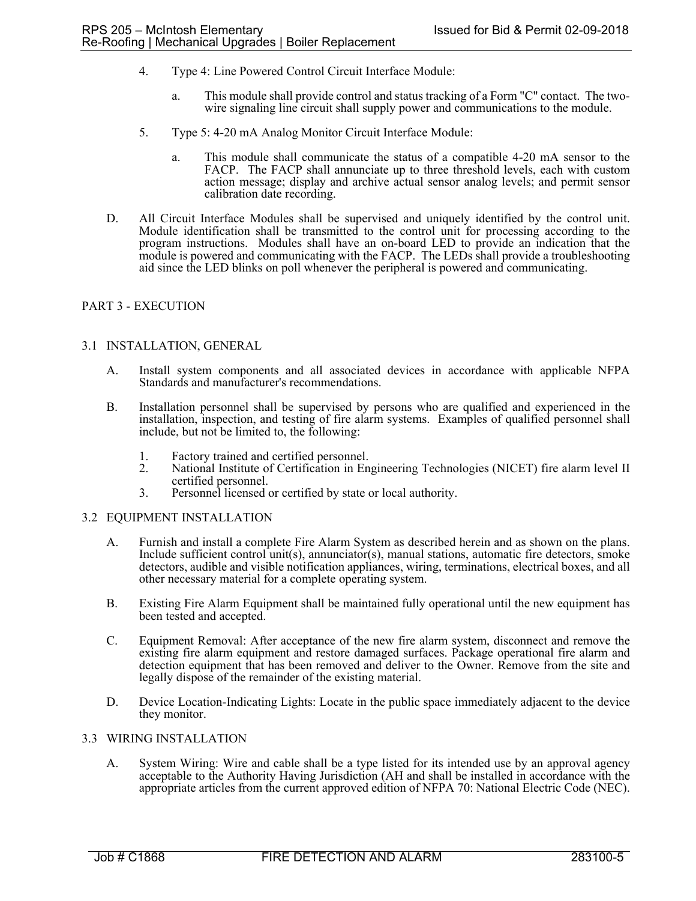- 4. Type 4: Line Powered Control Circuit Interface Module:
	- a. This module shall provide control and status tracking of a Form "C" contact. The twowire signaling line circuit shall supply power and communications to the module.
- 5. Type 5: 4-20 mA Analog Monitor Circuit Interface Module:
	- a. This module shall communicate the status of a compatible 4-20 mA sensor to the FACP. The FACP shall annunciate up to three threshold levels, each with custom action message; display and archive actual sensor analog levels; and permit sensor calibration date recording.
- D. All Circuit Interface Modules shall be supervised and uniquely identified by the control unit. Module identification shall be transmitted to the control unit for processing according to the program instructions. Modules shall have an on-board LED to provide an indication that the module is powered and communicating with the FACP. The LEDs shall provide a troubleshooting aid since the LED blinks on poll whenever the peripheral is powered and communicating.

## PART 3 - EXECUTION

#### 3.1 INSTALLATION, GENERAL

- A. Install system components and all associated devices in accordance with applicable NFPA Standards and manufacturer's recommendations.
- B. Installation personnel shall be supervised by persons who are qualified and experienced in the installation, inspection, and testing of fire alarm systems. Examples of qualified personnel shall include, but not be limited to, the following:
	- 1. Factory trained and certified personnel.<br>2. National Institute of Certification in En
	- National Institute of Certification in Engineering Technologies (NICET) fire alarm level II certified personnel.
	- 3. Personnel licensed or certified by state or local authority.

#### 3.2 EQUIPMENT INSTALLATION

- A. Furnish and install a complete Fire Alarm System as described herein and as shown on the plans. Include sufficient control unit(s), annunciator(s), manual stations, automatic fire detectors, smoke detectors, audible and visible notification appliances, wiring, terminations, electrical boxes, and all other necessary material for a complete operating system.
- B. Existing Fire Alarm Equipment shall be maintained fully operational until the new equipment has been tested and accepted.
- C. Equipment Removal: After acceptance of the new fire alarm system, disconnect and remove the existing fire alarm equipment and restore damaged surfaces. Package operational fire alarm and detection equipment that has been removed and deliver to the Owner. Remove from the site and legally dispose of the remainder of the existing material.
- D. Device Location-Indicating Lights: Locate in the public space immediately adjacent to the device they monitor.

#### 3.3 WIRING INSTALLATION

A. System Wiring: Wire and cable shall be a type listed for its intended use by an approval agency acceptable to the Authority Having Jurisdiction (AH and shall be installed in accordance with the appropriate articles from the current approved edition of NFPA 70: National Electric Code (NEC).